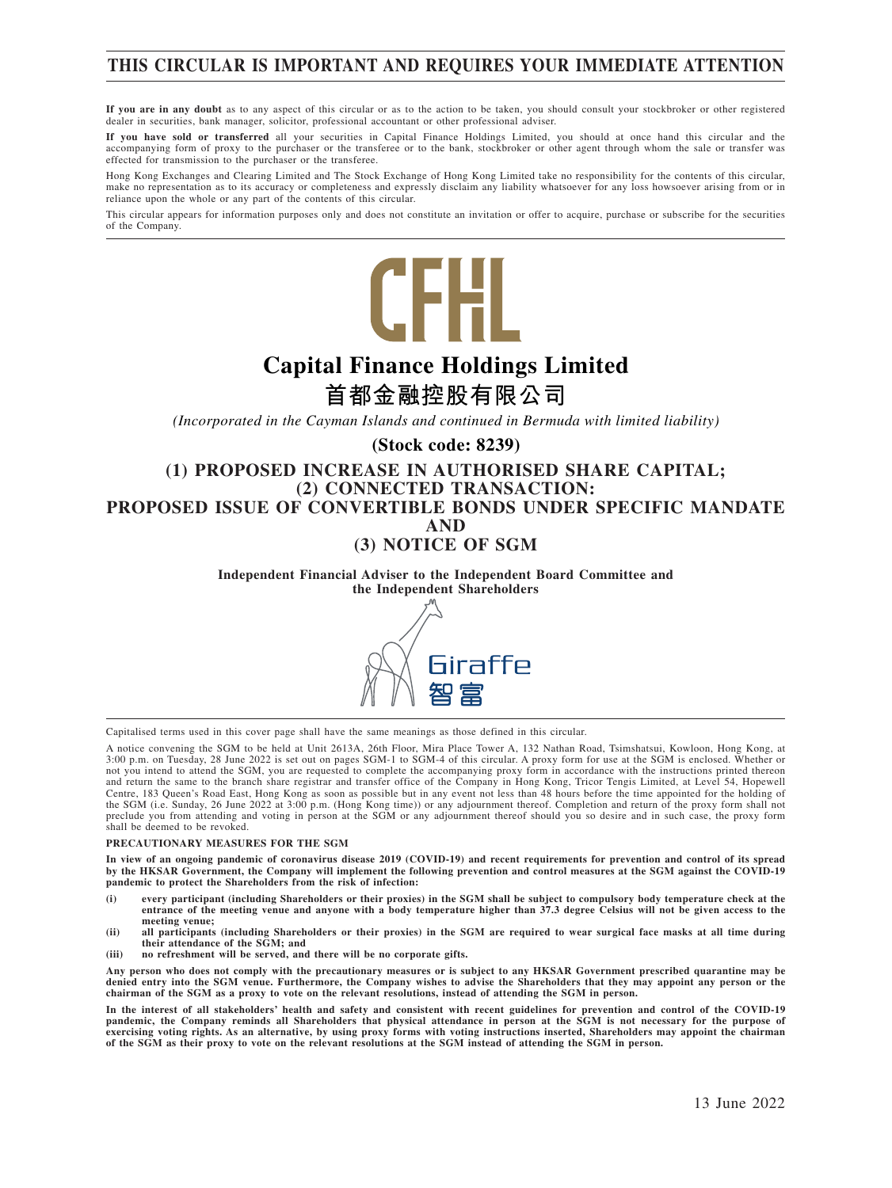## **THIS CIRCULAR IS IMPORTANT AND REQUIRES YOUR IMMEDIATE ATTENTION**

**If you are in any doubt** as to any aspect of this circular or as to the action to be taken, you should consult your stockbroker or other registered dealer in securities, bank manager, solicitor, professional accountant or other professional adviser.

If you have sold or transferred all your securities in Capital Finance Holdings Limited, you should at once hand this circular and the<br>accompanying form of proxy to the purchaser or the transferee or to the bank, stockbrok effected for transmission to the purchaser or the transferee.

Hong Kong Exchanges and Clearing Limited and The Stock Exchange of Hong Kong Limited take no responsibility for the contents of this circular, make no representation as to its accuracy or completeness and expressly disclaim any liability whatsoever for any loss howsoever arising from or in make no representation as to its accuracy or completeness and expressly di reliance upon the whole or any part of the contents of this circular.

This circular appears for information purposes only and does not constitute an invitation or offer to acquire, purchase or subscribe for the securities of the Company.



# **Capital Finance Holdings Limited**

## **首都金融控股有限公司**

*(Incorporated in the Cayman Islands and continued in Bermuda with limited liability)*

#### **(Stock code: 8239)**

#### **(1) PROPOSED INCREASE IN AUTHORISED SHARE CAPITAL; (2) CONNECTED TRANSACTION: PROPOSED ISSUE OF CONVERTIBLE BONDS UNDER SPECIFIC MANDATE AND (3) NOTICE OF SGM**

**Independent Financial Adviser to the Independent Board Committee and the Independent Shareholders**



Capitalised terms used in this cover page shall have the same meanings as those defined in this circular.

A notice convening the SGM to be held at Unit 2613A, 26th Floor, Mira Place Tower A, 132 Nathan Road, Tsimshatsui, Kowloon, Hong Kong, at 3:00 p.m. on Tuesday, 28 June 2022 is set out on pages SGM-1 to SGM-4 of this circular. A proxy form for use at the SGM is enclosed. Whether or not you intend to attend the SGM, you are requested to complete the accompanying proxy form in accordance with the instructions printed thereon and return the same to the branch share registrar and transfer office of the Company in Hong Kong, Tricor Tengis Limited, at Level 54, Hopewell Centre, 183 Queen's Road East, Hong Kong as soon as possible but in any event not less than 48 hours before the time appointed for the holding of the SGM (i.e. Sunday, 26 June 2022 at 3:00 p.m. (Hong Kong time)) or any adjournment thereof. Completion and return of the proxy form shall not preclude you from attending and voting in person at the SGM or any adjournment thereof should you so desire and in such case, the proxy form shall be deemed to be revoked.

#### **PRECAUTIONARY MEASURES FOR THE SGM**

**In view of an ongoing pandemic of coronavirus disease 2019 (COVID-19) and recent requirements for prevention and control of its spread by the HKSAR Government, the Company will implement the following prevention and control measures at the SGM against the COVID-19 pandemic to protect the Shareholders from the risk of infection:**

- **(i) every participant (including Shareholders or their proxies) in the SGM shall be subject to compulsory body temperature check at the entrance of the meeting venue and anyone with a body temperature higher than 37.3 degree Celsius will not be given access to the meeting venue;**
- **(ii) all participants (including Shareholders or their proxies) in the SGM are required to wear surgical face masks at all time during their attendance of the SGM; and**
- **(iii) no refreshment will be served, and there will be no corporate gifts.**

**Any person who does not comply with the precautionary measures or is subject to any HKSAR Government prescribed quarantine may be denied entry into the SGM venue. Furthermore, the Company wishes to advise the Shareholders that they may appoint any person or the chairman of the SGM as a proxy to vote on the relevant resolutions, instead of attending the SGM in person.**

**In the interest of all stakeholders' health and safety and consistent with recent guidelines for prevention and control of the COVID-19 pandemic, the Company reminds all Shareholders that physical attendance in person at the SGM is not necessary for the purpose of exercising voting rights. As an alternative, by using proxy forms with voting instructions inserted, Shareholders may appoint the chairman of the SGM as their proxy to vote on the relevant resolutions at the SGM instead of attending the SGM in person.**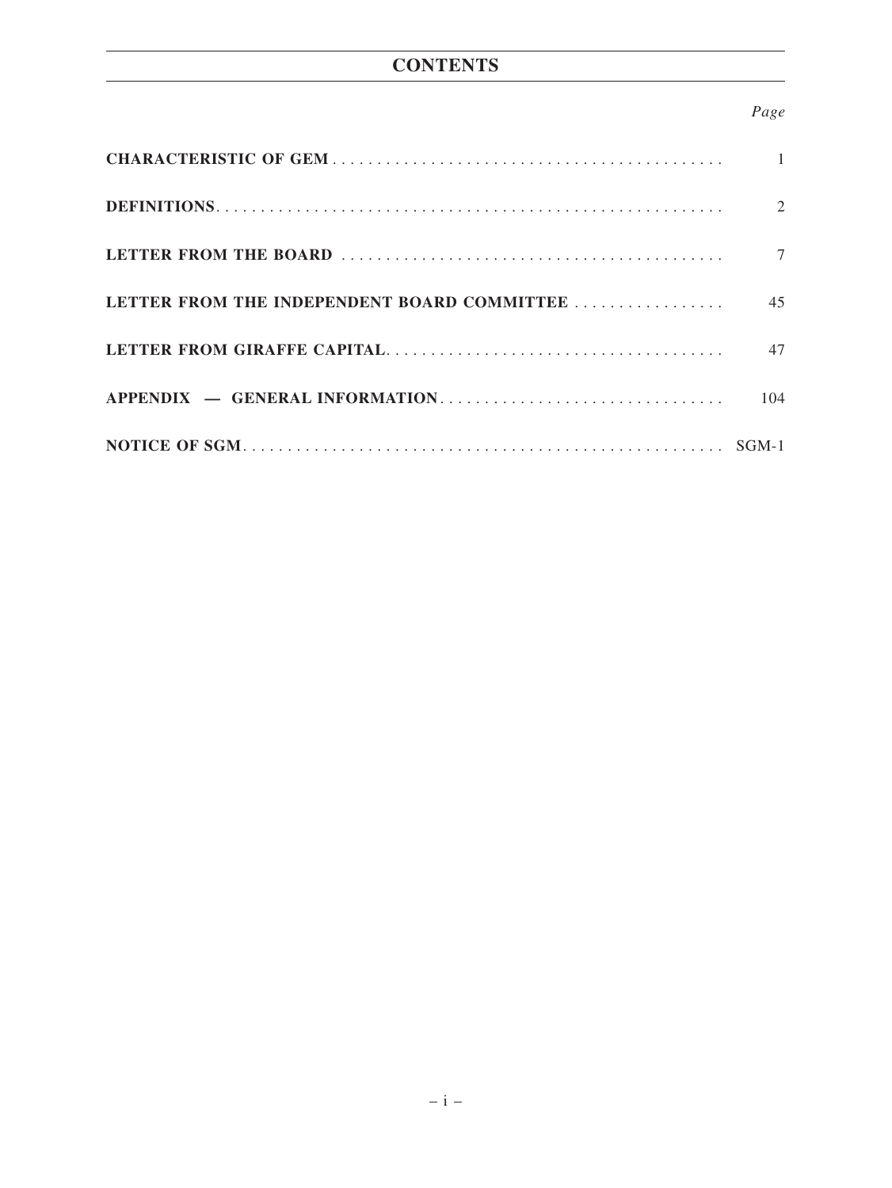## **CONTENTS**

### *Page*

|                                             | $\overline{1}$ |
|---------------------------------------------|----------------|
|                                             | 2              |
|                                             | $\tau$         |
| LETTER FROM THE INDEPENDENT BOARD COMMITTEE | 45             |
|                                             | 47             |
|                                             | 104            |
|                                             |                |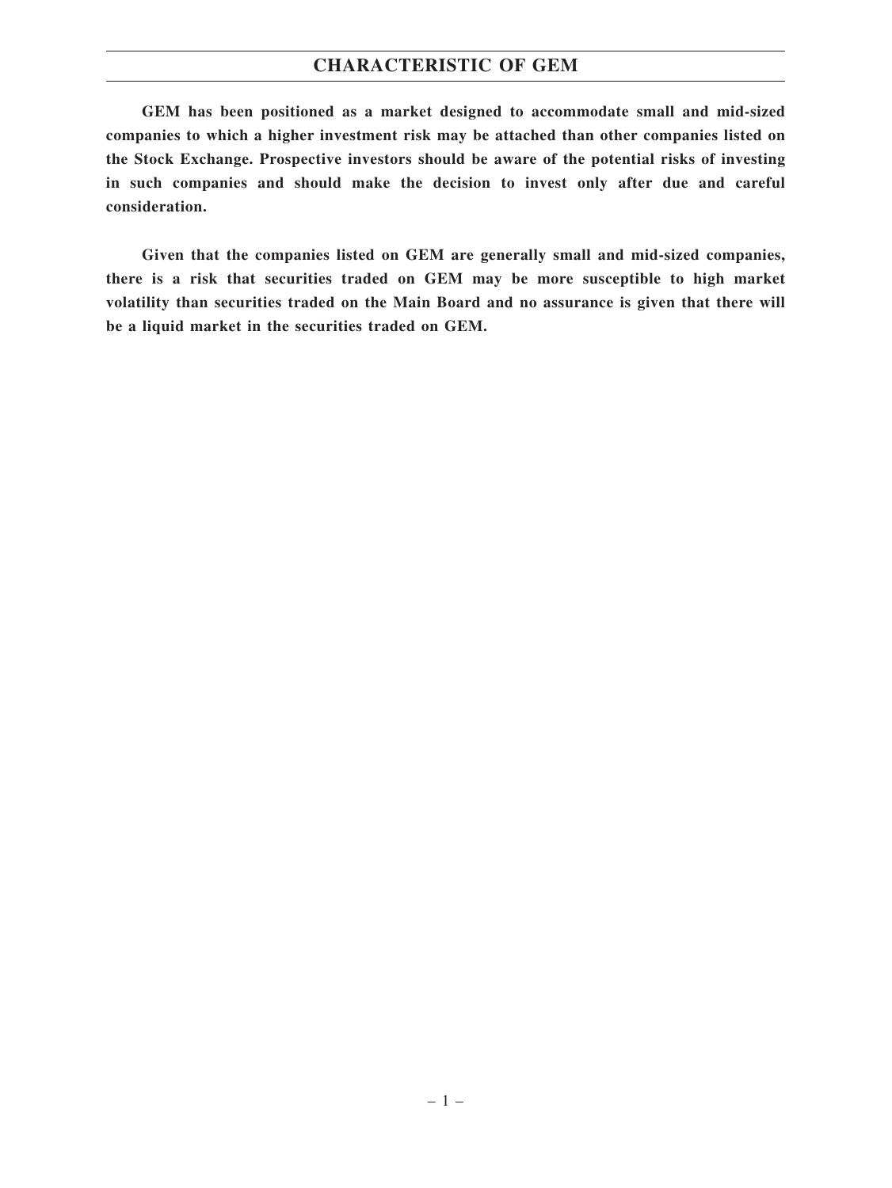### **CHARACTERISTIC OF GEM**

**GEM has been positioned as a market designed to accommodate small and mid-sized companies to which a higher investment risk may be attached than other companies listed on the Stock Exchange. Prospective investors should be aware of the potential risks of investing in such companies and should make the decision to invest only after due and careful consideration.**

**Given that the companies listed on GEM are generally small and mid-sized companies, there is a risk that securities traded on GEM may be more susceptible to high market volatility than securities traded on the Main Board and no assurance is given that there will be a liquid market in the securities traded on GEM.**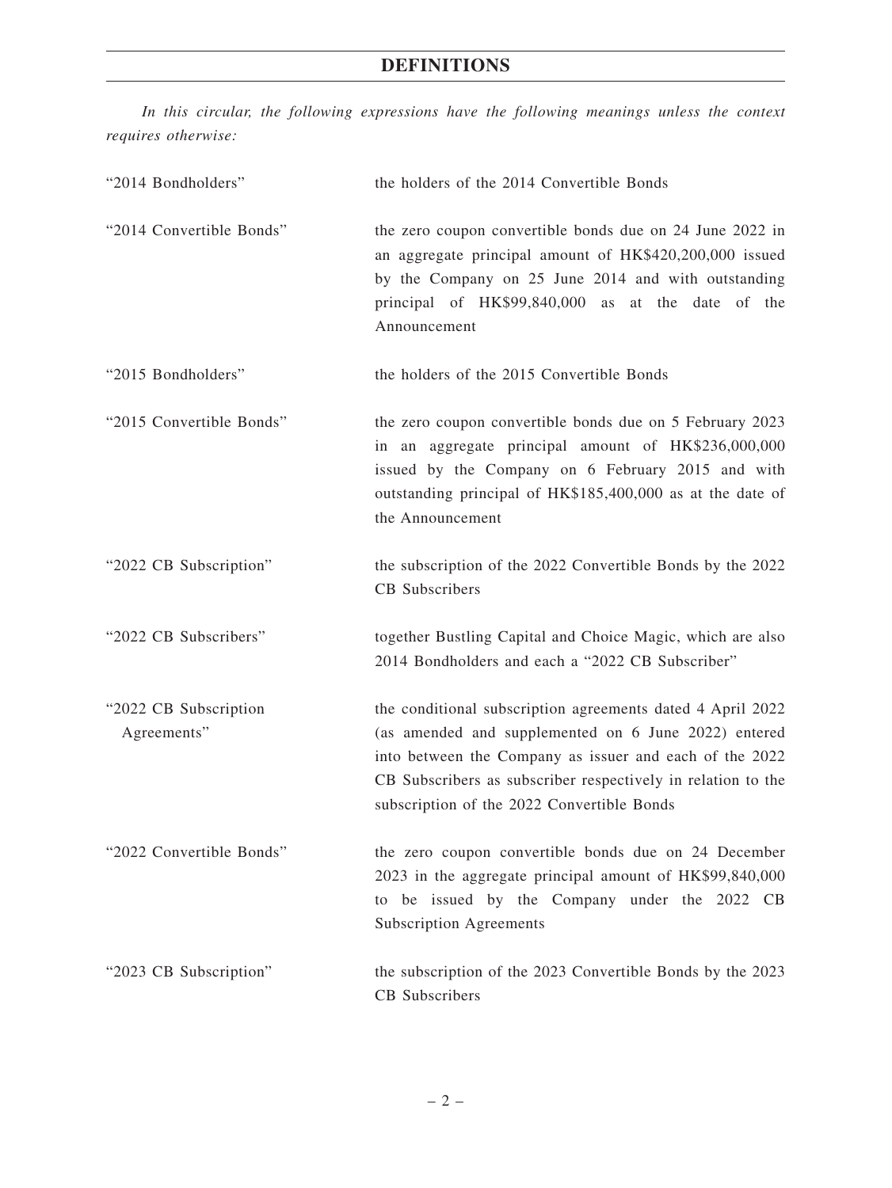*In this circular, the following expressions have the following meanings unless the context requires otherwise:*

| "2014 Bondholders"                   | the holders of the 2014 Convertible Bonds                                                                                                                                                                                                                                                   |
|--------------------------------------|---------------------------------------------------------------------------------------------------------------------------------------------------------------------------------------------------------------------------------------------------------------------------------------------|
| "2014 Convertible Bonds"             | the zero coupon convertible bonds due on 24 June 2022 in<br>an aggregate principal amount of HK\$420,200,000 issued<br>by the Company on 25 June 2014 and with outstanding<br>principal of HK\$99,840,000 as at the date of the<br>Announcement                                             |
| "2015 Bondholders"                   | the holders of the 2015 Convertible Bonds                                                                                                                                                                                                                                                   |
| "2015 Convertible Bonds"             | the zero coupon convertible bonds due on 5 February 2023<br>in an aggregate principal amount of HK\$236,000,000<br>issued by the Company on 6 February 2015 and with<br>outstanding principal of HK\$185,400,000 as at the date of<br>the Announcement                                      |
| "2022 CB Subscription"               | the subscription of the 2022 Convertible Bonds by the 2022<br>CB Subscribers                                                                                                                                                                                                                |
| "2022 CB Subscribers"                | together Bustling Capital and Choice Magic, which are also<br>2014 Bondholders and each a "2022 CB Subscriber"                                                                                                                                                                              |
| "2022 CB Subscription<br>Agreements" | the conditional subscription agreements dated 4 April 2022<br>(as amended and supplemented on 6 June 2022) entered<br>into between the Company as issuer and each of the 2022<br>CB Subscribers as subscriber respectively in relation to the<br>subscription of the 2022 Convertible Bonds |
| "2022 Convertible Bonds"             | the zero coupon convertible bonds due on 24 December<br>2023 in the aggregate principal amount of HK\$99,840,000<br>to be issued by the Company under the 2022 CB<br><b>Subscription Agreements</b>                                                                                         |
| "2023 CB Subscription"               | the subscription of the 2023 Convertible Bonds by the 2023<br>CB Subscribers                                                                                                                                                                                                                |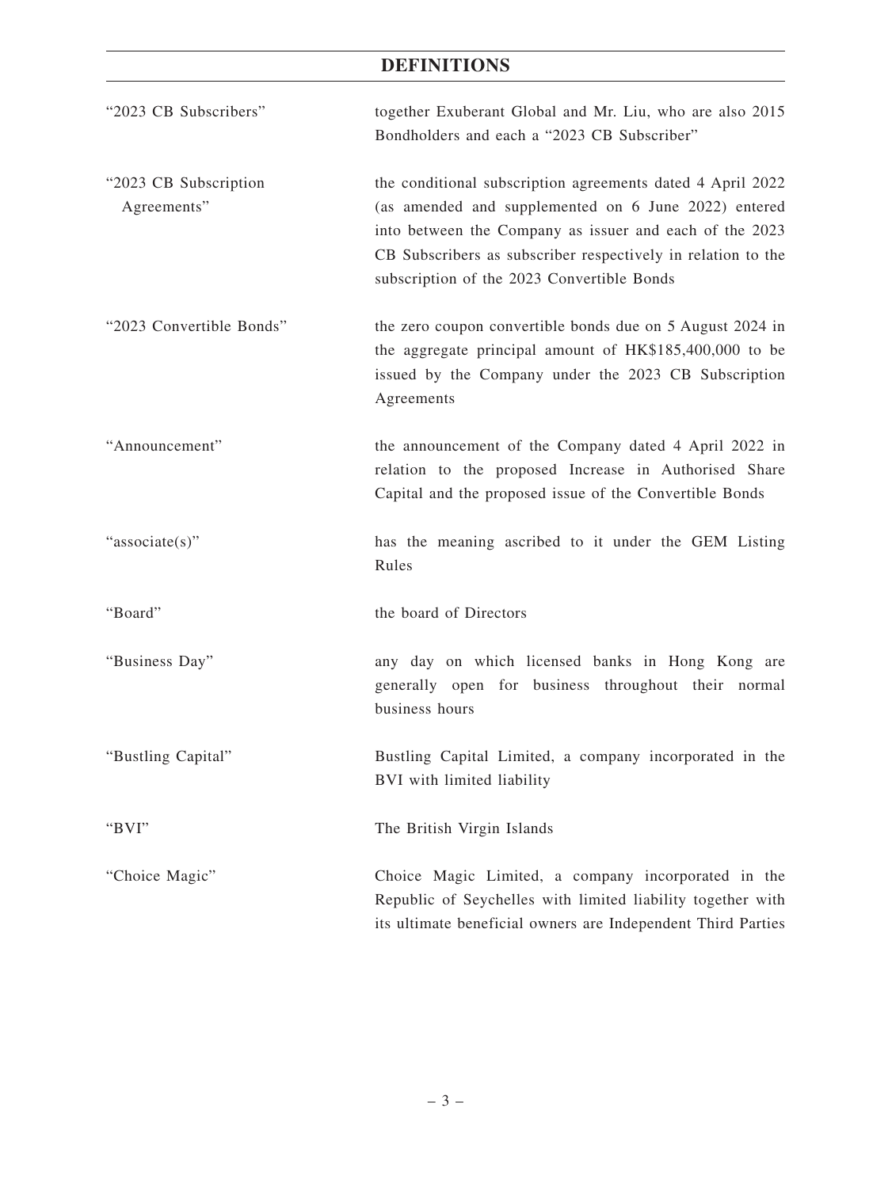| "2023 CB Subscribers"                | together Exuberant Global and Mr. Liu, who are also 2015<br>Bondholders and each a "2023 CB Subscriber"                                                                                                                                                                                     |
|--------------------------------------|---------------------------------------------------------------------------------------------------------------------------------------------------------------------------------------------------------------------------------------------------------------------------------------------|
| "2023 CB Subscription<br>Agreements" | the conditional subscription agreements dated 4 April 2022<br>(as amended and supplemented on 6 June 2022) entered<br>into between the Company as issuer and each of the 2023<br>CB Subscribers as subscriber respectively in relation to the<br>subscription of the 2023 Convertible Bonds |
| "2023 Convertible Bonds"             | the zero coupon convertible bonds due on 5 August 2024 in<br>the aggregate principal amount of HK\$185,400,000 to be<br>issued by the Company under the 2023 CB Subscription<br>Agreements                                                                                                  |
| "Announcement"                       | the announcement of the Company dated 4 April 2022 in<br>relation to the proposed Increase in Authorised Share<br>Capital and the proposed issue of the Convertible Bonds                                                                                                                   |
| "associate(s)"                       | has the meaning ascribed to it under the GEM Listing<br>Rules                                                                                                                                                                                                                               |
| "Board"                              | the board of Directors                                                                                                                                                                                                                                                                      |
| "Business Day"                       | any day on which licensed banks in Hong Kong are<br>generally open for business throughout their normal<br>business hours                                                                                                                                                                   |
| "Bustling Capital"                   | Bustling Capital Limited, a company incorporated in the<br>BVI with limited liability                                                                                                                                                                                                       |
| "BVI"                                | The British Virgin Islands                                                                                                                                                                                                                                                                  |
| "Choice Magic"                       | Choice Magic Limited, a company incorporated in the<br>Republic of Seychelles with limited liability together with<br>its ultimate beneficial owners are Independent Third Parties                                                                                                          |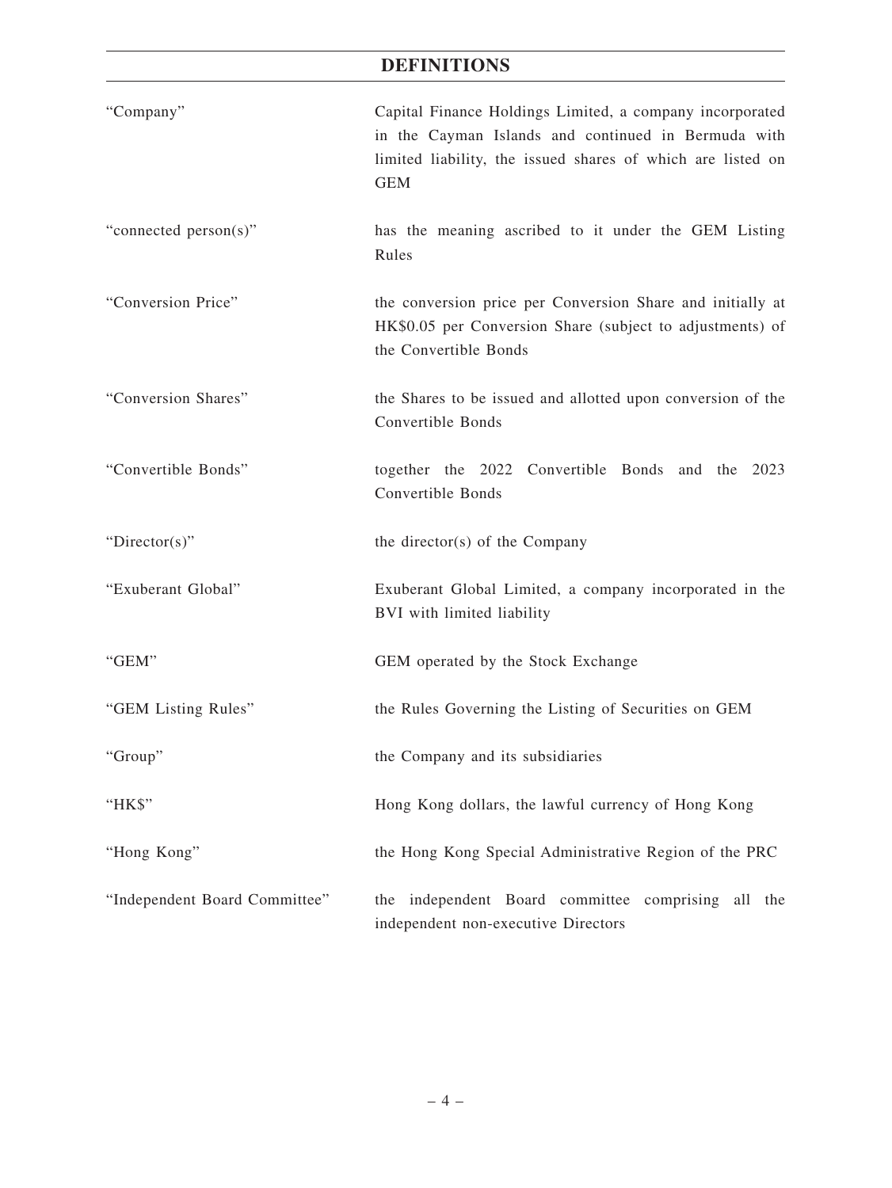| "Company"                     | Capital Finance Holdings Limited, a company incorporated<br>in the Cayman Islands and continued in Bermuda with<br>limited liability, the issued shares of which are listed on<br><b>GEM</b> |
|-------------------------------|----------------------------------------------------------------------------------------------------------------------------------------------------------------------------------------------|
| "connected person(s)"         | has the meaning ascribed to it under the GEM Listing<br>Rules                                                                                                                                |
| "Conversion Price"            | the conversion price per Conversion Share and initially at<br>HK\$0.05 per Conversion Share (subject to adjustments) of<br>the Convertible Bonds                                             |
| "Conversion Shares"           | the Shares to be issued and allotted upon conversion of the<br>Convertible Bonds                                                                                                             |
| "Convertible Bonds"           | together the 2022 Convertible Bonds and the 2023<br>Convertible Bonds                                                                                                                        |
| "Director(s)"                 | the director(s) of the Company                                                                                                                                                               |
| "Exuberant Global"            | Exuberant Global Limited, a company incorporated in the<br>BVI with limited liability                                                                                                        |
| "GEM"                         | GEM operated by the Stock Exchange                                                                                                                                                           |
| "GEM Listing Rules"           | the Rules Governing the Listing of Securities on GEM                                                                                                                                         |
| "Group"                       | the Company and its subsidiaries                                                                                                                                                             |
| "HK\$"                        | Hong Kong dollars, the lawful currency of Hong Kong                                                                                                                                          |
| "Hong Kong"                   | the Hong Kong Special Administrative Region of the PRC                                                                                                                                       |
| "Independent Board Committee" | the independent Board committee comprising all the<br>independent non-executive Directors                                                                                                    |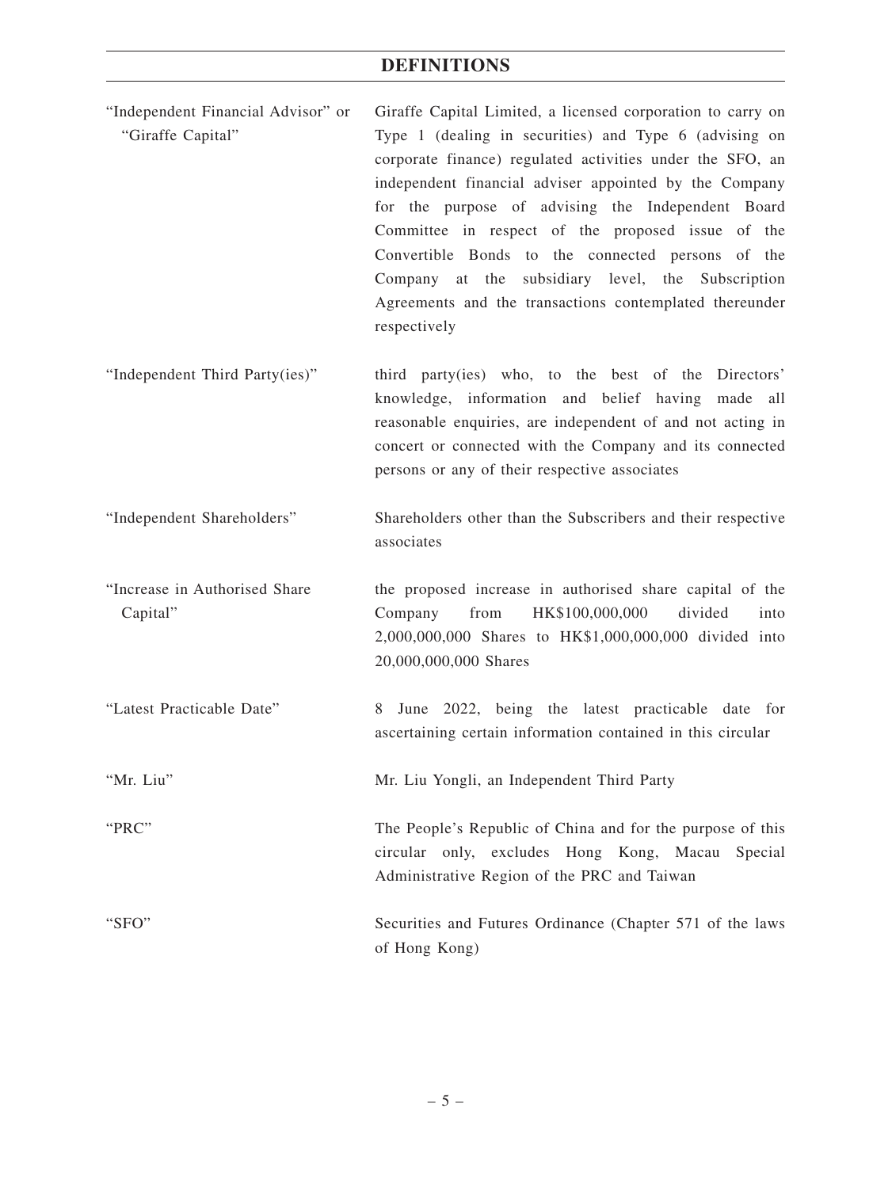| "Independent Financial Advisor" or<br>"Giraffe Capital" | Giraffe Capital Limited, a licensed corporation to carry on<br>Type 1 (dealing in securities) and Type 6 (advising on<br>corporate finance) regulated activities under the SFO, an<br>independent financial adviser appointed by the Company<br>for the purpose of advising the Independent Board<br>Committee in respect of the proposed issue of the<br>Convertible Bonds to the connected persons of the<br>at the<br>subsidiary level, the Subscription<br>Company<br>Agreements and the transactions contemplated thereunder<br>respectively |
|---------------------------------------------------------|---------------------------------------------------------------------------------------------------------------------------------------------------------------------------------------------------------------------------------------------------------------------------------------------------------------------------------------------------------------------------------------------------------------------------------------------------------------------------------------------------------------------------------------------------|
| "Independent Third Party(ies)"                          | third party(ies) who, to the best of the Directors'<br>knowledge, information and belief having made all<br>reasonable enquiries, are independent of and not acting in<br>concert or connected with the Company and its connected<br>persons or any of their respective associates                                                                                                                                                                                                                                                                |
| "Independent Shareholders"                              | Shareholders other than the Subscribers and their respective<br>associates                                                                                                                                                                                                                                                                                                                                                                                                                                                                        |
| "Increase in Authorised Share<br>Capital"               | the proposed increase in authorised share capital of the<br>from<br>HK\$100,000,000<br>divided<br>Company<br>into<br>2,000,000,000 Shares to HK\$1,000,000,000 divided into<br>20,000,000,000 Shares                                                                                                                                                                                                                                                                                                                                              |

"Latest Practicable Date" 8 June 2022, being the latest practicable date for ascertaining certain information contained in this circular

"Mr. Liu" Mr. Liu Yongli, an Independent Third Party

"PRC" The People's Republic of China and for the purpose of this

circular only, excludes Hong Kong, Macau Special Administrative Region of the PRC and Taiwan

"SFO" Securities and Futures Ordinance (Chapter 571 of the laws of Hong Kong)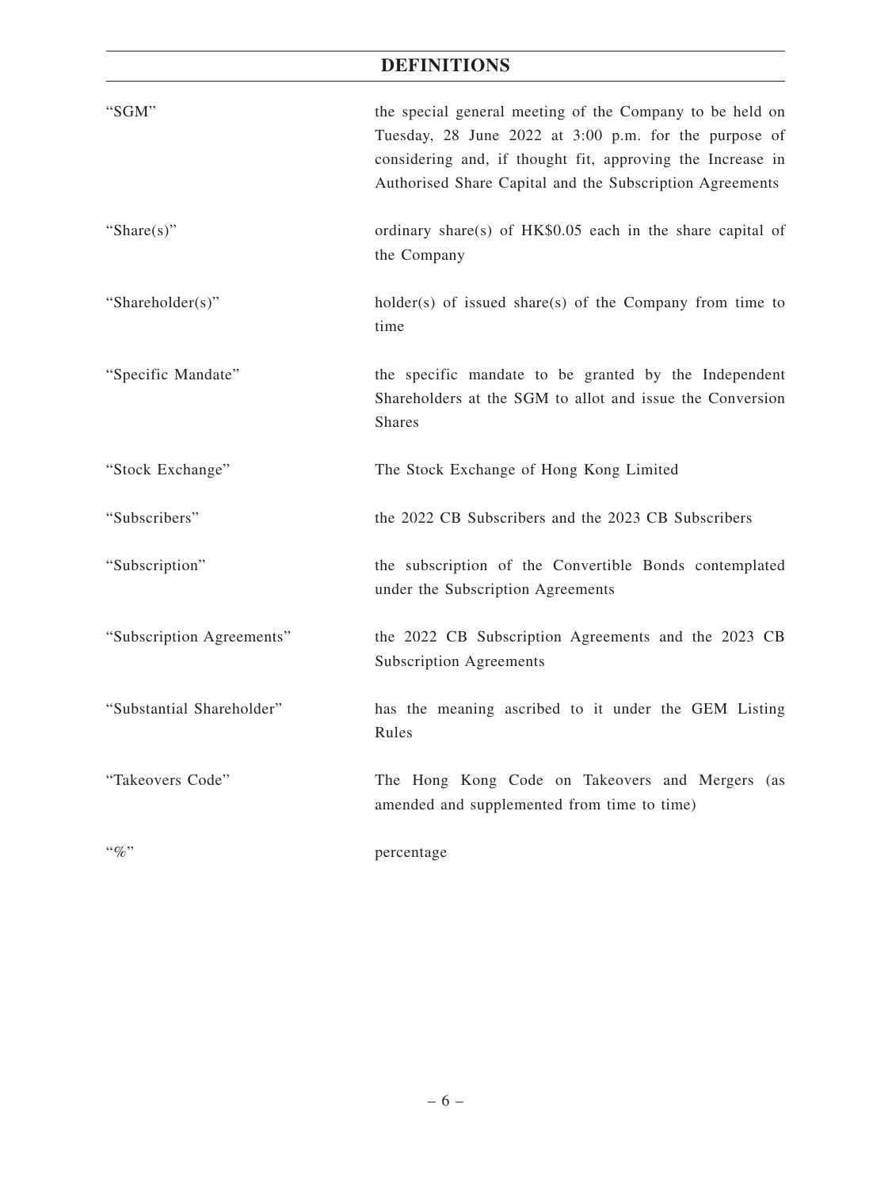| "SGM"                     | the special general meeting of the Company to be held on<br>Tuesday, 28 June 2022 at 3:00 p.m. for the purpose of<br>considering and, if thought fit, approving the Increase in<br>Authorised Share Capital and the Subscription Agreements |
|---------------------------|---------------------------------------------------------------------------------------------------------------------------------------------------------------------------------------------------------------------------------------------|
| "Share $(s)$ "            | ordinary share(s) of HK\$0.05 each in the share capital of<br>the Company                                                                                                                                                                   |
| "Shareholder(s)"          | $holder(s)$ of issued share(s) of the Company from time to<br>time                                                                                                                                                                          |
| "Specific Mandate"        | the specific mandate to be granted by the Independent<br>Shareholders at the SGM to allot and issue the Conversion<br><b>Shares</b>                                                                                                         |
| "Stock Exchange"          | The Stock Exchange of Hong Kong Limited                                                                                                                                                                                                     |
| "Subscribers"             | the 2022 CB Subscribers and the 2023 CB Subscribers                                                                                                                                                                                         |
| "Subscription"            | the subscription of the Convertible Bonds contemplated<br>under the Subscription Agreements                                                                                                                                                 |
| "Subscription Agreements" | the 2022 CB Subscription Agreements and the 2023 CB<br><b>Subscription Agreements</b>                                                                                                                                                       |
| "Substantial Shareholder" | has the meaning ascribed to it under the GEM Listing<br>Rules                                                                                                                                                                               |
| "Takeovers Code"          | The Hong Kong Code on Takeovers and Mergers (as<br>amended and supplemented from time to time)                                                                                                                                              |
| $``\%"$                   | percentage                                                                                                                                                                                                                                  |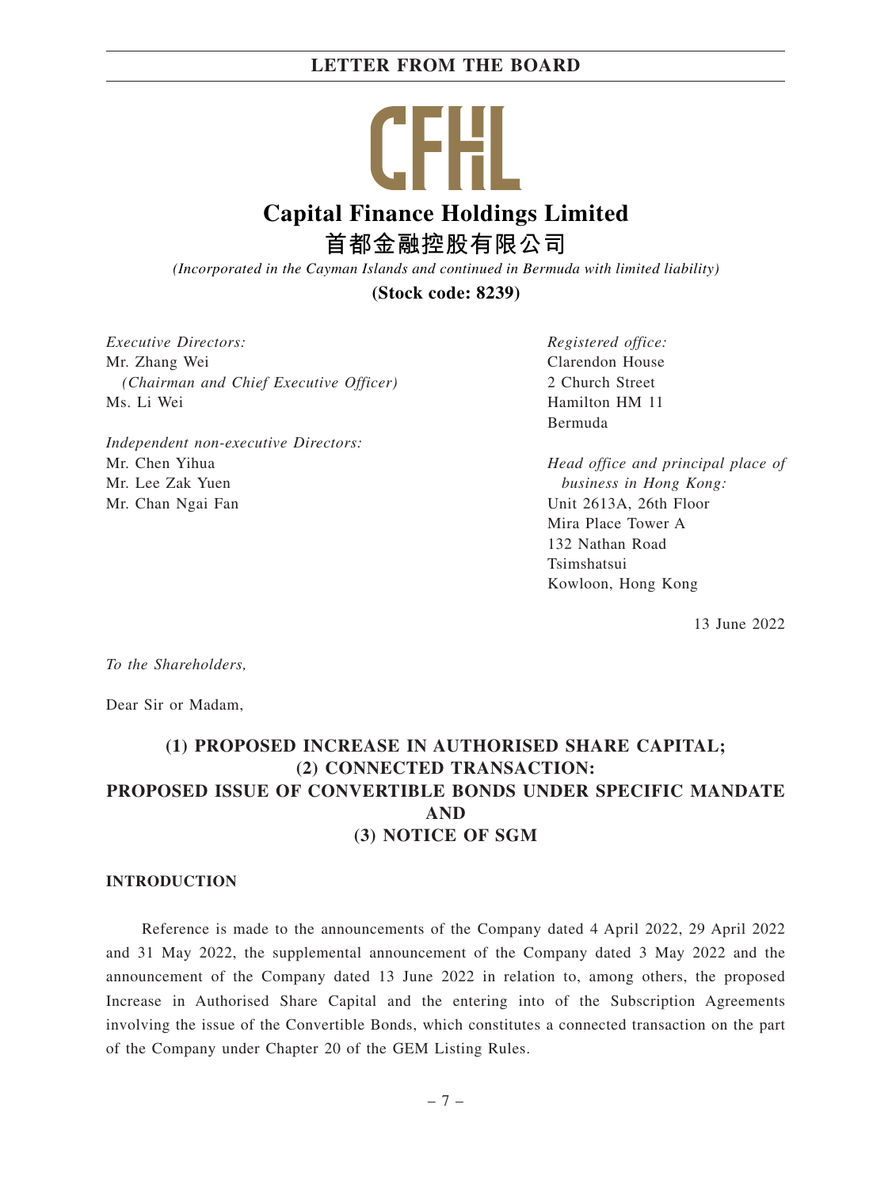| .                                       |  |
|-----------------------------------------|--|
| <b>Capital Finance Holdings Limited</b> |  |
| 首都金融控股有限公司                              |  |

*(Incorporated in the Cayman Islands and continued in Bermuda with limited liability)*

**(Stock code: 8239)**

*Executive Directors:* Mr. Zhang Wei *(Chairman and Chief Executive Officer)* Ms. Li Wei

*Independent non-executive Directors:* Mr. Chen Yihua Mr. Lee Zak Yuen Mr. Chan Ngai Fan

*Registered office:* Clarendon House 2 Church Street Hamilton HM 11 Bermuda

*Head office and principal place of business in Hong Kong:* Unit 2613A, 26th Floor Mira Place Tower A 132 Nathan Road Tsimshatsui Kowloon, Hong Kong

13 June 2022

*To the Shareholders,*

Dear Sir or Madam,

## **(1) PROPOSED INCREASE IN AUTHORISED SHARE CAPITAL; (2) CONNECTED TRANSACTION: PROPOSED ISSUE OF CONVERTIBLE BONDS UNDER SPECIFIC MANDATE AND (3) NOTICE OF SGM**

#### **INTRODUCTION**

Reference is made to the announcements of the Company dated 4 April 2022, 29 April 2022 and 31 May 2022, the supplemental announcement of the Company dated 3 May 2022 and the announcement of the Company dated 13 June 2022 in relation to, among others, the proposed Increase in Authorised Share Capital and the entering into of the Subscription Agreements involving the issue of the Convertible Bonds, which constitutes a connected transaction on the part of the Company under Chapter 20 of the GEM Listing Rules.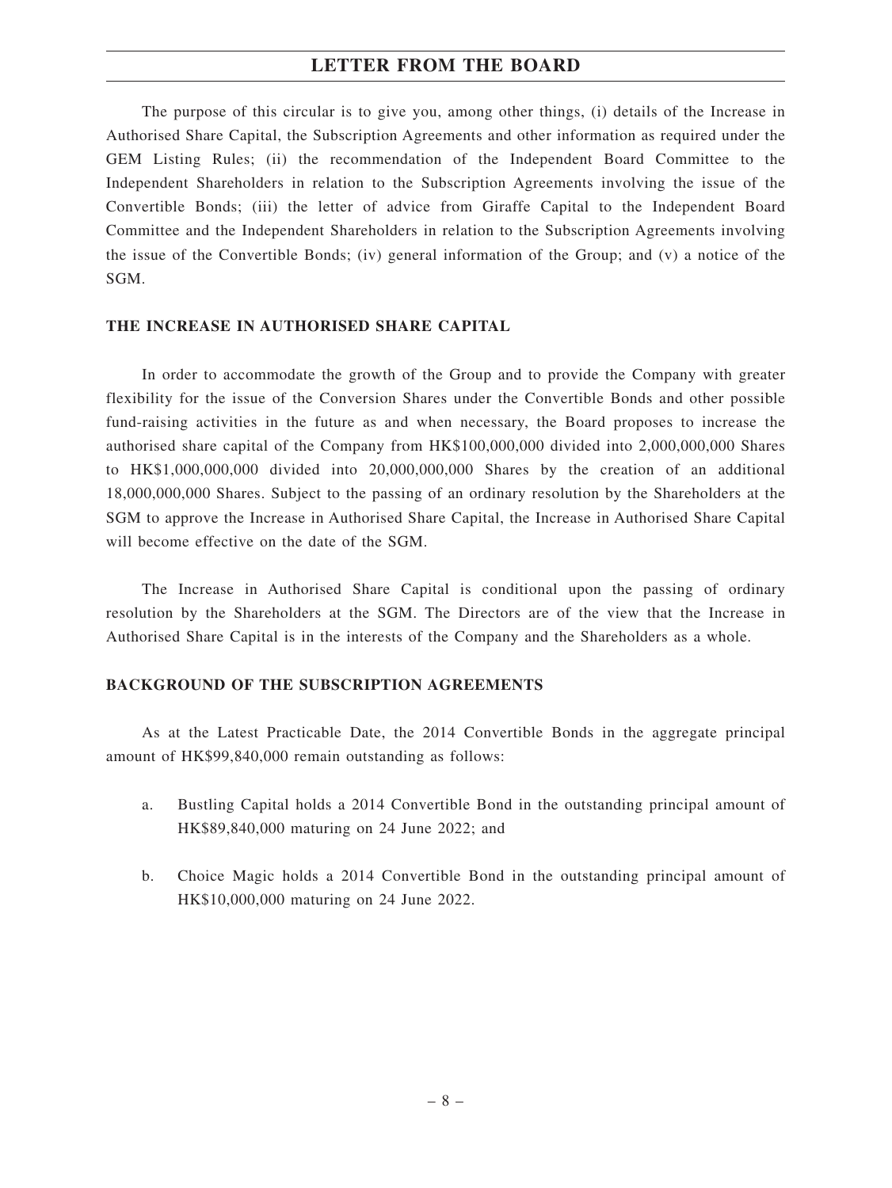The purpose of this circular is to give you, among other things, (i) details of the Increase in Authorised Share Capital, the Subscription Agreements and other information as required under the GEM Listing Rules; (ii) the recommendation of the Independent Board Committee to the Independent Shareholders in relation to the Subscription Agreements involving the issue of the Convertible Bonds; (iii) the letter of advice from Giraffe Capital to the Independent Board Committee and the Independent Shareholders in relation to the Subscription Agreements involving the issue of the Convertible Bonds; (iv) general information of the Group; and (v) a notice of the SGM.

#### **THE INCREASE IN AUTHORISED SHARE CAPITAL**

In order to accommodate the growth of the Group and to provide the Company with greater flexibility for the issue of the Conversion Shares under the Convertible Bonds and other possible fund-raising activities in the future as and when necessary, the Board proposes to increase the authorised share capital of the Company from HK\$100,000,000 divided into 2,000,000,000 Shares to HK\$1,000,000,000 divided into 20,000,000,000 Shares by the creation of an additional 18,000,000,000 Shares. Subject to the passing of an ordinary resolution by the Shareholders at the SGM to approve the Increase in Authorised Share Capital, the Increase in Authorised Share Capital will become effective on the date of the SGM.

The Increase in Authorised Share Capital is conditional upon the passing of ordinary resolution by the Shareholders at the SGM. The Directors are of the view that the Increase in Authorised Share Capital is in the interests of the Company and the Shareholders as a whole.

#### **BACKGROUND OF THE SUBSCRIPTION AGREEMENTS**

As at the Latest Practicable Date, the 2014 Convertible Bonds in the aggregate principal amount of HK\$99,840,000 remain outstanding as follows:

- a. Bustling Capital holds a 2014 Convertible Bond in the outstanding principal amount of HK\$89,840,000 maturing on 24 June 2022; and
- b. Choice Magic holds a 2014 Convertible Bond in the outstanding principal amount of HK\$10,000,000 maturing on 24 June 2022.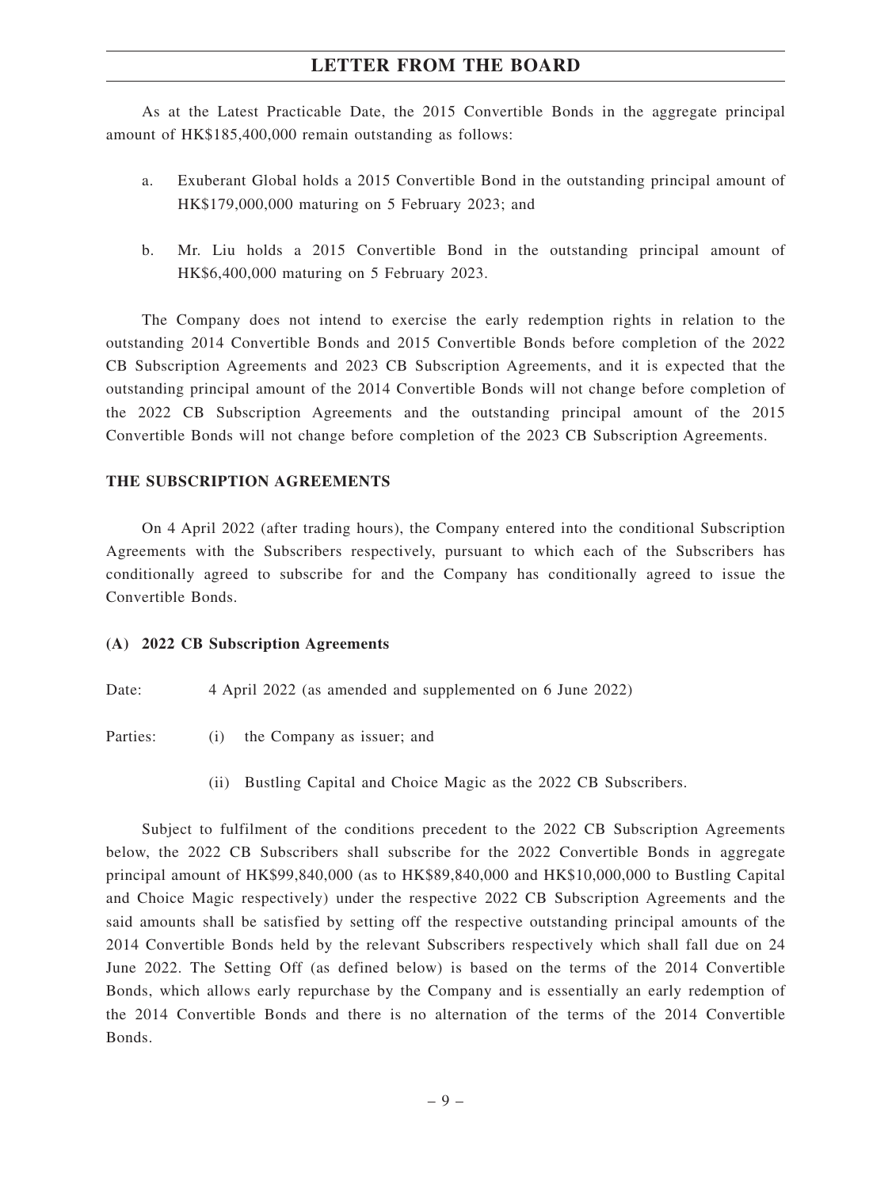As at the Latest Practicable Date, the 2015 Convertible Bonds in the aggregate principal amount of HK\$185,400,000 remain outstanding as follows:

- a. Exuberant Global holds a 2015 Convertible Bond in the outstanding principal amount of HK\$179,000,000 maturing on 5 February 2023; and
- b. Mr. Liu holds a 2015 Convertible Bond in the outstanding principal amount of HK\$6,400,000 maturing on 5 February 2023.

The Company does not intend to exercise the early redemption rights in relation to the outstanding 2014 Convertible Bonds and 2015 Convertible Bonds before completion of the 2022 CB Subscription Agreements and 2023 CB Subscription Agreements, and it is expected that the outstanding principal amount of the 2014 Convertible Bonds will not change before completion of the 2022 CB Subscription Agreements and the outstanding principal amount of the 2015 Convertible Bonds will not change before completion of the 2023 CB Subscription Agreements.

#### **THE SUBSCRIPTION AGREEMENTS**

On 4 April 2022 (after trading hours), the Company entered into the conditional Subscription Agreements with the Subscribers respectively, pursuant to which each of the Subscribers has conditionally agreed to subscribe for and the Company has conditionally agreed to issue the Convertible Bonds.

#### **(A) 2022 CB Subscription Agreements**

Date: 4 April 2022 (as amended and supplemented on 6 June 2022)

Parties: (i) the Company as issuer; and

(ii) Bustling Capital and Choice Magic as the 2022 CB Subscribers.

Subject to fulfilment of the conditions precedent to the 2022 CB Subscription Agreements below, the 2022 CB Subscribers shall subscribe for the 2022 Convertible Bonds in aggregate principal amount of HK\$99,840,000 (as to HK\$89,840,000 and HK\$10,000,000 to Bustling Capital and Choice Magic respectively) under the respective 2022 CB Subscription Agreements and the said amounts shall be satisfied by setting off the respective outstanding principal amounts of the 2014 Convertible Bonds held by the relevant Subscribers respectively which shall fall due on 24 June 2022. The Setting Off (as defined below) is based on the terms of the 2014 Convertible Bonds, which allows early repurchase by the Company and is essentially an early redemption of the 2014 Convertible Bonds and there is no alternation of the terms of the 2014 Convertible Bonds.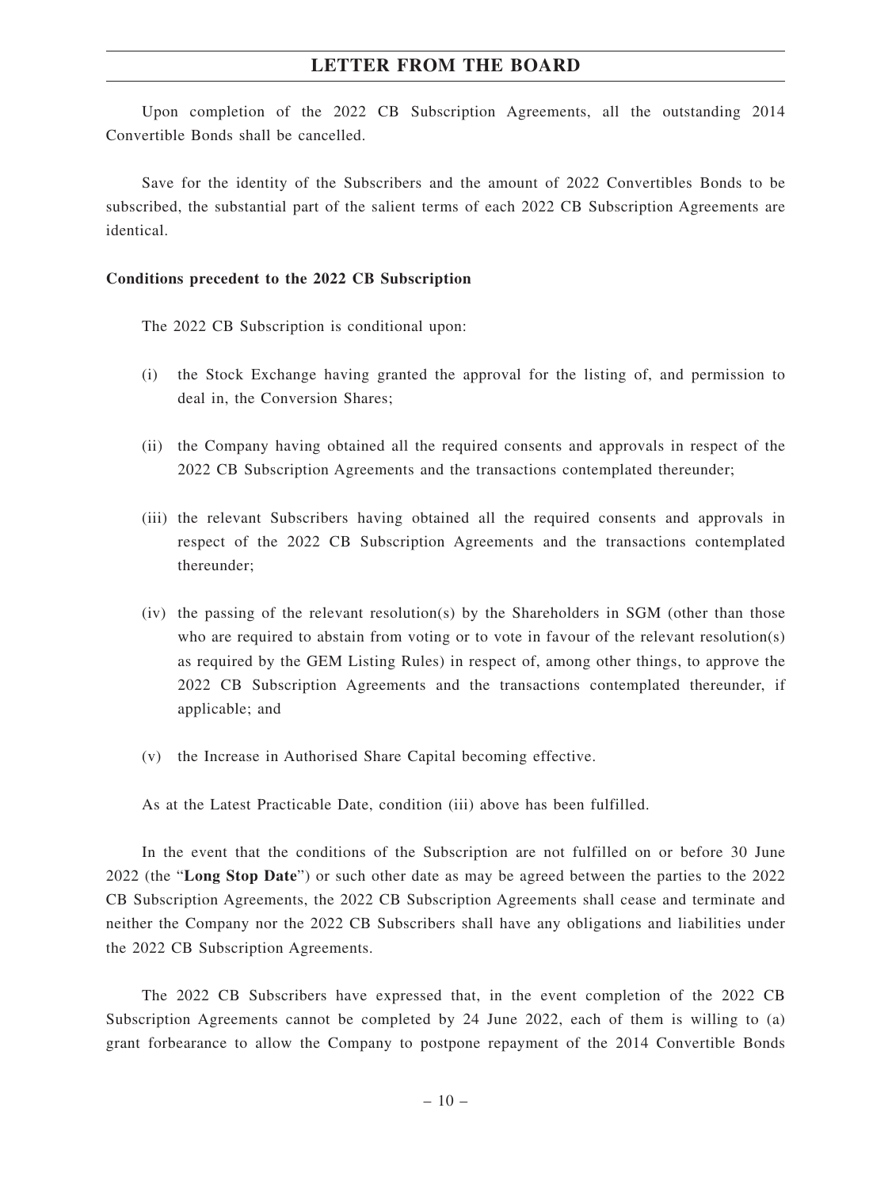Upon completion of the 2022 CB Subscription Agreements, all the outstanding 2014 Convertible Bonds shall be cancelled.

Save for the identity of the Subscribers and the amount of 2022 Convertibles Bonds to be subscribed, the substantial part of the salient terms of each 2022 CB Subscription Agreements are identical.

#### **Conditions precedent to the 2022 CB Subscription**

The 2022 CB Subscription is conditional upon:

- (i) the Stock Exchange having granted the approval for the listing of, and permission to deal in, the Conversion Shares;
- (ii) the Company having obtained all the required consents and approvals in respect of the 2022 CB Subscription Agreements and the transactions contemplated thereunder;
- (iii) the relevant Subscribers having obtained all the required consents and approvals in respect of the 2022 CB Subscription Agreements and the transactions contemplated thereunder;
- $(iv)$  the passing of the relevant resolution(s) by the Shareholders in SGM (other than those who are required to abstain from voting or to vote in favour of the relevant resolution(s) as required by the GEM Listing Rules) in respect of, among other things, to approve the 2022 CB Subscription Agreements and the transactions contemplated thereunder, if applicable; and
- (v) the Increase in Authorised Share Capital becoming effective.

As at the Latest Practicable Date, condition (iii) above has been fulfilled.

In the event that the conditions of the Subscription are not fulfilled on or before 30 June 2022 (the "**Long Stop Date**") or such other date as may be agreed between the parties to the 2022 CB Subscription Agreements, the 2022 CB Subscription Agreements shall cease and terminate and neither the Company nor the 2022 CB Subscribers shall have any obligations and liabilities under the 2022 CB Subscription Agreements.

The 2022 CB Subscribers have expressed that, in the event completion of the 2022 CB Subscription Agreements cannot be completed by 24 June 2022, each of them is willing to (a) grant forbearance to allow the Company to postpone repayment of the 2014 Convertible Bonds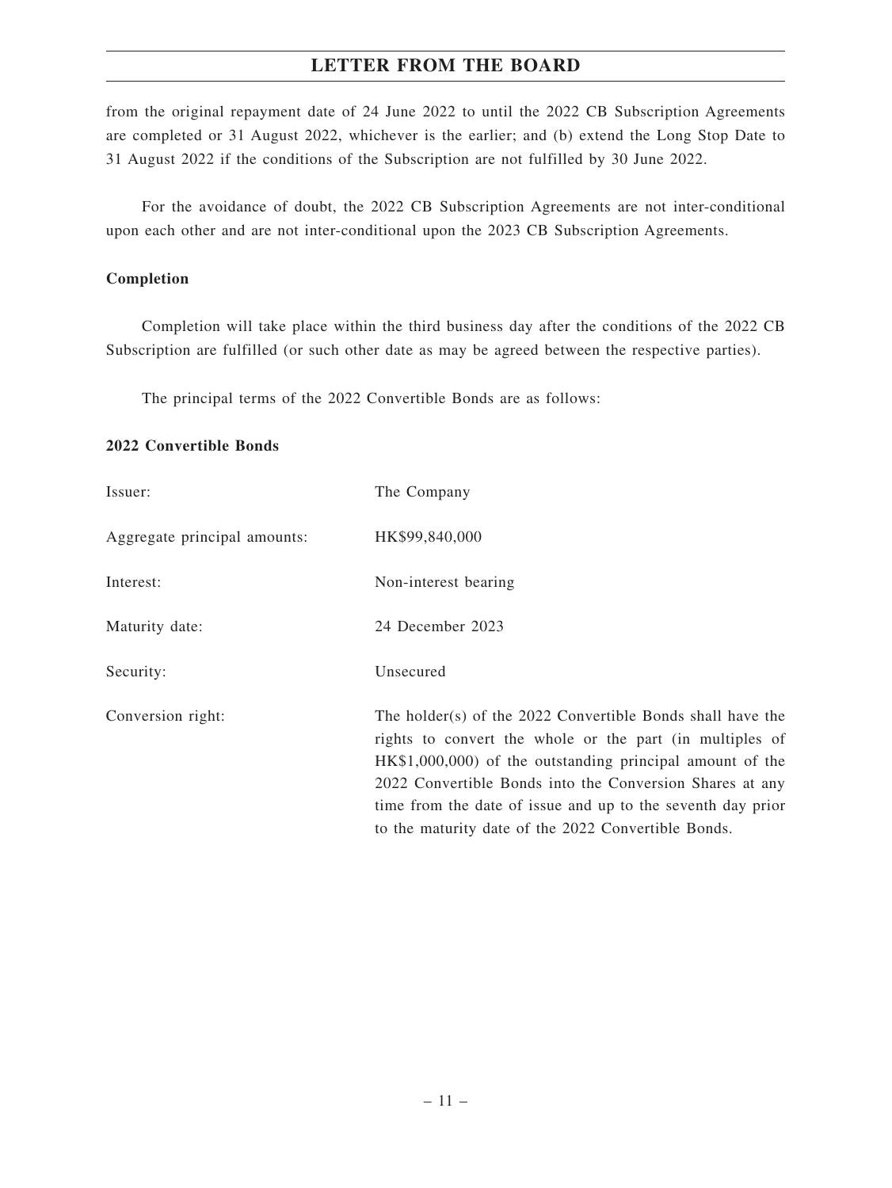from the original repayment date of 24 June 2022 to until the 2022 CB Subscription Agreements are completed or 31 August 2022, whichever is the earlier; and (b) extend the Long Stop Date to 31 August 2022 if the conditions of the Subscription are not fulfilled by 30 June 2022.

For the avoidance of doubt, the 2022 CB Subscription Agreements are not inter-conditional upon each other and are not inter-conditional upon the 2023 CB Subscription Agreements.

#### **Completion**

Completion will take place within the third business day after the conditions of the 2022 CB Subscription are fulfilled (or such other date as may be agreed between the respective parties).

The principal terms of the 2022 Convertible Bonds are as follows:

### **2022 Convertible Bonds**

| Issuer:                      | The Company                                                                                                                                                                                                                                                                                                                                                           |
|------------------------------|-----------------------------------------------------------------------------------------------------------------------------------------------------------------------------------------------------------------------------------------------------------------------------------------------------------------------------------------------------------------------|
| Aggregate principal amounts: | HK\$99,840,000                                                                                                                                                                                                                                                                                                                                                        |
| Interest:                    | Non-interest bearing                                                                                                                                                                                                                                                                                                                                                  |
| Maturity date:               | 24 December 2023                                                                                                                                                                                                                                                                                                                                                      |
| Security:                    | Unsecured                                                                                                                                                                                                                                                                                                                                                             |
| Conversion right:            | The holder(s) of the 2022 Convertible Bonds shall have the<br>rights to convert the whole or the part (in multiples of<br>HK\$1,000,000) of the outstanding principal amount of the<br>2022 Convertible Bonds into the Conversion Shares at any<br>time from the date of issue and up to the seventh day prior<br>to the maturity date of the 2022 Convertible Bonds. |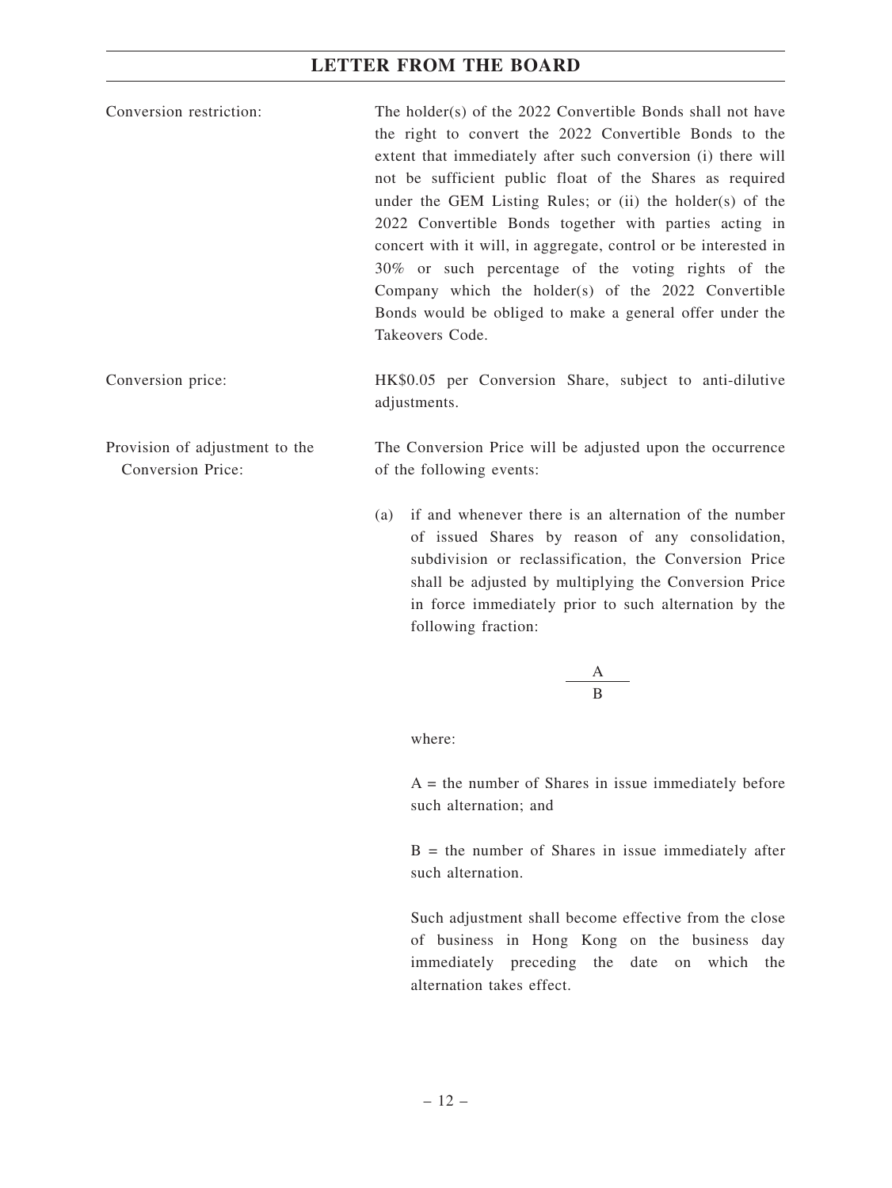| Conversion restriction: | The holder(s) of the 2022 Convertible Bonds shall not have      |
|-------------------------|-----------------------------------------------------------------|
|                         | the right to convert the 2022 Convertible Bonds to the          |
|                         | extent that immediately after such conversion (i) there will    |
|                         | not be sufficient public float of the Shares as required        |
|                         | under the GEM Listing Rules; or (ii) the holder(s) of the       |
|                         | 2022 Convertible Bonds together with parties acting in          |
|                         | concert with it will, in aggregate, control or be interested in |
|                         | 30% or such percentage of the voting rights of the              |
|                         | Company which the holder(s) of the 2022 Convertible             |
|                         | Bonds would be obliged to make a general offer under the        |
|                         | Takeovers Code.                                                 |
|                         |                                                                 |

Conversion price: HK\$0.05 per Conversion Share, subject to anti-dilutive adjustments.

Provision of adjustment to the Conversion Price:

The Conversion Price will be adjusted upon the occurrence of the following events:

(a) if and whenever there is an alternation of the number of issued Shares by reason of any consolidation, subdivision or reclassification, the Conversion Price shall be adjusted by multiplying the Conversion Price in force immediately prior to such alternation by the following fraction:

$$
\frac{\mathbf{A}}{\mathbf{B}}
$$

where:

 $A =$  the number of Shares in issue immediately before such alternation; and

 $B =$  the number of Shares in issue immediately after such alternation.

Such adjustment shall become effective from the close of business in Hong Kong on the business day immediately preceding the date on which the alternation takes effect.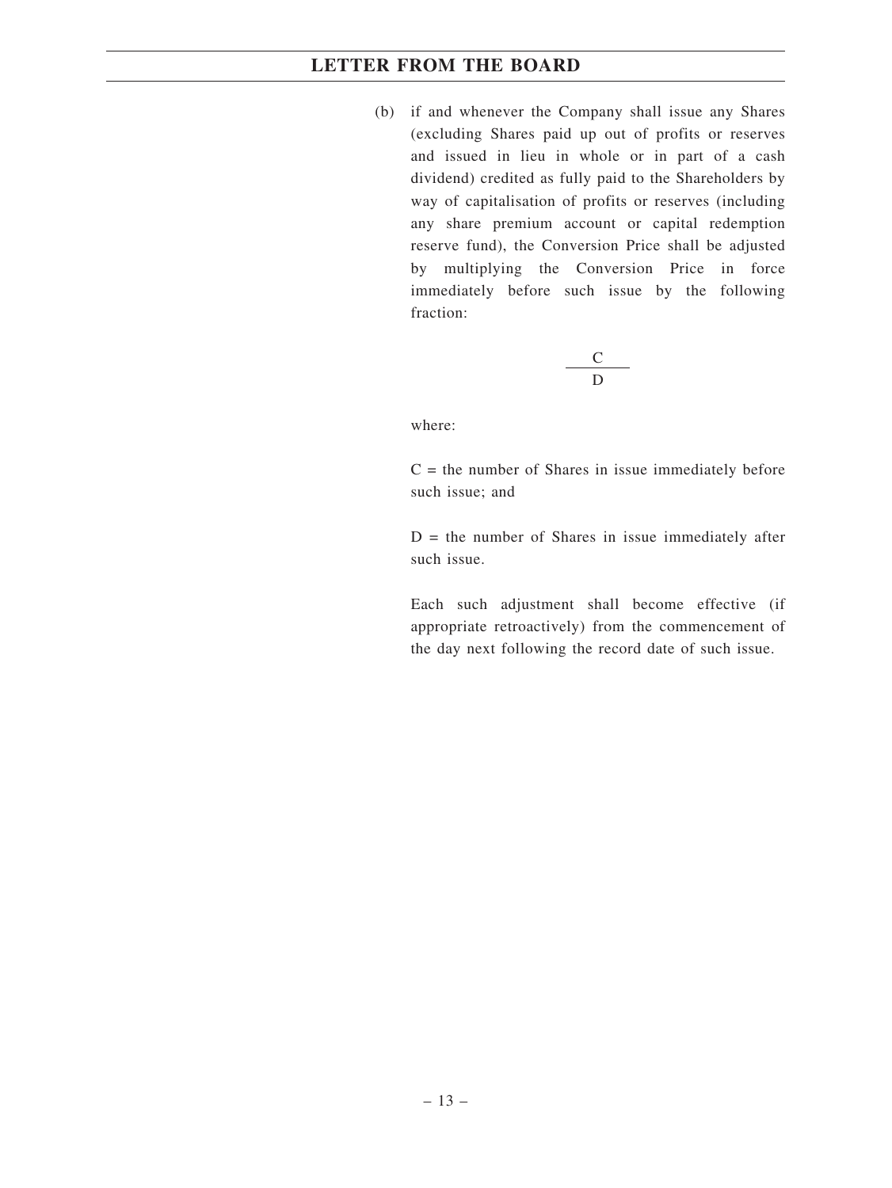(b) if and whenever the Company shall issue any Shares (excluding Shares paid up out of profits or reserves and issued in lieu in whole or in part of a cash dividend) credited as fully paid to the Shareholders by way of capitalisation of profits or reserves (including any share premium account or capital redemption reserve fund), the Conversion Price shall be adjusted by multiplying the Conversion Price in force immediately before such issue by the following fraction:

$$
\frac{C}{D}
$$

where:

 $C =$  the number of Shares in issue immediately before such issue; and

 $D =$  the number of Shares in issue immediately after such issue.

Each such adjustment shall become effective (if appropriate retroactively) from the commencement of the day next following the record date of such issue.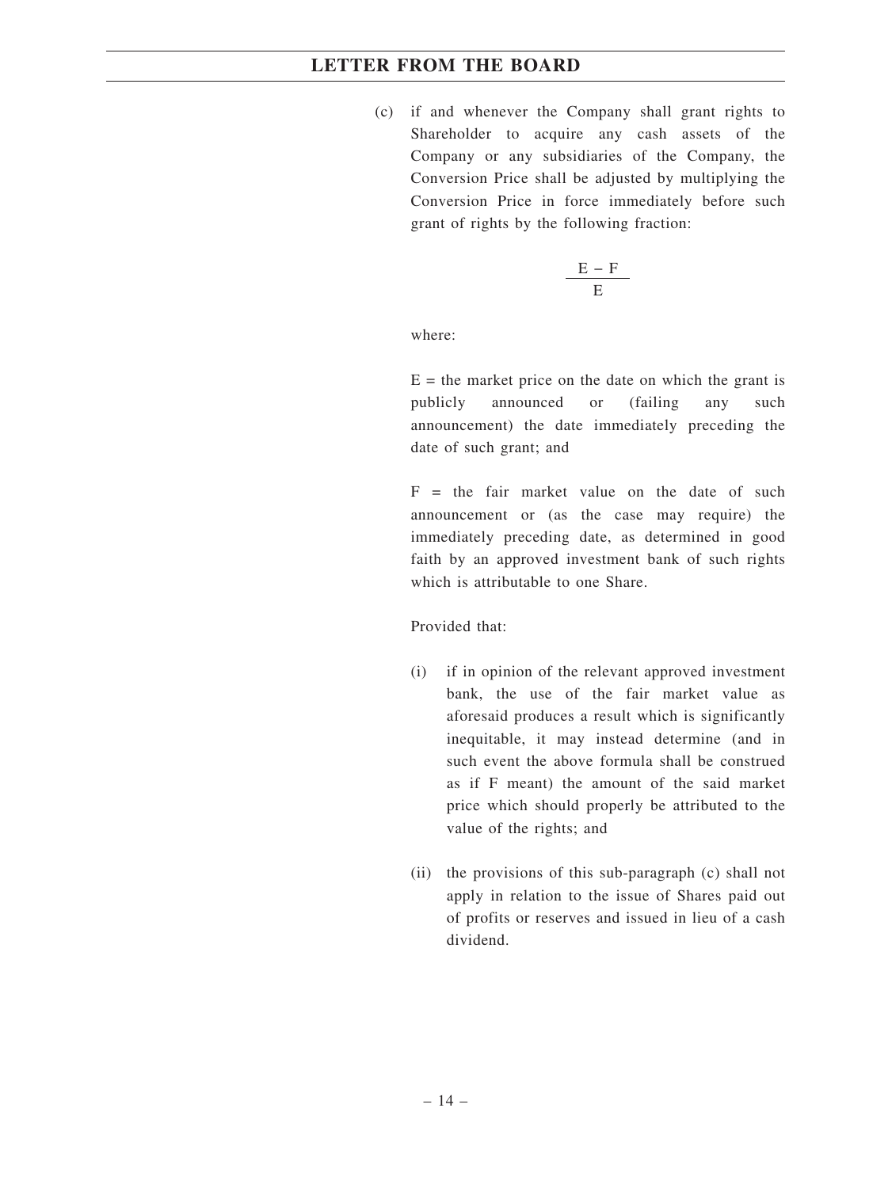(c) if and whenever the Company shall grant rights to Shareholder to acquire any cash assets of the Company or any subsidiaries of the Company, the Conversion Price shall be adjusted by multiplying the Conversion Price in force immediately before such grant of rights by the following fraction:

$$
\frac{E-F}{E}
$$

where:

 $E =$  the market price on the date on which the grant is publicly announced or (failing any such announcement) the date immediately preceding the date of such grant; and

 $F =$  the fair market value on the date of such announcement or (as the case may require) the immediately preceding date, as determined in good faith by an approved investment bank of such rights which is attributable to one Share.

Provided that:

- (i) if in opinion of the relevant approved investment bank, the use of the fair market value as aforesaid produces a result which is significantly inequitable, it may instead determine (and in such event the above formula shall be construed as if F meant) the amount of the said market price which should properly be attributed to the value of the rights; and
- (ii) the provisions of this sub-paragraph (c) shall not apply in relation to the issue of Shares paid out of profits or reserves and issued in lieu of a cash dividend.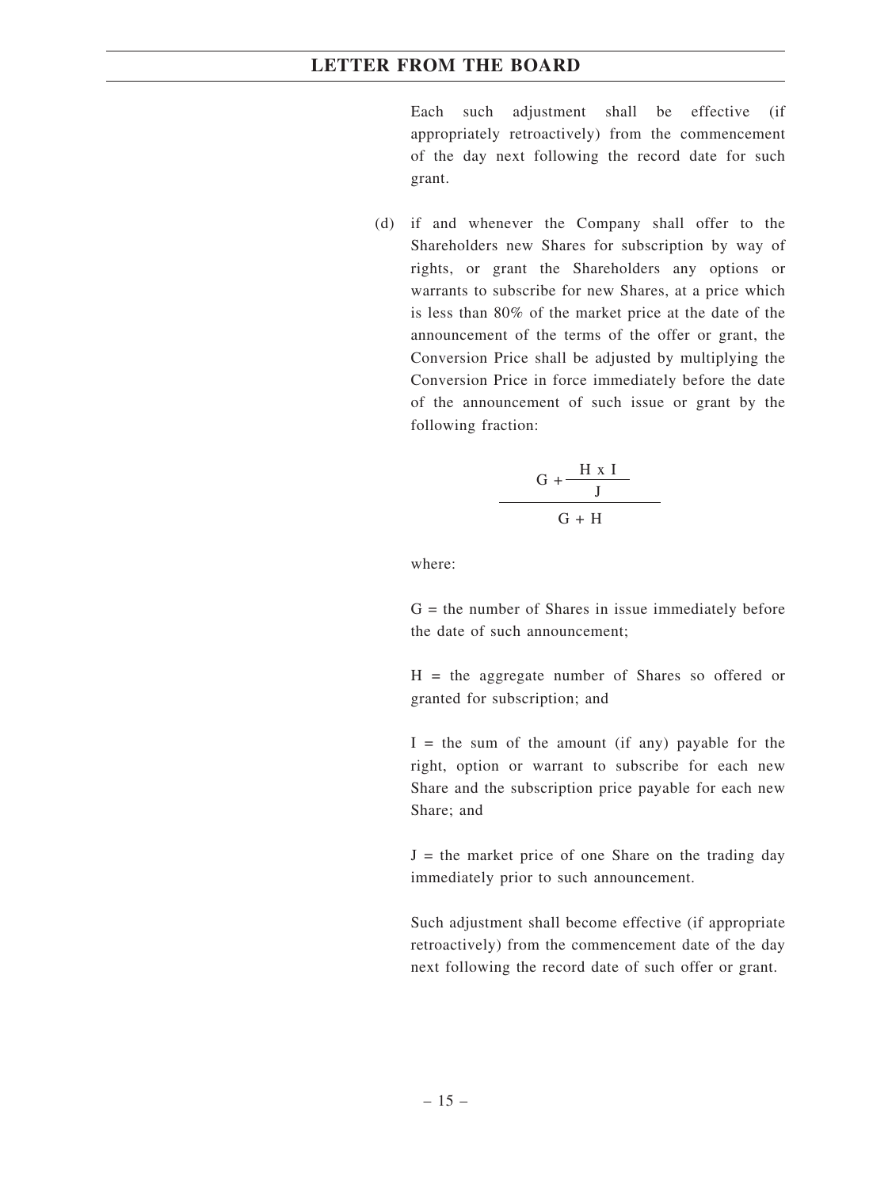Each such adjustment shall be effective (if appropriately retroactively) from the commencement of the day next following the record date for such grant.

(d) if and whenever the Company shall offer to the Shareholders new Shares for subscription by way of rights, or grant the Shareholders any options or warrants to subscribe for new Shares, at a price which is less than 80% of the market price at the date of the announcement of the terms of the offer or grant, the Conversion Price shall be adjusted by multiplying the Conversion Price in force immediately before the date of the announcement of such issue or grant by the following fraction:

$$
\frac{G + \frac{H \times I}{J}}{G + H}
$$

where:

 $G =$  the number of Shares in issue immediately before the date of such announcement;

 $H =$  the aggregate number of Shares so offered or granted for subscription; and

 $I =$  the sum of the amount (if any) payable for the right, option or warrant to subscribe for each new Share and the subscription price payable for each new Share; and

 $J =$  the market price of one Share on the trading day immediately prior to such announcement.

Such adjustment shall become effective (if appropriate retroactively) from the commencement date of the day next following the record date of such offer or grant.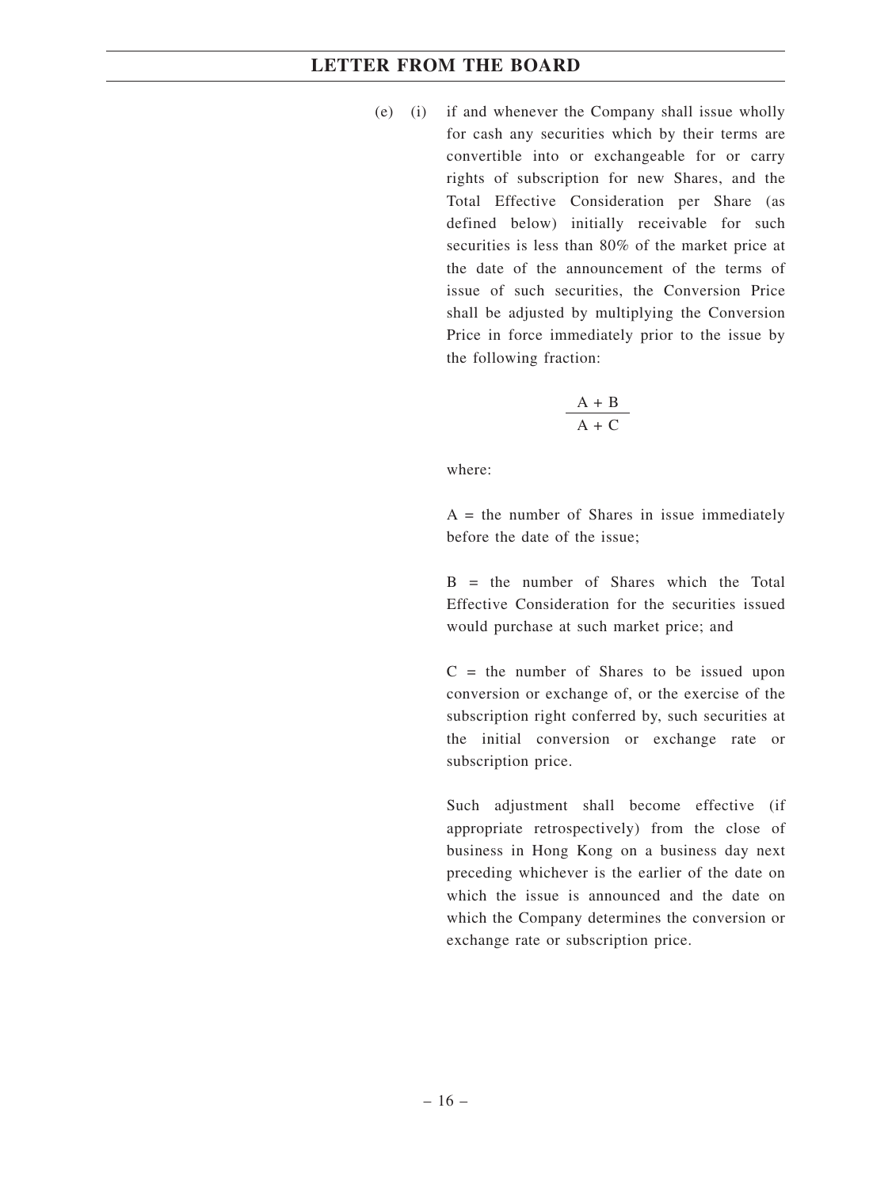(e) (i) if and whenever the Company shall issue wholly for cash any securities which by their terms are convertible into or exchangeable for or carry rights of subscription for new Shares, and the Total Effective Consideration per Share (as defined below) initially receivable for such securities is less than 80% of the market price at the date of the announcement of the terms of issue of such securities, the Conversion Price shall be adjusted by multiplying the Conversion Price in force immediately prior to the issue by the following fraction:

$$
\frac{A + B}{A + C}
$$

where:

 $A =$  the number of Shares in issue immediately before the date of the issue;

 $B =$  the number of Shares which the Total Effective Consideration for the securities issued would purchase at such market price; and

 $C =$  the number of Shares to be issued upon conversion or exchange of, or the exercise of the subscription right conferred by, such securities at the initial conversion or exchange rate or subscription price.

Such adjustment shall become effective (if appropriate retrospectively) from the close of business in Hong Kong on a business day next preceding whichever is the earlier of the date on which the issue is announced and the date on which the Company determines the conversion or exchange rate or subscription price.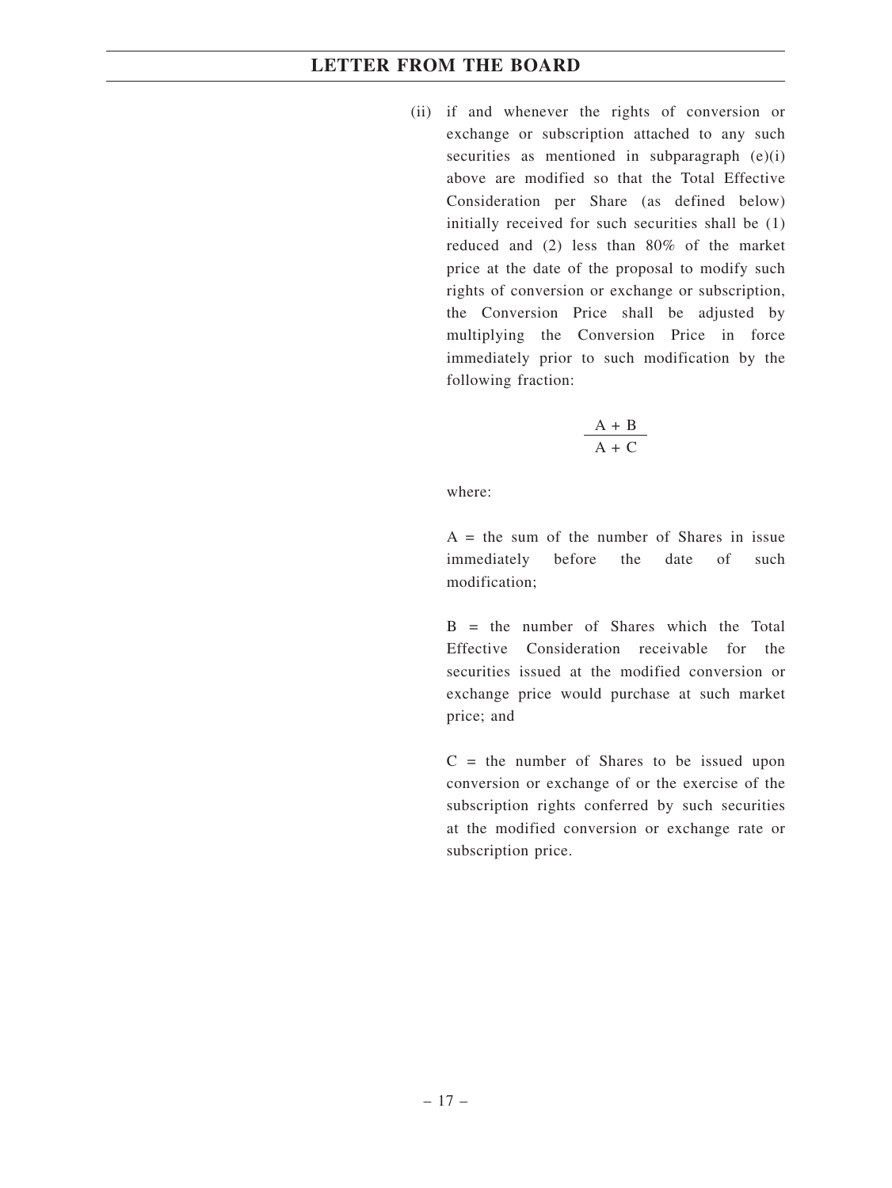(ii) if and whenever the rights of conversion or exchange or subscription attached to any such securities as mentioned in subparagraph (e)(i) above are modified so that the Total Effective Consideration per Share (as defined below) initially received for such securities shall be (1) reduced and (2) less than 80% of the market price at the date of the proposal to modify such rights of conversion or exchange or subscription, the Conversion Price shall be adjusted by multiplying the Conversion Price in force immediately prior to such modification by the following fraction:

$$
\frac{A+B}{A+C}
$$

where:

 $A =$  the sum of the number of Shares in issue immediately before the date of such modification;

 $B =$  the number of Shares which the Total Effective Consideration receivable for the securities issued at the modified conversion or exchange price would purchase at such market price; and

 $C =$  the number of Shares to be issued upon conversion or exchange of or the exercise of the subscription rights conferred by such securities at the modified conversion or exchange rate or subscription price.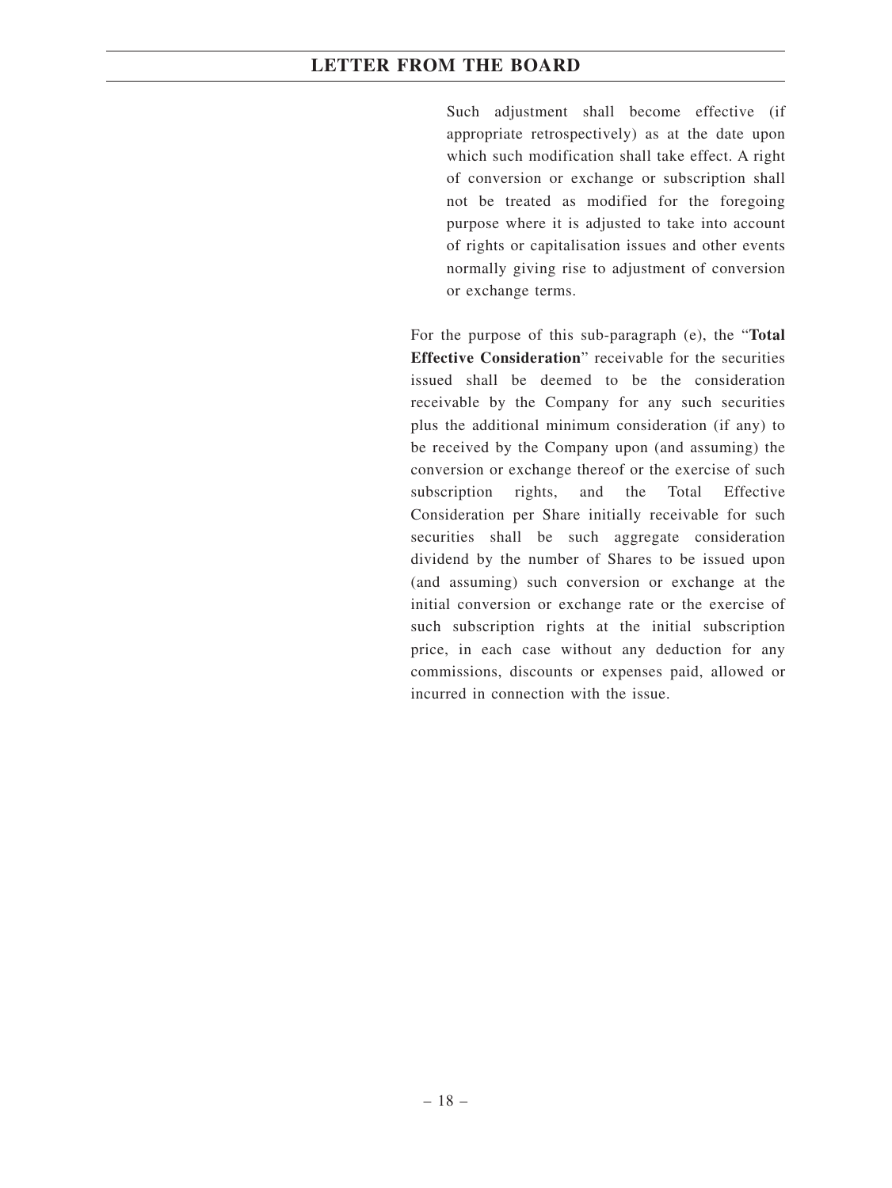Such adjustment shall become effective (if appropriate retrospectively) as at the date upon which such modification shall take effect. A right of conversion or exchange or subscription shall not be treated as modified for the foregoing purpose where it is adjusted to take into account of rights or capitalisation issues and other events normally giving rise to adjustment of conversion or exchange terms.

For the purpose of this sub-paragraph (e), the "**Total Effective Consideration**" receivable for the securities issued shall be deemed to be the consideration receivable by the Company for any such securities plus the additional minimum consideration (if any) to be received by the Company upon (and assuming) the conversion or exchange thereof or the exercise of such subscription rights, and the Total Effective Consideration per Share initially receivable for such securities shall be such aggregate consideration dividend by the number of Shares to be issued upon (and assuming) such conversion or exchange at the initial conversion or exchange rate or the exercise of such subscription rights at the initial subscription price, in each case without any deduction for any commissions, discounts or expenses paid, allowed or incurred in connection with the issue.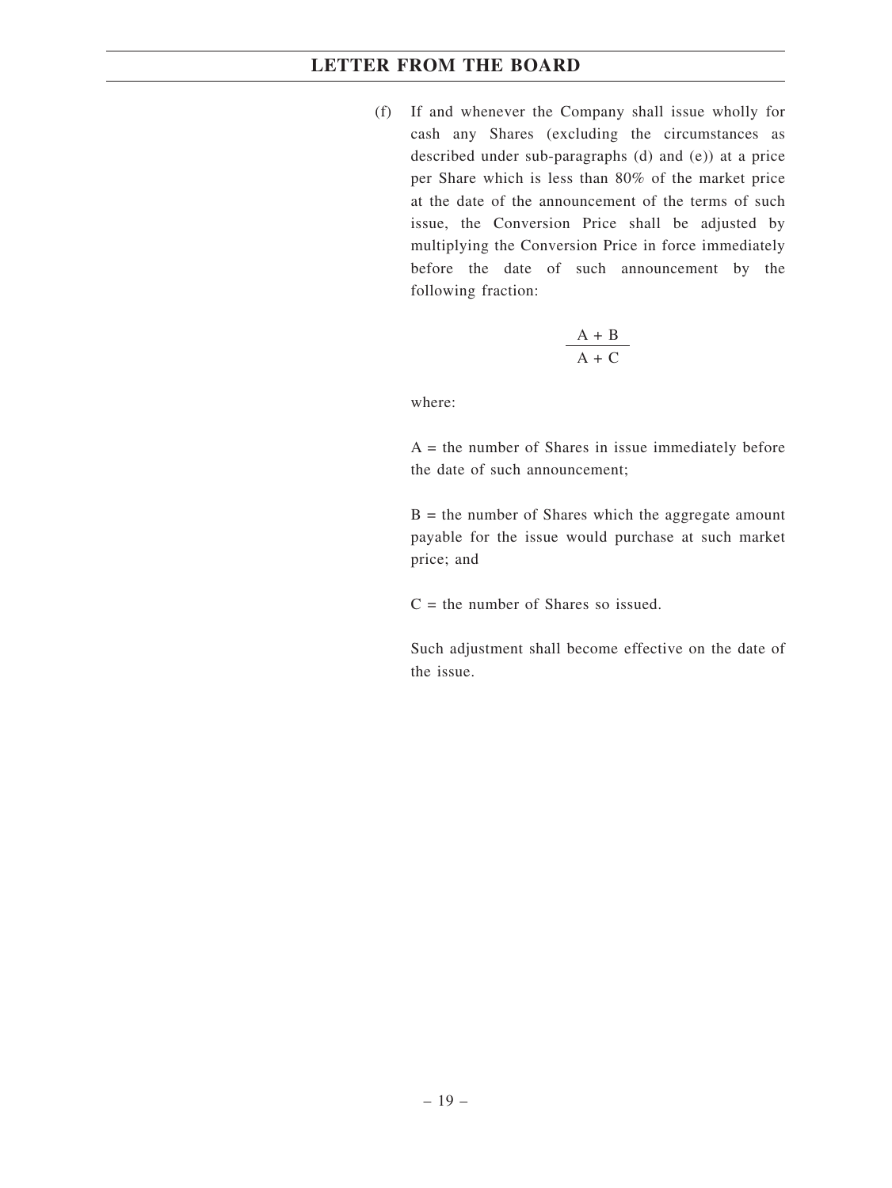(f) If and whenever the Company shall issue wholly for cash any Shares (excluding the circumstances as described under sub-paragraphs (d) and (e)) at a price per Share which is less than 80% of the market price at the date of the announcement of the terms of such issue, the Conversion Price shall be adjusted by multiplying the Conversion Price in force immediately before the date of such announcement by the following fraction:

$$
\frac{A + B}{A + C}
$$

where:

 $A =$  the number of Shares in issue immediately before the date of such announcement;

 $B =$  the number of Shares which the aggregate amount payable for the issue would purchase at such market price; and

 $C =$  the number of Shares so issued.

Such adjustment shall become effective on the date of the issue.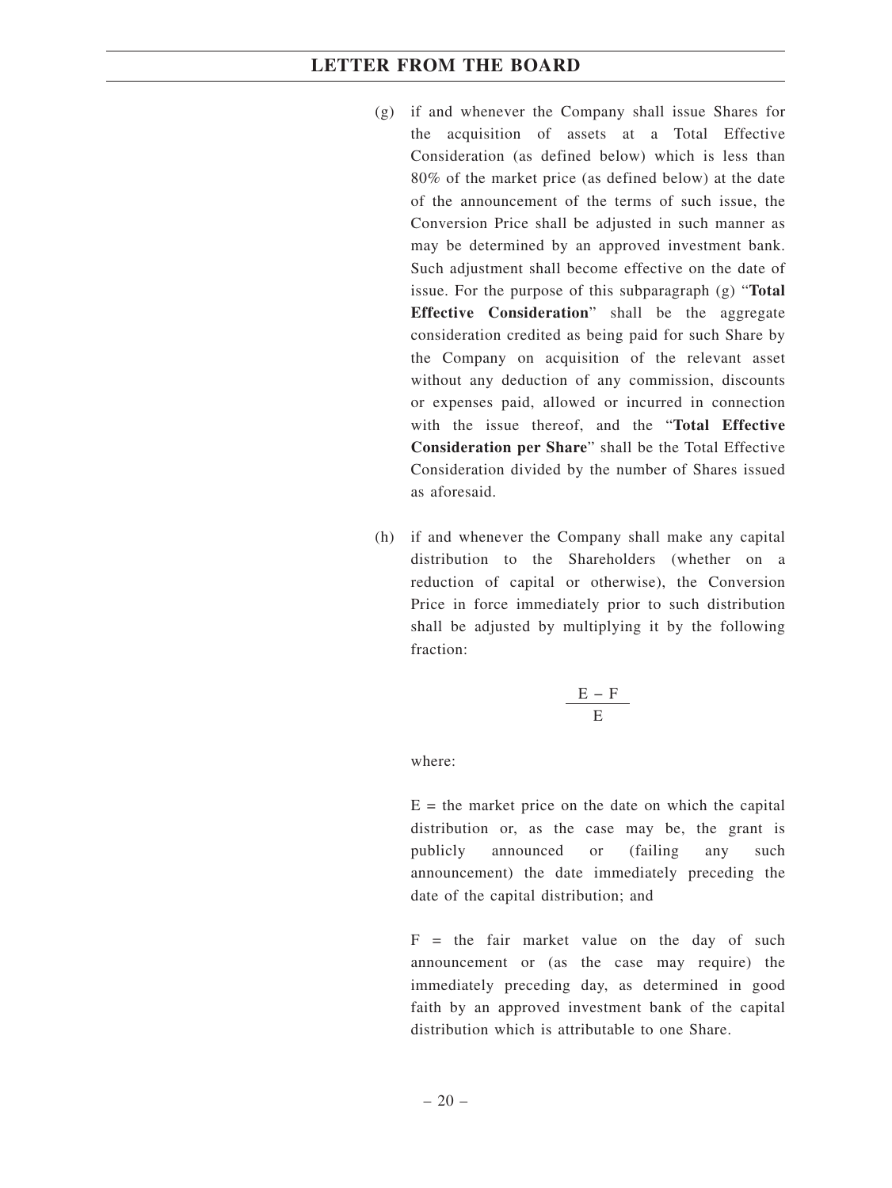- (g) if and whenever the Company shall issue Shares for the acquisition of assets at a Total Effective Consideration (as defined below) which is less than 80% of the market price (as defined below) at the date of the announcement of the terms of such issue, the Conversion Price shall be adjusted in such manner as may be determined by an approved investment bank. Such adjustment shall become effective on the date of issue. For the purpose of this subparagraph (g) "**Total Effective Consideration**" shall be the aggregate consideration credited as being paid for such Share by the Company on acquisition of the relevant asset without any deduction of any commission, discounts or expenses paid, allowed or incurred in connection with the issue thereof, and the "**Total Effective Consideration per Share**" shall be the Total Effective Consideration divided by the number of Shares issued as aforesaid.
- (h) if and whenever the Company shall make any capital distribution to the Shareholders (whether on a reduction of capital or otherwise), the Conversion Price in force immediately prior to such distribution shall be adjusted by multiplying it by the following fraction:

$$
\frac{E-F}{E}
$$

where:

 $E =$  the market price on the date on which the capital distribution or, as the case may be, the grant is publicly announced or (failing any such announcement) the date immediately preceding the date of the capital distribution; and

 $F =$  the fair market value on the day of such announcement or (as the case may require) the immediately preceding day, as determined in good faith by an approved investment bank of the capital distribution which is attributable to one Share.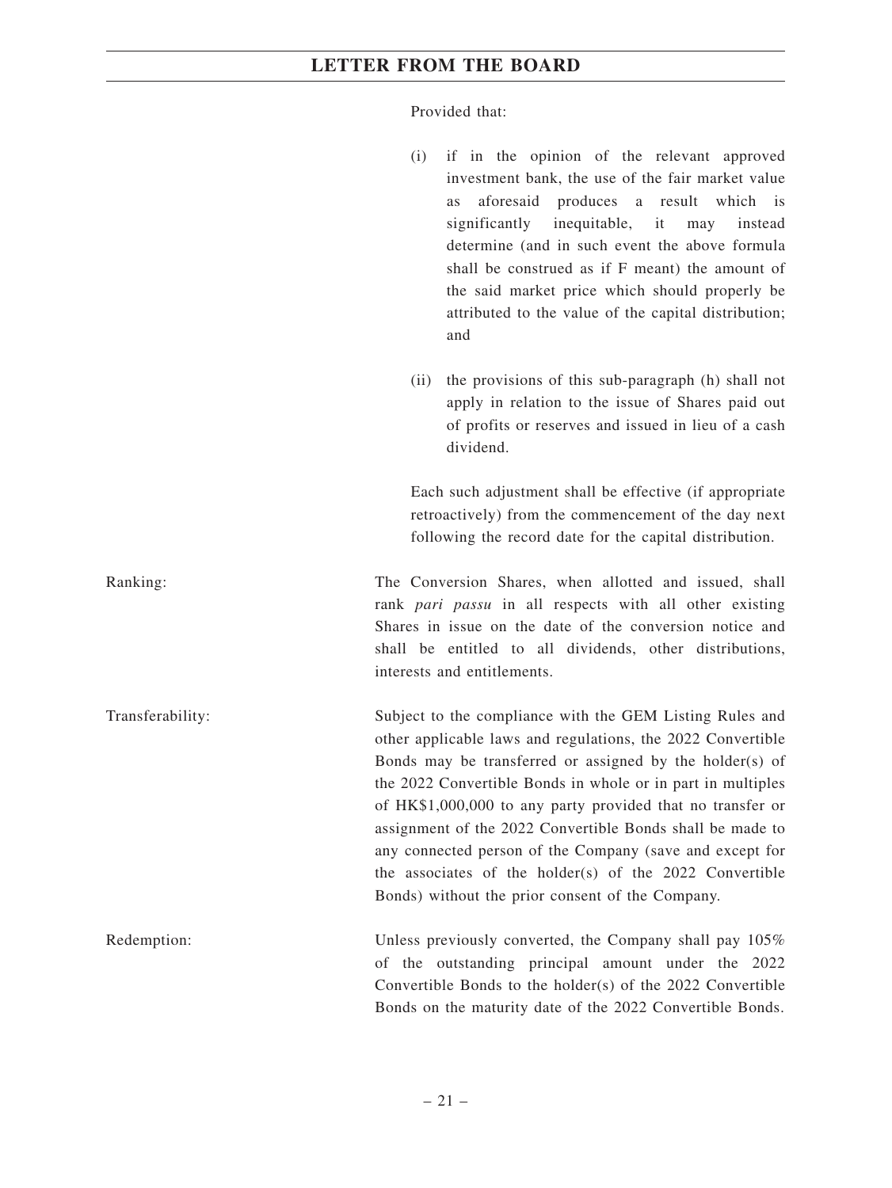Provided that:

(i) if in the opinion of the relevant approved investment bank, the use of the fair market value as aforesaid produces a result which is significantly inequitable, it may instead determine (and in such event the above formula shall be construed as if F meant) the amount of the said market price which should properly be attributed to the value of the capital distribution; and (ii) the provisions of this sub-paragraph (h) shall not apply in relation to the issue of Shares paid out of profits or reserves and issued in lieu of a cash dividend. Each such adjustment shall be effective (if appropriate retroactively) from the commencement of the day next following the record date for the capital distribution. Ranking: The Conversion Shares, when allotted and issued, shall rank *pari passu* in all respects with all other existing Shares in issue on the date of the conversion notice and shall be entitled to all dividends, other distributions, interests and entitlements. Transferability: Subject to the compliance with the GEM Listing Rules and other applicable laws and regulations, the 2022 Convertible Bonds may be transferred or assigned by the holder(s) of the 2022 Convertible Bonds in whole or in part in multiples of HK\$1,000,000 to any party provided that no transfer or assignment of the 2022 Convertible Bonds shall be made to any connected person of the Company (save and except for the associates of the holder(s) of the 2022 Convertible Bonds) without the prior consent of the Company. Redemption: Unless previously converted, the Company shall pay 105% of the outstanding principal amount under the 2022 Convertible Bonds to the holder(s) of the 2022 Convertible Bonds on the maturity date of the 2022 Convertible Bonds.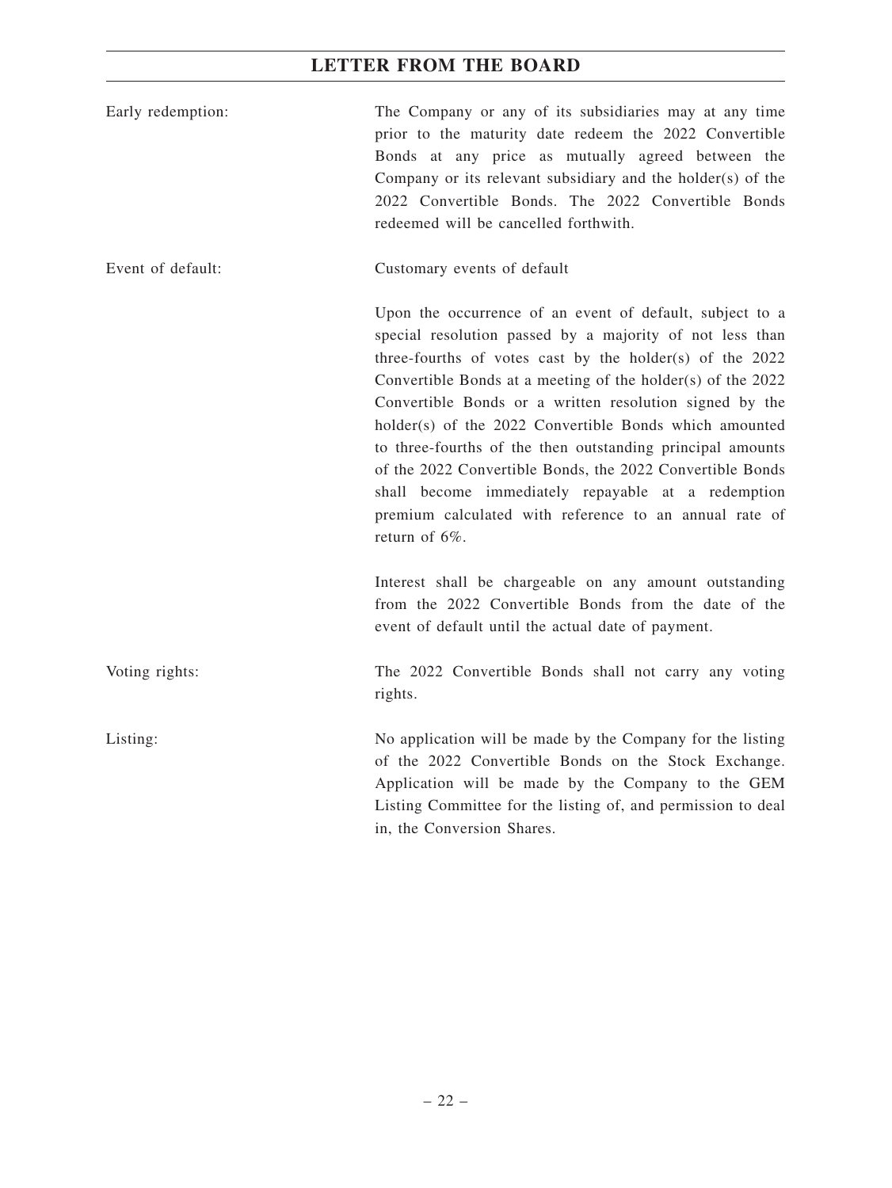| Early redemption: | The Company or any of its subsidiaries may at any time<br>prior to the maturity date redeem the 2022 Convertible<br>Bonds at any price as mutually agreed between the<br>Company or its relevant subsidiary and the holder(s) of the<br>2022 Convertible Bonds. The 2022 Convertible Bonds<br>redeemed will be cancelled forthwith.                                                                                                                                                                                                                                                                                              |
|-------------------|----------------------------------------------------------------------------------------------------------------------------------------------------------------------------------------------------------------------------------------------------------------------------------------------------------------------------------------------------------------------------------------------------------------------------------------------------------------------------------------------------------------------------------------------------------------------------------------------------------------------------------|
| Event of default: | Customary events of default                                                                                                                                                                                                                                                                                                                                                                                                                                                                                                                                                                                                      |
|                   | Upon the occurrence of an event of default, subject to a<br>special resolution passed by a majority of not less than<br>three-fourths of votes cast by the holder(s) of the 2022<br>Convertible Bonds at a meeting of the holder(s) of the 2022<br>Convertible Bonds or a written resolution signed by the<br>holder(s) of the 2022 Convertible Bonds which amounted<br>to three-fourths of the then outstanding principal amounts<br>of the 2022 Convertible Bonds, the 2022 Convertible Bonds<br>shall become immediately repayable at a redemption<br>premium calculated with reference to an annual rate of<br>return of 6%. |
|                   | Interest shall be chargeable on any amount outstanding<br>from the 2022 Convertible Bonds from the date of the<br>event of default until the actual date of payment.                                                                                                                                                                                                                                                                                                                                                                                                                                                             |
| Voting rights:    | The 2022 Convertible Bonds shall not carry any voting<br>rights.                                                                                                                                                                                                                                                                                                                                                                                                                                                                                                                                                                 |
| Listing:          | No application will be made by the Company for the listing<br>of the 2022 Convertible Bonds on the Stock Exchange.<br>Application will be made by the Company to the GEM<br>Listing Committee for the listing of, and permission to deal<br>in, the Conversion Shares.                                                                                                                                                                                                                                                                                                                                                           |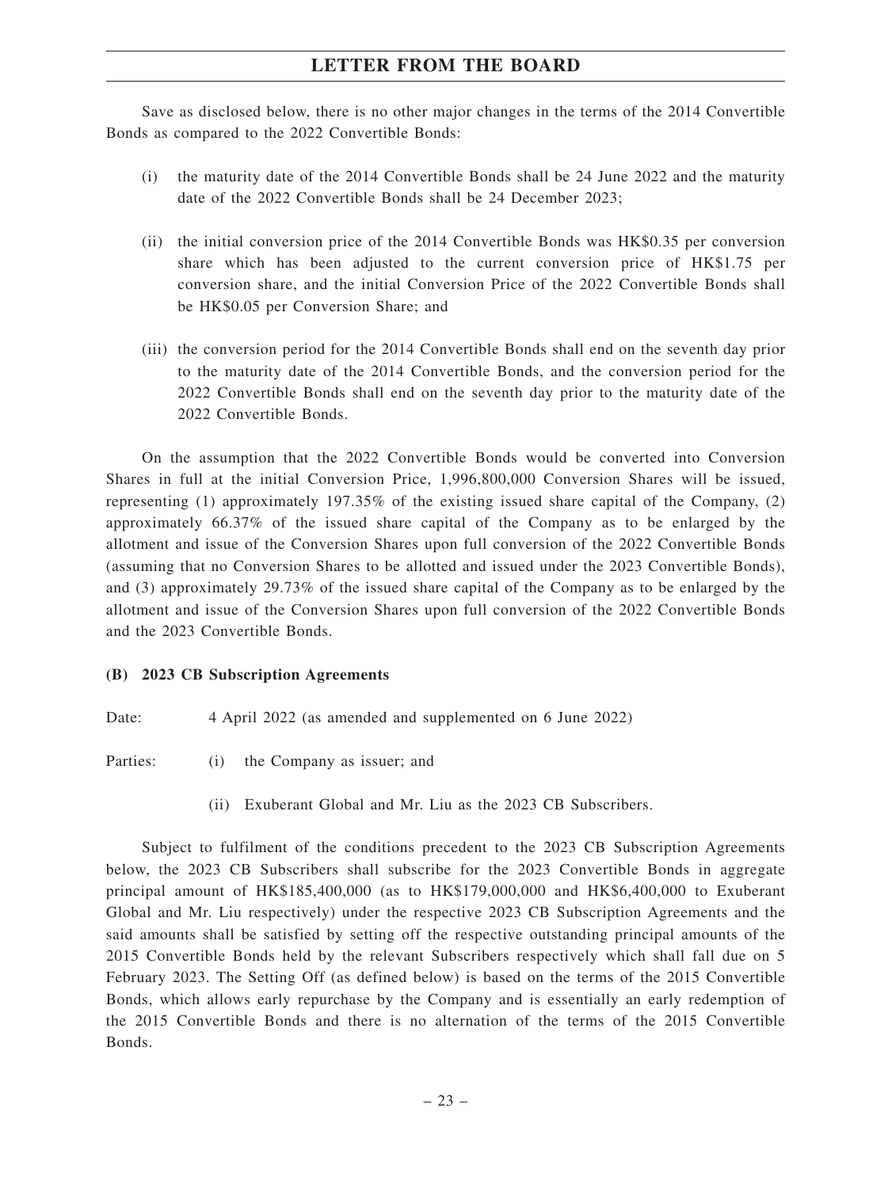Save as disclosed below, there is no other major changes in the terms of the 2014 Convertible Bonds as compared to the 2022 Convertible Bonds:

- (i) the maturity date of the 2014 Convertible Bonds shall be 24 June 2022 and the maturity date of the 2022 Convertible Bonds shall be 24 December 2023;
- (ii) the initial conversion price of the 2014 Convertible Bonds was HK\$0.35 per conversion share which has been adjusted to the current conversion price of HK\$1.75 per conversion share, and the initial Conversion Price of the 2022 Convertible Bonds shall be HK\$0.05 per Conversion Share; and
- (iii) the conversion period for the 2014 Convertible Bonds shall end on the seventh day prior to the maturity date of the 2014 Convertible Bonds, and the conversion period for the 2022 Convertible Bonds shall end on the seventh day prior to the maturity date of the 2022 Convertible Bonds.

On the assumption that the 2022 Convertible Bonds would be converted into Conversion Shares in full at the initial Conversion Price, 1,996,800,000 Conversion Shares will be issued, representing (1) approximately 197.35% of the existing issued share capital of the Company, (2) approximately 66.37% of the issued share capital of the Company as to be enlarged by the allotment and issue of the Conversion Shares upon full conversion of the 2022 Convertible Bonds (assuming that no Conversion Shares to be allotted and issued under the 2023 Convertible Bonds), and (3) approximately 29.73% of the issued share capital of the Company as to be enlarged by the allotment and issue of the Conversion Shares upon full conversion of the 2022 Convertible Bonds and the 2023 Convertible Bonds.

#### **(B) 2023 CB Subscription Agreements**

Date: 4 April 2022 (as amended and supplemented on 6 June 2022)

Parties: (i) the Company as issuer; and

(ii) Exuberant Global and Mr. Liu as the 2023 CB Subscribers.

Subject to fulfilment of the conditions precedent to the 2023 CB Subscription Agreements below, the 2023 CB Subscribers shall subscribe for the 2023 Convertible Bonds in aggregate principal amount of HK\$185,400,000 (as to HK\$179,000,000 and HK\$6,400,000 to Exuberant Global and Mr. Liu respectively) under the respective 2023 CB Subscription Agreements and the said amounts shall be satisfied by setting off the respective outstanding principal amounts of the 2015 Convertible Bonds held by the relevant Subscribers respectively which shall fall due on 5 February 2023. The Setting Off (as defined below) is based on the terms of the 2015 Convertible Bonds, which allows early repurchase by the Company and is essentially an early redemption of the 2015 Convertible Bonds and there is no alternation of the terms of the 2015 Convertible Bonds.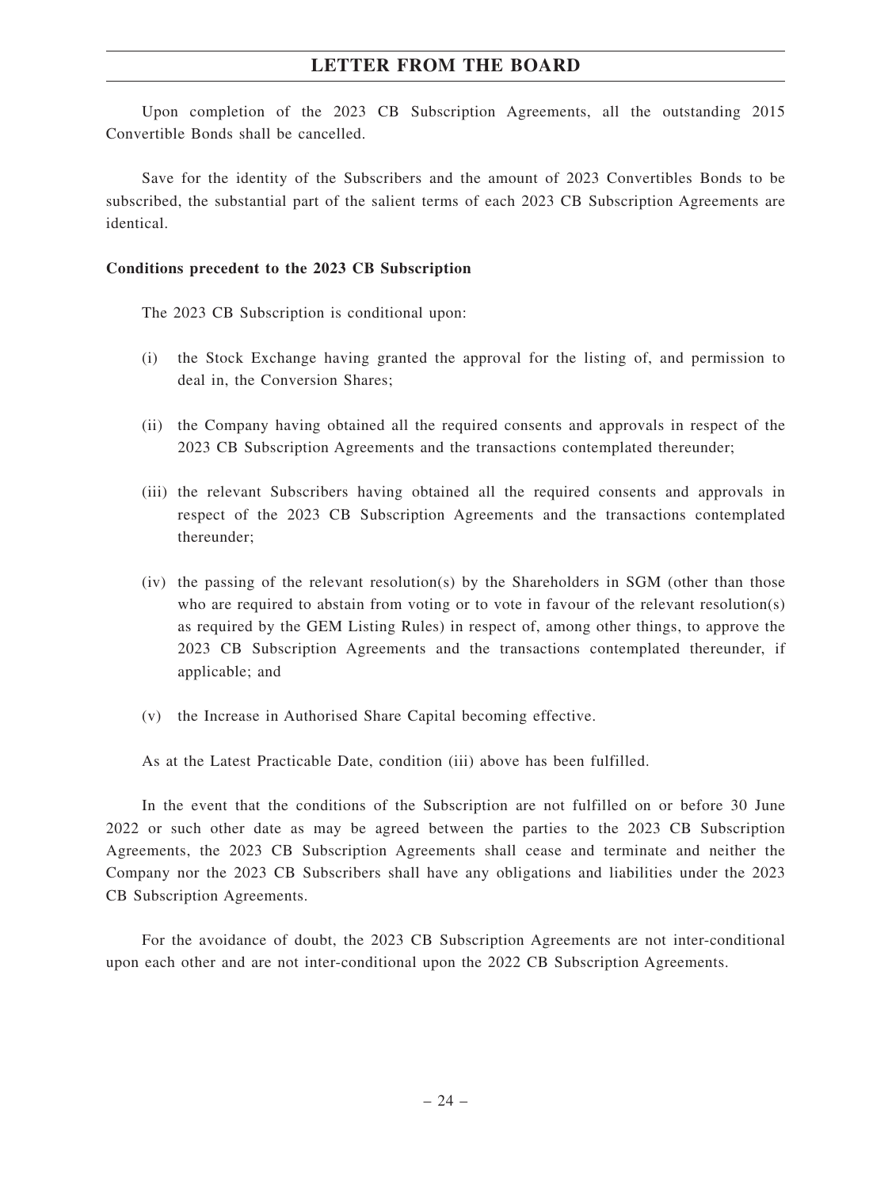Upon completion of the 2023 CB Subscription Agreements, all the outstanding 2015 Convertible Bonds shall be cancelled.

Save for the identity of the Subscribers and the amount of 2023 Convertibles Bonds to be subscribed, the substantial part of the salient terms of each 2023 CB Subscription Agreements are identical.

#### **Conditions precedent to the 2023 CB Subscription**

The 2023 CB Subscription is conditional upon:

- (i) the Stock Exchange having granted the approval for the listing of, and permission to deal in, the Conversion Shares;
- (ii) the Company having obtained all the required consents and approvals in respect of the 2023 CB Subscription Agreements and the transactions contemplated thereunder;
- (iii) the relevant Subscribers having obtained all the required consents and approvals in respect of the 2023 CB Subscription Agreements and the transactions contemplated thereunder;
- $(iv)$  the passing of the relevant resolution(s) by the Shareholders in SGM (other than those who are required to abstain from voting or to vote in favour of the relevant resolution(s) as required by the GEM Listing Rules) in respect of, among other things, to approve the 2023 CB Subscription Agreements and the transactions contemplated thereunder, if applicable; and
- (v) the Increase in Authorised Share Capital becoming effective.

As at the Latest Practicable Date, condition (iii) above has been fulfilled.

In the event that the conditions of the Subscription are not fulfilled on or before 30 June 2022 or such other date as may be agreed between the parties to the 2023 CB Subscription Agreements, the 2023 CB Subscription Agreements shall cease and terminate and neither the Company nor the 2023 CB Subscribers shall have any obligations and liabilities under the 2023 CB Subscription Agreements.

For the avoidance of doubt, the 2023 CB Subscription Agreements are not inter-conditional upon each other and are not inter-conditional upon the 2022 CB Subscription Agreements.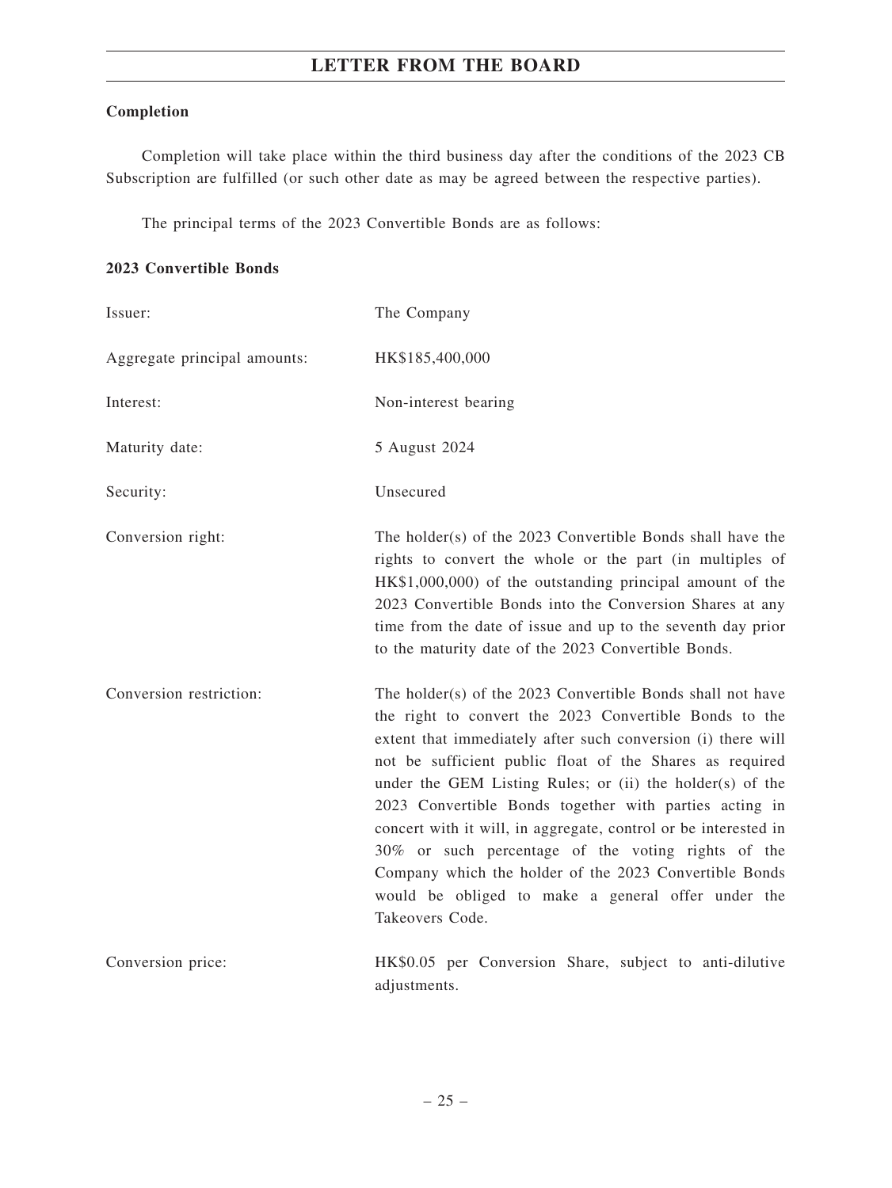### **Completion**

Completion will take place within the third business day after the conditions of the 2023 CB Subscription are fulfilled (or such other date as may be agreed between the respective parties).

The principal terms of the 2023 Convertible Bonds are as follows:

#### **2023 Convertible Bonds**

| Issuer:                      | The Company                                                                                                                                                                                                                                                                                                                                                                                                                                                                                                                                                                                                                         |
|------------------------------|-------------------------------------------------------------------------------------------------------------------------------------------------------------------------------------------------------------------------------------------------------------------------------------------------------------------------------------------------------------------------------------------------------------------------------------------------------------------------------------------------------------------------------------------------------------------------------------------------------------------------------------|
| Aggregate principal amounts: | HK\$185,400,000                                                                                                                                                                                                                                                                                                                                                                                                                                                                                                                                                                                                                     |
| Interest:                    | Non-interest bearing                                                                                                                                                                                                                                                                                                                                                                                                                                                                                                                                                                                                                |
| Maturity date:               | 5 August 2024                                                                                                                                                                                                                                                                                                                                                                                                                                                                                                                                                                                                                       |
| Security:                    | Unsecured                                                                                                                                                                                                                                                                                                                                                                                                                                                                                                                                                                                                                           |
| Conversion right:            | The holder(s) of the 2023 Convertible Bonds shall have the<br>rights to convert the whole or the part (in multiples of<br>HK\$1,000,000) of the outstanding principal amount of the<br>2023 Convertible Bonds into the Conversion Shares at any<br>time from the date of issue and up to the seventh day prior<br>to the maturity date of the 2023 Convertible Bonds.                                                                                                                                                                                                                                                               |
| Conversion restriction:      | The holder(s) of the 2023 Convertible Bonds shall not have<br>the right to convert the 2023 Convertible Bonds to the<br>extent that immediately after such conversion (i) there will<br>not be sufficient public float of the Shares as required<br>under the GEM Listing Rules; or (ii) the holder(s) of the<br>2023 Convertible Bonds together with parties acting in<br>concert with it will, in aggregate, control or be interested in<br>30% or such percentage of the voting rights of the<br>Company which the holder of the 2023 Convertible Bonds<br>would be obliged to make a general offer under the<br>Takeovers Code. |
| Conversion price:            | HK\$0.05 per Conversion Share, subject to anti-dilutive<br>adiustments.                                                                                                                                                                                                                                                                                                                                                                                                                                                                                                                                                             |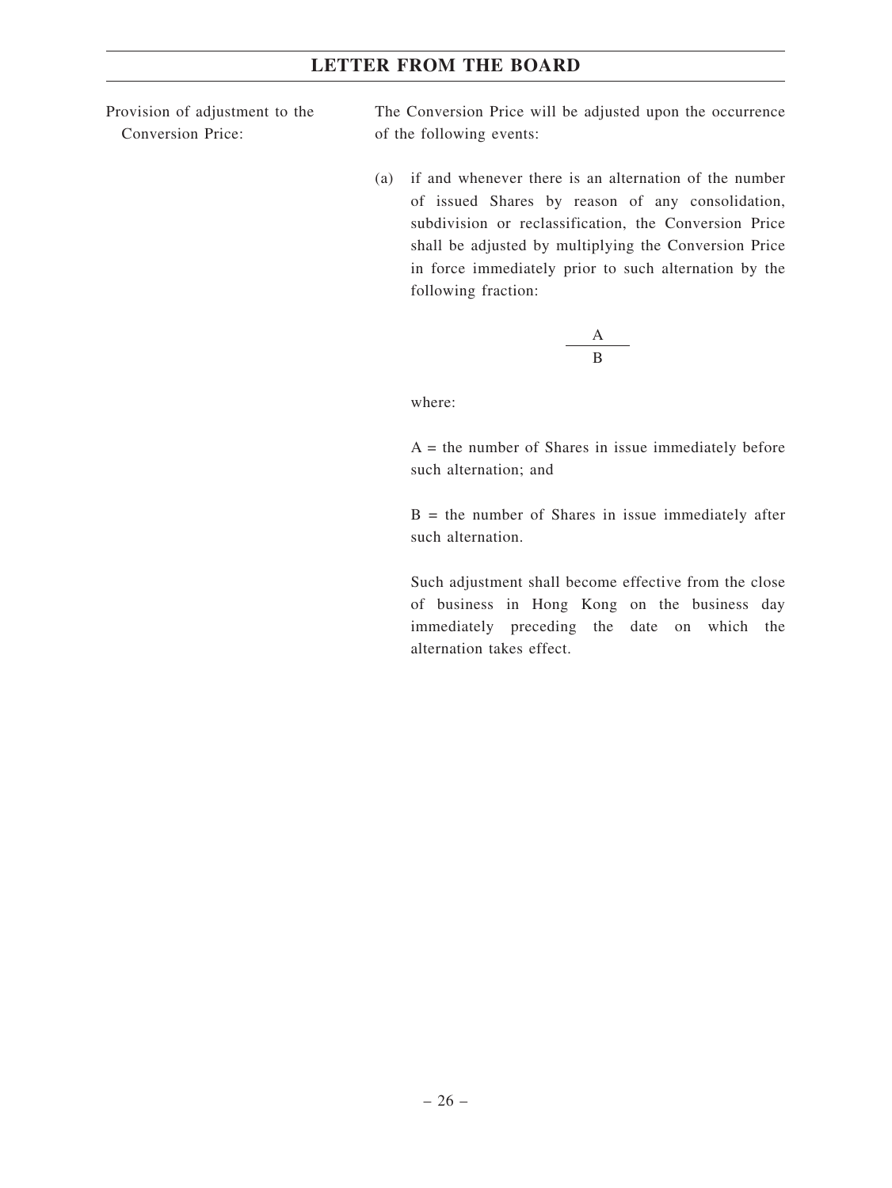Provision of adjustment to the Conversion Price:

The Conversion Price will be adjusted upon the occurrence of the following events:

(a) if and whenever there is an alternation of the number of issued Shares by reason of any consolidation, subdivision or reclassification, the Conversion Price shall be adjusted by multiplying the Conversion Price in force immediately prior to such alternation by the following fraction:

$$
\frac{\mathbf{A}}{\mathbf{B}}
$$

where:

 $A =$  the number of Shares in issue immediately before such alternation; and

 $B =$  the number of Shares in issue immediately after such alternation.

Such adjustment shall become effective from the close of business in Hong Kong on the business day immediately preceding the date on which the alternation takes effect.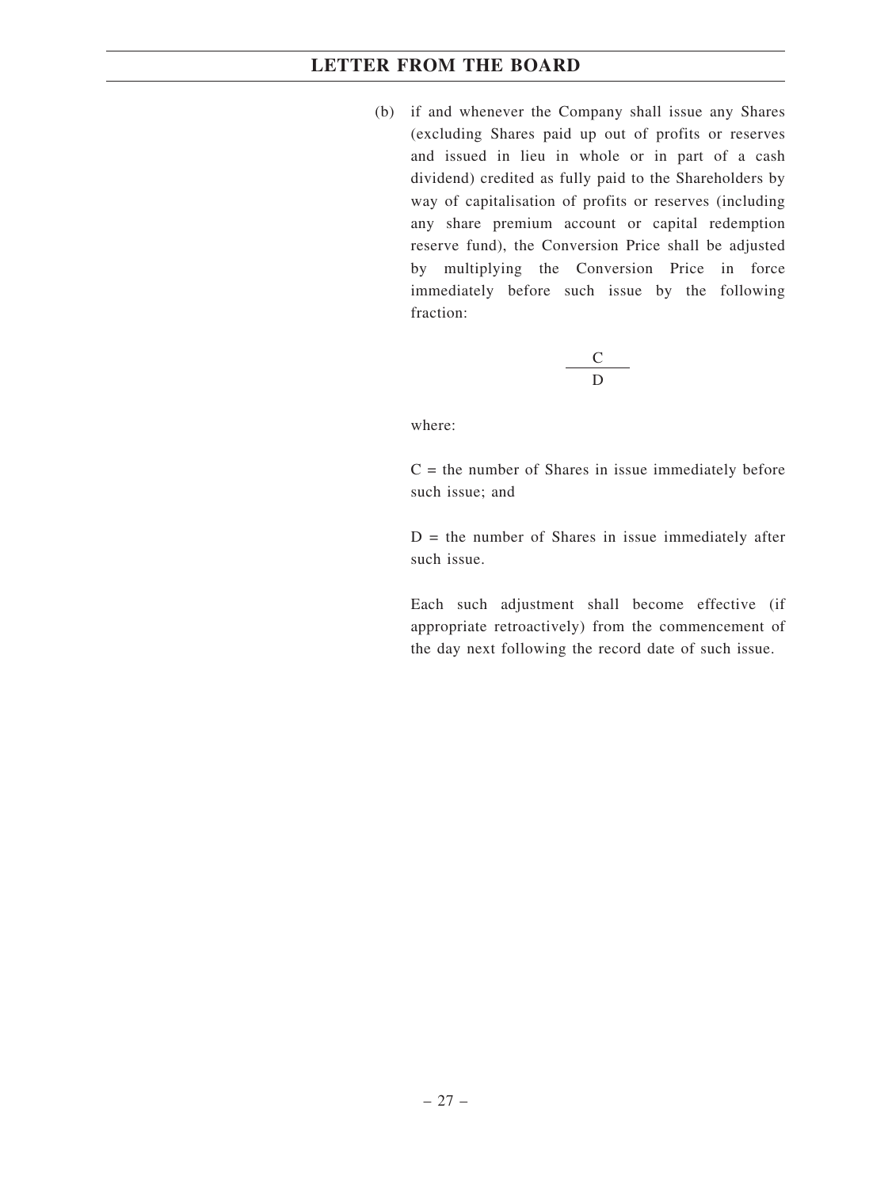(b) if and whenever the Company shall issue any Shares (excluding Shares paid up out of profits or reserves and issued in lieu in whole or in part of a cash dividend) credited as fully paid to the Shareholders by way of capitalisation of profits or reserves (including any share premium account or capital redemption reserve fund), the Conversion Price shall be adjusted by multiplying the Conversion Price in force immediately before such issue by the following fraction:

$$
\frac{C}{D}
$$

where:

 $C =$  the number of Shares in issue immediately before such issue; and

 $D =$  the number of Shares in issue immediately after such issue.

Each such adjustment shall become effective (if appropriate retroactively) from the commencement of the day next following the record date of such issue.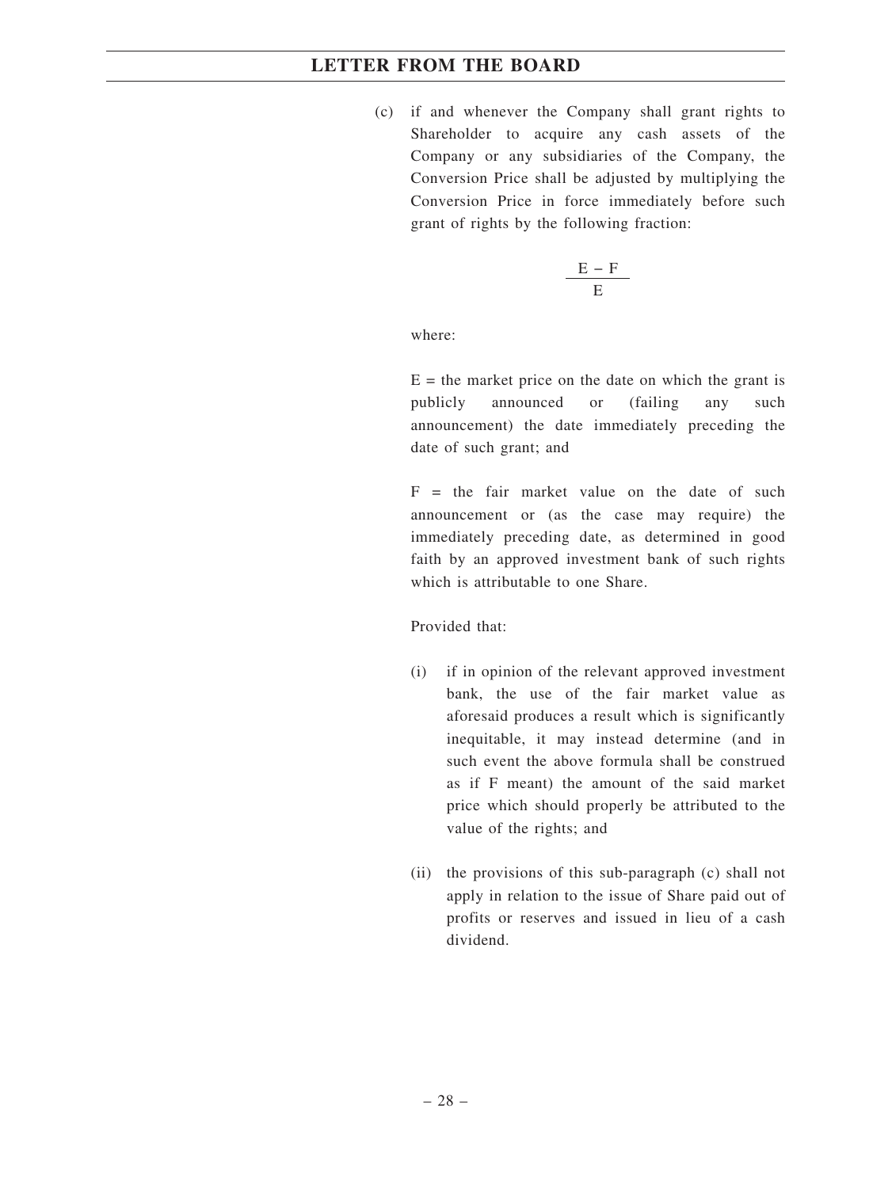(c) if and whenever the Company shall grant rights to Shareholder to acquire any cash assets of the Company or any subsidiaries of the Company, the Conversion Price shall be adjusted by multiplying the Conversion Price in force immediately before such grant of rights by the following fraction:

$$
\frac{E-F}{E}
$$

where:

 $E =$  the market price on the date on which the grant is publicly announced or (failing any such announcement) the date immediately preceding the date of such grant; and

 $F =$  the fair market value on the date of such announcement or (as the case may require) the immediately preceding date, as determined in good faith by an approved investment bank of such rights which is attributable to one Share.

Provided that:

- (i) if in opinion of the relevant approved investment bank, the use of the fair market value as aforesaid produces a result which is significantly inequitable, it may instead determine (and in such event the above formula shall be construed as if F meant) the amount of the said market price which should properly be attributed to the value of the rights; and
- (ii) the provisions of this sub-paragraph (c) shall not apply in relation to the issue of Share paid out of profits or reserves and issued in lieu of a cash dividend.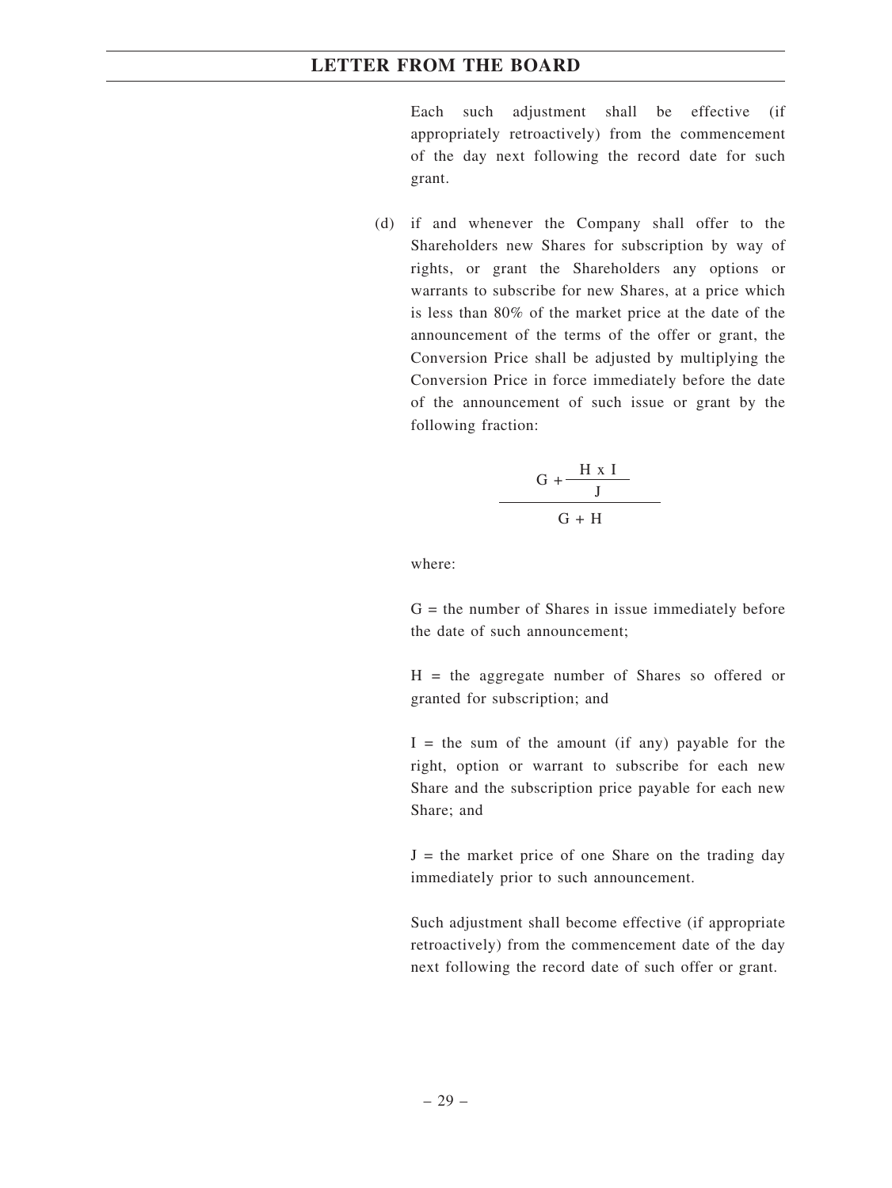Each such adjustment shall be effective (if appropriately retroactively) from the commencement of the day next following the record date for such grant.

(d) if and whenever the Company shall offer to the Shareholders new Shares for subscription by way of rights, or grant the Shareholders any options or warrants to subscribe for new Shares, at a price which is less than 80% of the market price at the date of the announcement of the terms of the offer or grant, the Conversion Price shall be adjusted by multiplying the Conversion Price in force immediately before the date of the announcement of such issue or grant by the following fraction:

$$
\frac{G + \frac{H \times I}{J}}{G + H}
$$

where:

 $G =$  the number of Shares in issue immediately before the date of such announcement;

 $H =$  the aggregate number of Shares so offered or granted for subscription; and

 $I =$  the sum of the amount (if any) payable for the right, option or warrant to subscribe for each new Share and the subscription price payable for each new Share; and

 $J =$  the market price of one Share on the trading day immediately prior to such announcement.

Such adjustment shall become effective (if appropriate retroactively) from the commencement date of the day next following the record date of such offer or grant.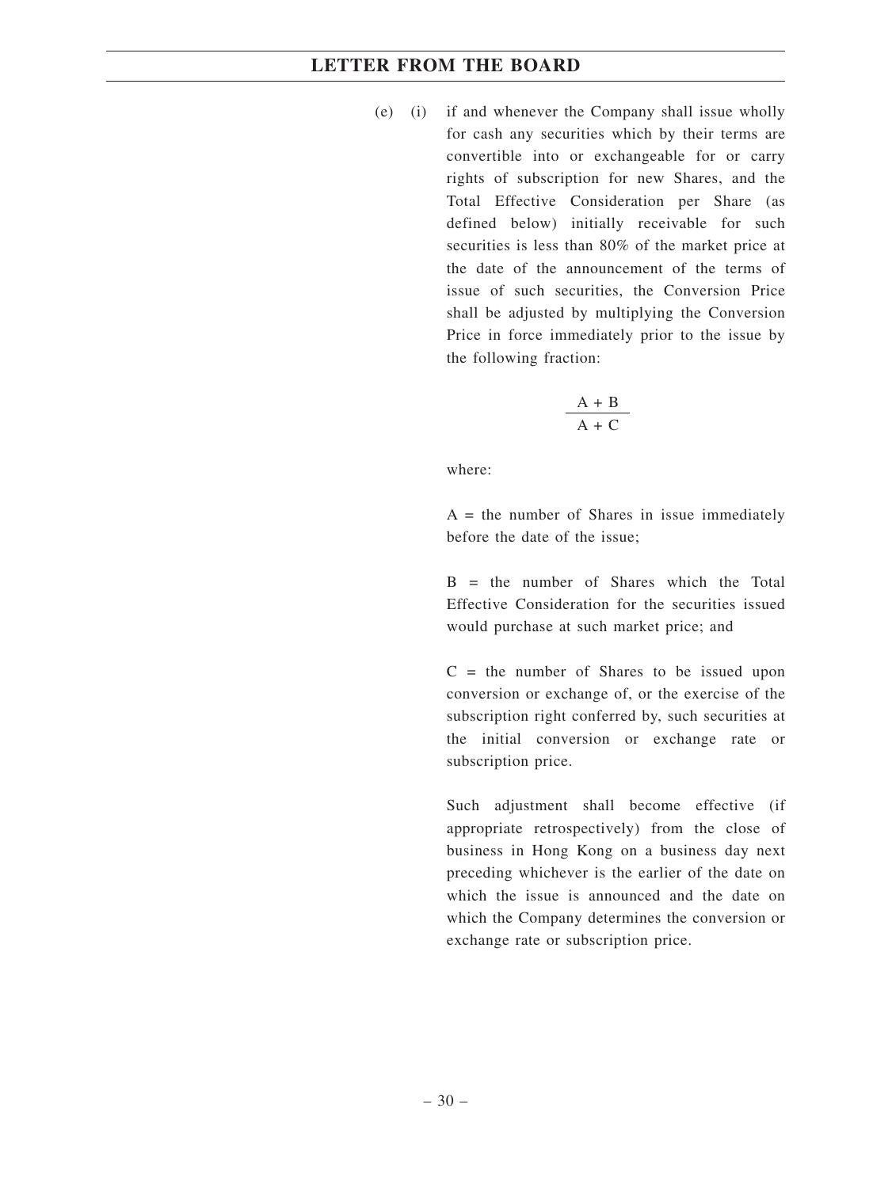(e) (i) if and whenever the Company shall issue wholly for cash any securities which by their terms are convertible into or exchangeable for or carry rights of subscription for new Shares, and the Total Effective Consideration per Share (as defined below) initially receivable for such securities is less than 80% of the market price at the date of the announcement of the terms of issue of such securities, the Conversion Price shall be adjusted by multiplying the Conversion Price in force immediately prior to the issue by the following fraction:

$$
\frac{A + B}{A + C}
$$

where:

 $A =$  the number of Shares in issue immediately before the date of the issue;

 $B =$  the number of Shares which the Total Effective Consideration for the securities issued would purchase at such market price; and

 $C =$  the number of Shares to be issued upon conversion or exchange of, or the exercise of the subscription right conferred by, such securities at the initial conversion or exchange rate or subscription price.

Such adjustment shall become effective (if appropriate retrospectively) from the close of business in Hong Kong on a business day next preceding whichever is the earlier of the date on which the issue is announced and the date on which the Company determines the conversion or exchange rate or subscription price.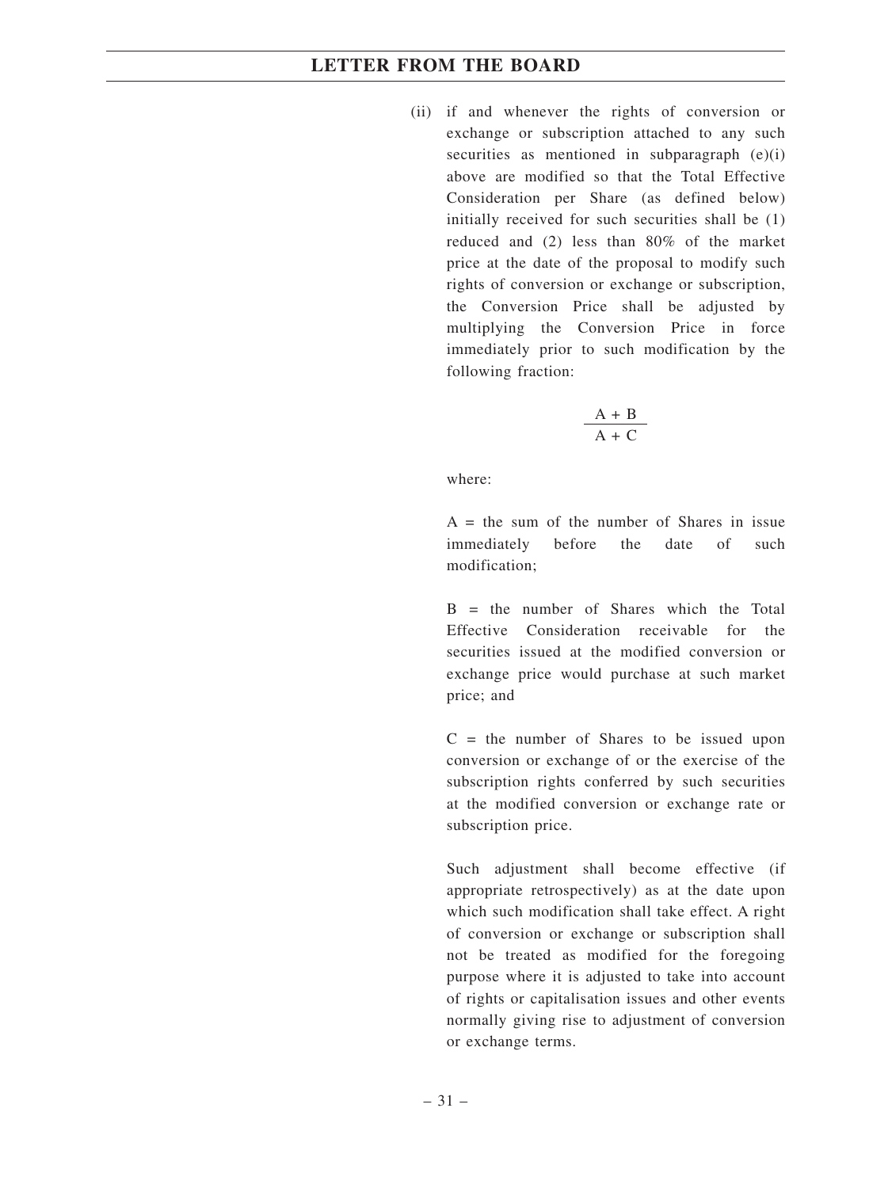(ii) if and whenever the rights of conversion or exchange or subscription attached to any such securities as mentioned in subparagraph (e)(i) above are modified so that the Total Effective Consideration per Share (as defined below) initially received for such securities shall be (1) reduced and (2) less than 80% of the market price at the date of the proposal to modify such rights of conversion or exchange or subscription, the Conversion Price shall be adjusted by multiplying the Conversion Price in force immediately prior to such modification by the following fraction:

$$
\frac{\text{A} + \text{B}}{\text{A} + \text{C}}
$$

where:

 $A =$  the sum of the number of Shares in issue immediately before the date of such modification;

 $B =$  the number of Shares which the Total Effective Consideration receivable for the securities issued at the modified conversion or exchange price would purchase at such market price; and

 $C =$  the number of Shares to be issued upon conversion or exchange of or the exercise of the subscription rights conferred by such securities at the modified conversion or exchange rate or subscription price.

Such adjustment shall become effective (if appropriate retrospectively) as at the date upon which such modification shall take effect. A right of conversion or exchange or subscription shall not be treated as modified for the foregoing purpose where it is adjusted to take into account of rights or capitalisation issues and other events normally giving rise to adjustment of conversion or exchange terms.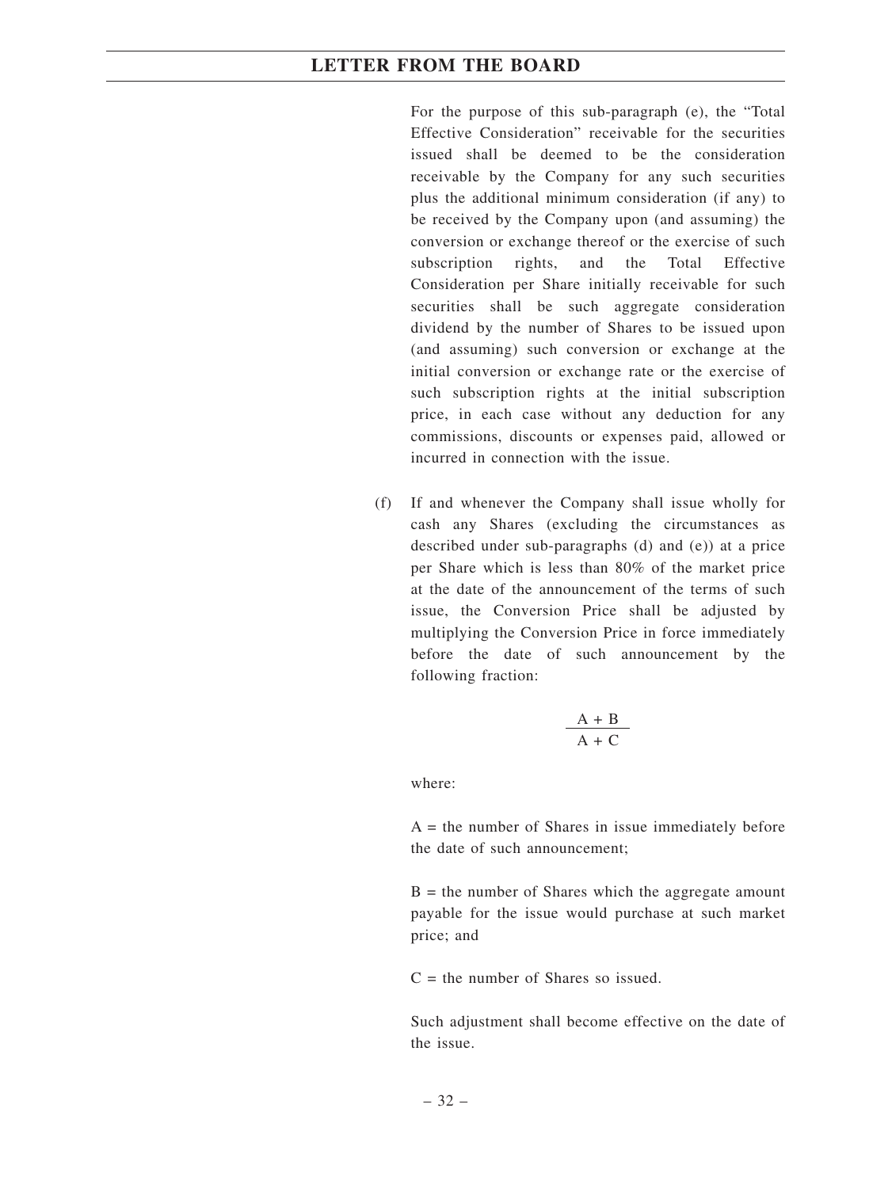For the purpose of this sub-paragraph (e), the "Total Effective Consideration" receivable for the securities issued shall be deemed to be the consideration receivable by the Company for any such securities plus the additional minimum consideration (if any) to be received by the Company upon (and assuming) the conversion or exchange thereof or the exercise of such subscription rights, and the Total Effective Consideration per Share initially receivable for such securities shall be such aggregate consideration dividend by the number of Shares to be issued upon (and assuming) such conversion or exchange at the initial conversion or exchange rate or the exercise of such subscription rights at the initial subscription price, in each case without any deduction for any commissions, discounts or expenses paid, allowed or incurred in connection with the issue.

(f) If and whenever the Company shall issue wholly for cash any Shares (excluding the circumstances as described under sub-paragraphs (d) and (e)) at a price per Share which is less than 80% of the market price at the date of the announcement of the terms of such issue, the Conversion Price shall be adjusted by multiplying the Conversion Price in force immediately before the date of such announcement by the following fraction:

$$
\frac{A+B}{A+C}
$$

where:

 $A =$  the number of Shares in issue immediately before the date of such announcement;

 $B =$  the number of Shares which the aggregate amount payable for the issue would purchase at such market price; and

 $C =$  the number of Shares so issued.

Such adjustment shall become effective on the date of the issue.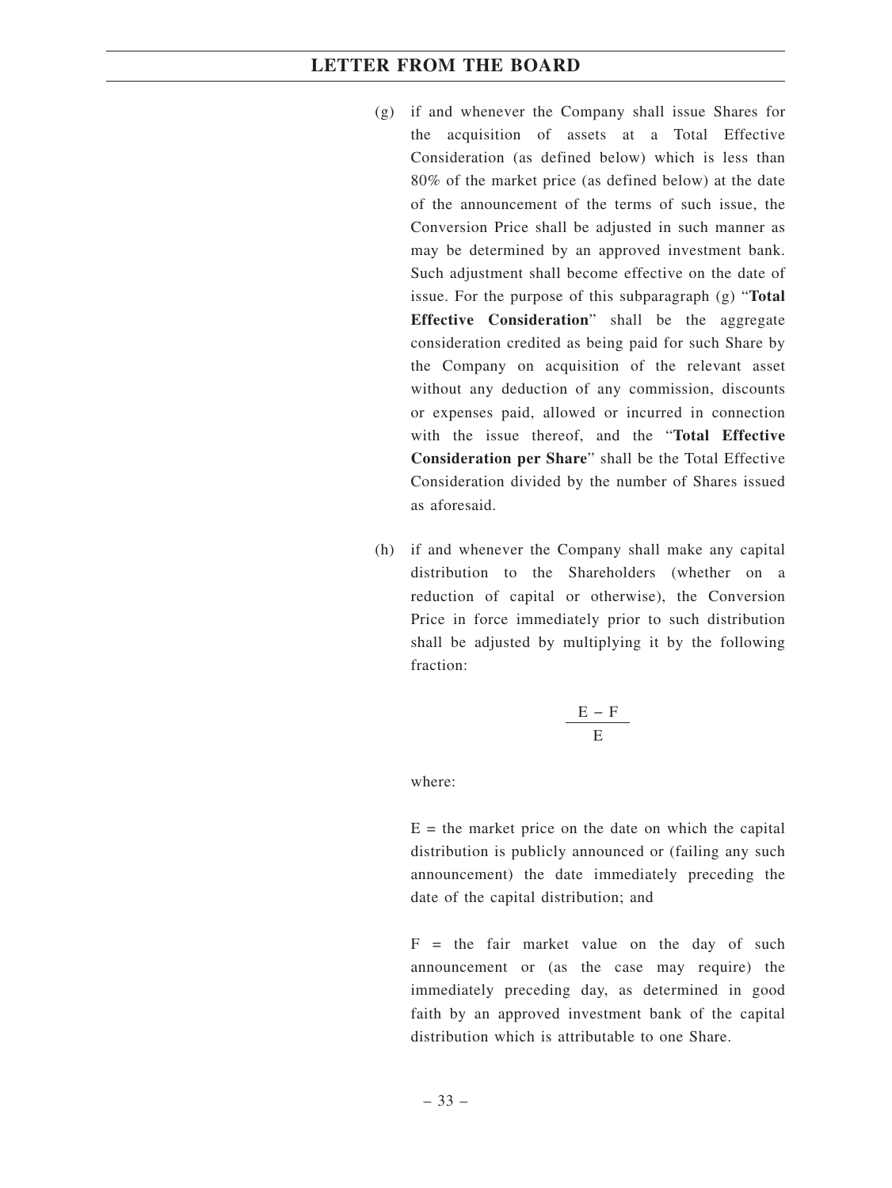- (g) if and whenever the Company shall issue Shares for the acquisition of assets at a Total Effective Consideration (as defined below) which is less than 80% of the market price (as defined below) at the date of the announcement of the terms of such issue, the Conversion Price shall be adjusted in such manner as may be determined by an approved investment bank. Such adjustment shall become effective on the date of issue. For the purpose of this subparagraph (g) "**Total Effective Consideration**" shall be the aggregate consideration credited as being paid for such Share by the Company on acquisition of the relevant asset without any deduction of any commission, discounts or expenses paid, allowed or incurred in connection with the issue thereof, and the "**Total Effective Consideration per Share**" shall be the Total Effective Consideration divided by the number of Shares issued as aforesaid.
- (h) if and whenever the Company shall make any capital distribution to the Shareholders (whether on a reduction of capital or otherwise), the Conversion Price in force immediately prior to such distribution shall be adjusted by multiplying it by the following fraction:

$$
\frac{E-F}{E}
$$

where:

 $E =$  the market price on the date on which the capital distribution is publicly announced or (failing any such announcement) the date immediately preceding the date of the capital distribution; and

 $F =$  the fair market value on the day of such announcement or (as the case may require) the immediately preceding day, as determined in good faith by an approved investment bank of the capital distribution which is attributable to one Share.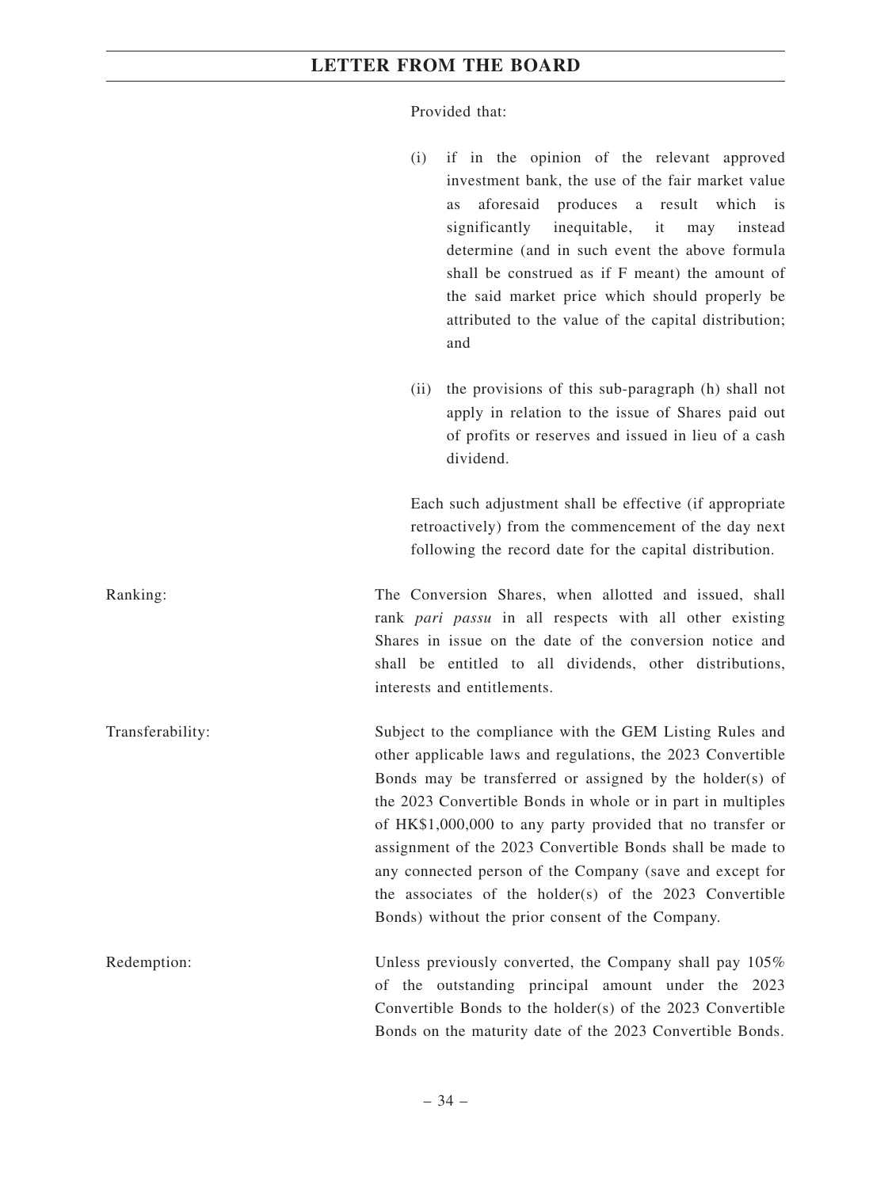Provided that:

- (i) if in the opinion of the relevant approved investment bank, the use of the fair market value as aforesaid produces a result which is significantly inequitable, it may instead determine (and in such event the above formula shall be construed as if F meant) the amount of the said market price which should properly be attributed to the value of the capital distribution; and
- (ii) the provisions of this sub-paragraph (h) shall not apply in relation to the issue of Shares paid out of profits or reserves and issued in lieu of a cash dividend.

Each such adjustment shall be effective (if appropriate retroactively) from the commencement of the day next following the record date for the capital distribution.

Ranking: The Conversion Shares, when allotted and issued, shall rank *pari passu* in all respects with all other existing Shares in issue on the date of the conversion notice and shall be entitled to all dividends, other distributions, interests and entitlements.

Transferability: Subject to the compliance with the GEM Listing Rules and other applicable laws and regulations, the 2023 Convertible Bonds may be transferred or assigned by the holder(s) of the 2023 Convertible Bonds in whole or in part in multiples of HK\$1,000,000 to any party provided that no transfer or assignment of the 2023 Convertible Bonds shall be made to any connected person of the Company (save and except for the associates of the holder(s) of the 2023 Convertible Bonds) without the prior consent of the Company.

Redemption: Unless previously converted, the Company shall pay 105% of the outstanding principal amount under the 2023 Convertible Bonds to the holder(s) of the 2023 Convertible Bonds on the maturity date of the 2023 Convertible Bonds.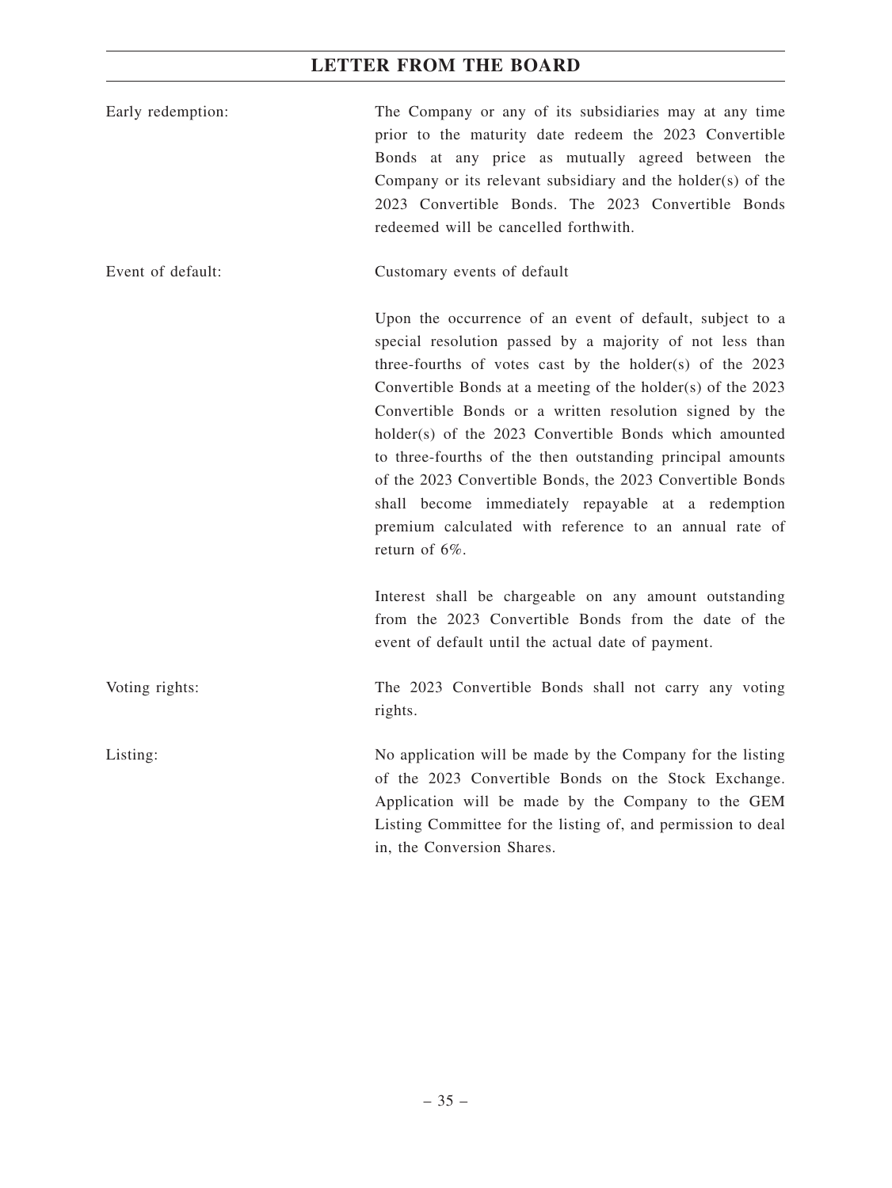| Early redemption: | The Company or any of its subsidiaries may at any time<br>prior to the maturity date redeem the 2023 Convertible<br>Bonds at any price as mutually agreed between the<br>Company or its relevant subsidiary and the holder(s) of the<br>2023 Convertible Bonds. The 2023 Convertible Bonds<br>redeemed will be cancelled forthwith.                                                                                                                                                                                                                                                                                                  |
|-------------------|--------------------------------------------------------------------------------------------------------------------------------------------------------------------------------------------------------------------------------------------------------------------------------------------------------------------------------------------------------------------------------------------------------------------------------------------------------------------------------------------------------------------------------------------------------------------------------------------------------------------------------------|
| Event of default: | Customary events of default                                                                                                                                                                                                                                                                                                                                                                                                                                                                                                                                                                                                          |
|                   | Upon the occurrence of an event of default, subject to a<br>special resolution passed by a majority of not less than<br>three-fourths of votes cast by the holder(s) of the 2023<br>Convertible Bonds at a meeting of the holder(s) of the 2023<br>Convertible Bonds or a written resolution signed by the<br>holder(s) of the 2023 Convertible Bonds which amounted<br>to three-fourths of the then outstanding principal amounts<br>of the 2023 Convertible Bonds, the 2023 Convertible Bonds<br>shall become immediately repayable at a redemption<br>premium calculated with reference to an annual rate of<br>return of $6\%$ . |
|                   | Interest shall be chargeable on any amount outstanding<br>from the 2023 Convertible Bonds from the date of the<br>event of default until the actual date of payment.                                                                                                                                                                                                                                                                                                                                                                                                                                                                 |
| Voting rights:    | The 2023 Convertible Bonds shall not carry any voting<br>rights.                                                                                                                                                                                                                                                                                                                                                                                                                                                                                                                                                                     |
| Listing:          | No application will be made by the Company for the listing<br>of the 2023 Convertible Bonds on the Stock Exchange.<br>Application will be made by the Company to the GEM<br>Listing Committee for the listing of, and permission to deal<br>in, the Conversion Shares.                                                                                                                                                                                                                                                                                                                                                               |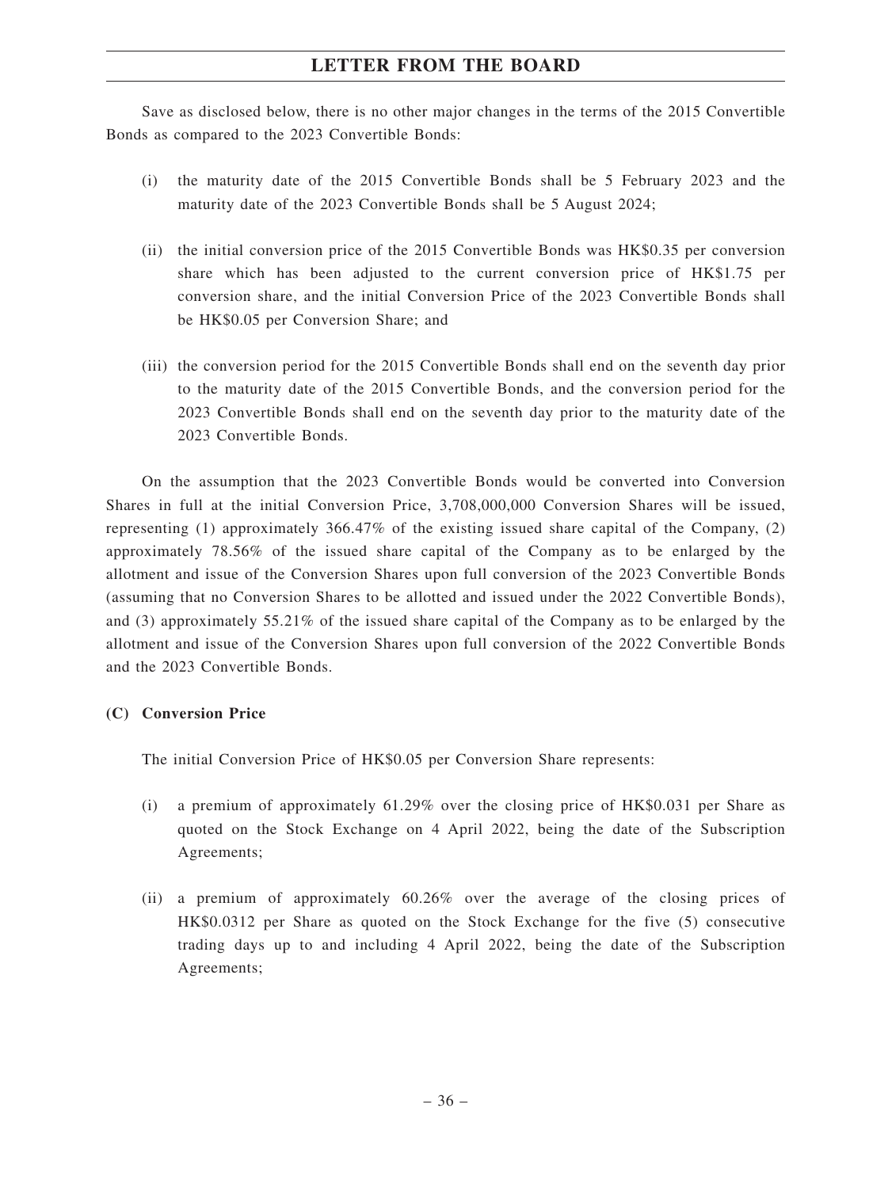Save as disclosed below, there is no other major changes in the terms of the 2015 Convertible Bonds as compared to the 2023 Convertible Bonds:

- (i) the maturity date of the 2015 Convertible Bonds shall be 5 February 2023 and the maturity date of the 2023 Convertible Bonds shall be 5 August 2024;
- (ii) the initial conversion price of the 2015 Convertible Bonds was HK\$0.35 per conversion share which has been adjusted to the current conversion price of HK\$1.75 per conversion share, and the initial Conversion Price of the 2023 Convertible Bonds shall be HK\$0.05 per Conversion Share; and
- (iii) the conversion period for the 2015 Convertible Bonds shall end on the seventh day prior to the maturity date of the 2015 Convertible Bonds, and the conversion period for the 2023 Convertible Bonds shall end on the seventh day prior to the maturity date of the 2023 Convertible Bonds.

On the assumption that the 2023 Convertible Bonds would be converted into Conversion Shares in full at the initial Conversion Price, 3,708,000,000 Conversion Shares will be issued, representing (1) approximately 366.47% of the existing issued share capital of the Company, (2) approximately 78.56% of the issued share capital of the Company as to be enlarged by the allotment and issue of the Conversion Shares upon full conversion of the 2023 Convertible Bonds (assuming that no Conversion Shares to be allotted and issued under the 2022 Convertible Bonds), and (3) approximately 55.21% of the issued share capital of the Company as to be enlarged by the allotment and issue of the Conversion Shares upon full conversion of the 2022 Convertible Bonds and the 2023 Convertible Bonds.

# **(C) Conversion Price**

The initial Conversion Price of HK\$0.05 per Conversion Share represents:

- (i) a premium of approximately 61.29% over the closing price of HK\$0.031 per Share as quoted on the Stock Exchange on 4 April 2022, being the date of the Subscription Agreements;
- (ii) a premium of approximately 60.26% over the average of the closing prices of HK\$0.0312 per Share as quoted on the Stock Exchange for the five (5) consecutive trading days up to and including 4 April 2022, being the date of the Subscription Agreements;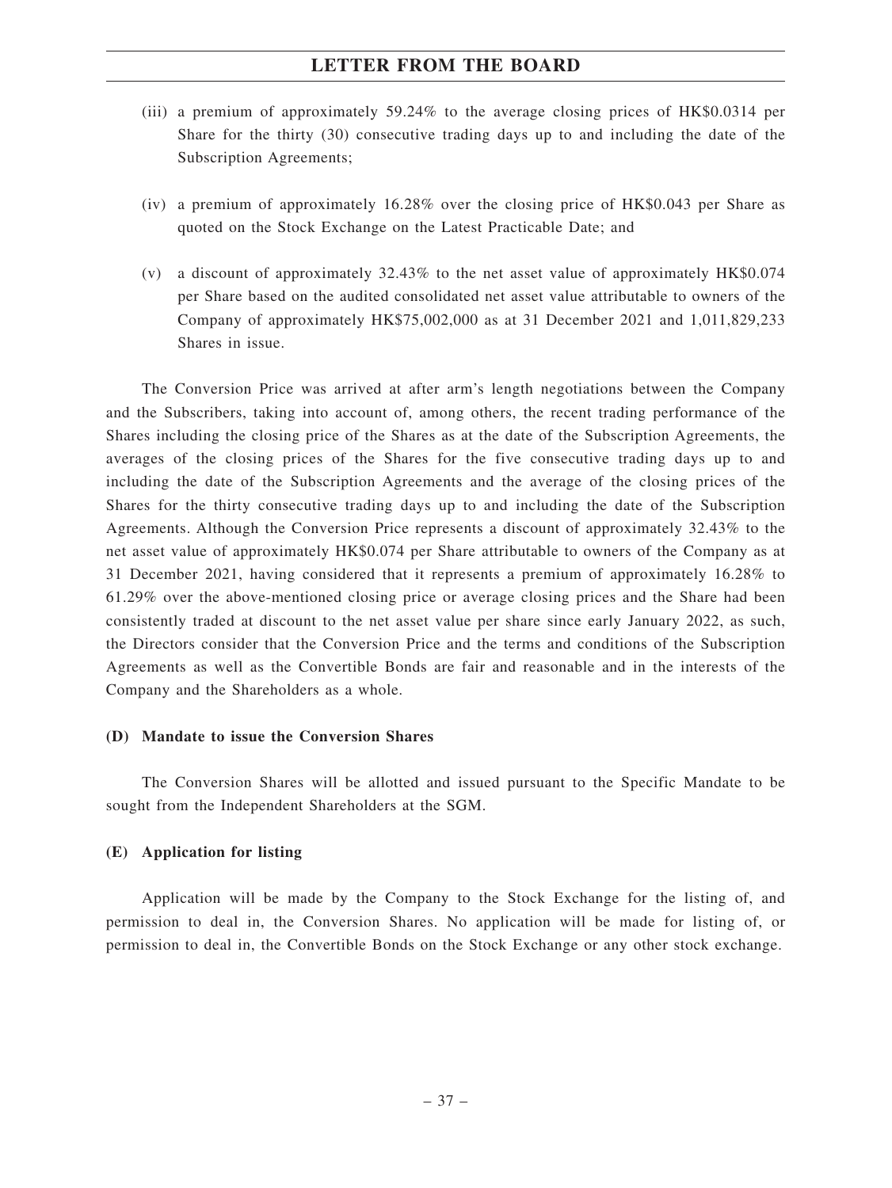- (iii) a premium of approximately 59.24% to the average closing prices of HK\$0.0314 per Share for the thirty (30) consecutive trading days up to and including the date of the Subscription Agreements;
- (iv) a premium of approximately 16.28% over the closing price of HK\$0.043 per Share as quoted on the Stock Exchange on the Latest Practicable Date; and
- (v) a discount of approximately 32.43% to the net asset value of approximately HK\$0.074 per Share based on the audited consolidated net asset value attributable to owners of the Company of approximately HK\$75,002,000 as at 31 December 2021 and 1,011,829,233 Shares in issue.

The Conversion Price was arrived at after arm's length negotiations between the Company and the Subscribers, taking into account of, among others, the recent trading performance of the Shares including the closing price of the Shares as at the date of the Subscription Agreements, the averages of the closing prices of the Shares for the five consecutive trading days up to and including the date of the Subscription Agreements and the average of the closing prices of the Shares for the thirty consecutive trading days up to and including the date of the Subscription Agreements. Although the Conversion Price represents a discount of approximately 32.43% to the net asset value of approximately HK\$0.074 per Share attributable to owners of the Company as at 31 December 2021, having considered that it represents a premium of approximately 16.28% to 61.29% over the above-mentioned closing price or average closing prices and the Share had been consistently traded at discount to the net asset value per share since early January 2022, as such, the Directors consider that the Conversion Price and the terms and conditions of the Subscription Agreements as well as the Convertible Bonds are fair and reasonable and in the interests of the Company and the Shareholders as a whole.

### **(D) Mandate to issue the Conversion Shares**

The Conversion Shares will be allotted and issued pursuant to the Specific Mandate to be sought from the Independent Shareholders at the SGM.

### **(E) Application for listing**

Application will be made by the Company to the Stock Exchange for the listing of, and permission to deal in, the Conversion Shares. No application will be made for listing of, or permission to deal in, the Convertible Bonds on the Stock Exchange or any other stock exchange.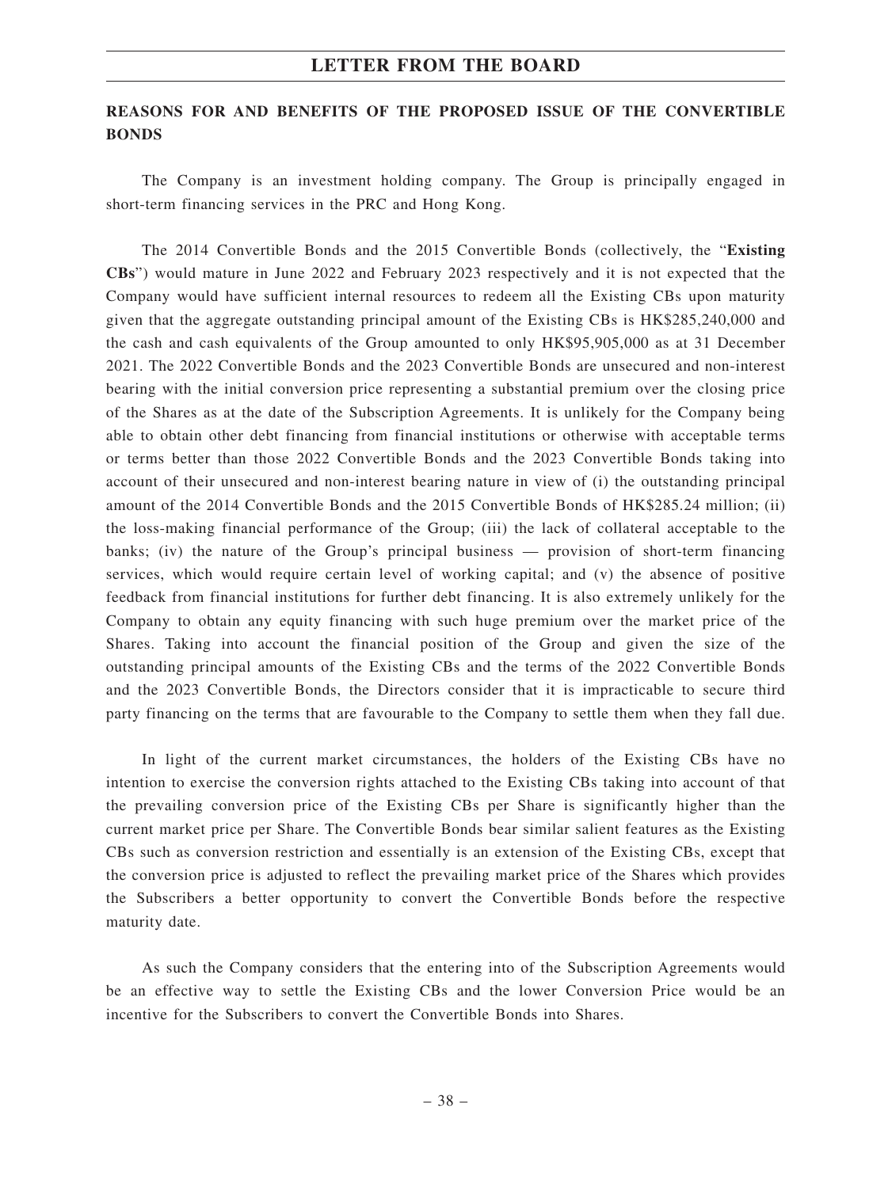# **REASONS FOR AND BENEFITS OF THE PROPOSED ISSUE OF THE CONVERTIBLE BONDS**

The Company is an investment holding company. The Group is principally engaged in short-term financing services in the PRC and Hong Kong.

The 2014 Convertible Bonds and the 2015 Convertible Bonds (collectively, the "**Existing CBs**") would mature in June 2022 and February 2023 respectively and it is not expected that the Company would have sufficient internal resources to redeem all the Existing CBs upon maturity given that the aggregate outstanding principal amount of the Existing CBs is HK\$285,240,000 and the cash and cash equivalents of the Group amounted to only HK\$95,905,000 as at 31 December 2021. The 2022 Convertible Bonds and the 2023 Convertible Bonds are unsecured and non-interest bearing with the initial conversion price representing a substantial premium over the closing price of the Shares as at the date of the Subscription Agreements. It is unlikely for the Company being able to obtain other debt financing from financial institutions or otherwise with acceptable terms or terms better than those 2022 Convertible Bonds and the 2023 Convertible Bonds taking into account of their unsecured and non-interest bearing nature in view of (i) the outstanding principal amount of the 2014 Convertible Bonds and the 2015 Convertible Bonds of HK\$285.24 million; (ii) the loss-making financial performance of the Group; (iii) the lack of collateral acceptable to the banks; (iv) the nature of the Group's principal business — provision of short-term financing services, which would require certain level of working capital; and (v) the absence of positive feedback from financial institutions for further debt financing. It is also extremely unlikely for the Company to obtain any equity financing with such huge premium over the market price of the Shares. Taking into account the financial position of the Group and given the size of the outstanding principal amounts of the Existing CBs and the terms of the 2022 Convertible Bonds and the 2023 Convertible Bonds, the Directors consider that it is impracticable to secure third party financing on the terms that are favourable to the Company to settle them when they fall due.

In light of the current market circumstances, the holders of the Existing CBs have no intention to exercise the conversion rights attached to the Existing CBs taking into account of that the prevailing conversion price of the Existing CBs per Share is significantly higher than the current market price per Share. The Convertible Bonds bear similar salient features as the Existing CBs such as conversion restriction and essentially is an extension of the Existing CBs, except that the conversion price is adjusted to reflect the prevailing market price of the Shares which provides the Subscribers a better opportunity to convert the Convertible Bonds before the respective maturity date.

As such the Company considers that the entering into of the Subscription Agreements would be an effective way to settle the Existing CBs and the lower Conversion Price would be an incentive for the Subscribers to convert the Convertible Bonds into Shares.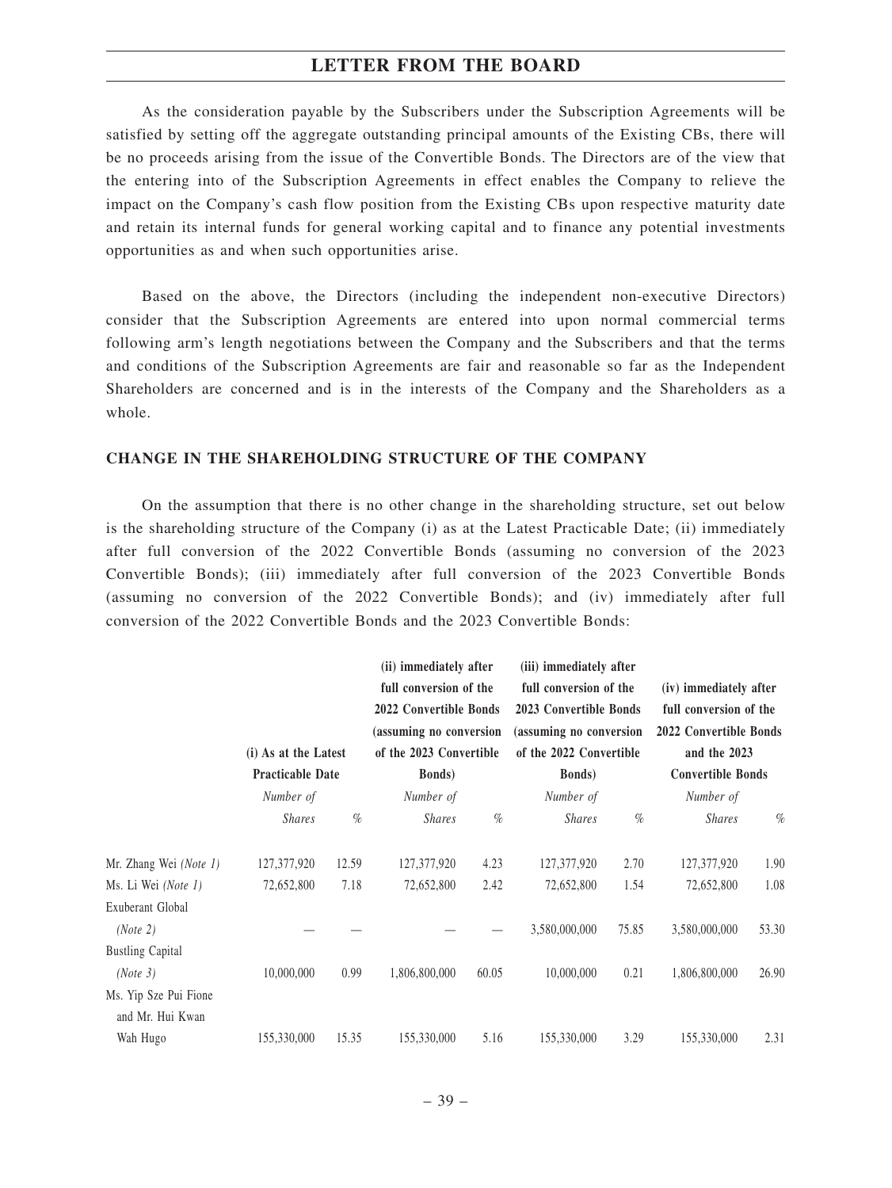As the consideration payable by the Subscribers under the Subscription Agreements will be satisfied by setting off the aggregate outstanding principal amounts of the Existing CBs, there will be no proceeds arising from the issue of the Convertible Bonds. The Directors are of the view that the entering into of the Subscription Agreements in effect enables the Company to relieve the impact on the Company's cash flow position from the Existing CBs upon respective maturity date and retain its internal funds for general working capital and to finance any potential investments opportunities as and when such opportunities arise.

Based on the above, the Directors (including the independent non-executive Directors) consider that the Subscription Agreements are entered into upon normal commercial terms following arm's length negotiations between the Company and the Subscribers and that the terms and conditions of the Subscription Agreements are fair and reasonable so far as the Independent Shareholders are concerned and is in the interests of the Company and the Shareholders as a whole.

### **CHANGE IN THE SHAREHOLDING STRUCTURE OF THE COMPANY**

On the assumption that there is no other change in the shareholding structure, set out below is the shareholding structure of the Company (i) as at the Latest Practicable Date; (ii) immediately after full conversion of the 2022 Convertible Bonds (assuming no conversion of the 2023 Convertible Bonds); (iii) immediately after full conversion of the 2023 Convertible Bonds (assuming no conversion of the 2022 Convertible Bonds); and (iv) immediately after full conversion of the 2022 Convertible Bonds and the 2023 Convertible Bonds:

|                                           | (i) As at the Latest<br><b>Practicable Date</b> |       | (ii) immediately after<br>full conversion of the<br>2022 Convertible Bonds<br>(assuming no conversion<br>of the 2023 Convertible<br><b>Bonds</b> ) |       | (iii) immediately after<br>full conversion of the<br>2023 Convertible Bonds<br>(assuming no conversion<br>of the 2022 Convertible<br><b>Bonds</b> ) |       | (iv) immediately after<br>full conversion of the<br>2022 Convertible Bonds<br>and the 2023<br><b>Convertible Bonds</b> |       |
|-------------------------------------------|-------------------------------------------------|-------|----------------------------------------------------------------------------------------------------------------------------------------------------|-------|-----------------------------------------------------------------------------------------------------------------------------------------------------|-------|------------------------------------------------------------------------------------------------------------------------|-------|
|                                           |                                                 |       |                                                                                                                                                    |       |                                                                                                                                                     |       |                                                                                                                        |       |
|                                           | Number of                                       |       | Number of                                                                                                                                          |       | Number of                                                                                                                                           |       | Number of                                                                                                              |       |
|                                           | <i>Shares</i>                                   | $\%$  | <b>Shares</b>                                                                                                                                      | $\%$  | <b>Shares</b>                                                                                                                                       | $\%$  | <b>Shares</b>                                                                                                          | $\%$  |
| Mr. Zhang Wei (Note 1)                    | 127,377,920                                     | 12.59 | 127,377,920                                                                                                                                        | 4.23  | 127,377,920                                                                                                                                         | 2.70  | 127,377,920                                                                                                            | 1.90  |
| Ms. Li Wei (Note 1)                       | 72,652,800                                      | 7.18  | 72,652,800                                                                                                                                         | 2.42  | 72,652,800                                                                                                                                          | 1.54  | 72,652,800                                                                                                             | 1.08  |
| Exuberant Global<br>(Note 2)              |                                                 |       |                                                                                                                                                    |       | 3,580,000,000                                                                                                                                       | 75.85 | 3,580,000,000                                                                                                          | 53.30 |
| <b>Bustling Capital</b>                   |                                                 |       |                                                                                                                                                    |       |                                                                                                                                                     |       |                                                                                                                        |       |
| (Note 3)                                  | 10,000,000                                      | 0.99  | 1,806,800,000                                                                                                                                      | 60.05 | 10,000,000                                                                                                                                          | 0.21  | 1,806,800,000                                                                                                          | 26.90 |
| Ms. Yip Sze Pui Fione<br>and Mr. Hui Kwan |                                                 |       |                                                                                                                                                    |       |                                                                                                                                                     |       |                                                                                                                        |       |
| Wah Hugo                                  | 155,330,000                                     | 15.35 | 155,330,000                                                                                                                                        | 5.16  | 155,330,000                                                                                                                                         | 3.29  | 155,330,000                                                                                                            | 2.31  |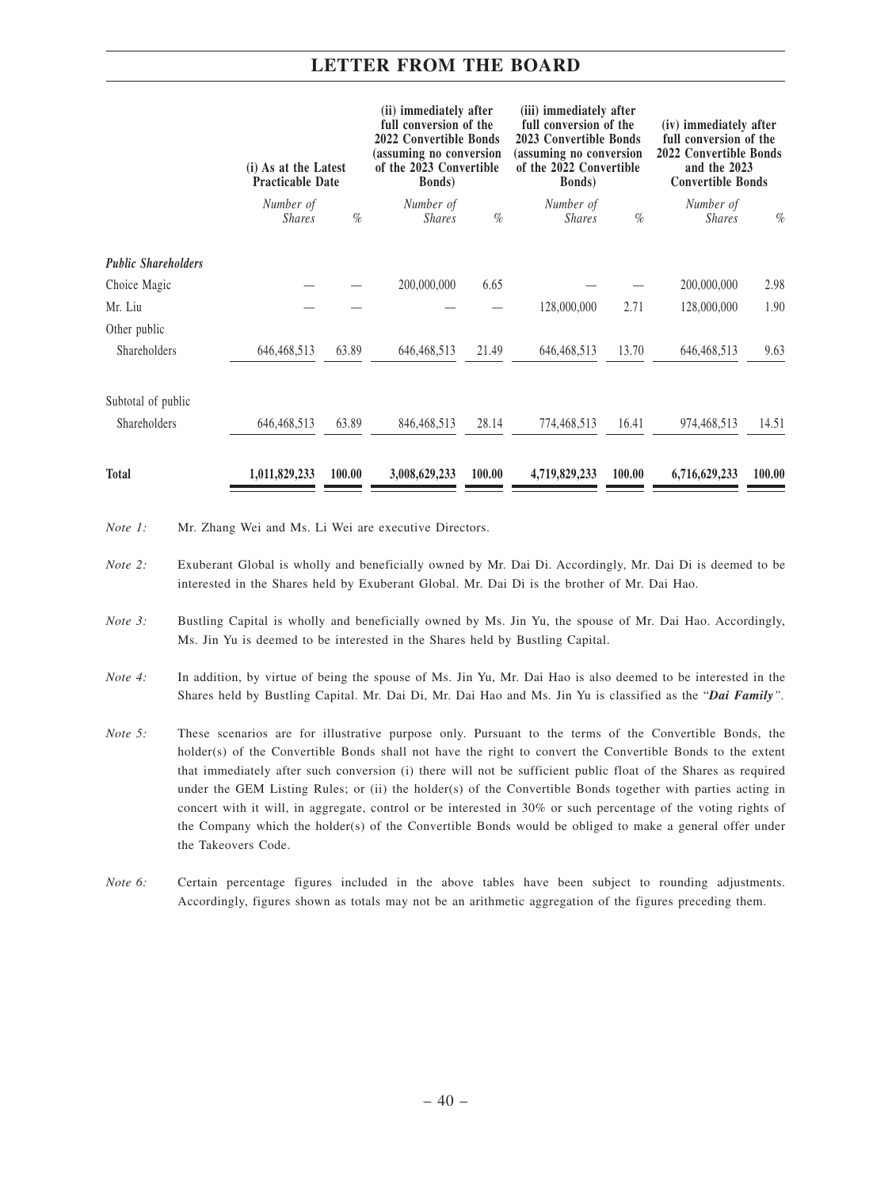|                            | (i) As at the Latest<br><b>Practicable Date</b> |        | (ii) immediately after<br>full conversion of the<br>2022 Convertible Bonds<br>(assuming no conversion<br>of the 2023 Convertible<br><b>Bonds</b> ) |        | (iii) immediately after<br>full conversion of the<br>2023 Convertible Bonds<br>(assuming no conversion<br>of the 2022 Convertible<br><b>Bonds</b> ) |        | (iv) immediately after<br>full conversion of the<br>2022 Convertible Bonds<br>and the 2023<br><b>Convertible Bonds</b> |        |
|----------------------------|-------------------------------------------------|--------|----------------------------------------------------------------------------------------------------------------------------------------------------|--------|-----------------------------------------------------------------------------------------------------------------------------------------------------|--------|------------------------------------------------------------------------------------------------------------------------|--------|
|                            | Number of<br><i>Shares</i>                      | $\%$   | Number of<br><b>Shares</b>                                                                                                                         | $\%$   | Number of<br><b>Shares</b>                                                                                                                          | $\%$   | Number of<br><b>Shares</b>                                                                                             | $\%$   |
| <b>Public Shareholders</b> |                                                 |        |                                                                                                                                                    |        |                                                                                                                                                     |        |                                                                                                                        |        |
| Choice Magic               |                                                 |        | 200,000,000                                                                                                                                        | 6.65   |                                                                                                                                                     |        | 200,000,000                                                                                                            | 2.98   |
| Mr. Liu                    |                                                 |        |                                                                                                                                                    |        | 128,000,000                                                                                                                                         | 2.71   | 128,000,000                                                                                                            | 1.90   |
| Other public               |                                                 |        |                                                                                                                                                    |        |                                                                                                                                                     |        |                                                                                                                        |        |
| Shareholders               | 646, 468, 513                                   | 63.89  | 646, 468, 513                                                                                                                                      | 21.49  | 646, 468, 513                                                                                                                                       | 13.70  | 646, 468, 513                                                                                                          | 9.63   |
| Subtotal of public         |                                                 |        |                                                                                                                                                    |        |                                                                                                                                                     |        |                                                                                                                        |        |
| Shareholders               | 646, 468, 513                                   | 63.89  | 846, 468, 513                                                                                                                                      | 28.14  | 774,468,513                                                                                                                                         | 16.41  | 974,468,513                                                                                                            | 14.51  |
| <b>Total</b>               | 1,011,829,233                                   | 100.00 | 3,008,629,233                                                                                                                                      | 100.00 | 4,719,829,233                                                                                                                                       | 100.00 | 6,716,629,233                                                                                                          | 100.00 |

*Note 1:* Mr. Zhang Wei and Ms. Li Wei are executive Directors.

- *Note 2:* Exuberant Global is wholly and beneficially owned by Mr. Dai Di. Accordingly, Mr. Dai Di is deemed to be interested in the Shares held by Exuberant Global. Mr. Dai Di is the brother of Mr. Dai Hao.
- *Note 3:* Bustling Capital is wholly and beneficially owned by Ms. Jin Yu, the spouse of Mr. Dai Hao. Accordingly, Ms. Jin Yu is deemed to be interested in the Shares held by Bustling Capital.
- *Note 4:* In addition, by virtue of being the spouse of Ms. Jin Yu, Mr. Dai Hao is also deemed to be interested in the Shares held by Bustling Capital. Mr. Dai Di, Mr. Dai Hao and Ms. Jin Yu is classified as the "*Dai Family".*
- *Note 5:* These scenarios are for illustrative purpose only. Pursuant to the terms of the Convertible Bonds, the holder(s) of the Convertible Bonds shall not have the right to convert the Convertible Bonds to the extent that immediately after such conversion (i) there will not be sufficient public float of the Shares as required under the GEM Listing Rules; or (ii) the holder(s) of the Convertible Bonds together with parties acting in concert with it will, in aggregate, control or be interested in 30% or such percentage of the voting rights of the Company which the holder(s) of the Convertible Bonds would be obliged to make a general offer under the Takeovers Code.
- *Note 6:* Certain percentage figures included in the above tables have been subject to rounding adjustments. Accordingly, figures shown as totals may not be an arithmetic aggregation of the figures preceding them.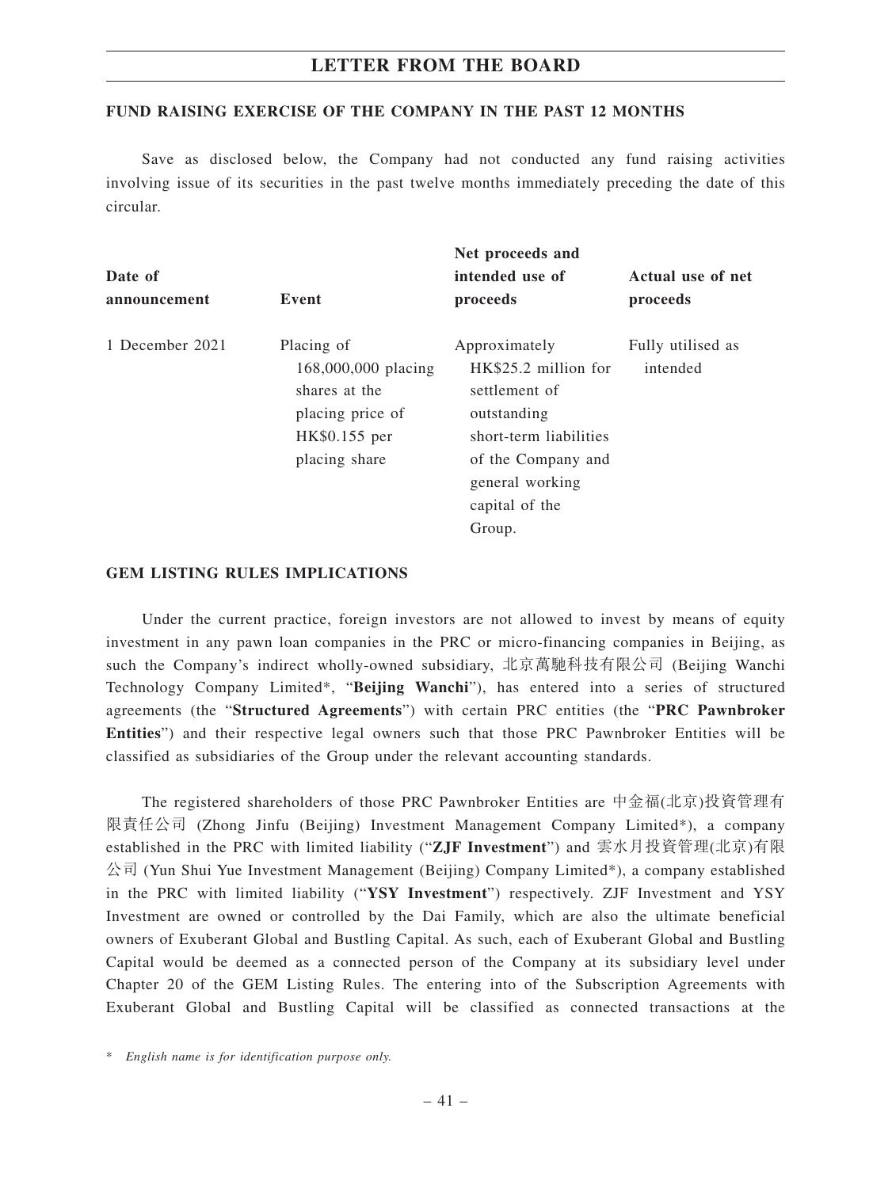### **FUND RAISING EXERCISE OF THE COMPANY IN THE PAST 12 MONTHS**

Save as disclosed below, the Company had not conducted any fund raising activities involving issue of its securities in the past twelve months immediately preceding the date of this circular.

| Date of         |                                                                                                          | Net proceeds and<br>intended use of                                                                                                                                  | Actual use of net             |
|-----------------|----------------------------------------------------------------------------------------------------------|----------------------------------------------------------------------------------------------------------------------------------------------------------------------|-------------------------------|
| announcement    | Event                                                                                                    | proceeds                                                                                                                                                             | proceeds                      |
| 1 December 2021 | Placing of<br>168,000,000 placing<br>shares at the<br>placing price of<br>HK\$0.155 per<br>placing share | Approximately<br>HK\$25.2 million for<br>settlement of<br>outstanding<br>short-term liabilities<br>of the Company and<br>general working<br>capital of the<br>Group. | Fully utilised as<br>intended |

### **GEM LISTING RULES IMPLICATIONS**

Under the current practice, foreign investors are not allowed to invest by means of equity investment in any pawn loan companies in the PRC or micro-financing companies in Beijing, as such the Company's indirect wholly-owned subsidiary, 北京萬馳科技有限公司 (Beijing Wanchi Technology Company Limited\*, "**Beijing Wanchi**"), has entered into a series of structured agreements (the "**Structured Agreements**") with certain PRC entities (the "**PRC Pawnbroker Entities**") and their respective legal owners such that those PRC Pawnbroker Entities will be classified as subsidiaries of the Group under the relevant accounting standards.

The registered shareholders of those PRC Pawnbroker Entities are 中金福(北京)投資管理有 限責任公司 (Zhong Jinfu (Beijing) Investment Management Company Limited\*), a company established in the PRC with limited liability ("**ZJF Investment**") and 雲水月投資管理(北京)有限  $\triangle$ 司 (Yun Shui Yue Investment Management (Beijing) Company Limited\*), a company established in the PRC with limited liability ("**YSY Investment**") respectively. ZJF Investment and YSY Investment are owned or controlled by the Dai Family, which are also the ultimate beneficial owners of Exuberant Global and Bustling Capital. As such, each of Exuberant Global and Bustling Capital would be deemed as a connected person of the Company at its subsidiary level under Chapter 20 of the GEM Listing Rules. The entering into of the Subscription Agreements with Exuberant Global and Bustling Capital will be classified as connected transactions at the

<sup>\*</sup> *English name is for identification purpose only.*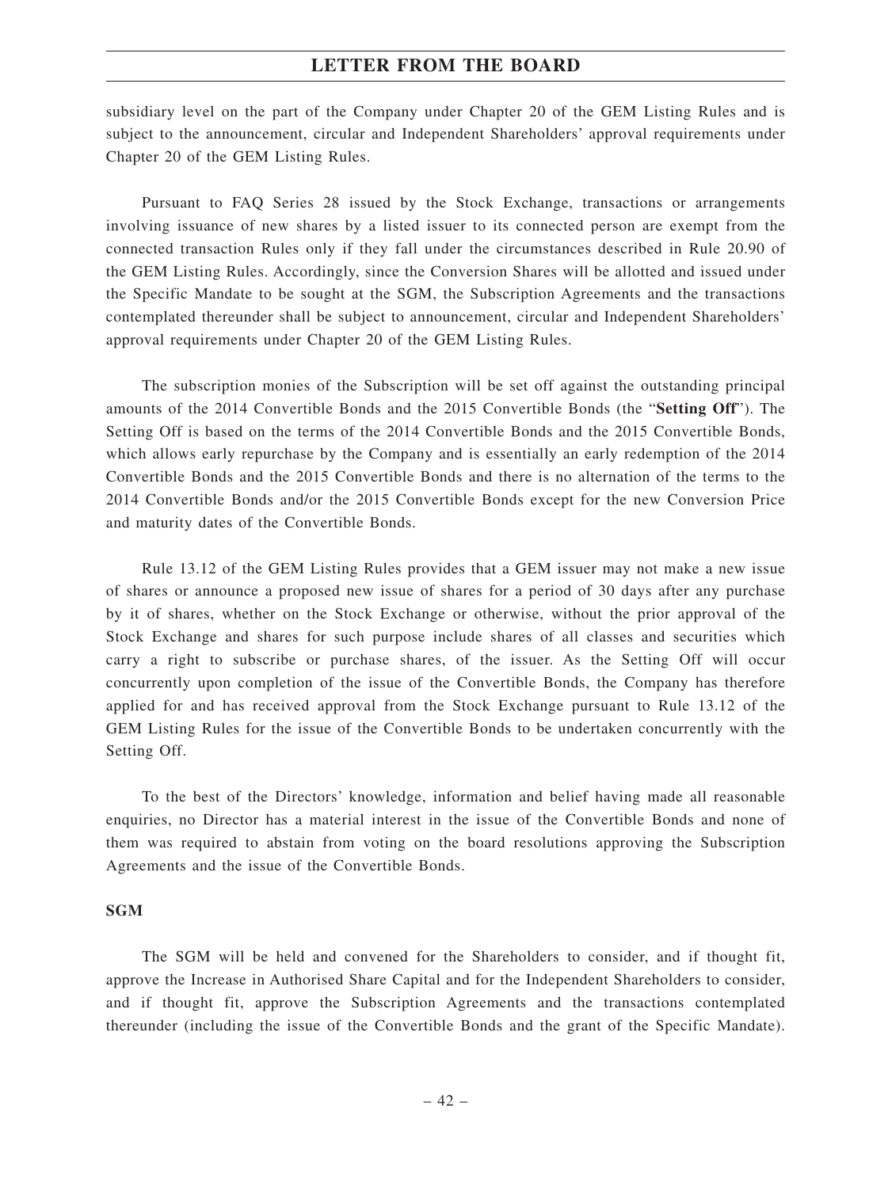subsidiary level on the part of the Company under Chapter 20 of the GEM Listing Rules and is subject to the announcement, circular and Independent Shareholders' approval requirements under Chapter 20 of the GEM Listing Rules.

Pursuant to FAQ Series 28 issued by the Stock Exchange, transactions or arrangements involving issuance of new shares by a listed issuer to its connected person are exempt from the connected transaction Rules only if they fall under the circumstances described in Rule 20.90 of the GEM Listing Rules. Accordingly, since the Conversion Shares will be allotted and issued under the Specific Mandate to be sought at the SGM, the Subscription Agreements and the transactions contemplated thereunder shall be subject to announcement, circular and Independent Shareholders' approval requirements under Chapter 20 of the GEM Listing Rules.

The subscription monies of the Subscription will be set off against the outstanding principal amounts of the 2014 Convertible Bonds and the 2015 Convertible Bonds (the "**Setting Off**"). The Setting Off is based on the terms of the 2014 Convertible Bonds and the 2015 Convertible Bonds, which allows early repurchase by the Company and is essentially an early redemption of the 2014 Convertible Bonds and the 2015 Convertible Bonds and there is no alternation of the terms to the 2014 Convertible Bonds and/or the 2015 Convertible Bonds except for the new Conversion Price and maturity dates of the Convertible Bonds.

Rule 13.12 of the GEM Listing Rules provides that a GEM issuer may not make a new issue of shares or announce a proposed new issue of shares for a period of 30 days after any purchase by it of shares, whether on the Stock Exchange or otherwise, without the prior approval of the Stock Exchange and shares for such purpose include shares of all classes and securities which carry a right to subscribe or purchase shares, of the issuer. As the Setting Off will occur concurrently upon completion of the issue of the Convertible Bonds, the Company has therefore applied for and has received approval from the Stock Exchange pursuant to Rule 13.12 of the GEM Listing Rules for the issue of the Convertible Bonds to be undertaken concurrently with the Setting Off.

To the best of the Directors' knowledge, information and belief having made all reasonable enquiries, no Director has a material interest in the issue of the Convertible Bonds and none of them was required to abstain from voting on the board resolutions approving the Subscription Agreements and the issue of the Convertible Bonds.

### **SGM**

The SGM will be held and convened for the Shareholders to consider, and if thought fit, approve the Increase in Authorised Share Capital and for the Independent Shareholders to consider, and if thought fit, approve the Subscription Agreements and the transactions contemplated thereunder (including the issue of the Convertible Bonds and the grant of the Specific Mandate).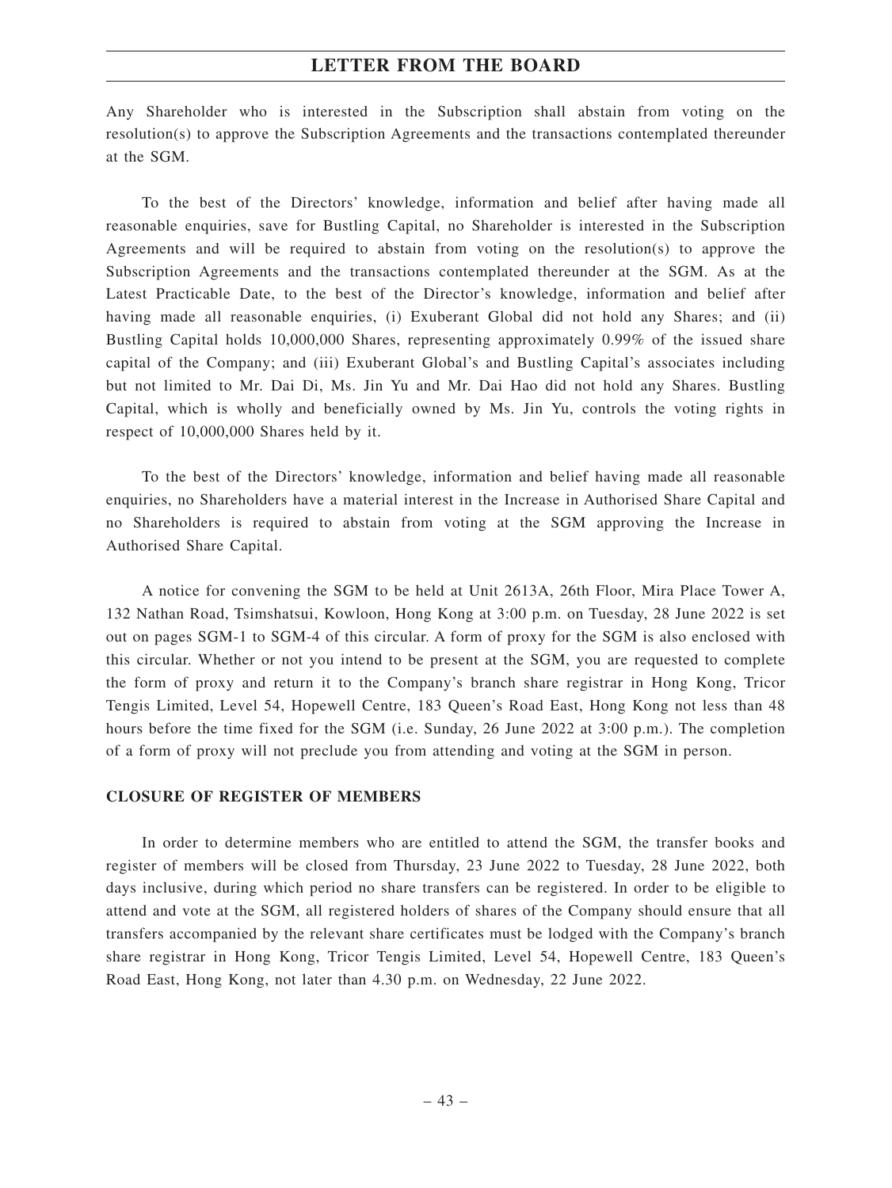Any Shareholder who is interested in the Subscription shall abstain from voting on the resolution(s) to approve the Subscription Agreements and the transactions contemplated thereunder at the SGM.

To the best of the Directors' knowledge, information and belief after having made all reasonable enquiries, save for Bustling Capital, no Shareholder is interested in the Subscription Agreements and will be required to abstain from voting on the resolution(s) to approve the Subscription Agreements and the transactions contemplated thereunder at the SGM. As at the Latest Practicable Date, to the best of the Director's knowledge, information and belief after having made all reasonable enquiries, (i) Exuberant Global did not hold any Shares; and (ii) Bustling Capital holds 10,000,000 Shares, representing approximately 0.99% of the issued share capital of the Company; and (iii) Exuberant Global's and Bustling Capital's associates including but not limited to Mr. Dai Di, Ms. Jin Yu and Mr. Dai Hao did not hold any Shares. Bustling Capital, which is wholly and beneficially owned by Ms. Jin Yu, controls the voting rights in respect of 10,000,000 Shares held by it.

To the best of the Directors' knowledge, information and belief having made all reasonable enquiries, no Shareholders have a material interest in the Increase in Authorised Share Capital and no Shareholders is required to abstain from voting at the SGM approving the Increase in Authorised Share Capital.

A notice for convening the SGM to be held at Unit 2613A, 26th Floor, Mira Place Tower A, 132 Nathan Road, Tsimshatsui, Kowloon, Hong Kong at 3:00 p.m. on Tuesday, 28 June 2022 is set out on pages SGM-1 to SGM-4 of this circular. A form of proxy for the SGM is also enclosed with this circular. Whether or not you intend to be present at the SGM, you are requested to complete the form of proxy and return it to the Company's branch share registrar in Hong Kong, Tricor Tengis Limited, Level 54, Hopewell Centre, 183 Queen's Road East, Hong Kong not less than 48 hours before the time fixed for the SGM (i.e. Sunday, 26 June 2022 at 3:00 p.m.). The completion of a form of proxy will not preclude you from attending and voting at the SGM in person.

### **CLOSURE OF REGISTER OF MEMBERS**

In order to determine members who are entitled to attend the SGM, the transfer books and register of members will be closed from Thursday, 23 June 2022 to Tuesday, 28 June 2022, both days inclusive, during which period no share transfers can be registered. In order to be eligible to attend and vote at the SGM, all registered holders of shares of the Company should ensure that all transfers accompanied by the relevant share certificates must be lodged with the Company's branch share registrar in Hong Kong, Tricor Tengis Limited, Level 54, Hopewell Centre, 183 Queen's Road East, Hong Kong, not later than 4.30 p.m. on Wednesday, 22 June 2022.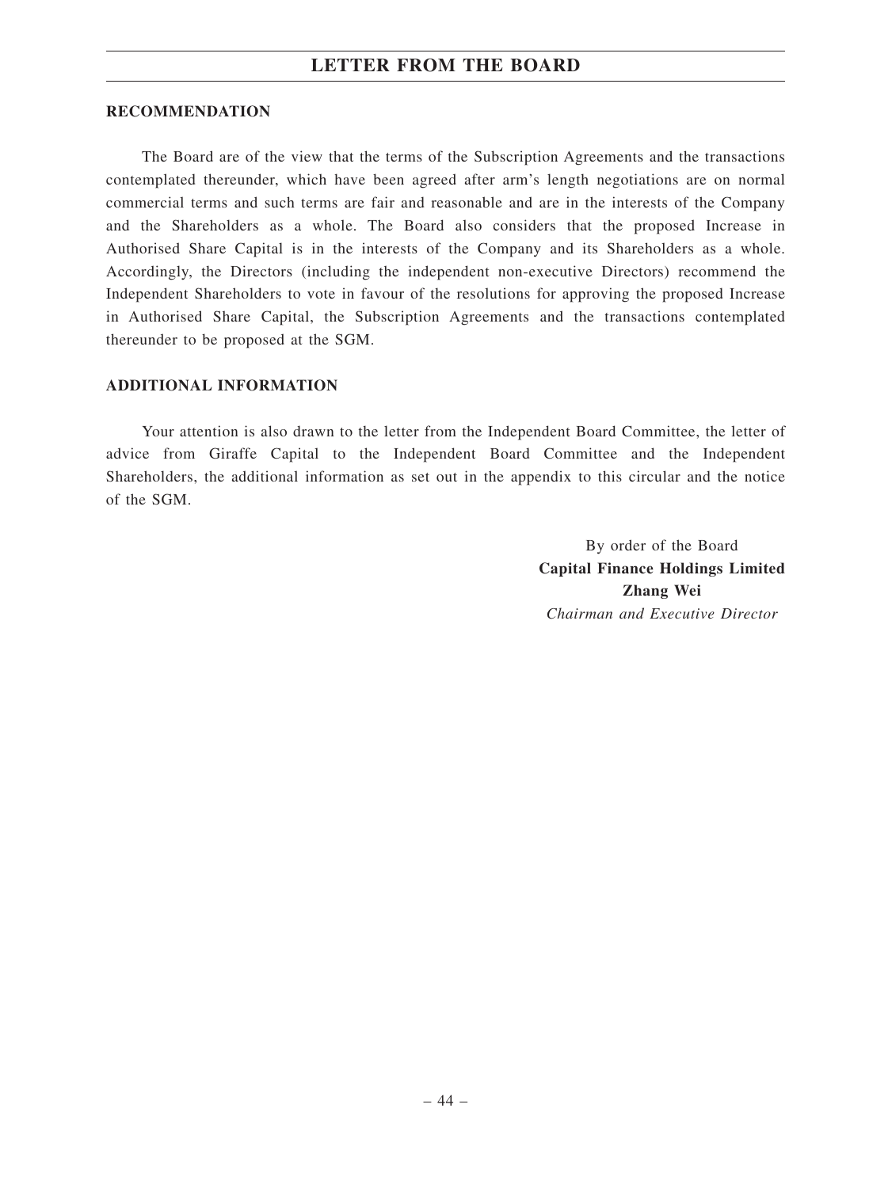### **RECOMMENDATION**

The Board are of the view that the terms of the Subscription Agreements and the transactions contemplated thereunder, which have been agreed after arm's length negotiations are on normal commercial terms and such terms are fair and reasonable and are in the interests of the Company and the Shareholders as a whole. The Board also considers that the proposed Increase in Authorised Share Capital is in the interests of the Company and its Shareholders as a whole. Accordingly, the Directors (including the independent non-executive Directors) recommend the Independent Shareholders to vote in favour of the resolutions for approving the proposed Increase in Authorised Share Capital, the Subscription Agreements and the transactions contemplated thereunder to be proposed at the SGM.

### **ADDITIONAL INFORMATION**

Your attention is also drawn to the letter from the Independent Board Committee, the letter of advice from Giraffe Capital to the Independent Board Committee and the Independent Shareholders, the additional information as set out in the appendix to this circular and the notice of the SGM.

> By order of the Board **Capital Finance Holdings Limited Zhang Wei** *Chairman and Executive Director*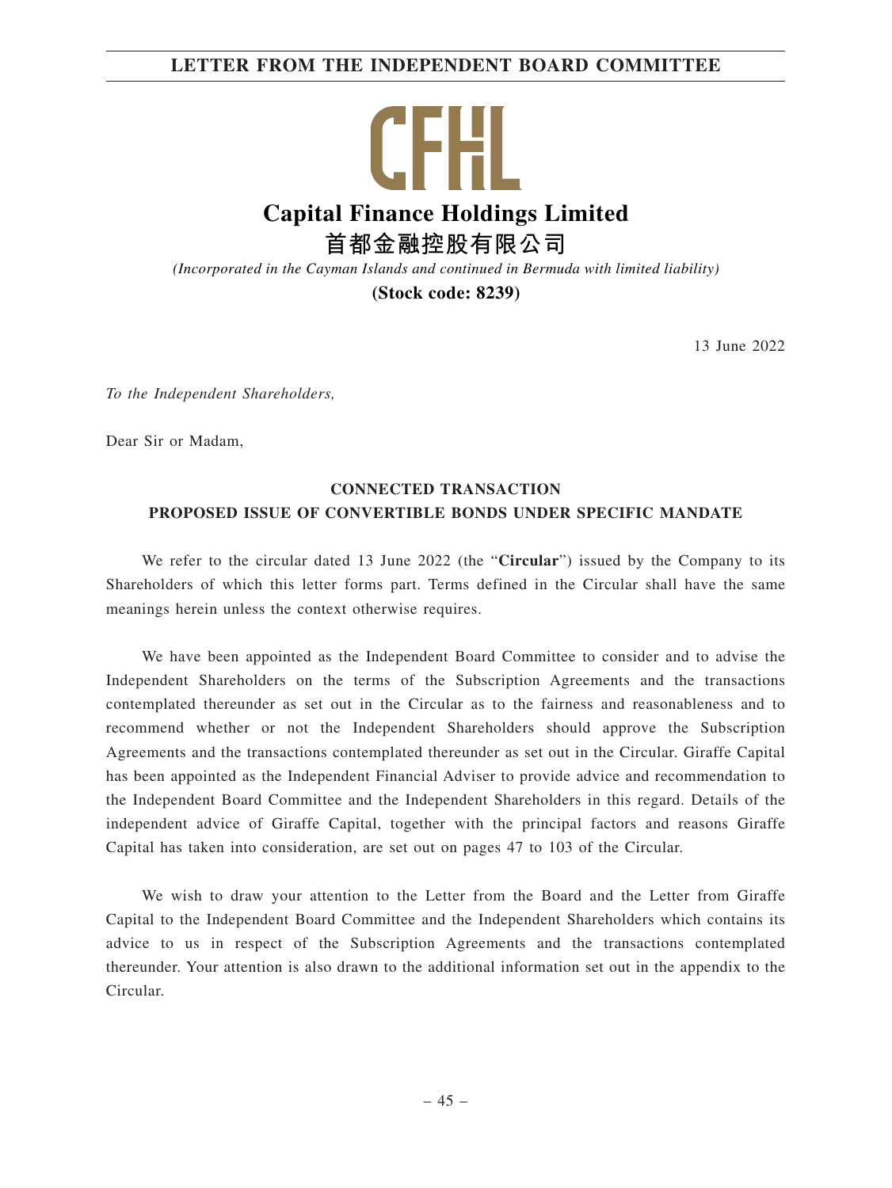# **LETTER FROM THE INDEPENDENT BOARD COMMITTEE**

CFH. **Capital Finance Holdings Limited 首都金融控股有限公司**

*(Incorporated in the Cayman Islands and continued in Bermuda with limited liability)*

**(Stock code: 8239)**

13 June 2022

*To the Independent Shareholders,*

Dear Sir or Madam,

# **CONNECTED TRANSACTION PROPOSED ISSUE OF CONVERTIBLE BONDS UNDER SPECIFIC MANDATE**

We refer to the circular dated 13 June 2022 (the "**Circular**") issued by the Company to its Shareholders of which this letter forms part. Terms defined in the Circular shall have the same meanings herein unless the context otherwise requires.

We have been appointed as the Independent Board Committee to consider and to advise the Independent Shareholders on the terms of the Subscription Agreements and the transactions contemplated thereunder as set out in the Circular as to the fairness and reasonableness and to recommend whether or not the Independent Shareholders should approve the Subscription Agreements and the transactions contemplated thereunder as set out in the Circular. Giraffe Capital has been appointed as the Independent Financial Adviser to provide advice and recommendation to the Independent Board Committee and the Independent Shareholders in this regard. Details of the independent advice of Giraffe Capital, together with the principal factors and reasons Giraffe Capital has taken into consideration, are set out on pages 47 to 103 of the Circular.

We wish to draw your attention to the Letter from the Board and the Letter from Giraffe Capital to the Independent Board Committee and the Independent Shareholders which contains its advice to us in respect of the Subscription Agreements and the transactions contemplated thereunder. Your attention is also drawn to the additional information set out in the appendix to the Circular.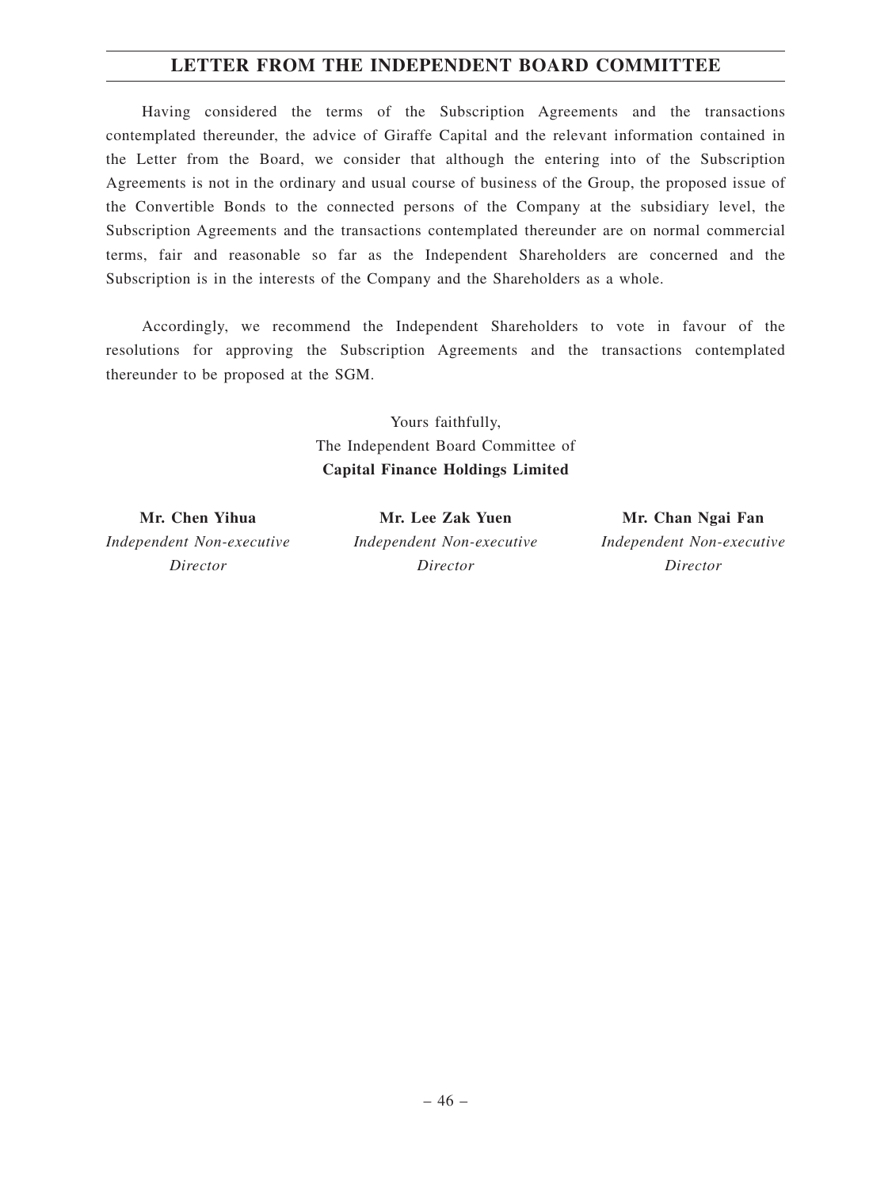# **LETTER FROM THE INDEPENDENT BOARD COMMITTEE**

Having considered the terms of the Subscription Agreements and the transactions contemplated thereunder, the advice of Giraffe Capital and the relevant information contained in the Letter from the Board, we consider that although the entering into of the Subscription Agreements is not in the ordinary and usual course of business of the Group, the proposed issue of the Convertible Bonds to the connected persons of the Company at the subsidiary level, the Subscription Agreements and the transactions contemplated thereunder are on normal commercial terms, fair and reasonable so far as the Independent Shareholders are concerned and the Subscription is in the interests of the Company and the Shareholders as a whole.

Accordingly, we recommend the Independent Shareholders to vote in favour of the resolutions for approving the Subscription Agreements and the transactions contemplated thereunder to be proposed at the SGM.

> Yours faithfully, The Independent Board Committee of **Capital Finance Holdings Limited**

**Mr. Chen Yihua** *Independent Non-executive Director*

**Mr. Lee Zak Yuen** *Independent Non-executive Director*

**Mr. Chan Ngai Fan** *Independent Non-executive Director*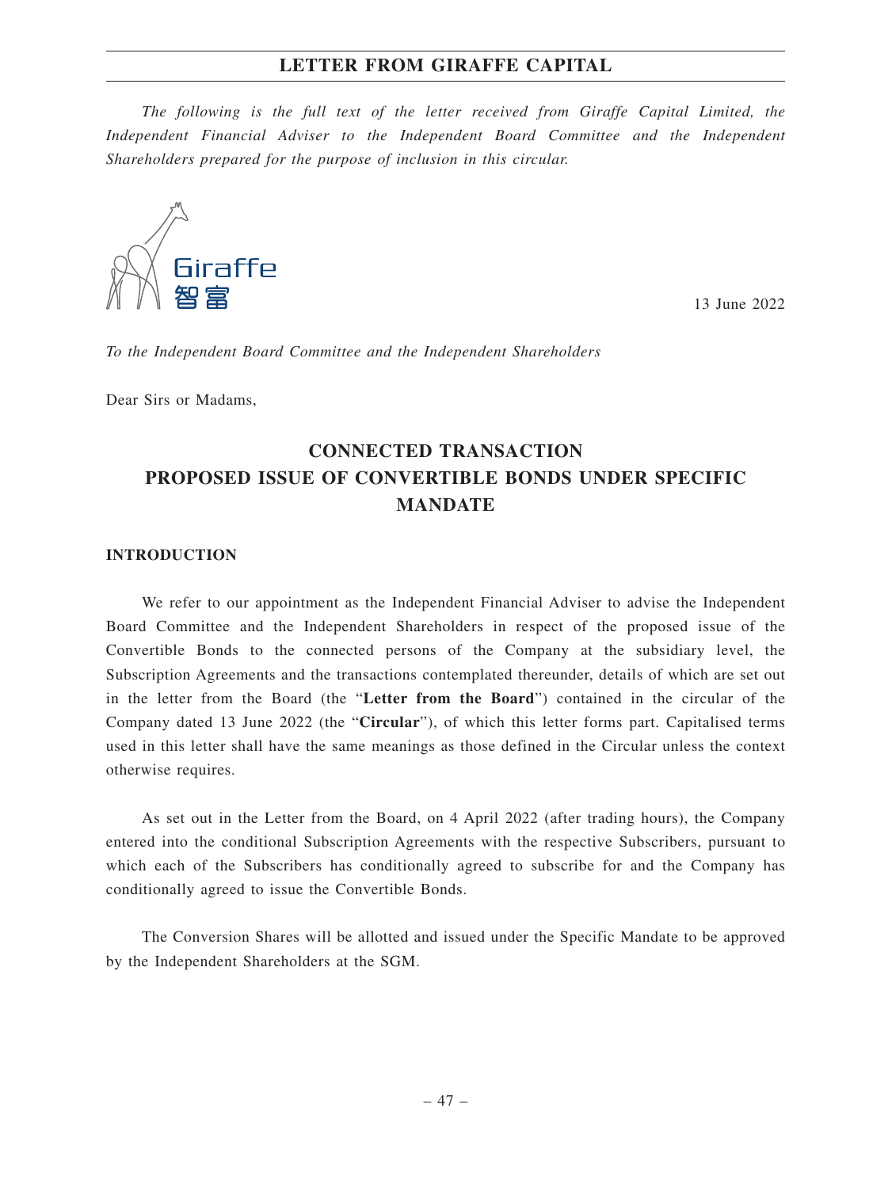*The following is the full text of the letter received from Giraffe Capital Limited, the Independent Financial Adviser to the Independent Board Committee and the Independent Shareholders prepared for the purpose of inclusion in this circular.*



13 June 2022

*To the Independent Board Committee and the Independent Shareholders*

Dear Sirs or Madams,

# **CONNECTED TRANSACTION PROPOSED ISSUE OF CONVERTIBLE BONDS UNDER SPECIFIC MANDATE**

### **INTRODUCTION**

We refer to our appointment as the Independent Financial Adviser to advise the Independent Board Committee and the Independent Shareholders in respect of the proposed issue of the Convertible Bonds to the connected persons of the Company at the subsidiary level, the Subscription Agreements and the transactions contemplated thereunder, details of which are set out in the letter from the Board (the "**Letter from the Board**") contained in the circular of the Company dated 13 June 2022 (the "**Circular**"), of which this letter forms part. Capitalised terms used in this letter shall have the same meanings as those defined in the Circular unless the context otherwise requires.

As set out in the Letter from the Board, on 4 April 2022 (after trading hours), the Company entered into the conditional Subscription Agreements with the respective Subscribers, pursuant to which each of the Subscribers has conditionally agreed to subscribe for and the Company has conditionally agreed to issue the Convertible Bonds.

The Conversion Shares will be allotted and issued under the Specific Mandate to be approved by the Independent Shareholders at the SGM.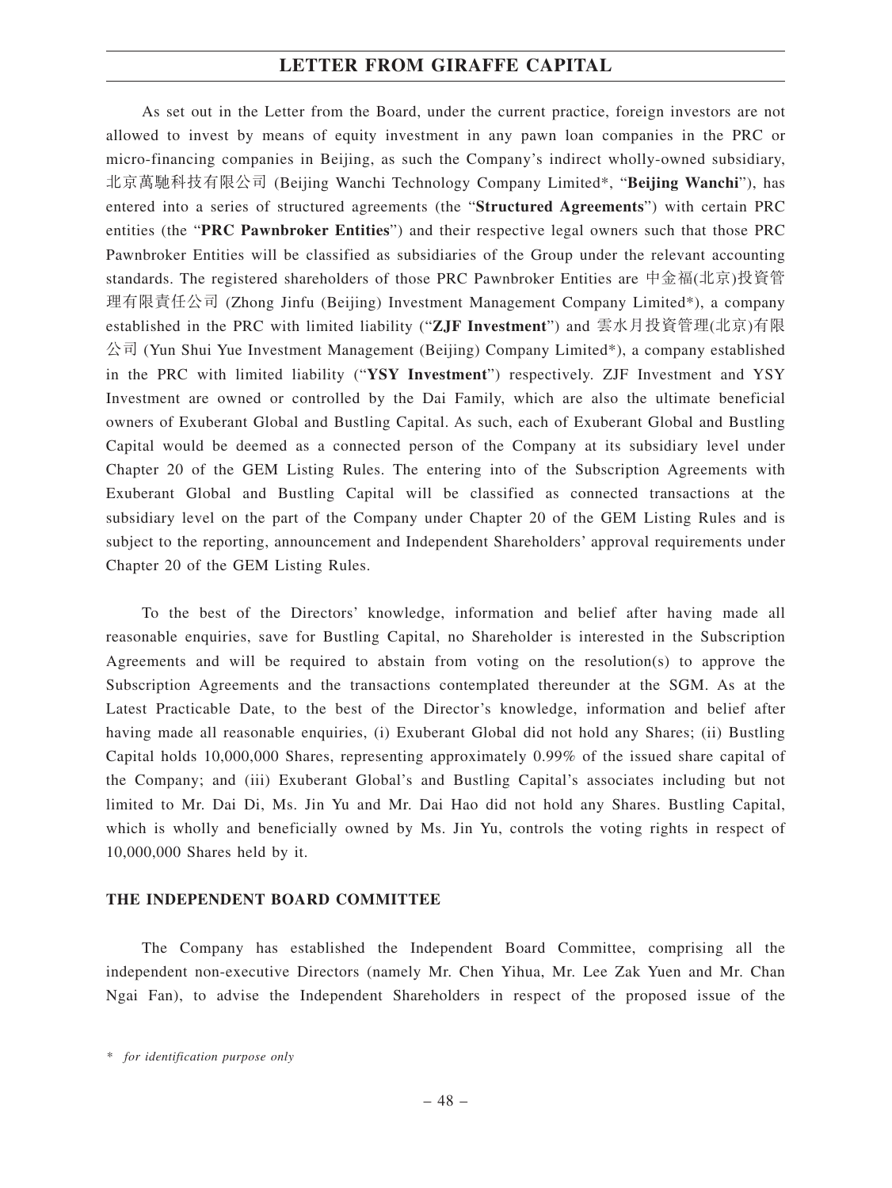As set out in the Letter from the Board, under the current practice, foreign investors are not allowed to invest by means of equity investment in any pawn loan companies in the PRC or micro-financing companies in Beijing, as such the Company's indirect wholly-owned subsidiary, 北京萬馳科技有限公司 (Beijing Wanchi Technology Company Limited\*, "**Beijing Wanchi**"), has entered into a series of structured agreements (the "**Structured Agreements**") with certain PRC entities (the "**PRC Pawnbroker Entities**") and their respective legal owners such that those PRC Pawnbroker Entities will be classified as subsidiaries of the Group under the relevant accounting standards. The registered shareholders of those PRC Pawnbroker Entities are 中金福(北京)投資管 理有限責任公司 (Zhong Jinfu (Beijing) Investment Management Company Limited\*), a company established in the PRC with limited liability ("**ZJF Investment**") and 雲水月投資管理(北京)有限  $\triangle$ 司 (Yun Shui Yue Investment Management (Beijing) Company Limited\*), a company established in the PRC with limited liability ("**YSY Investment**") respectively. ZJF Investment and YSY Investment are owned or controlled by the Dai Family, which are also the ultimate beneficial owners of Exuberant Global and Bustling Capital. As such, each of Exuberant Global and Bustling Capital would be deemed as a connected person of the Company at its subsidiary level under Chapter 20 of the GEM Listing Rules. The entering into of the Subscription Agreements with Exuberant Global and Bustling Capital will be classified as connected transactions at the subsidiary level on the part of the Company under Chapter 20 of the GEM Listing Rules and is subject to the reporting, announcement and Independent Shareholders' approval requirements under Chapter 20 of the GEM Listing Rules.

To the best of the Directors' knowledge, information and belief after having made all reasonable enquiries, save for Bustling Capital, no Shareholder is interested in the Subscription Agreements and will be required to abstain from voting on the resolution(s) to approve the Subscription Agreements and the transactions contemplated thereunder at the SGM. As at the Latest Practicable Date, to the best of the Director's knowledge, information and belief after having made all reasonable enquiries, (i) Exuberant Global did not hold any Shares; (ii) Bustling Capital holds 10,000,000 Shares, representing approximately 0.99% of the issued share capital of the Company; and (iii) Exuberant Global's and Bustling Capital's associates including but not limited to Mr. Dai Di, Ms. Jin Yu and Mr. Dai Hao did not hold any Shares. Bustling Capital, which is wholly and beneficially owned by Ms. Jin Yu, controls the voting rights in respect of 10,000,000 Shares held by it.

### **THE INDEPENDENT BOARD COMMITTEE**

The Company has established the Independent Board Committee, comprising all the independent non-executive Directors (namely Mr. Chen Yihua, Mr. Lee Zak Yuen and Mr. Chan Ngai Fan), to advise the Independent Shareholders in respect of the proposed issue of the

*<sup>\*</sup> for identification purpose only*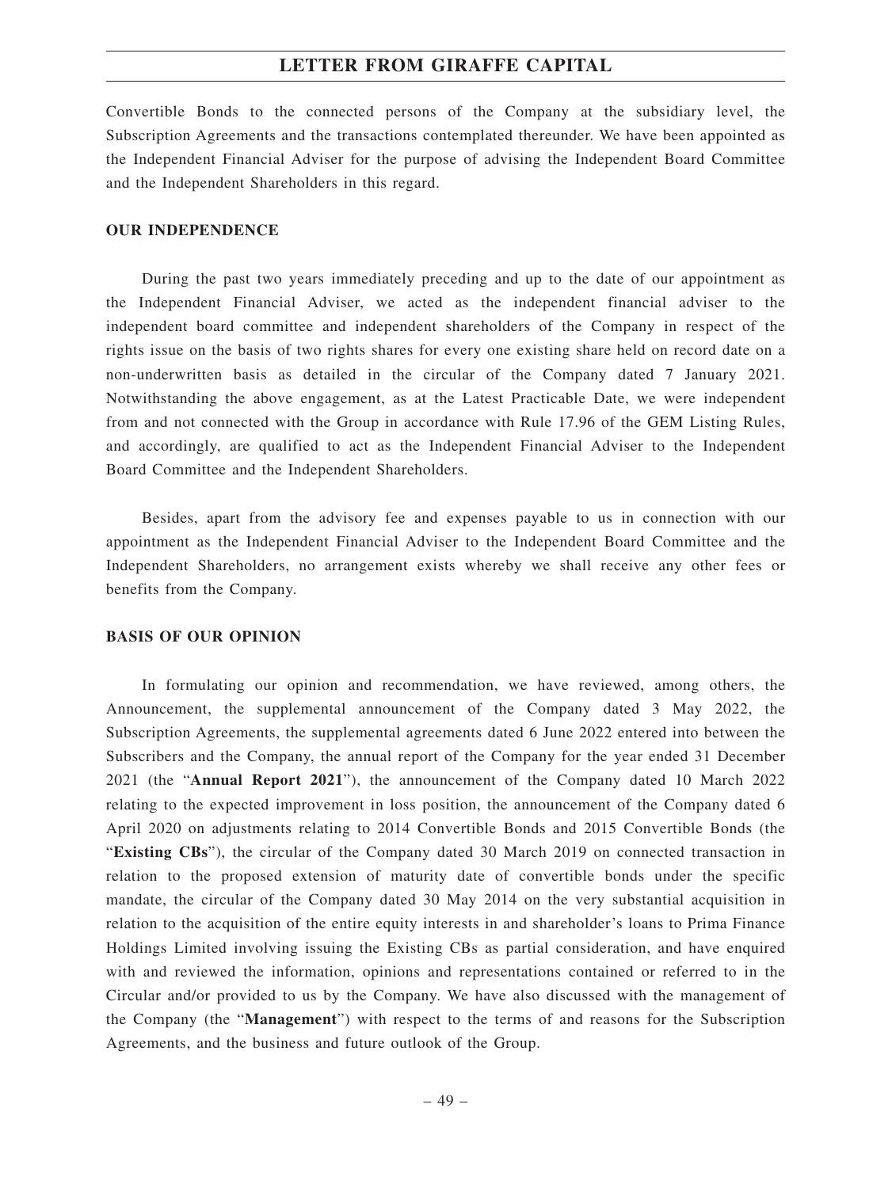Convertible Bonds to the connected persons of the Company at the subsidiary level, the Subscription Agreements and the transactions contemplated thereunder. We have been appointed as the Independent Financial Adviser for the purpose of advising the Independent Board Committee and the Independent Shareholders in this regard.

### **OUR INDEPENDENCE**

During the past two years immediately preceding and up to the date of our appointment as the Independent Financial Adviser, we acted as the independent financial adviser to the independent board committee and independent shareholders of the Company in respect of the rights issue on the basis of two rights shares for every one existing share held on record date on a non-underwritten basis as detailed in the circular of the Company dated 7 January 2021. Notwithstanding the above engagement, as at the Latest Practicable Date, we were independent from and not connected with the Group in accordance with Rule 17.96 of the GEM Listing Rules, and accordingly, are qualified to act as the Independent Financial Adviser to the Independent Board Committee and the Independent Shareholders.

Besides, apart from the advisory fee and expenses payable to us in connection with our appointment as the Independent Financial Adviser to the Independent Board Committee and the Independent Shareholders, no arrangement exists whereby we shall receive any other fees or benefits from the Company.

### **BASIS OF OUR OPINION**

In formulating our opinion and recommendation, we have reviewed, among others, the Announcement, the supplemental announcement of the Company dated 3 May 2022, the Subscription Agreements, the supplemental agreements dated 6 June 2022 entered into between the Subscribers and the Company, the annual report of the Company for the year ended 31 December 2021 (the "**Annual Report 2021**"), the announcement of the Company dated 10 March 2022 relating to the expected improvement in loss position, the announcement of the Company dated 6 April 2020 on adjustments relating to 2014 Convertible Bonds and 2015 Convertible Bonds (the "**Existing CBs**"), the circular of the Company dated 30 March 2019 on connected transaction in relation to the proposed extension of maturity date of convertible bonds under the specific mandate, the circular of the Company dated 30 May 2014 on the very substantial acquisition in relation to the acquisition of the entire equity interests in and shareholder's loans to Prima Finance Holdings Limited involving issuing the Existing CBs as partial consideration, and have enquired with and reviewed the information, opinions and representations contained or referred to in the Circular and/or provided to us by the Company. We have also discussed with the management of the Company (the "**Management**") with respect to the terms of and reasons for the Subscription Agreements, and the business and future outlook of the Group.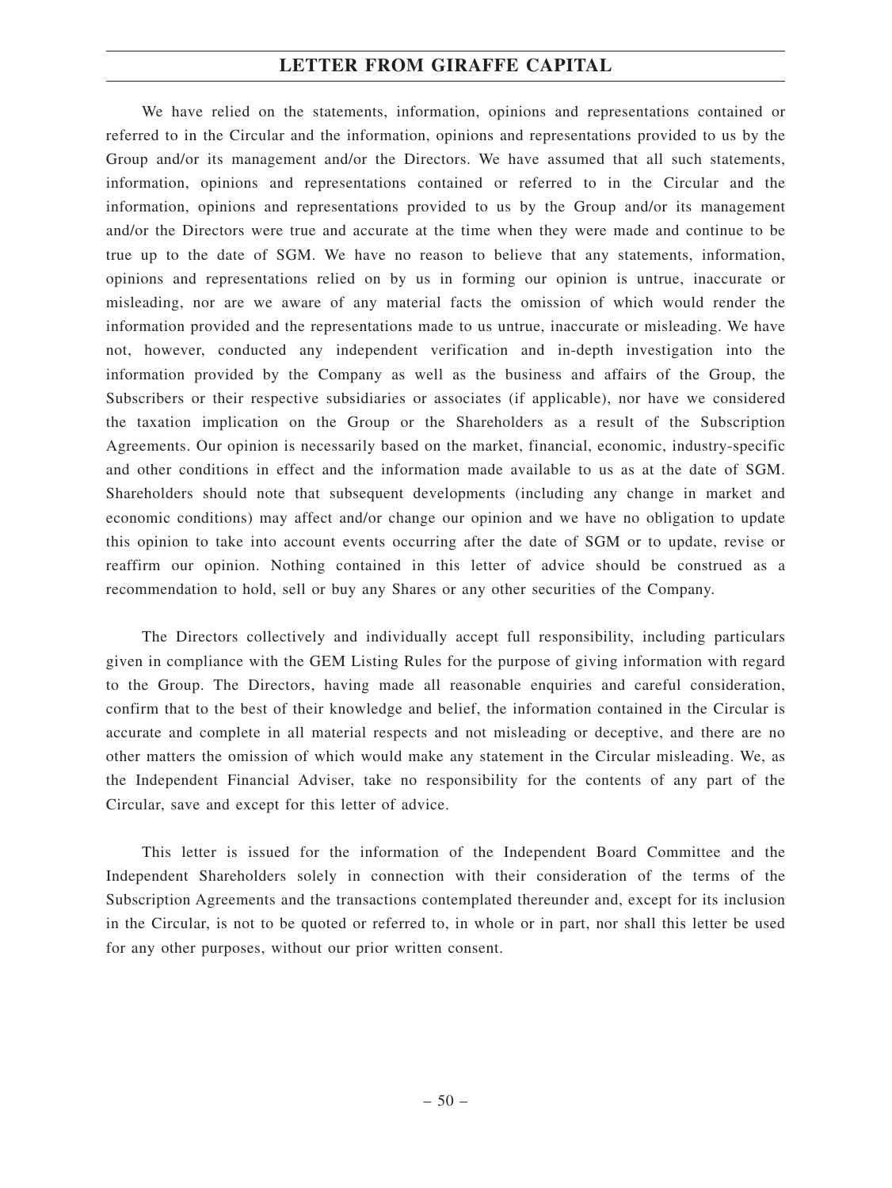We have relied on the statements, information, opinions and representations contained or referred to in the Circular and the information, opinions and representations provided to us by the Group and/or its management and/or the Directors. We have assumed that all such statements, information, opinions and representations contained or referred to in the Circular and the information, opinions and representations provided to us by the Group and/or its management and/or the Directors were true and accurate at the time when they were made and continue to be true up to the date of SGM. We have no reason to believe that any statements, information, opinions and representations relied on by us in forming our opinion is untrue, inaccurate or misleading, nor are we aware of any material facts the omission of which would render the information provided and the representations made to us untrue, inaccurate or misleading. We have not, however, conducted any independent verification and in-depth investigation into the information provided by the Company as well as the business and affairs of the Group, the Subscribers or their respective subsidiaries or associates (if applicable), nor have we considered the taxation implication on the Group or the Shareholders as a result of the Subscription Agreements. Our opinion is necessarily based on the market, financial, economic, industry-specific and other conditions in effect and the information made available to us as at the date of SGM. Shareholders should note that subsequent developments (including any change in market and economic conditions) may affect and/or change our opinion and we have no obligation to update this opinion to take into account events occurring after the date of SGM or to update, revise or reaffirm our opinion. Nothing contained in this letter of advice should be construed as a recommendation to hold, sell or buy any Shares or any other securities of the Company.

The Directors collectively and individually accept full responsibility, including particulars given in compliance with the GEM Listing Rules for the purpose of giving information with regard to the Group. The Directors, having made all reasonable enquiries and careful consideration, confirm that to the best of their knowledge and belief, the information contained in the Circular is accurate and complete in all material respects and not misleading or deceptive, and there are no other matters the omission of which would make any statement in the Circular misleading. We, as the Independent Financial Adviser, take no responsibility for the contents of any part of the Circular, save and except for this letter of advice.

This letter is issued for the information of the Independent Board Committee and the Independent Shareholders solely in connection with their consideration of the terms of the Subscription Agreements and the transactions contemplated thereunder and, except for its inclusion in the Circular, is not to be quoted or referred to, in whole or in part, nor shall this letter be used for any other purposes, without our prior written consent.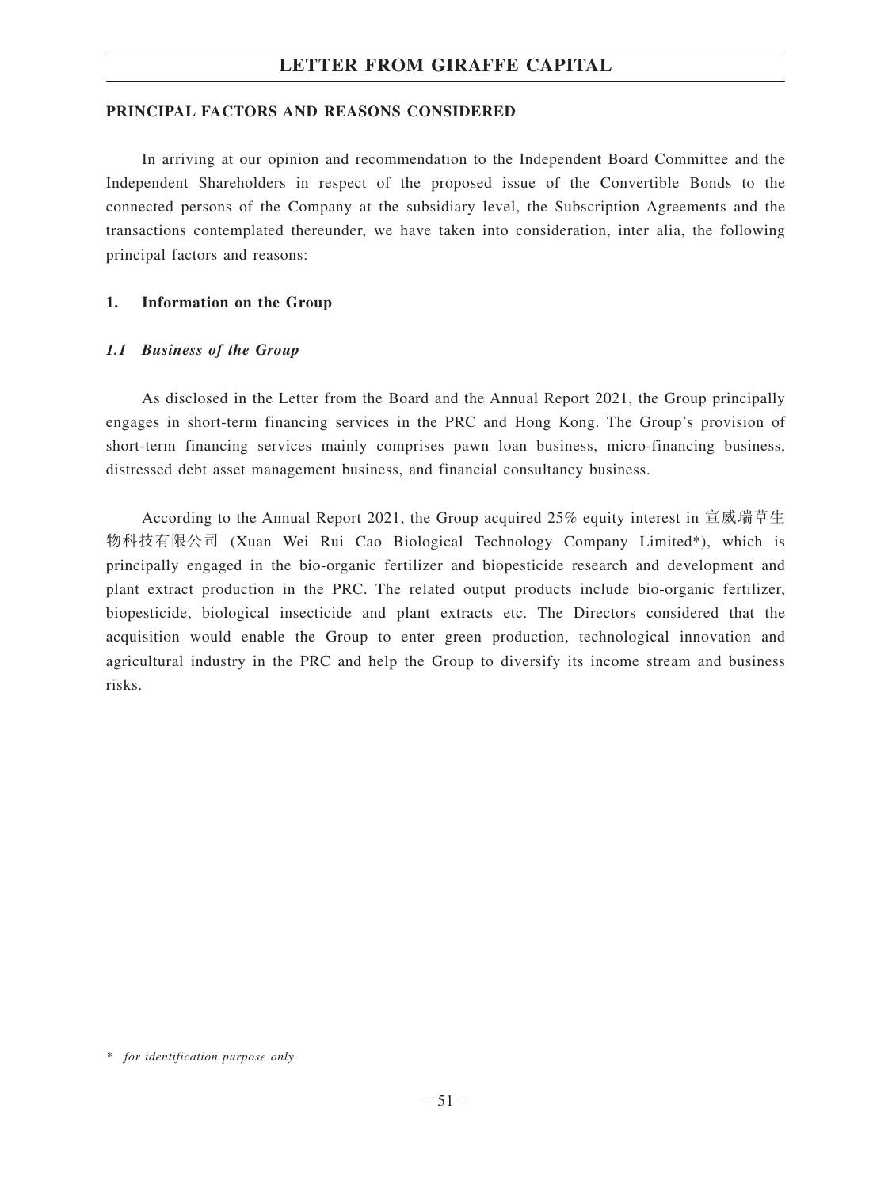### **PRINCIPAL FACTORS AND REASONS CONSIDERED**

In arriving at our opinion and recommendation to the Independent Board Committee and the Independent Shareholders in respect of the proposed issue of the Convertible Bonds to the connected persons of the Company at the subsidiary level, the Subscription Agreements and the transactions contemplated thereunder, we have taken into consideration, inter alia, the following principal factors and reasons:

### **1. Information on the Group**

### *1.1 Business of the Group*

As disclosed in the Letter from the Board and the Annual Report 2021, the Group principally engages in short-term financing services in the PRC and Hong Kong. The Group's provision of short-term financing services mainly comprises pawn loan business, micro-financing business, distressed debt asset management business, and financial consultancy business.

According to the Annual Report 2021, the Group acquired 25% equity interest in 宣威瑞草生 物科技有限公司 (Xuan Wei Rui Cao Biological Technology Company Limited\*), which is principally engaged in the bio-organic fertilizer and biopesticide research and development and plant extract production in the PRC. The related output products include bio-organic fertilizer, biopesticide, biological insecticide and plant extracts etc. The Directors considered that the acquisition would enable the Group to enter green production, technological innovation and agricultural industry in the PRC and help the Group to diversify its income stream and business risks.

*<sup>\*</sup> for identification purpose only*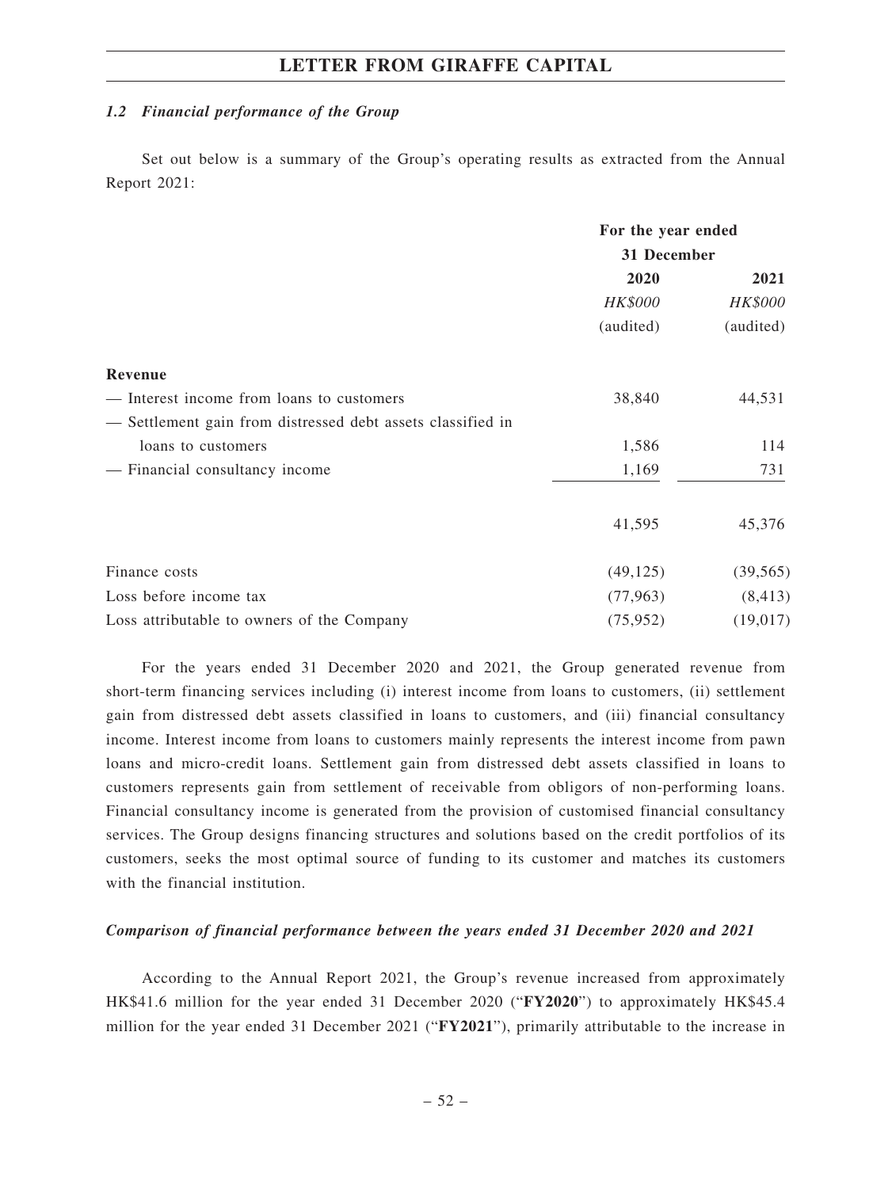### *1.2 Financial performance of the Group*

Set out below is a summary of the Group's operating results as extracted from the Annual Report 2021:

|                                                             | For the year ended |                |  |
|-------------------------------------------------------------|--------------------|----------------|--|
|                                                             | 31 December        |                |  |
|                                                             | 2020               | 2021           |  |
|                                                             | <b>HK\$000</b>     | <b>HK\$000</b> |  |
|                                                             | (audited)          | (audited)      |  |
| Revenue                                                     |                    |                |  |
| - Interest income from loans to customers                   | 38,840             | 44,531         |  |
| - Settlement gain from distressed debt assets classified in |                    |                |  |
| loans to customers                                          | 1,586              | 114            |  |
| - Financial consultancy income                              | 1,169              | 731            |  |
|                                                             | 41,595             | 45,376         |  |
| Finance costs                                               | (49, 125)          | (39, 565)      |  |
| Loss before income tax                                      | (77, 963)          | (8, 413)       |  |
| Loss attributable to owners of the Company                  | (75, 952)          | (19,017)       |  |

For the years ended 31 December 2020 and 2021, the Group generated revenue from short-term financing services including (i) interest income from loans to customers, (ii) settlement gain from distressed debt assets classified in loans to customers, and (iii) financial consultancy income. Interest income from loans to customers mainly represents the interest income from pawn loans and micro-credit loans. Settlement gain from distressed debt assets classified in loans to customers represents gain from settlement of receivable from obligors of non-performing loans. Financial consultancy income is generated from the provision of customised financial consultancy services. The Group designs financing structures and solutions based on the credit portfolios of its customers, seeks the most optimal source of funding to its customer and matches its customers with the financial institution.

#### *Comparison of financial performance between the years ended 31 December 2020 and 2021*

According to the Annual Report 2021, the Group's revenue increased from approximately HK\$41.6 million for the year ended 31 December 2020 ("**FY2020**") to approximately HK\$45.4 million for the year ended 31 December 2021 ("**FY2021**"), primarily attributable to the increase in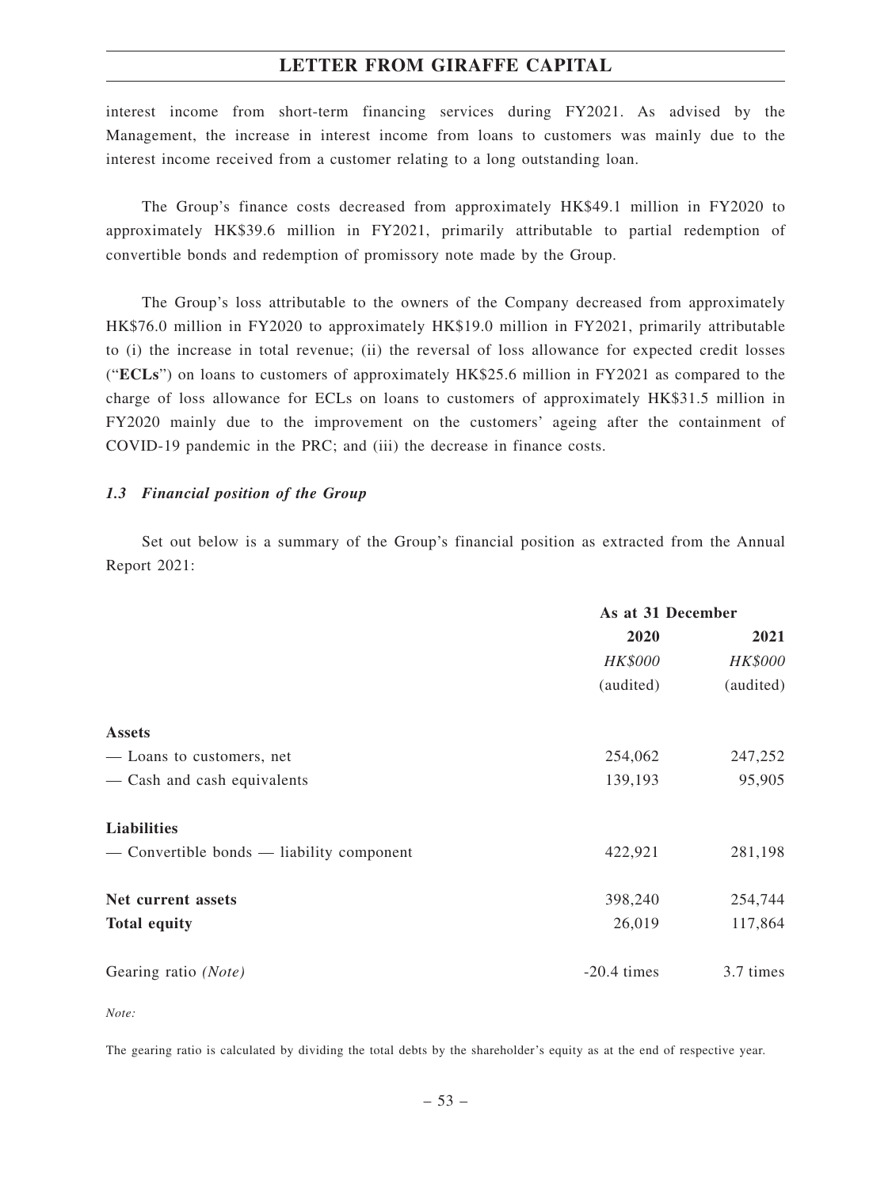interest income from short-term financing services during FY2021. As advised by the Management, the increase in interest income from loans to customers was mainly due to the interest income received from a customer relating to a long outstanding loan.

The Group's finance costs decreased from approximately HK\$49.1 million in FY2020 to approximately HK\$39.6 million in FY2021, primarily attributable to partial redemption of convertible bonds and redemption of promissory note made by the Group.

The Group's loss attributable to the owners of the Company decreased from approximately HK\$76.0 million in FY2020 to approximately HK\$19.0 million in FY2021, primarily attributable to (i) the increase in total revenue; (ii) the reversal of loss allowance for expected credit losses ("**ECLs**") on loans to customers of approximately HK\$25.6 million in FY2021 as compared to the charge of loss allowance for ECLs on loans to customers of approximately HK\$31.5 million in FY2020 mainly due to the improvement on the customers' ageing after the containment of COVID-19 pandemic in the PRC; and (iii) the decrease in finance costs.

#### *1.3 Financial position of the Group*

Set out below is a summary of the Group's financial position as extracted from the Annual Report 2021:

|                                           | As at 31 December                        |           |  |
|-------------------------------------------|------------------------------------------|-----------|--|
|                                           | 2020<br><b>HK\$000</b><br><b>HK\$000</b> |           |  |
|                                           |                                          |           |  |
|                                           | (audited)                                | (audited) |  |
| <b>Assets</b>                             |                                          |           |  |
| — Loans to customers, net                 | 254,062                                  | 247,252   |  |
| - Cash and cash equivalents               | 139,193                                  | 95,905    |  |
| Liabilities                               |                                          |           |  |
| — Convertible bonds — liability component | 422,921                                  | 281,198   |  |
| Net current assets                        | 398,240                                  | 254,744   |  |
| <b>Total equity</b>                       | 26,019                                   | 117,864   |  |
| Gearing ratio (Note)                      | $-20.4$ times                            | 3.7 times |  |

*Note:*

The gearing ratio is calculated by dividing the total debts by the shareholder's equity as at the end of respective year.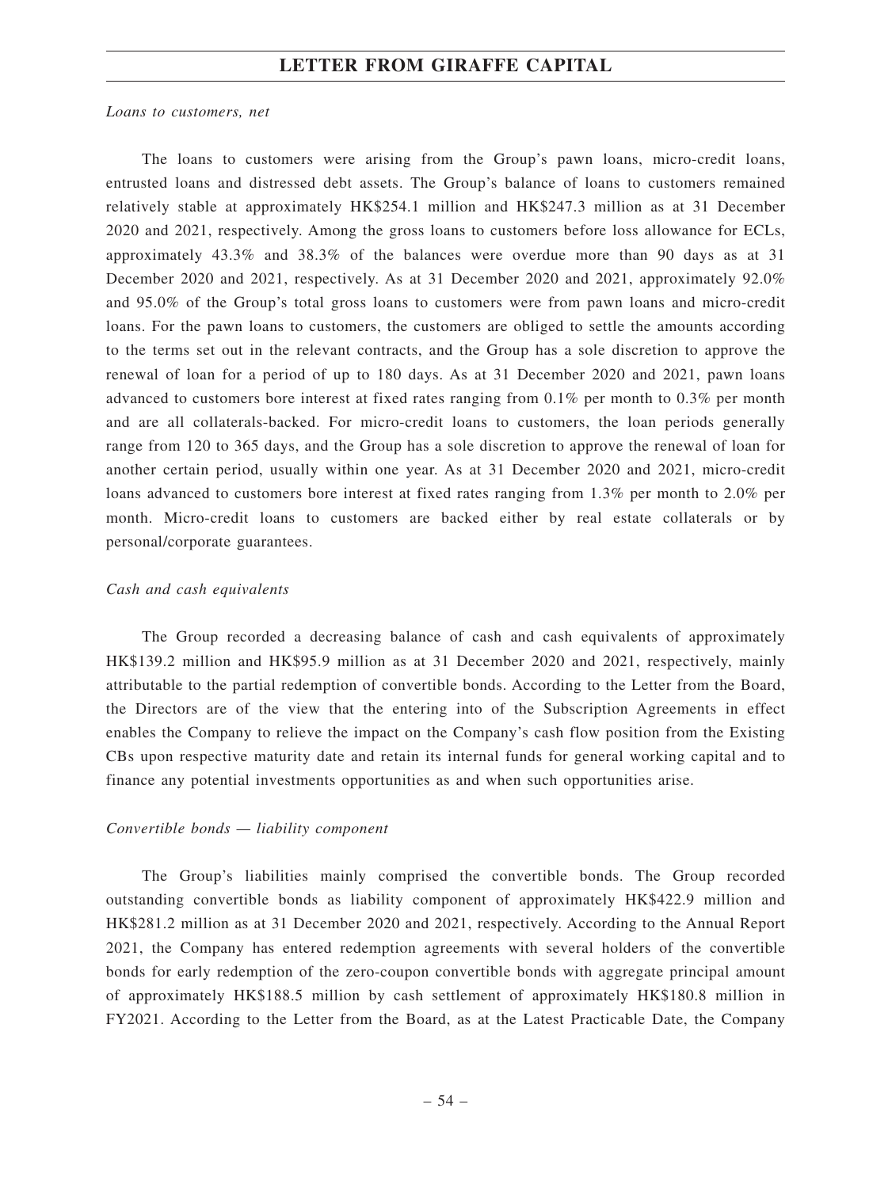#### *Loans to customers, net*

The loans to customers were arising from the Group's pawn loans, micro-credit loans, entrusted loans and distressed debt assets. The Group's balance of loans to customers remained relatively stable at approximately HK\$254.1 million and HK\$247.3 million as at 31 December 2020 and 2021, respectively. Among the gross loans to customers before loss allowance for ECLs, approximately 43.3% and 38.3% of the balances were overdue more than 90 days as at 31 December 2020 and 2021, respectively. As at 31 December 2020 and 2021, approximately 92.0% and 95.0% of the Group's total gross loans to customers were from pawn loans and micro-credit loans. For the pawn loans to customers, the customers are obliged to settle the amounts according to the terms set out in the relevant contracts, and the Group has a sole discretion to approve the renewal of loan for a period of up to 180 days. As at 31 December 2020 and 2021, pawn loans advanced to customers bore interest at fixed rates ranging from 0.1% per month to 0.3% per month and are all collaterals-backed. For micro-credit loans to customers, the loan periods generally range from 120 to 365 days, and the Group has a sole discretion to approve the renewal of loan for another certain period, usually within one year. As at 31 December 2020 and 2021, micro-credit loans advanced to customers bore interest at fixed rates ranging from 1.3% per month to 2.0% per month. Micro-credit loans to customers are backed either by real estate collaterals or by personal/corporate guarantees.

#### *Cash and cash equivalents*

The Group recorded a decreasing balance of cash and cash equivalents of approximately HK\$139.2 million and HK\$95.9 million as at 31 December 2020 and 2021, respectively, mainly attributable to the partial redemption of convertible bonds. According to the Letter from the Board, the Directors are of the view that the entering into of the Subscription Agreements in effect enables the Company to relieve the impact on the Company's cash flow position from the Existing CBs upon respective maturity date and retain its internal funds for general working capital and to finance any potential investments opportunities as and when such opportunities arise.

### *Convertible bonds — liability component*

The Group's liabilities mainly comprised the convertible bonds. The Group recorded outstanding convertible bonds as liability component of approximately HK\$422.9 million and HK\$281.2 million as at 31 December 2020 and 2021, respectively. According to the Annual Report 2021, the Company has entered redemption agreements with several holders of the convertible bonds for early redemption of the zero-coupon convertible bonds with aggregate principal amount of approximately HK\$188.5 million by cash settlement of approximately HK\$180.8 million in FY2021. According to the Letter from the Board, as at the Latest Practicable Date, the Company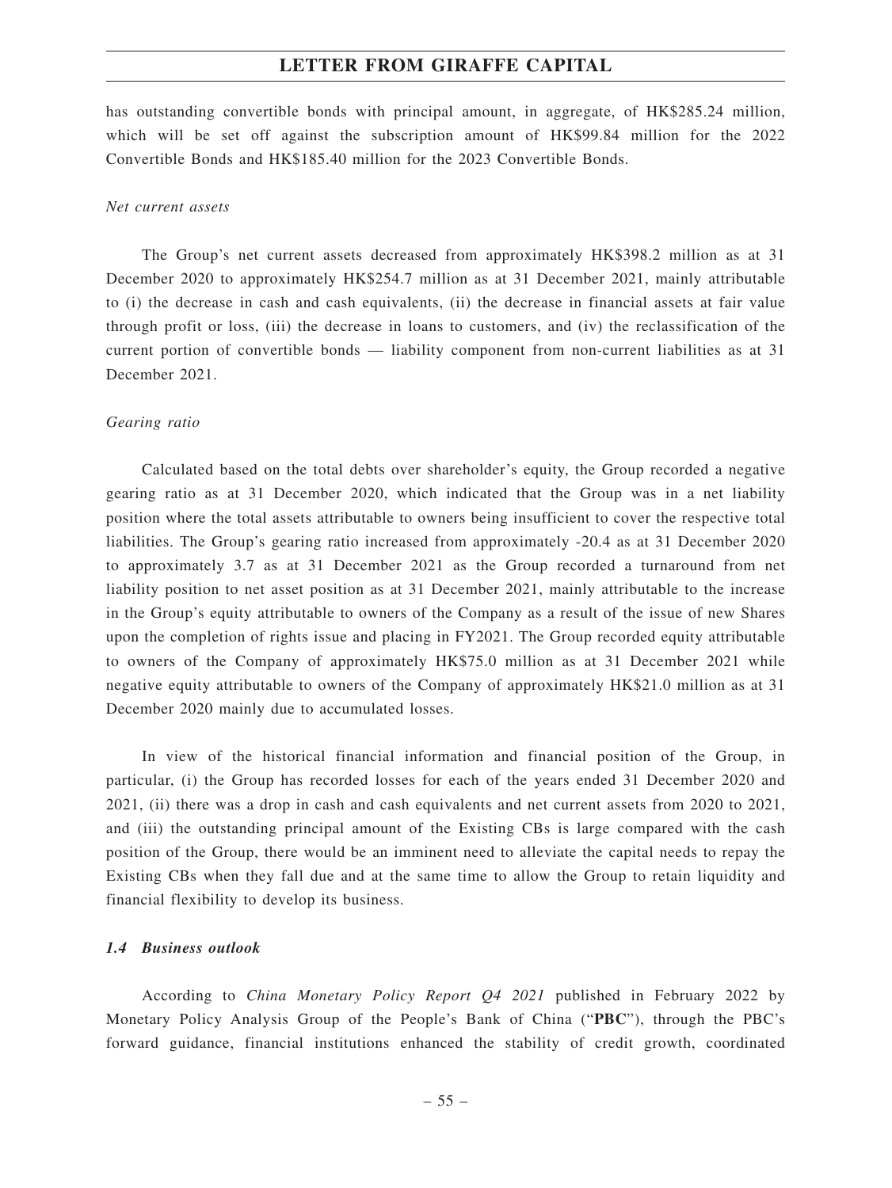has outstanding convertible bonds with principal amount, in aggregate, of HK\$285.24 million, which will be set off against the subscription amount of HK\$99.84 million for the 2022 Convertible Bonds and HK\$185.40 million for the 2023 Convertible Bonds.

#### *Net current assets*

The Group's net current assets decreased from approximately HK\$398.2 million as at 31 December 2020 to approximately HK\$254.7 million as at 31 December 2021, mainly attributable to (i) the decrease in cash and cash equivalents, (ii) the decrease in financial assets at fair value through profit or loss, (iii) the decrease in loans to customers, and (iv) the reclassification of the current portion of convertible bonds — liability component from non-current liabilities as at 31 December 2021.

#### *Gearing ratio*

Calculated based on the total debts over shareholder's equity, the Group recorded a negative gearing ratio as at 31 December 2020, which indicated that the Group was in a net liability position where the total assets attributable to owners being insufficient to cover the respective total liabilities. The Group's gearing ratio increased from approximately -20.4 as at 31 December 2020 to approximately 3.7 as at 31 December 2021 as the Group recorded a turnaround from net liability position to net asset position as at 31 December 2021, mainly attributable to the increase in the Group's equity attributable to owners of the Company as a result of the issue of new Shares upon the completion of rights issue and placing in FY2021. The Group recorded equity attributable to owners of the Company of approximately HK\$75.0 million as at 31 December 2021 while negative equity attributable to owners of the Company of approximately HK\$21.0 million as at 31 December 2020 mainly due to accumulated losses.

In view of the historical financial information and financial position of the Group, in particular, (i) the Group has recorded losses for each of the years ended 31 December 2020 and 2021, (ii) there was a drop in cash and cash equivalents and net current assets from 2020 to 2021, and (iii) the outstanding principal amount of the Existing CBs is large compared with the cash position of the Group, there would be an imminent need to alleviate the capital needs to repay the Existing CBs when they fall due and at the same time to allow the Group to retain liquidity and financial flexibility to develop its business.

### *1.4 Business outlook*

According to *China Monetary Policy Report Q4 2021* published in February 2022 by Monetary Policy Analysis Group of the People's Bank of China ("**PBC**"), through the PBC's forward guidance, financial institutions enhanced the stability of credit growth, coordinated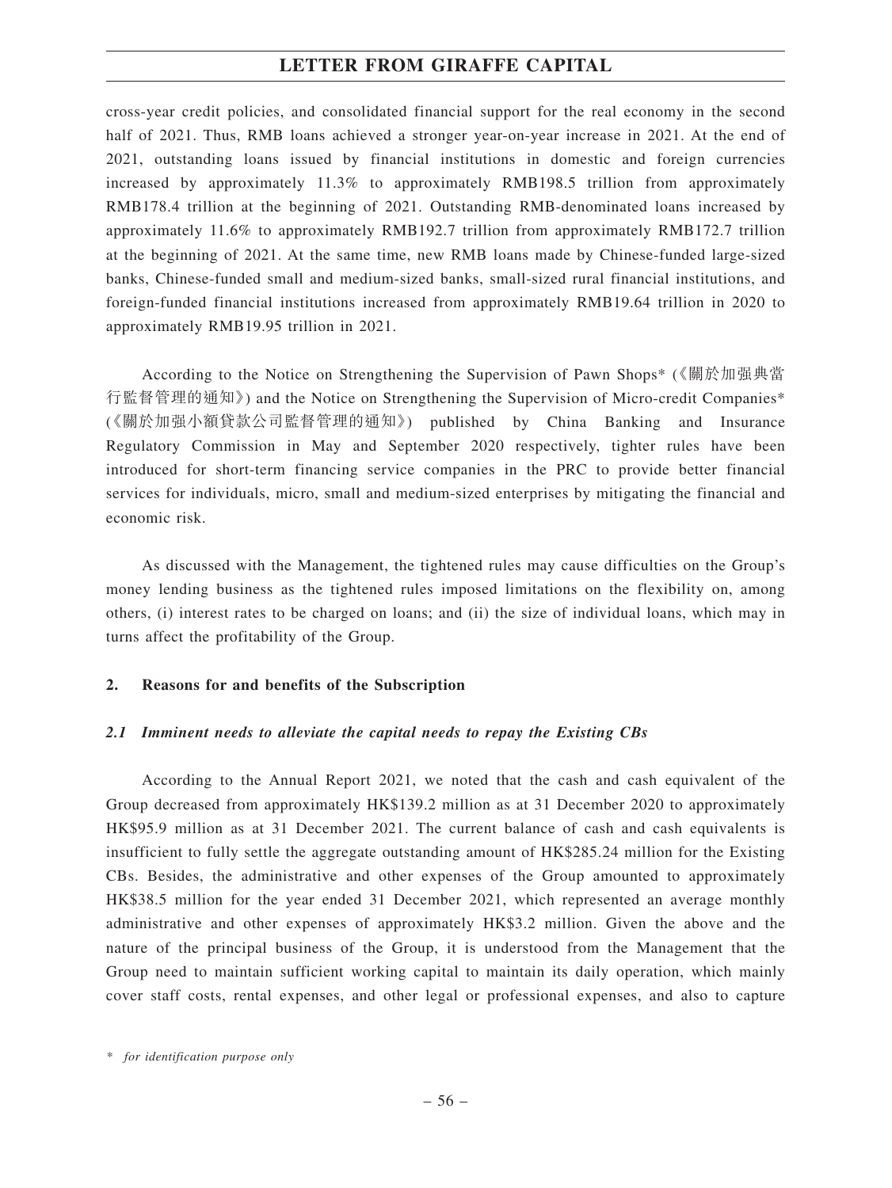cross-year credit policies, and consolidated financial support for the real economy in the second half of 2021. Thus, RMB loans achieved a stronger year-on-year increase in 2021. At the end of 2021, outstanding loans issued by financial institutions in domestic and foreign currencies increased by approximately 11.3% to approximately RMB198.5 trillion from approximately RMB178.4 trillion at the beginning of 2021. Outstanding RMB-denominated loans increased by approximately 11.6% to approximately RMB192.7 trillion from approximately RMB172.7 trillion at the beginning of 2021. At the same time, new RMB loans made by Chinese-funded large-sized banks, Chinese-funded small and medium-sized banks, small-sized rural financial institutions, and foreign-funded financial institutions increased from approximately RMB19.64 trillion in 2020 to approximately RMB19.95 trillion in 2021.

According to the Notice on Strengthening the Supervision of Pawn Shops\* (《關於加强典當 行監督管理的通知》) and the Notice on Strengthening the Supervision of Micro-credit Companies\* (《關於加强小額貸款公司監督管理的通知》) published by China Banking and Insurance Regulatory Commission in May and September 2020 respectively, tighter rules have been introduced for short-term financing service companies in the PRC to provide better financial services for individuals, micro, small and medium-sized enterprises by mitigating the financial and economic risk.

As discussed with the Management, the tightened rules may cause difficulties on the Group's money lending business as the tightened rules imposed limitations on the flexibility on, among others, (i) interest rates to be charged on loans; and (ii) the size of individual loans, which may in turns affect the profitability of the Group.

### **2. Reasons for and benefits of the Subscription**

### *2.1 Imminent needs to alleviate the capital needs to repay the Existing CBs*

According to the Annual Report 2021, we noted that the cash and cash equivalent of the Group decreased from approximately HK\$139.2 million as at 31 December 2020 to approximately HK\$95.9 million as at 31 December 2021. The current balance of cash and cash equivalents is insufficient to fully settle the aggregate outstanding amount of HK\$285.24 million for the Existing CBs. Besides, the administrative and other expenses of the Group amounted to approximately HK\$38.5 million for the year ended 31 December 2021, which represented an average monthly administrative and other expenses of approximately HK\$3.2 million. Given the above and the nature of the principal business of the Group, it is understood from the Management that the Group need to maintain sufficient working capital to maintain its daily operation, which mainly cover staff costs, rental expenses, and other legal or professional expenses, and also to capture

*<sup>\*</sup> for identification purpose only*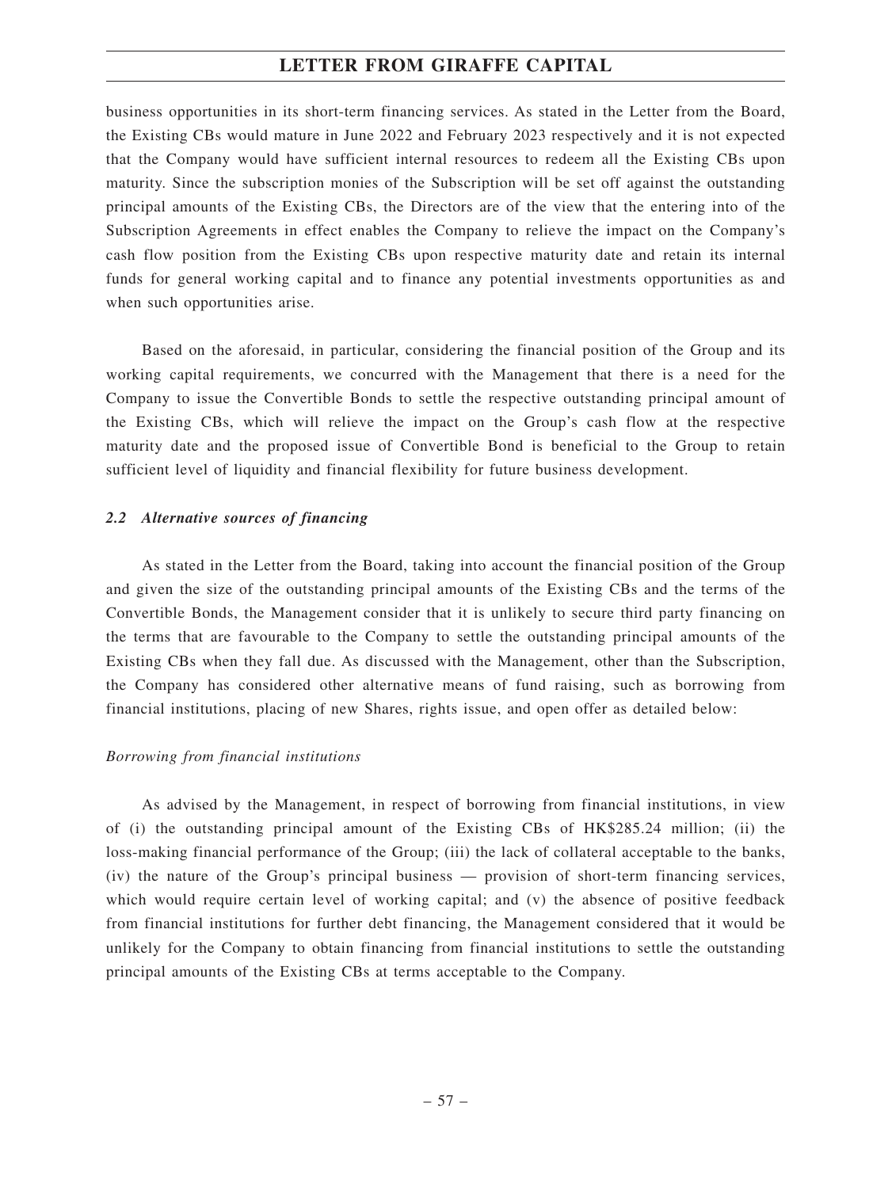business opportunities in its short-term financing services. As stated in the Letter from the Board, the Existing CBs would mature in June 2022 and February 2023 respectively and it is not expected that the Company would have sufficient internal resources to redeem all the Existing CBs upon maturity. Since the subscription monies of the Subscription will be set off against the outstanding principal amounts of the Existing CBs, the Directors are of the view that the entering into of the Subscription Agreements in effect enables the Company to relieve the impact on the Company's cash flow position from the Existing CBs upon respective maturity date and retain its internal funds for general working capital and to finance any potential investments opportunities as and when such opportunities arise.

Based on the aforesaid, in particular, considering the financial position of the Group and its working capital requirements, we concurred with the Management that there is a need for the Company to issue the Convertible Bonds to settle the respective outstanding principal amount of the Existing CBs, which will relieve the impact on the Group's cash flow at the respective maturity date and the proposed issue of Convertible Bond is beneficial to the Group to retain sufficient level of liquidity and financial flexibility for future business development.

#### *2.2 Alternative sources of financing*

As stated in the Letter from the Board, taking into account the financial position of the Group and given the size of the outstanding principal amounts of the Existing CBs and the terms of the Convertible Bonds, the Management consider that it is unlikely to secure third party financing on the terms that are favourable to the Company to settle the outstanding principal amounts of the Existing CBs when they fall due. As discussed with the Management, other than the Subscription, the Company has considered other alternative means of fund raising, such as borrowing from financial institutions, placing of new Shares, rights issue, and open offer as detailed below:

### *Borrowing from financial institutions*

As advised by the Management, in respect of borrowing from financial institutions, in view of (i) the outstanding principal amount of the Existing CBs of HK\$285.24 million; (ii) the loss-making financial performance of the Group; (iii) the lack of collateral acceptable to the banks, (iv) the nature of the Group's principal business — provision of short-term financing services, which would require certain level of working capital; and (v) the absence of positive feedback from financial institutions for further debt financing, the Management considered that it would be unlikely for the Company to obtain financing from financial institutions to settle the outstanding principal amounts of the Existing CBs at terms acceptable to the Company.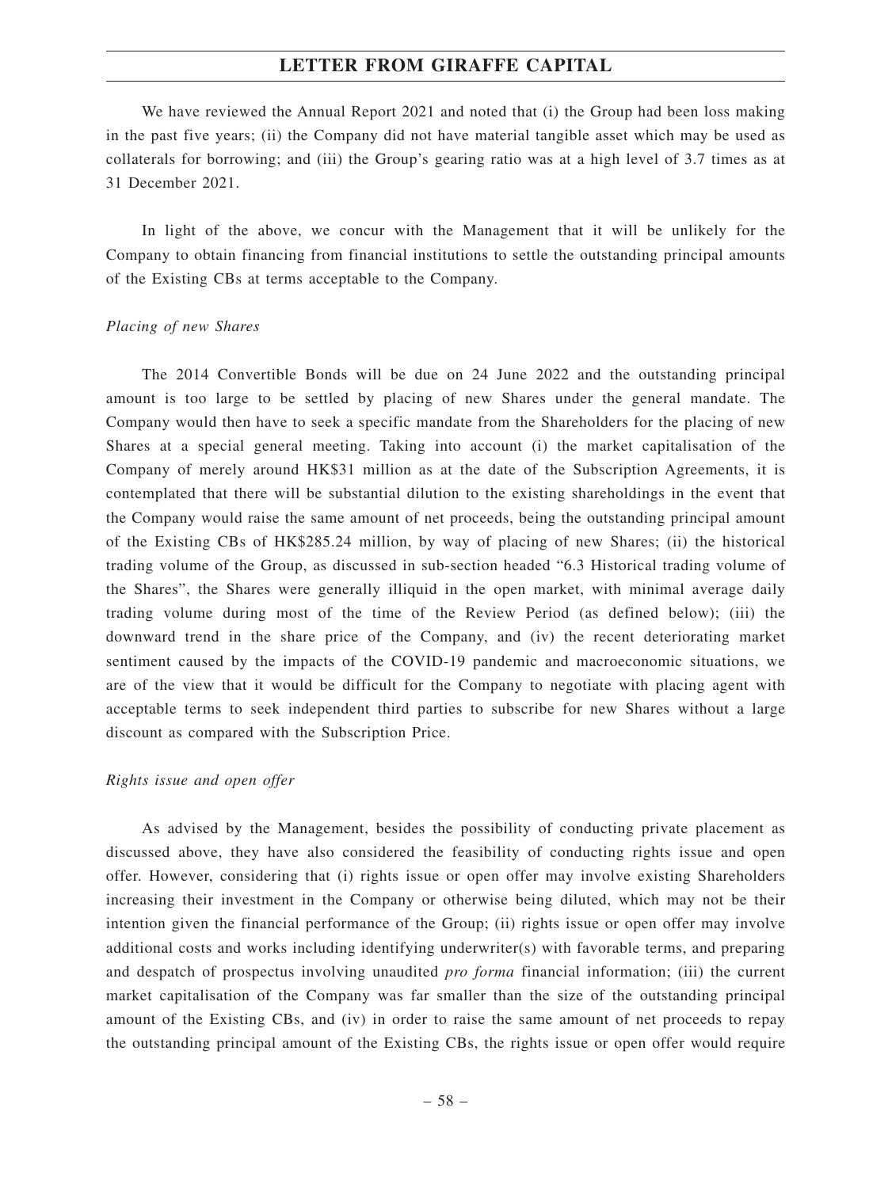We have reviewed the Annual Report 2021 and noted that (i) the Group had been loss making in the past five years; (ii) the Company did not have material tangible asset which may be used as collaterals for borrowing; and (iii) the Group's gearing ratio was at a high level of 3.7 times as at 31 December 2021.

In light of the above, we concur with the Management that it will be unlikely for the Company to obtain financing from financial institutions to settle the outstanding principal amounts of the Existing CBs at terms acceptable to the Company.

### *Placing of new Shares*

The 2014 Convertible Bonds will be due on 24 June 2022 and the outstanding principal amount is too large to be settled by placing of new Shares under the general mandate. The Company would then have to seek a specific mandate from the Shareholders for the placing of new Shares at a special general meeting. Taking into account (i) the market capitalisation of the Company of merely around HK\$31 million as at the date of the Subscription Agreements, it is contemplated that there will be substantial dilution to the existing shareholdings in the event that the Company would raise the same amount of net proceeds, being the outstanding principal amount of the Existing CBs of HK\$285.24 million, by way of placing of new Shares; (ii) the historical trading volume of the Group, as discussed in sub-section headed "6.3 Historical trading volume of the Shares", the Shares were generally illiquid in the open market, with minimal average daily trading volume during most of the time of the Review Period (as defined below); (iii) the downward trend in the share price of the Company, and (iv) the recent deteriorating market sentiment caused by the impacts of the COVID-19 pandemic and macroeconomic situations, we are of the view that it would be difficult for the Company to negotiate with placing agent with acceptable terms to seek independent third parties to subscribe for new Shares without a large discount as compared with the Subscription Price.

#### *Rights issue and open offer*

As advised by the Management, besides the possibility of conducting private placement as discussed above, they have also considered the feasibility of conducting rights issue and open offer. However, considering that (i) rights issue or open offer may involve existing Shareholders increasing their investment in the Company or otherwise being diluted, which may not be their intention given the financial performance of the Group; (ii) rights issue or open offer may involve additional costs and works including identifying underwriter(s) with favorable terms, and preparing and despatch of prospectus involving unaudited *pro forma* financial information; (iii) the current market capitalisation of the Company was far smaller than the size of the outstanding principal amount of the Existing CBs, and (iv) in order to raise the same amount of net proceeds to repay the outstanding principal amount of the Existing CBs, the rights issue or open offer would require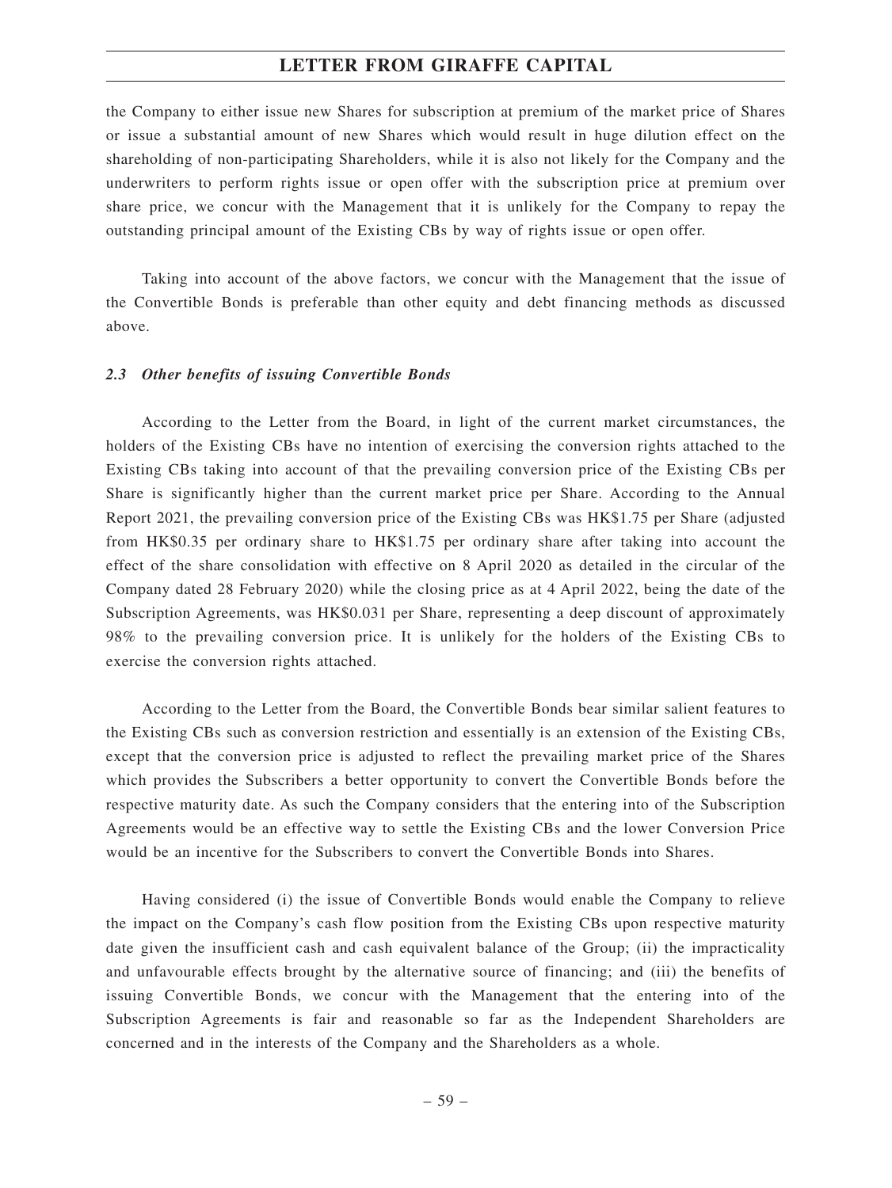the Company to either issue new Shares for subscription at premium of the market price of Shares or issue a substantial amount of new Shares which would result in huge dilution effect on the shareholding of non-participating Shareholders, while it is also not likely for the Company and the underwriters to perform rights issue or open offer with the subscription price at premium over share price, we concur with the Management that it is unlikely for the Company to repay the outstanding principal amount of the Existing CBs by way of rights issue or open offer.

Taking into account of the above factors, we concur with the Management that the issue of the Convertible Bonds is preferable than other equity and debt financing methods as discussed above.

### *2.3 Other benefits of issuing Convertible Bonds*

According to the Letter from the Board, in light of the current market circumstances, the holders of the Existing CBs have no intention of exercising the conversion rights attached to the Existing CBs taking into account of that the prevailing conversion price of the Existing CBs per Share is significantly higher than the current market price per Share. According to the Annual Report 2021, the prevailing conversion price of the Existing CBs was HK\$1.75 per Share (adjusted from HK\$0.35 per ordinary share to HK\$1.75 per ordinary share after taking into account the effect of the share consolidation with effective on 8 April 2020 as detailed in the circular of the Company dated 28 February 2020) while the closing price as at 4 April 2022, being the date of the Subscription Agreements, was HK\$0.031 per Share, representing a deep discount of approximately 98% to the prevailing conversion price. It is unlikely for the holders of the Existing CBs to exercise the conversion rights attached.

According to the Letter from the Board, the Convertible Bonds bear similar salient features to the Existing CBs such as conversion restriction and essentially is an extension of the Existing CBs, except that the conversion price is adjusted to reflect the prevailing market price of the Shares which provides the Subscribers a better opportunity to convert the Convertible Bonds before the respective maturity date. As such the Company considers that the entering into of the Subscription Agreements would be an effective way to settle the Existing CBs and the lower Conversion Price would be an incentive for the Subscribers to convert the Convertible Bonds into Shares.

Having considered (i) the issue of Convertible Bonds would enable the Company to relieve the impact on the Company's cash flow position from the Existing CBs upon respective maturity date given the insufficient cash and cash equivalent balance of the Group; (ii) the impracticality and unfavourable effects brought by the alternative source of financing; and (iii) the benefits of issuing Convertible Bonds, we concur with the Management that the entering into of the Subscription Agreements is fair and reasonable so far as the Independent Shareholders are concerned and in the interests of the Company and the Shareholders as a whole.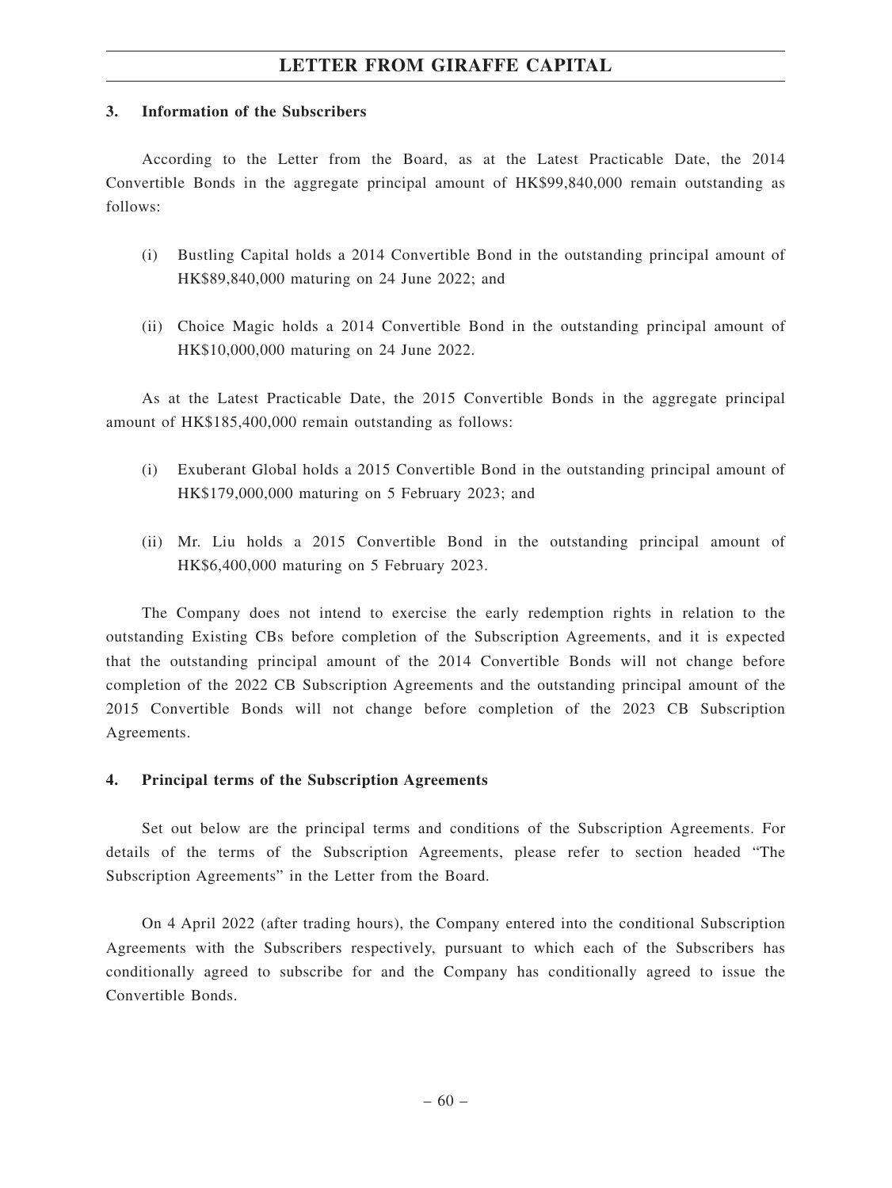### **3. Information of the Subscribers**

According to the Letter from the Board, as at the Latest Practicable Date, the 2014 Convertible Bonds in the aggregate principal amount of HK\$99,840,000 remain outstanding as follows:

- (i) Bustling Capital holds a 2014 Convertible Bond in the outstanding principal amount of HK\$89,840,000 maturing on 24 June 2022; and
- (ii) Choice Magic holds a 2014 Convertible Bond in the outstanding principal amount of HK\$10,000,000 maturing on 24 June 2022.

As at the Latest Practicable Date, the 2015 Convertible Bonds in the aggregate principal amount of HK\$185,400,000 remain outstanding as follows:

- (i) Exuberant Global holds a 2015 Convertible Bond in the outstanding principal amount of HK\$179,000,000 maturing on 5 February 2023; and
- (ii) Mr. Liu holds a 2015 Convertible Bond in the outstanding principal amount of HK\$6,400,000 maturing on 5 February 2023.

The Company does not intend to exercise the early redemption rights in relation to the outstanding Existing CBs before completion of the Subscription Agreements, and it is expected that the outstanding principal amount of the 2014 Convertible Bonds will not change before completion of the 2022 CB Subscription Agreements and the outstanding principal amount of the 2015 Convertible Bonds will not change before completion of the 2023 CB Subscription Agreements.

# **4. Principal terms of the Subscription Agreements**

Set out below are the principal terms and conditions of the Subscription Agreements. For details of the terms of the Subscription Agreements, please refer to section headed "The Subscription Agreements" in the Letter from the Board.

On 4 April 2022 (after trading hours), the Company entered into the conditional Subscription Agreements with the Subscribers respectively, pursuant to which each of the Subscribers has conditionally agreed to subscribe for and the Company has conditionally agreed to issue the Convertible Bonds.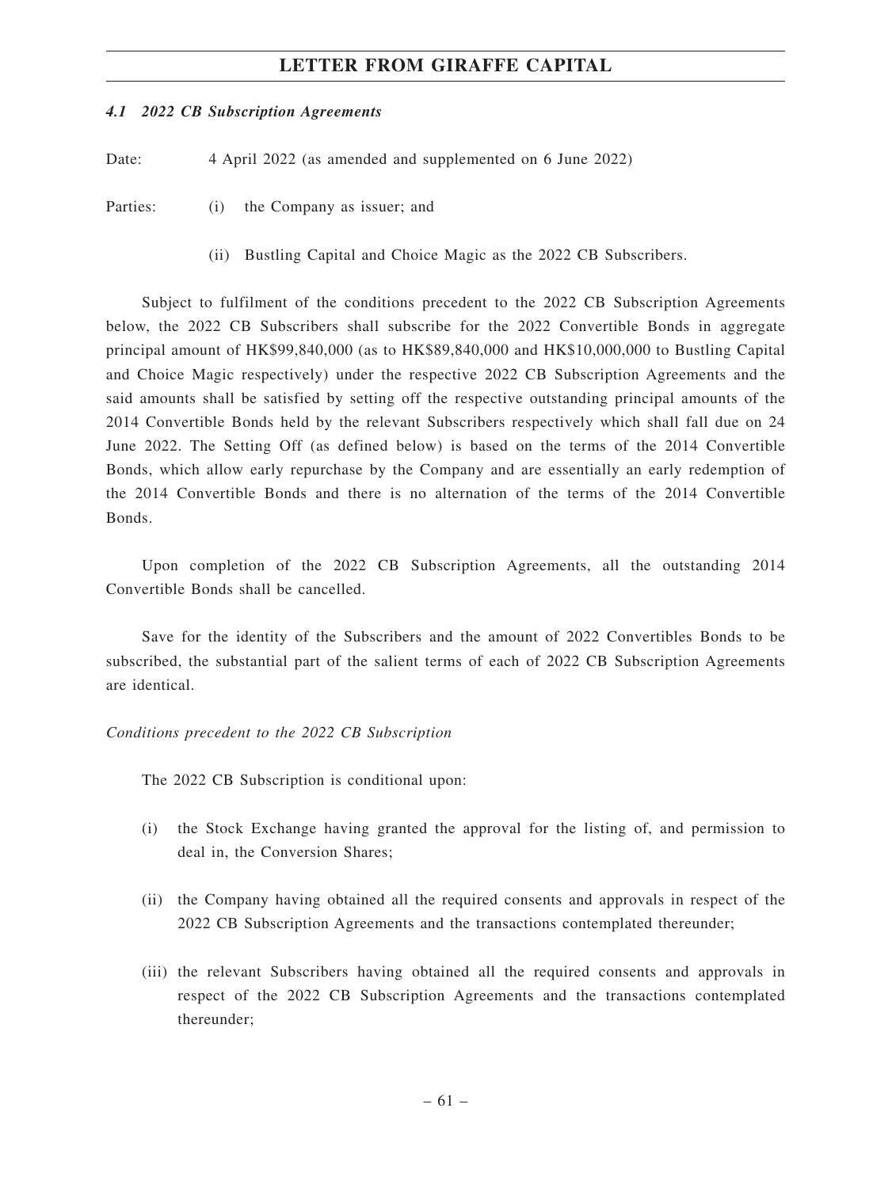### *4.1 2022 CB Subscription Agreements*

Date: 4 April 2022 (as amended and supplemented on 6 June 2022)

Parties: (i) the Company as issuer; and

(ii) Bustling Capital and Choice Magic as the 2022 CB Subscribers.

Subject to fulfilment of the conditions precedent to the 2022 CB Subscription Agreements below, the 2022 CB Subscribers shall subscribe for the 2022 Convertible Bonds in aggregate principal amount of HK\$99,840,000 (as to HK\$89,840,000 and HK\$10,000,000 to Bustling Capital and Choice Magic respectively) under the respective 2022 CB Subscription Agreements and the said amounts shall be satisfied by setting off the respective outstanding principal amounts of the 2014 Convertible Bonds held by the relevant Subscribers respectively which shall fall due on 24 June 2022. The Setting Off (as defined below) is based on the terms of the 2014 Convertible Bonds, which allow early repurchase by the Company and are essentially an early redemption of the 2014 Convertible Bonds and there is no alternation of the terms of the 2014 Convertible Bonds.

Upon completion of the 2022 CB Subscription Agreements, all the outstanding 2014 Convertible Bonds shall be cancelled.

Save for the identity of the Subscribers and the amount of 2022 Convertibles Bonds to be subscribed, the substantial part of the salient terms of each of 2022 CB Subscription Agreements are identical.

*Conditions precedent to the 2022 CB Subscription*

The 2022 CB Subscription is conditional upon:

- (i) the Stock Exchange having granted the approval for the listing of, and permission to deal in, the Conversion Shares;
- (ii) the Company having obtained all the required consents and approvals in respect of the 2022 CB Subscription Agreements and the transactions contemplated thereunder;
- (iii) the relevant Subscribers having obtained all the required consents and approvals in respect of the 2022 CB Subscription Agreements and the transactions contemplated thereunder;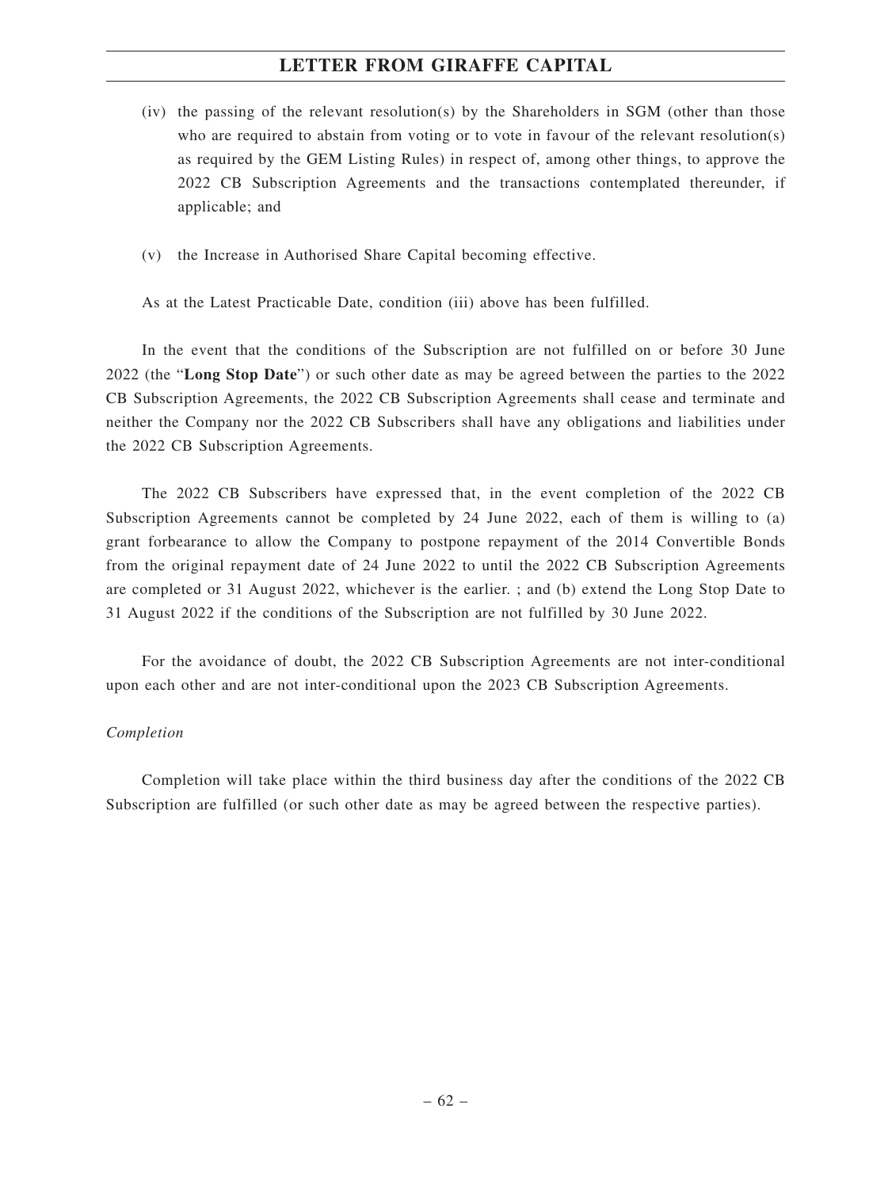- (iv) the passing of the relevant resolution(s) by the Shareholders in SGM (other than those who are required to abstain from voting or to vote in favour of the relevant resolution(s) as required by the GEM Listing Rules) in respect of, among other things, to approve the 2022 CB Subscription Agreements and the transactions contemplated thereunder, if applicable; and
- (v) the Increase in Authorised Share Capital becoming effective.

As at the Latest Practicable Date, condition (iii) above has been fulfilled.

In the event that the conditions of the Subscription are not fulfilled on or before 30 June 2022 (the "**Long Stop Date**") or such other date as may be agreed between the parties to the 2022 CB Subscription Agreements, the 2022 CB Subscription Agreements shall cease and terminate and neither the Company nor the 2022 CB Subscribers shall have any obligations and liabilities under the 2022 CB Subscription Agreements.

The 2022 CB Subscribers have expressed that, in the event completion of the 2022 CB Subscription Agreements cannot be completed by 24 June 2022, each of them is willing to (a) grant forbearance to allow the Company to postpone repayment of the 2014 Convertible Bonds from the original repayment date of 24 June 2022 to until the 2022 CB Subscription Agreements are completed or 31 August 2022, whichever is the earlier. ; and (b) extend the Long Stop Date to 31 August 2022 if the conditions of the Subscription are not fulfilled by 30 June 2022.

For the avoidance of doubt, the 2022 CB Subscription Agreements are not inter-conditional upon each other and are not inter-conditional upon the 2023 CB Subscription Agreements.

### *Completion*

Completion will take place within the third business day after the conditions of the 2022 CB Subscription are fulfilled (or such other date as may be agreed between the respective parties).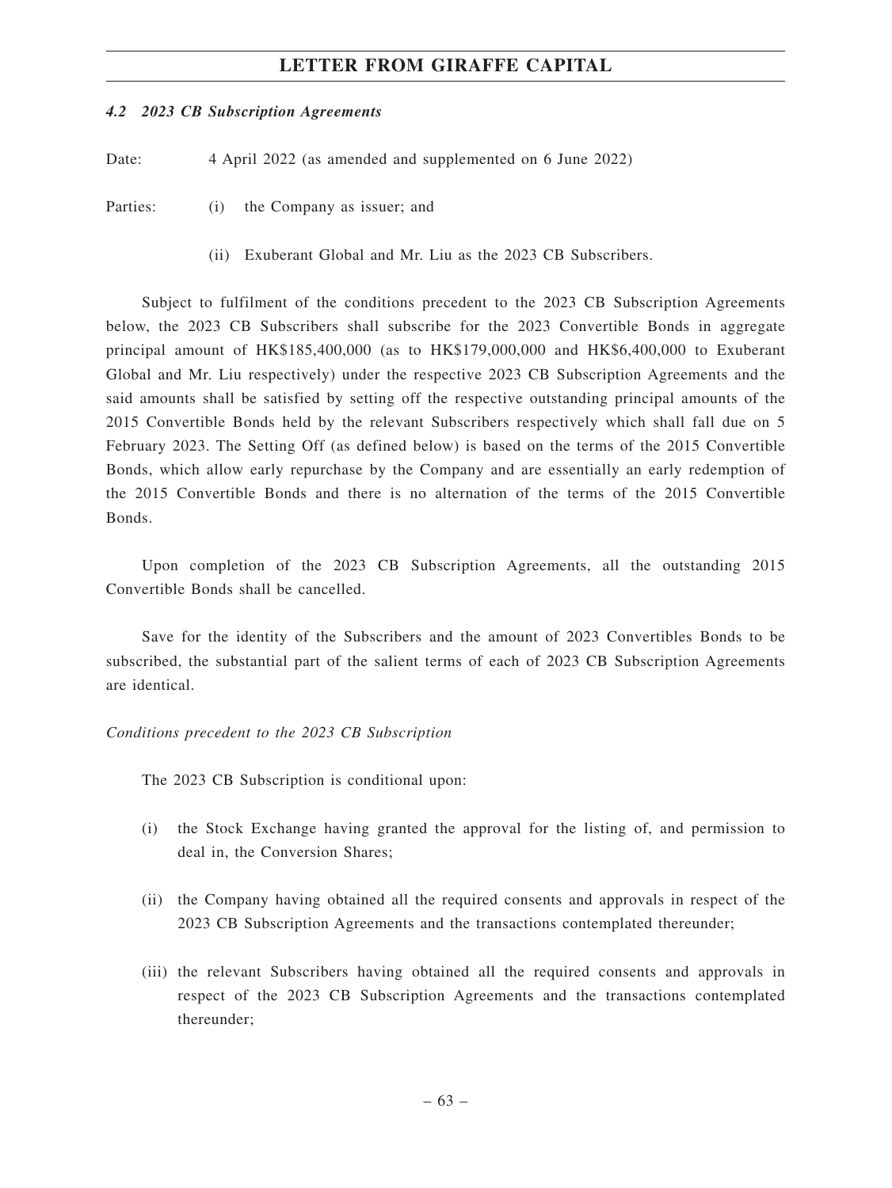### *4.2 2023 CB Subscription Agreements*

Date: 4 April 2022 (as amended and supplemented on 6 June 2022)

Parties: (i) the Company as issuer; and

(ii) Exuberant Global and Mr. Liu as the 2023 CB Subscribers.

Subject to fulfilment of the conditions precedent to the 2023 CB Subscription Agreements below, the 2023 CB Subscribers shall subscribe for the 2023 Convertible Bonds in aggregate principal amount of HK\$185,400,000 (as to HK\$179,000,000 and HK\$6,400,000 to Exuberant Global and Mr. Liu respectively) under the respective 2023 CB Subscription Agreements and the said amounts shall be satisfied by setting off the respective outstanding principal amounts of the 2015 Convertible Bonds held by the relevant Subscribers respectively which shall fall due on 5 February 2023. The Setting Off (as defined below) is based on the terms of the 2015 Convertible Bonds, which allow early repurchase by the Company and are essentially an early redemption of the 2015 Convertible Bonds and there is no alternation of the terms of the 2015 Convertible Bonds.

Upon completion of the 2023 CB Subscription Agreements, all the outstanding 2015 Convertible Bonds shall be cancelled.

Save for the identity of the Subscribers and the amount of 2023 Convertibles Bonds to be subscribed, the substantial part of the salient terms of each of 2023 CB Subscription Agreements are identical.

*Conditions precedent to the 2023 CB Subscription*

The 2023 CB Subscription is conditional upon:

- (i) the Stock Exchange having granted the approval for the listing of, and permission to deal in, the Conversion Shares;
- (ii) the Company having obtained all the required consents and approvals in respect of the 2023 CB Subscription Agreements and the transactions contemplated thereunder;
- (iii) the relevant Subscribers having obtained all the required consents and approvals in respect of the 2023 CB Subscription Agreements and the transactions contemplated thereunder;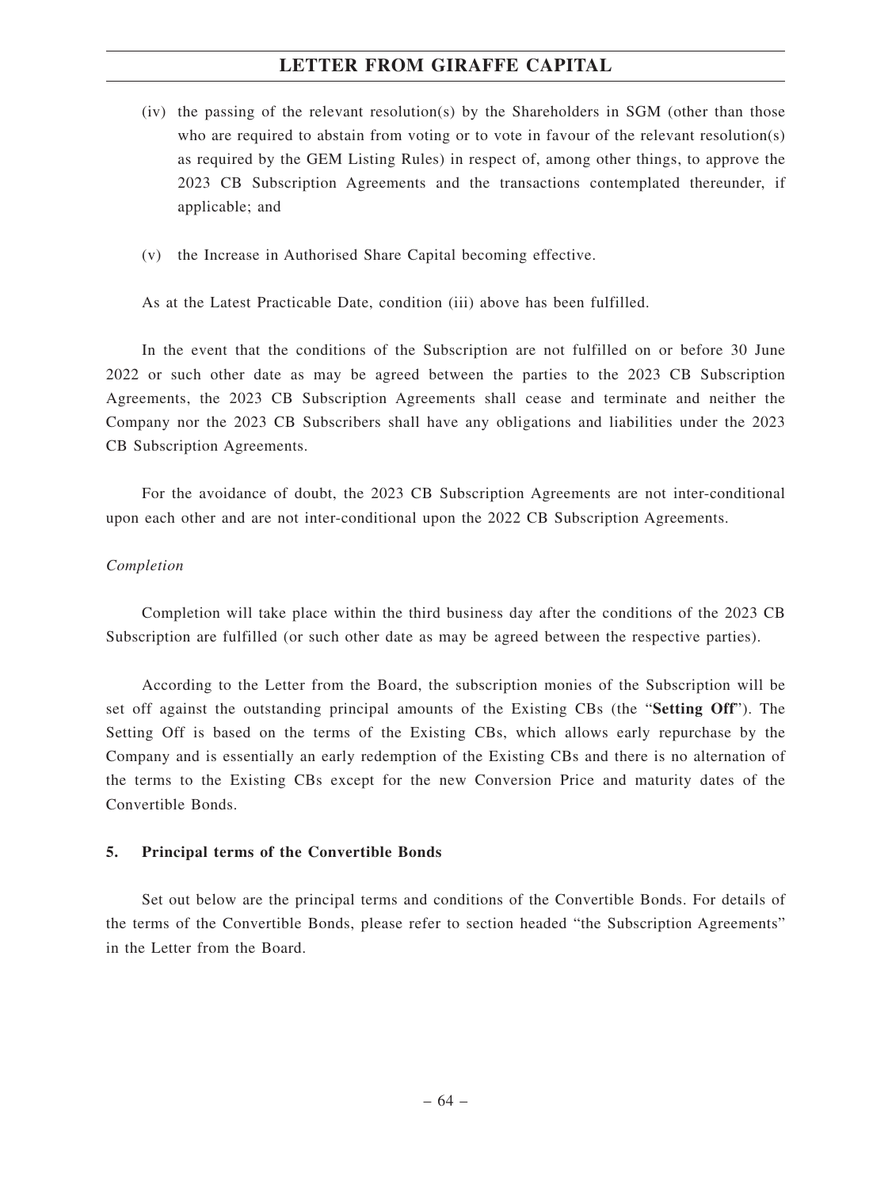- (iv) the passing of the relevant resolution(s) by the Shareholders in SGM (other than those who are required to abstain from voting or to vote in favour of the relevant resolution(s) as required by the GEM Listing Rules) in respect of, among other things, to approve the 2023 CB Subscription Agreements and the transactions contemplated thereunder, if applicable; and
- (v) the Increase in Authorised Share Capital becoming effective.

As at the Latest Practicable Date, condition (iii) above has been fulfilled.

In the event that the conditions of the Subscription are not fulfilled on or before 30 June 2022 or such other date as may be agreed between the parties to the 2023 CB Subscription Agreements, the 2023 CB Subscription Agreements shall cease and terminate and neither the Company nor the 2023 CB Subscribers shall have any obligations and liabilities under the 2023 CB Subscription Agreements.

For the avoidance of doubt, the 2023 CB Subscription Agreements are not inter-conditional upon each other and are not inter-conditional upon the 2022 CB Subscription Agreements.

#### *Completion*

Completion will take place within the third business day after the conditions of the 2023 CB Subscription are fulfilled (or such other date as may be agreed between the respective parties).

According to the Letter from the Board, the subscription monies of the Subscription will be set off against the outstanding principal amounts of the Existing CBs (the "**Setting Off**"). The Setting Off is based on the terms of the Existing CBs, which allows early repurchase by the Company and is essentially an early redemption of the Existing CBs and there is no alternation of the terms to the Existing CBs except for the new Conversion Price and maturity dates of the Convertible Bonds.

### **5. Principal terms of the Convertible Bonds**

Set out below are the principal terms and conditions of the Convertible Bonds. For details of the terms of the Convertible Bonds, please refer to section headed "the Subscription Agreements" in the Letter from the Board.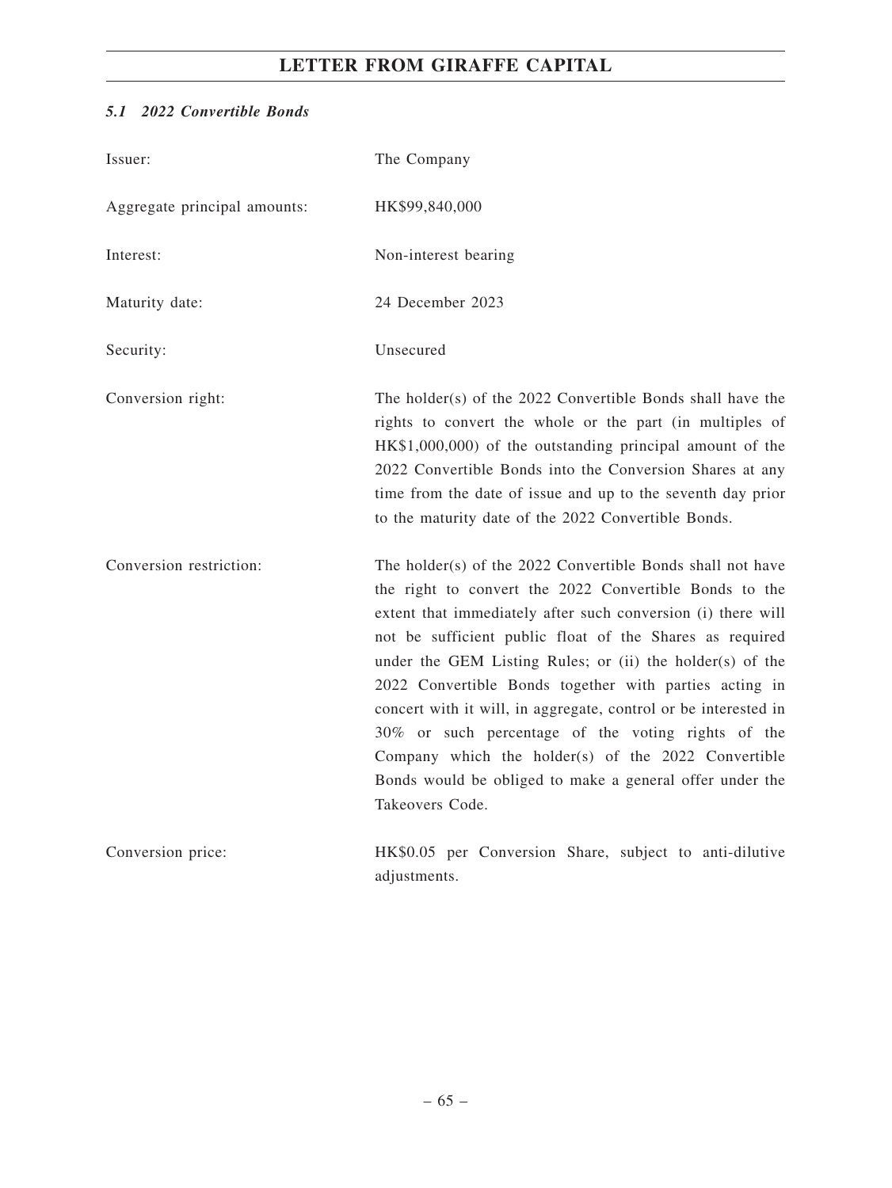# *5.1 2022 Convertible Bonds*

| Issuer:                      | The Company                                                                                                                                                                                                                                                                                                                                                                                                                                                                                                                                                                                                                            |
|------------------------------|----------------------------------------------------------------------------------------------------------------------------------------------------------------------------------------------------------------------------------------------------------------------------------------------------------------------------------------------------------------------------------------------------------------------------------------------------------------------------------------------------------------------------------------------------------------------------------------------------------------------------------------|
| Aggregate principal amounts: | HK\$99,840,000                                                                                                                                                                                                                                                                                                                                                                                                                                                                                                                                                                                                                         |
| Interest:                    | Non-interest bearing                                                                                                                                                                                                                                                                                                                                                                                                                                                                                                                                                                                                                   |
| Maturity date:               | 24 December 2023                                                                                                                                                                                                                                                                                                                                                                                                                                                                                                                                                                                                                       |
| Security:                    | Unsecured                                                                                                                                                                                                                                                                                                                                                                                                                                                                                                                                                                                                                              |
| Conversion right:            | The holder(s) of the 2022 Convertible Bonds shall have the<br>rights to convert the whole or the part (in multiples of<br>HK\$1,000,000) of the outstanding principal amount of the<br>2022 Convertible Bonds into the Conversion Shares at any<br>time from the date of issue and up to the seventh day prior<br>to the maturity date of the 2022 Convertible Bonds.                                                                                                                                                                                                                                                                  |
| Conversion restriction:      | The holder(s) of the 2022 Convertible Bonds shall not have<br>the right to convert the 2022 Convertible Bonds to the<br>extent that immediately after such conversion (i) there will<br>not be sufficient public float of the Shares as required<br>under the GEM Listing Rules; or (ii) the holder(s) of the<br>2022 Convertible Bonds together with parties acting in<br>concert with it will, in aggregate, control or be interested in<br>30% or such percentage of the voting rights of the<br>Company which the holder(s) of the 2022 Convertible<br>Bonds would be obliged to make a general offer under the<br>Takeovers Code. |
| Conversion price:            | HK\$0.05 per Conversion Share, subject to anti-dilutive<br>adjustments.                                                                                                                                                                                                                                                                                                                                                                                                                                                                                                                                                                |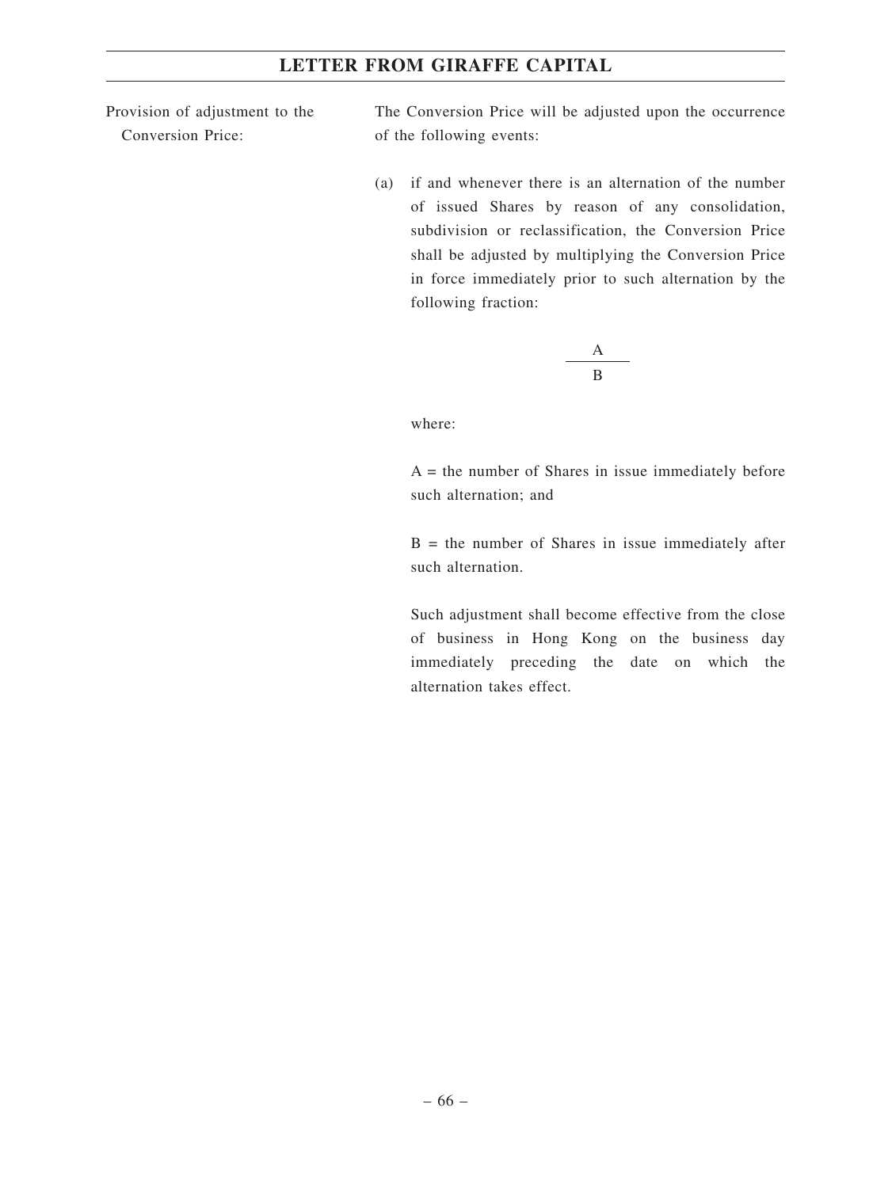Provision of adjustment to the Conversion Price:

The Conversion Price will be adjusted upon the occurrence of the following events:

(a) if and whenever there is an alternation of the number of issued Shares by reason of any consolidation, subdivision or reclassification, the Conversion Price shall be adjusted by multiplying the Conversion Price in force immediately prior to such alternation by the following fraction:

$$
\frac{A}{B}
$$

where:

 $A =$  the number of Shares in issue immediately before such alternation; and

 $B =$  the number of Shares in issue immediately after such alternation.

Such adjustment shall become effective from the close of business in Hong Kong on the business day immediately preceding the date on which the alternation takes effect.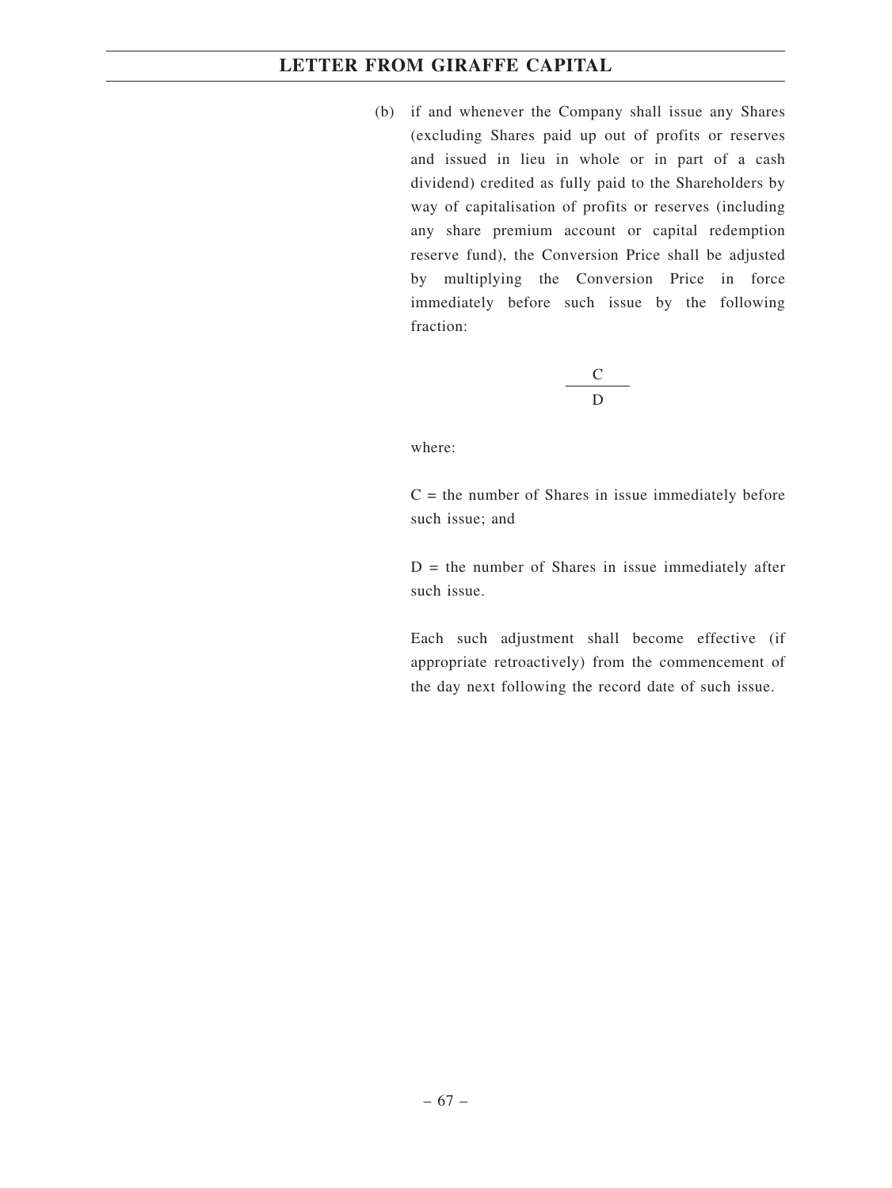(b) if and whenever the Company shall issue any Shares (excluding Shares paid up out of profits or reserves and issued in lieu in whole or in part of a cash dividend) credited as fully paid to the Shareholders by way of capitalisation of profits or reserves (including any share premium account or capital redemption reserve fund), the Conversion Price shall be adjusted by multiplying the Conversion Price in force immediately before such issue by the following fraction:

$$
\frac{\mathbf{C}}{\mathbf{D}}
$$

where:

 $C =$  the number of Shares in issue immediately before such issue; and

 $D =$  the number of Shares in issue immediately after such issue.

Each such adjustment shall become effective (if appropriate retroactively) from the commencement of the day next following the record date of such issue.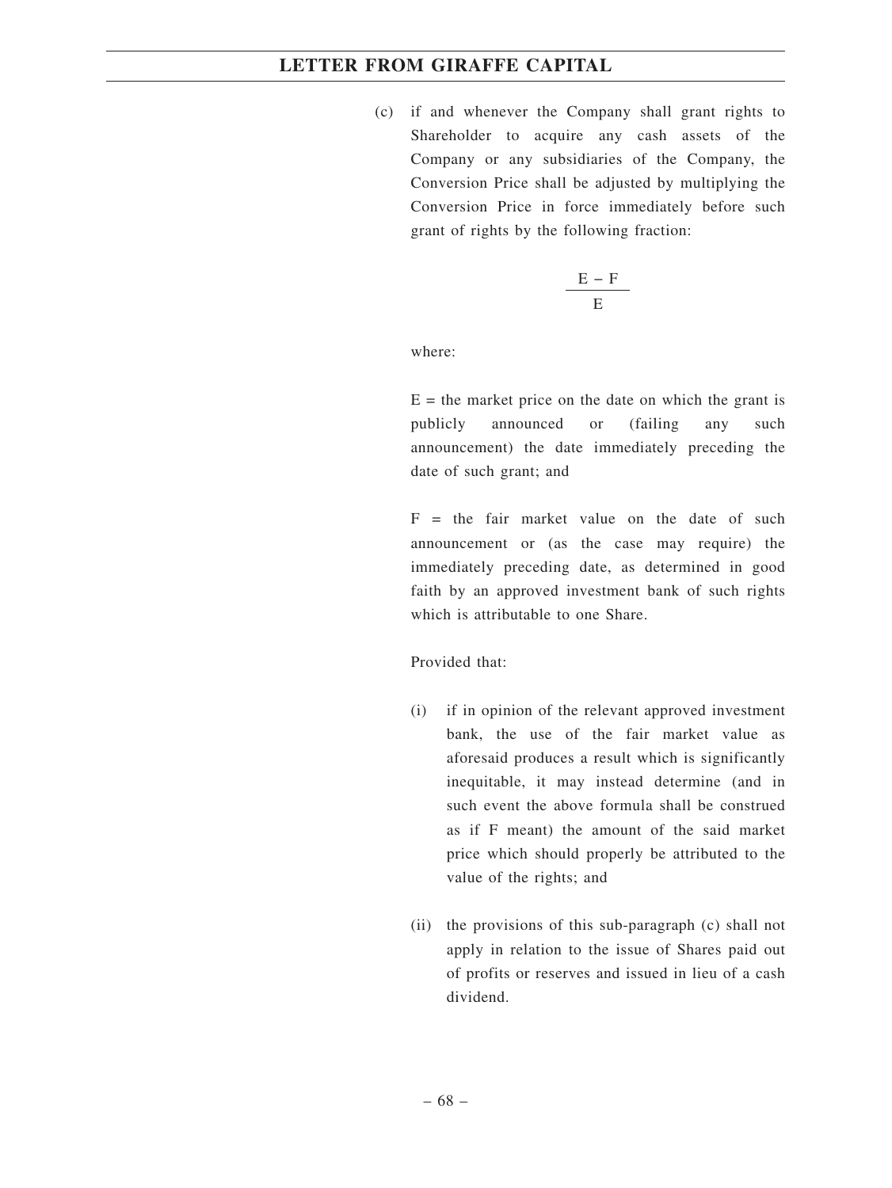(c) if and whenever the Company shall grant rights to Shareholder to acquire any cash assets of the Company or any subsidiaries of the Company, the Conversion Price shall be adjusted by multiplying the Conversion Price in force immediately before such grant of rights by the following fraction:

$$
\frac{E-F}{E}
$$

where:

 $E =$  the market price on the date on which the grant is publicly announced or (failing any such announcement) the date immediately preceding the date of such grant; and

 $F =$  the fair market value on the date of such announcement or (as the case may require) the immediately preceding date, as determined in good faith by an approved investment bank of such rights which is attributable to one Share.

Provided that:

- (i) if in opinion of the relevant approved investment bank, the use of the fair market value as aforesaid produces a result which is significantly inequitable, it may instead determine (and in such event the above formula shall be construed as if F meant) the amount of the said market price which should properly be attributed to the value of the rights; and
- (ii) the provisions of this sub-paragraph (c) shall not apply in relation to the issue of Shares paid out of profits or reserves and issued in lieu of a cash dividend.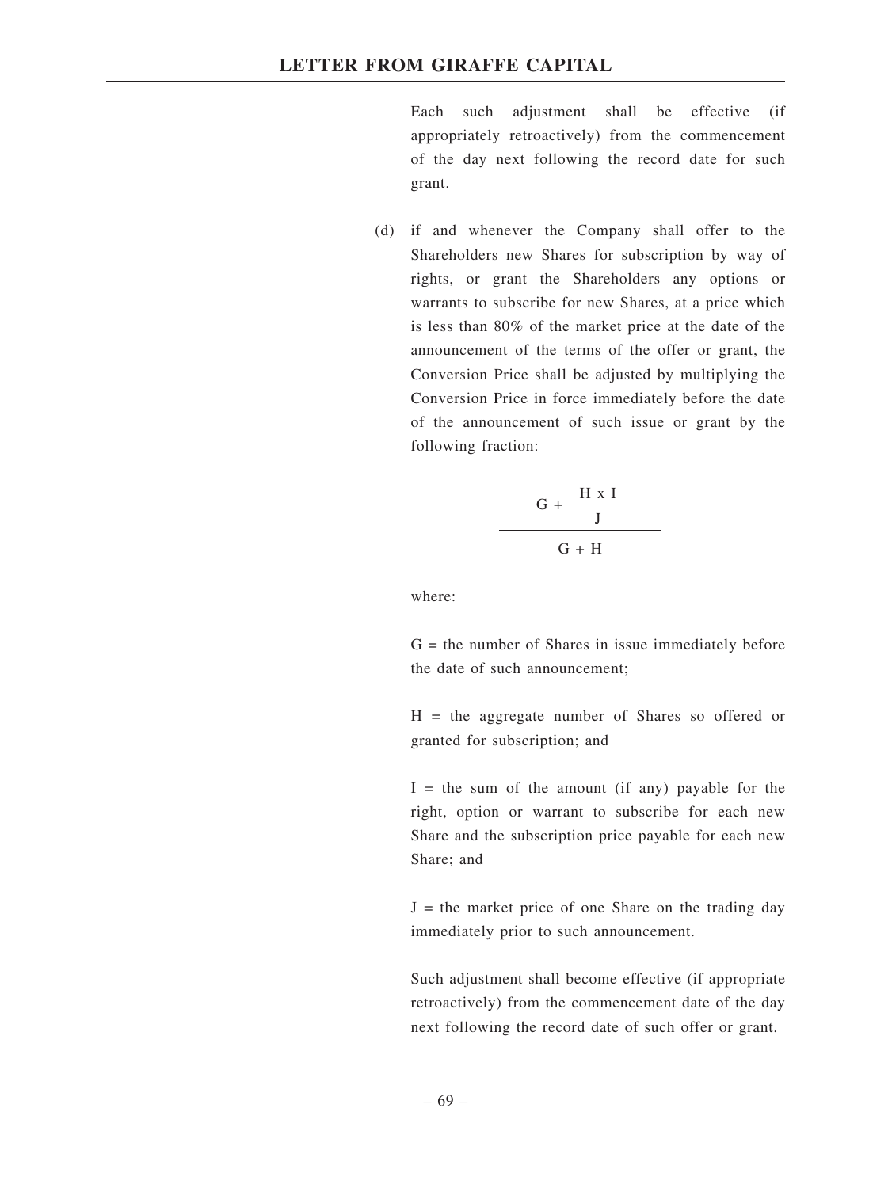Each such adjustment shall be effective (if appropriately retroactively) from the commencement of the day next following the record date for such grant.

(d) if and whenever the Company shall offer to the Shareholders new Shares for subscription by way of rights, or grant the Shareholders any options or warrants to subscribe for new Shares, at a price which is less than 80% of the market price at the date of the announcement of the terms of the offer or grant, the Conversion Price shall be adjusted by multiplying the Conversion Price in force immediately before the date of the announcement of such issue or grant by the following fraction:

$$
\frac{G + \frac{H \times I}{J}}{G + H}
$$

where:

 $G =$  the number of Shares in issue immediately before the date of such announcement;

H = the aggregate number of Shares so offered or granted for subscription; and

 $I =$  the sum of the amount (if any) payable for the right, option or warrant to subscribe for each new Share and the subscription price payable for each new Share; and

 $J =$  the market price of one Share on the trading day immediately prior to such announcement.

Such adjustment shall become effective (if appropriate retroactively) from the commencement date of the day next following the record date of such offer or grant.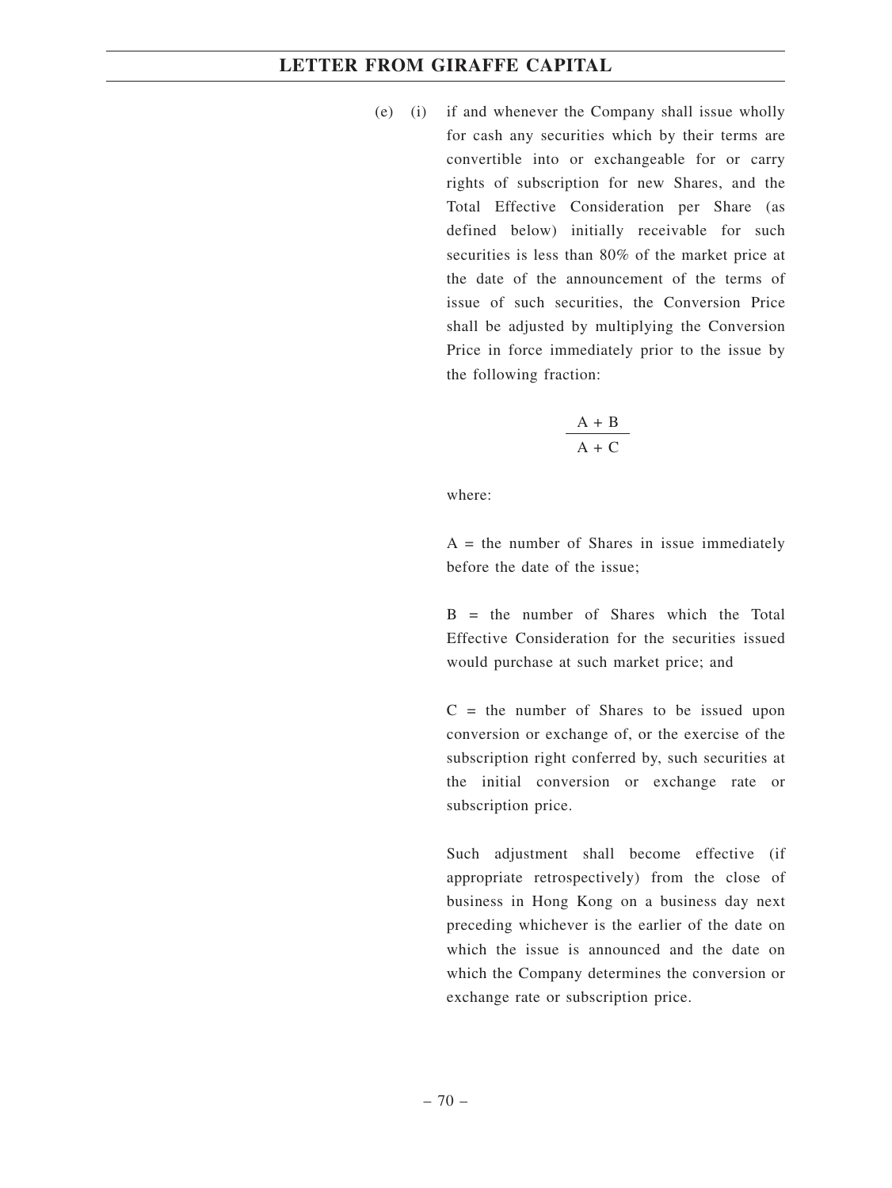(e) (i) if and whenever the Company shall issue wholly for cash any securities which by their terms are convertible into or exchangeable for or carry rights of subscription for new Shares, and the Total Effective Consideration per Share (as defined below) initially receivable for such securities is less than 80% of the market price at the date of the announcement of the terms of issue of such securities, the Conversion Price shall be adjusted by multiplying the Conversion Price in force immediately prior to the issue by the following fraction:

$$
\frac{A + B}{A + C}
$$

where:

 $A =$  the number of Shares in issue immediately before the date of the issue;

 $B =$  the number of Shares which the Total Effective Consideration for the securities issued would purchase at such market price; and

 $C =$  the number of Shares to be issued upon conversion or exchange of, or the exercise of the subscription right conferred by, such securities at the initial conversion or exchange rate or subscription price.

Such adjustment shall become effective (if appropriate retrospectively) from the close of business in Hong Kong on a business day next preceding whichever is the earlier of the date on which the issue is announced and the date on which the Company determines the conversion or exchange rate or subscription price.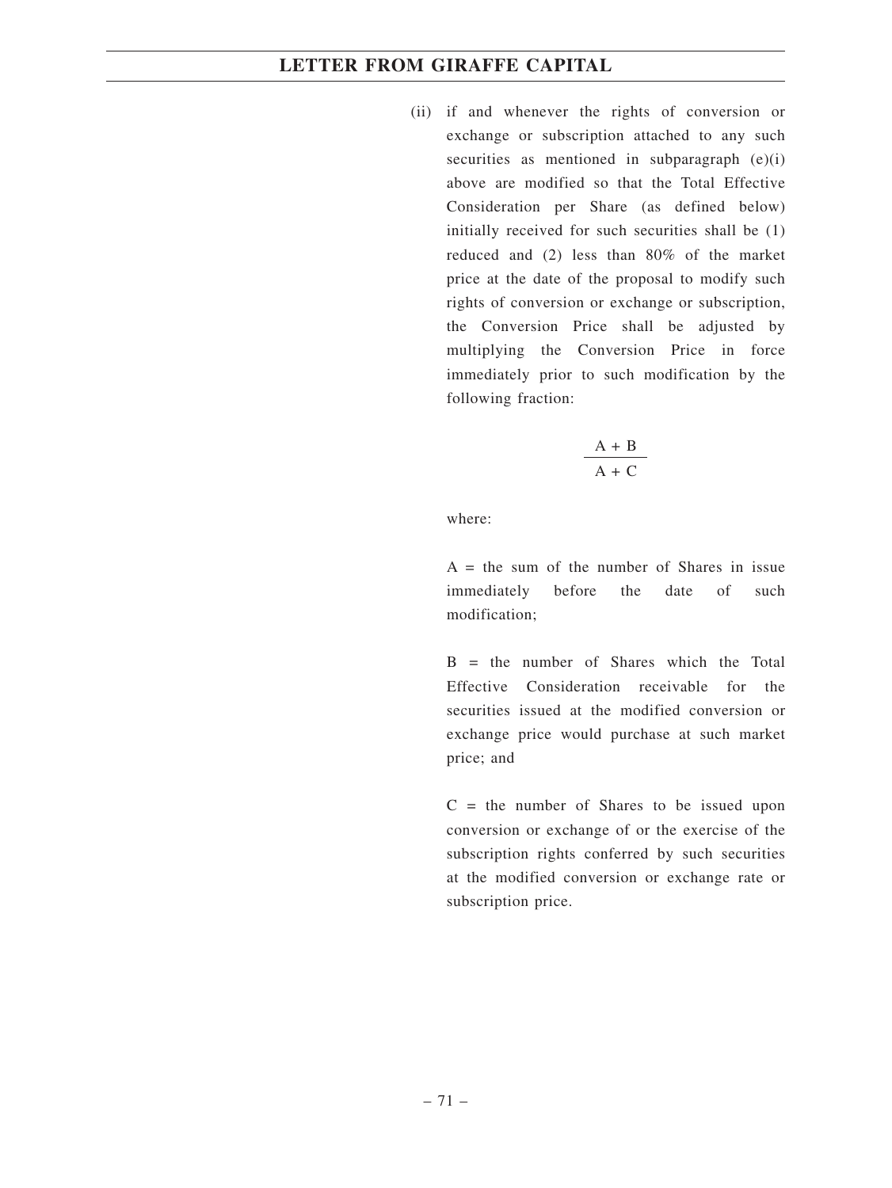(ii) if and whenever the rights of conversion or exchange or subscription attached to any such securities as mentioned in subparagraph  $(e)(i)$ above are modified so that the Total Effective Consideration per Share (as defined below) initially received for such securities shall be (1) reduced and (2) less than 80% of the market price at the date of the proposal to modify such rights of conversion or exchange or subscription, the Conversion Price shall be adjusted by multiplying the Conversion Price in force immediately prior to such modification by the following fraction:

$$
\frac{A + B}{A + C}
$$

where:

 $A =$  the sum of the number of Shares in issue immediately before the date of such modification;

 $B =$  the number of Shares which the Total Effective Consideration receivable for the securities issued at the modified conversion or exchange price would purchase at such market price; and

 $C =$  the number of Shares to be issued upon conversion or exchange of or the exercise of the subscription rights conferred by such securities at the modified conversion or exchange rate or subscription price.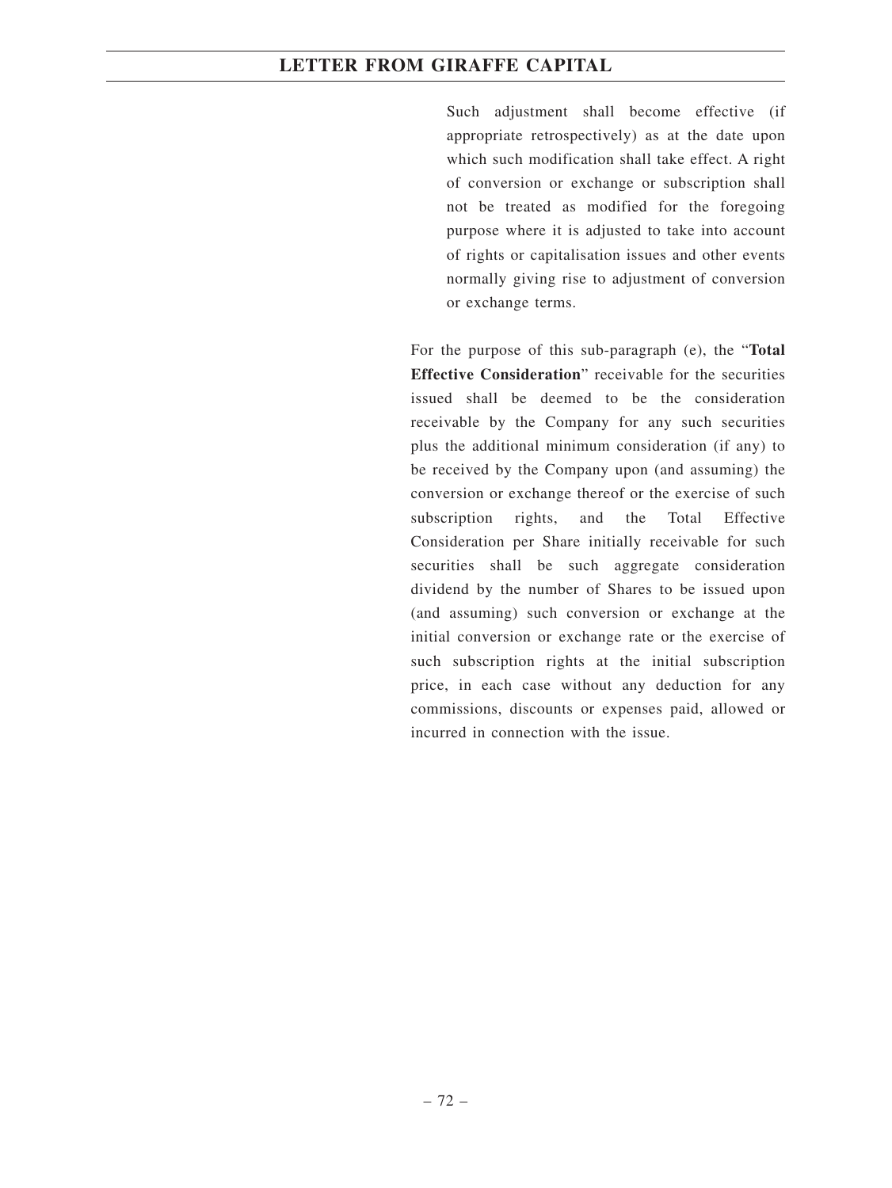Such adjustment shall become effective (if appropriate retrospectively) as at the date upon which such modification shall take effect. A right of conversion or exchange or subscription shall not be treated as modified for the foregoing purpose where it is adjusted to take into account of rights or capitalisation issues and other events normally giving rise to adjustment of conversion or exchange terms.

For the purpose of this sub-paragraph (e), the "**Total Effective Consideration**" receivable for the securities issued shall be deemed to be the consideration receivable by the Company for any such securities plus the additional minimum consideration (if any) to be received by the Company upon (and assuming) the conversion or exchange thereof or the exercise of such subscription rights, and the Total Effective Consideration per Share initially receivable for such securities shall be such aggregate consideration dividend by the number of Shares to be issued upon (and assuming) such conversion or exchange at the initial conversion or exchange rate or the exercise of such subscription rights at the initial subscription price, in each case without any deduction for any commissions, discounts or expenses paid, allowed or incurred in connection with the issue.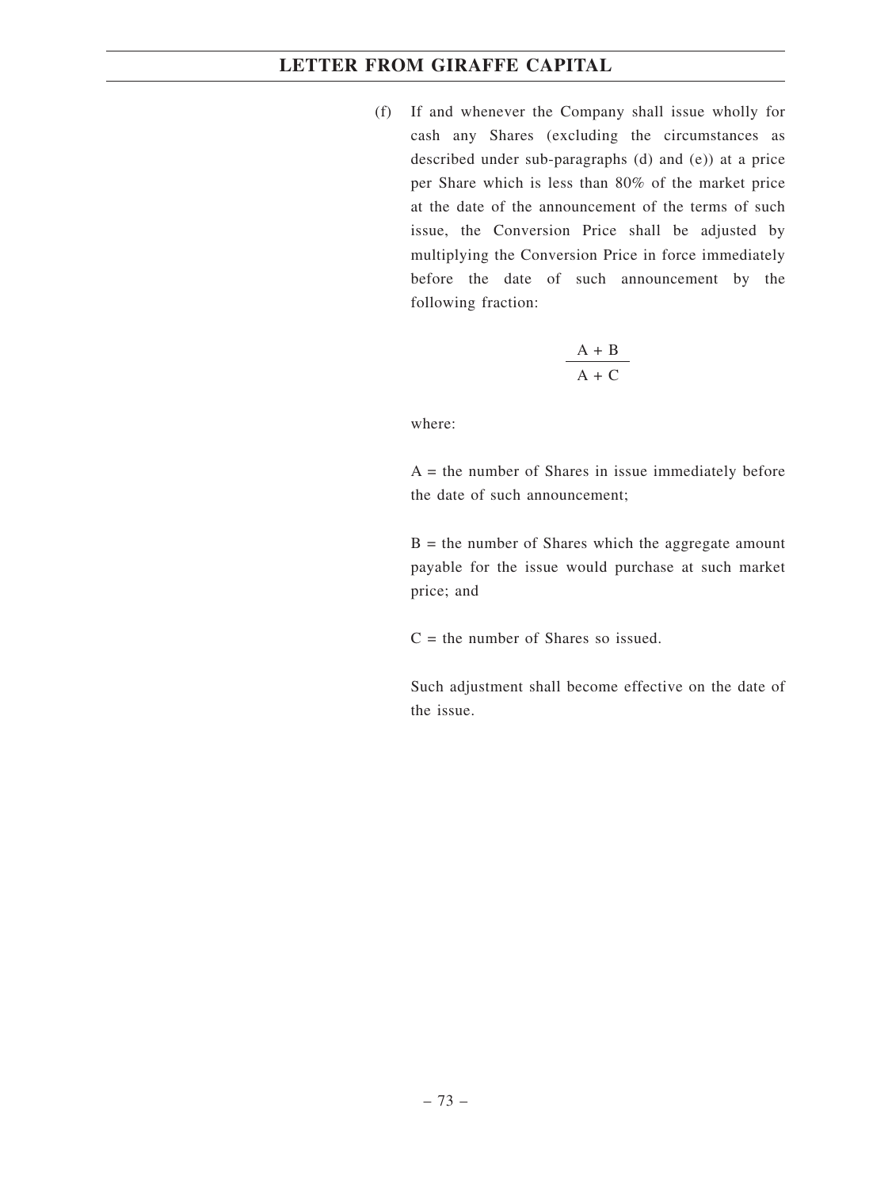(f) If and whenever the Company shall issue wholly for cash any Shares (excluding the circumstances as described under sub-paragraphs (d) and (e)) at a price per Share which is less than 80% of the market price at the date of the announcement of the terms of such issue, the Conversion Price shall be adjusted by multiplying the Conversion Price in force immediately before the date of such announcement by the following fraction:

$$
\frac{A + B}{A + C}
$$

where:

 $A =$  the number of Shares in issue immediately before the date of such announcement;

 $B =$  the number of Shares which the aggregate amount payable for the issue would purchase at such market price; and

 $C =$  the number of Shares so issued.

Such adjustment shall become effective on the date of the issue.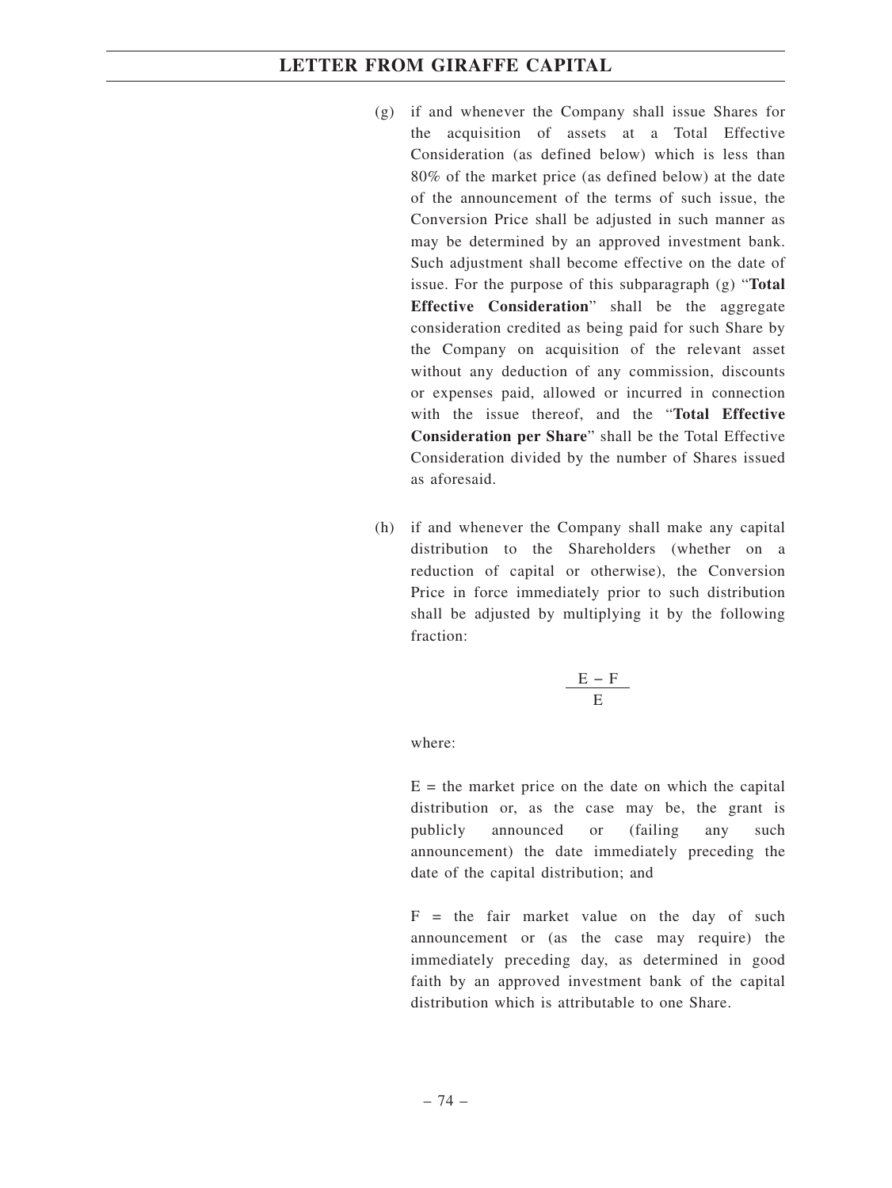- (g) if and whenever the Company shall issue Shares for the acquisition of assets at a Total Effective Consideration (as defined below) which is less than 80% of the market price (as defined below) at the date of the announcement of the terms of such issue, the Conversion Price shall be adjusted in such manner as may be determined by an approved investment bank. Such adjustment shall become effective on the date of issue. For the purpose of this subparagraph (g) "**Total Effective Consideration**" shall be the aggregate consideration credited as being paid for such Share by the Company on acquisition of the relevant asset without any deduction of any commission, discounts or expenses paid, allowed or incurred in connection with the issue thereof, and the "**Total Effective Consideration per Share**" shall be the Total Effective Consideration divided by the number of Shares issued as aforesaid.
- (h) if and whenever the Company shall make any capital distribution to the Shareholders (whether on a reduction of capital or otherwise), the Conversion Price in force immediately prior to such distribution shall be adjusted by multiplying it by the following fraction:

$$
\frac{E-F}{E}
$$

where:

 $E =$  the market price on the date on which the capital distribution or, as the case may be, the grant is publicly announced or (failing any such announcement) the date immediately preceding the date of the capital distribution; and

 $F =$  the fair market value on the day of such announcement or (as the case may require) the immediately preceding day, as determined in good faith by an approved investment bank of the capital distribution which is attributable to one Share.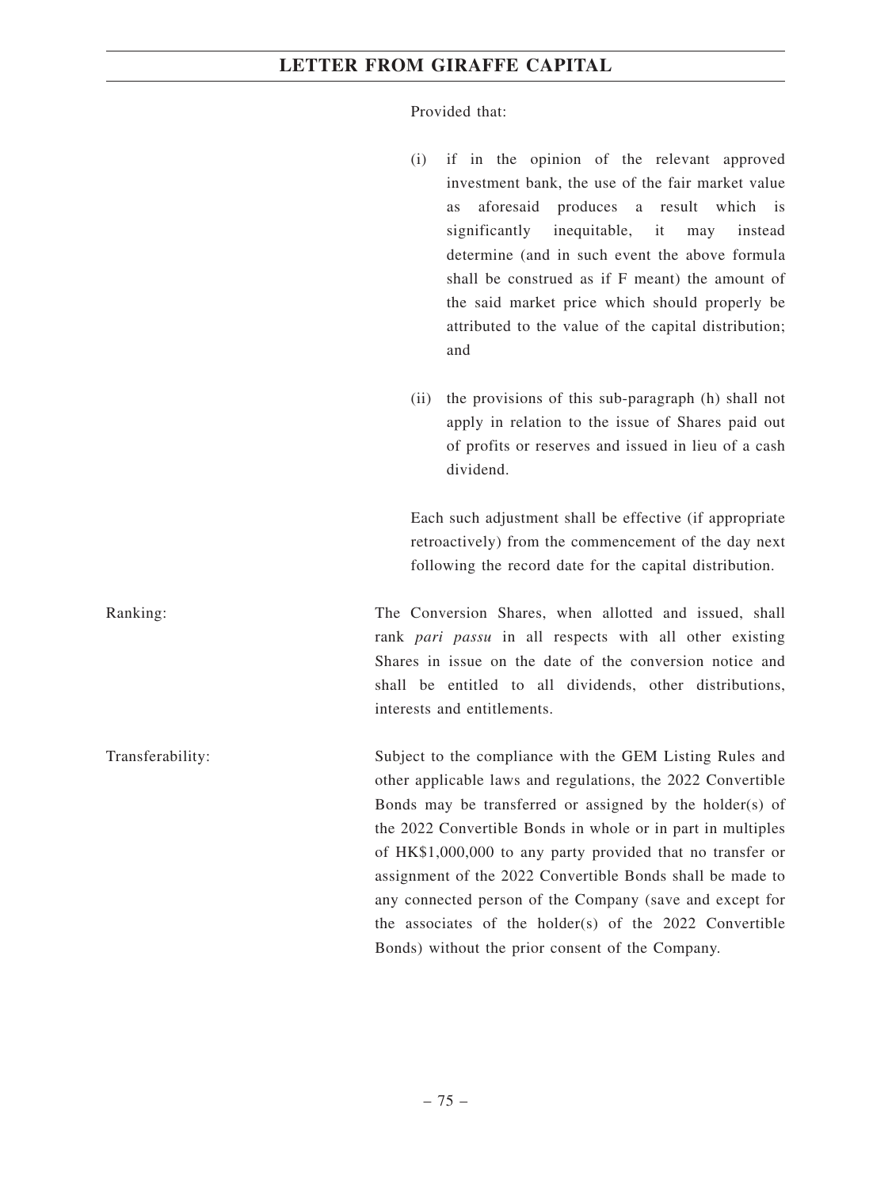Provided that:

- (i) if in the opinion of the relevant approved investment bank, the use of the fair market value as aforesaid produces a result which is significantly inequitable, it may instead determine (and in such event the above formula shall be construed as if F meant) the amount of the said market price which should properly be attributed to the value of the capital distribution; and
- (ii) the provisions of this sub-paragraph (h) shall not apply in relation to the issue of Shares paid out of profits or reserves and issued in lieu of a cash dividend.

Each such adjustment shall be effective (if appropriate retroactively) from the commencement of the day next following the record date for the capital distribution.

Ranking: The Conversion Shares, when allotted and issued, shall rank *pari passu* in all respects with all other existing Shares in issue on the date of the conversion notice and shall be entitled to all dividends, other distributions, interests and entitlements.

Transferability: Subject to the compliance with the GEM Listing Rules and other applicable laws and regulations, the 2022 Convertible Bonds may be transferred or assigned by the holder(s) of the 2022 Convertible Bonds in whole or in part in multiples of HK\$1,000,000 to any party provided that no transfer or assignment of the 2022 Convertible Bonds shall be made to any connected person of the Company (save and except for the associates of the holder(s) of the 2022 Convertible Bonds) without the prior consent of the Company.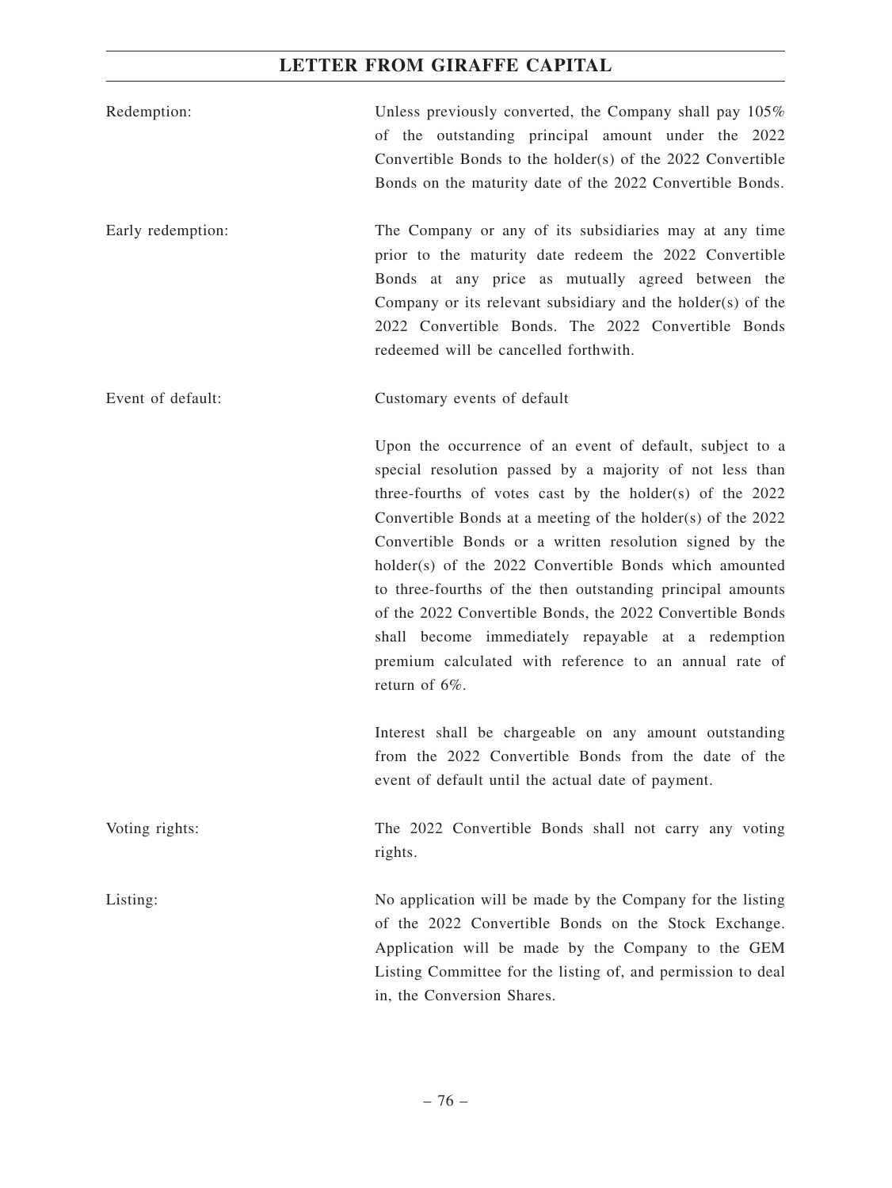| Redemption:       | Unless previously converted, the Company shall pay 105%<br>of the outstanding principal amount under the 2022<br>Convertible Bonds to the holder(s) of the 2022 Convertible<br>Bonds on the maturity date of the 2022 Convertible Bonds.                                                                                                                                                                                                                                                                                                                                                                                           |
|-------------------|------------------------------------------------------------------------------------------------------------------------------------------------------------------------------------------------------------------------------------------------------------------------------------------------------------------------------------------------------------------------------------------------------------------------------------------------------------------------------------------------------------------------------------------------------------------------------------------------------------------------------------|
| Early redemption: | The Company or any of its subsidiaries may at any time<br>prior to the maturity date redeem the 2022 Convertible<br>Bonds at any price as mutually agreed between the<br>Company or its relevant subsidiary and the holder(s) of the<br>2022 Convertible Bonds. The 2022 Convertible Bonds<br>redeemed will be cancelled forthwith.                                                                                                                                                                                                                                                                                                |
| Event of default: | Customary events of default                                                                                                                                                                                                                                                                                                                                                                                                                                                                                                                                                                                                        |
|                   | Upon the occurrence of an event of default, subject to a<br>special resolution passed by a majority of not less than<br>three-fourths of votes cast by the holder(s) of the $2022$<br>Convertible Bonds at a meeting of the holder(s) of the 2022<br>Convertible Bonds or a written resolution signed by the<br>holder(s) of the 2022 Convertible Bonds which amounted<br>to three-fourths of the then outstanding principal amounts<br>of the 2022 Convertible Bonds, the 2022 Convertible Bonds<br>shall become immediately repayable at a redemption<br>premium calculated with reference to an annual rate of<br>return of 6%. |
|                   | Interest shall be chargeable on any amount outstanding<br>from the 2022 Convertible Bonds from the date of the<br>event of default until the actual date of payment.                                                                                                                                                                                                                                                                                                                                                                                                                                                               |
| Voting rights:    | The 2022 Convertible Bonds shall not carry any voting<br>rights.                                                                                                                                                                                                                                                                                                                                                                                                                                                                                                                                                                   |
| Listing:          | No application will be made by the Company for the listing<br>of the 2022 Convertible Bonds on the Stock Exchange.<br>Application will be made by the Company to the GEM<br>Listing Committee for the listing of, and permission to deal<br>in, the Conversion Shares.                                                                                                                                                                                                                                                                                                                                                             |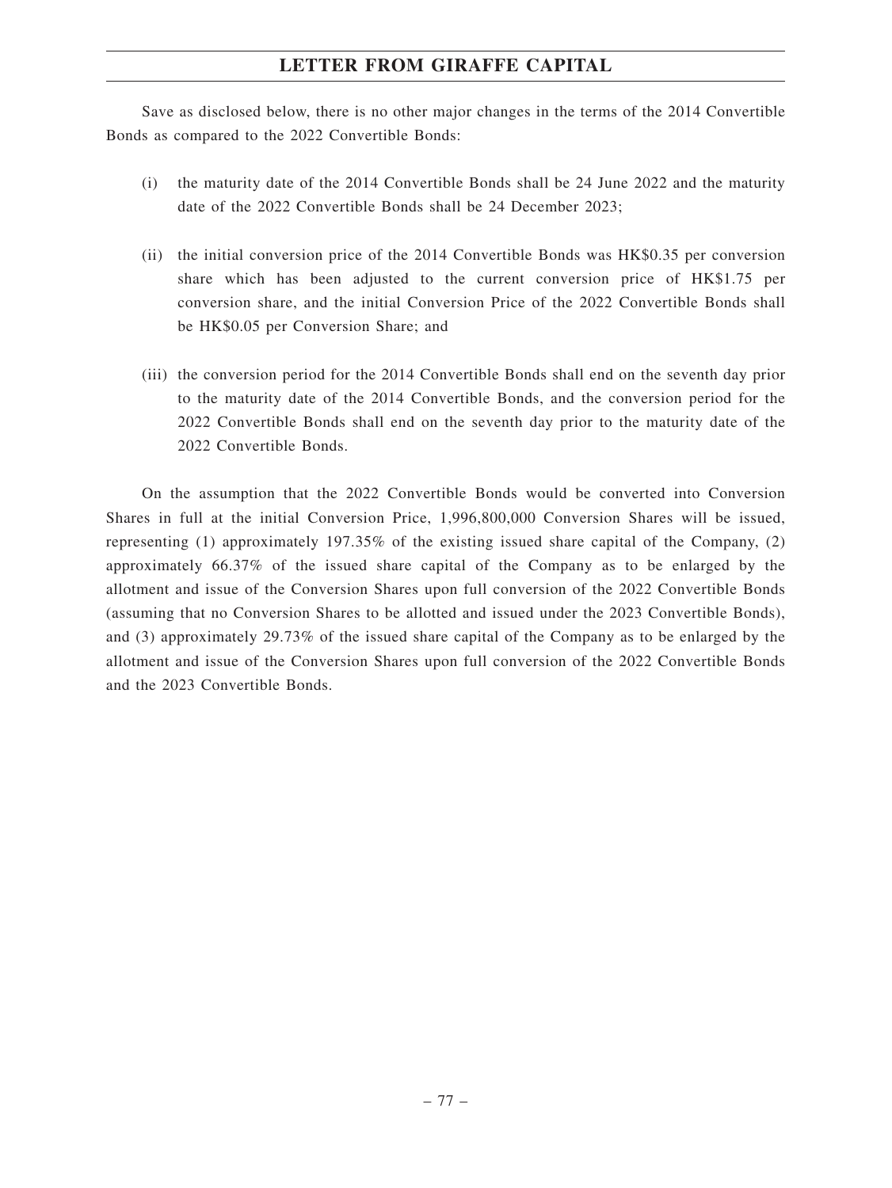Save as disclosed below, there is no other major changes in the terms of the 2014 Convertible Bonds as compared to the 2022 Convertible Bonds:

- (i) the maturity date of the 2014 Convertible Bonds shall be 24 June 2022 and the maturity date of the 2022 Convertible Bonds shall be 24 December 2023;
- (ii) the initial conversion price of the 2014 Convertible Bonds was HK\$0.35 per conversion share which has been adjusted to the current conversion price of HK\$1.75 per conversion share, and the initial Conversion Price of the 2022 Convertible Bonds shall be HK\$0.05 per Conversion Share; and
- (iii) the conversion period for the 2014 Convertible Bonds shall end on the seventh day prior to the maturity date of the 2014 Convertible Bonds, and the conversion period for the 2022 Convertible Bonds shall end on the seventh day prior to the maturity date of the 2022 Convertible Bonds.

On the assumption that the 2022 Convertible Bonds would be converted into Conversion Shares in full at the initial Conversion Price, 1,996,800,000 Conversion Shares will be issued, representing (1) approximately 197.35% of the existing issued share capital of the Company, (2) approximately 66.37% of the issued share capital of the Company as to be enlarged by the allotment and issue of the Conversion Shares upon full conversion of the 2022 Convertible Bonds (assuming that no Conversion Shares to be allotted and issued under the 2023 Convertible Bonds), and (3) approximately 29.73% of the issued share capital of the Company as to be enlarged by the allotment and issue of the Conversion Shares upon full conversion of the 2022 Convertible Bonds and the 2023 Convertible Bonds.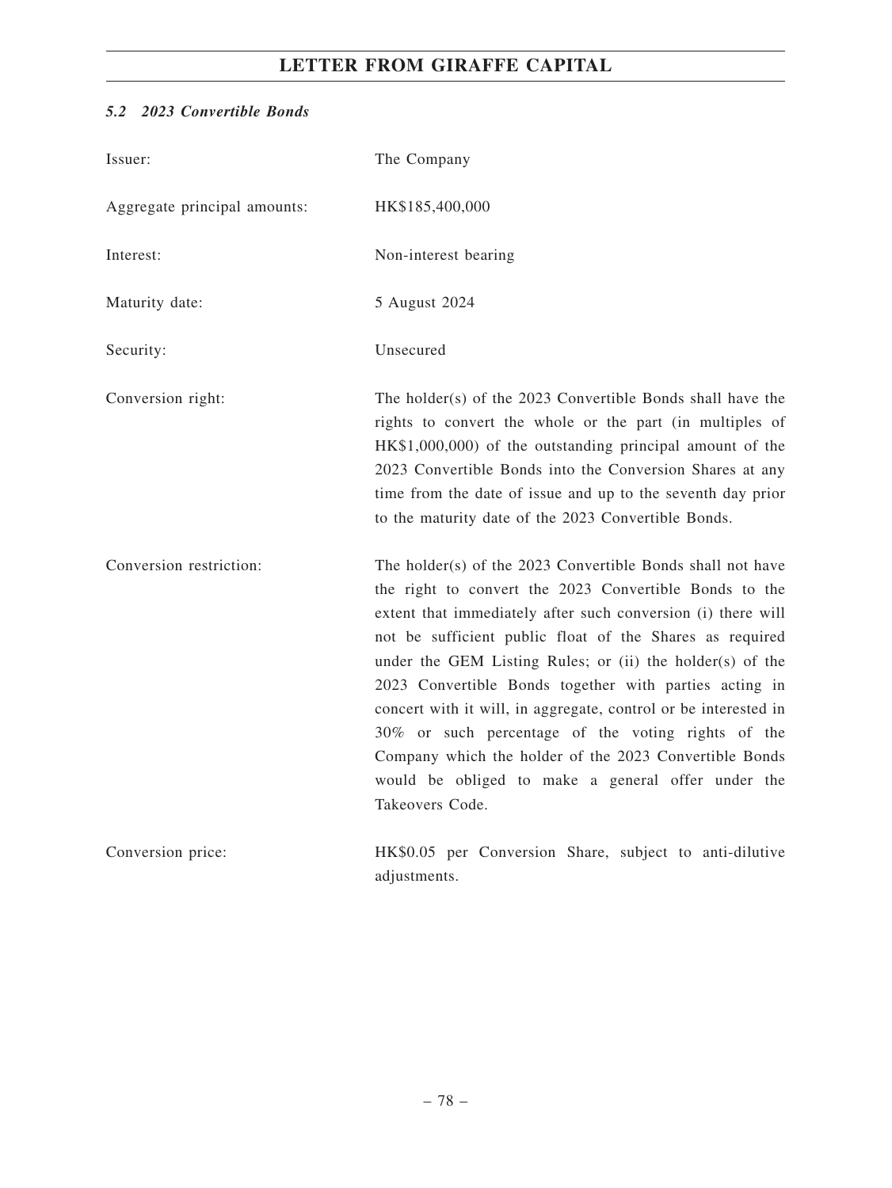# *5.2 2023 Convertible Bonds*

| Issuer:                      | The Company                                                                                                                                                                                                                                                                                                                                                                                                                                                                                                                                                                                                                         |
|------------------------------|-------------------------------------------------------------------------------------------------------------------------------------------------------------------------------------------------------------------------------------------------------------------------------------------------------------------------------------------------------------------------------------------------------------------------------------------------------------------------------------------------------------------------------------------------------------------------------------------------------------------------------------|
| Aggregate principal amounts: | HK\$185,400,000                                                                                                                                                                                                                                                                                                                                                                                                                                                                                                                                                                                                                     |
| Interest:                    | Non-interest bearing                                                                                                                                                                                                                                                                                                                                                                                                                                                                                                                                                                                                                |
| Maturity date:               | 5 August 2024                                                                                                                                                                                                                                                                                                                                                                                                                                                                                                                                                                                                                       |
| Security:                    | Unsecured                                                                                                                                                                                                                                                                                                                                                                                                                                                                                                                                                                                                                           |
| Conversion right:            | The holder(s) of the 2023 Convertible Bonds shall have the<br>rights to convert the whole or the part (in multiples of<br>HK\$1,000,000) of the outstanding principal amount of the<br>2023 Convertible Bonds into the Conversion Shares at any<br>time from the date of issue and up to the seventh day prior<br>to the maturity date of the 2023 Convertible Bonds.                                                                                                                                                                                                                                                               |
| Conversion restriction:      | The holder(s) of the 2023 Convertible Bonds shall not have<br>the right to convert the 2023 Convertible Bonds to the<br>extent that immediately after such conversion (i) there will<br>not be sufficient public float of the Shares as required<br>under the GEM Listing Rules; or (ii) the holder(s) of the<br>2023 Convertible Bonds together with parties acting in<br>concert with it will, in aggregate, control or be interested in<br>30% or such percentage of the voting rights of the<br>Company which the holder of the 2023 Convertible Bonds<br>would be obliged to make a general offer under the<br>Takeovers Code. |
| Conversion price:            | HK\$0.05 per Conversion Share, subject to anti-dilutive<br>adjustments.                                                                                                                                                                                                                                                                                                                                                                                                                                                                                                                                                             |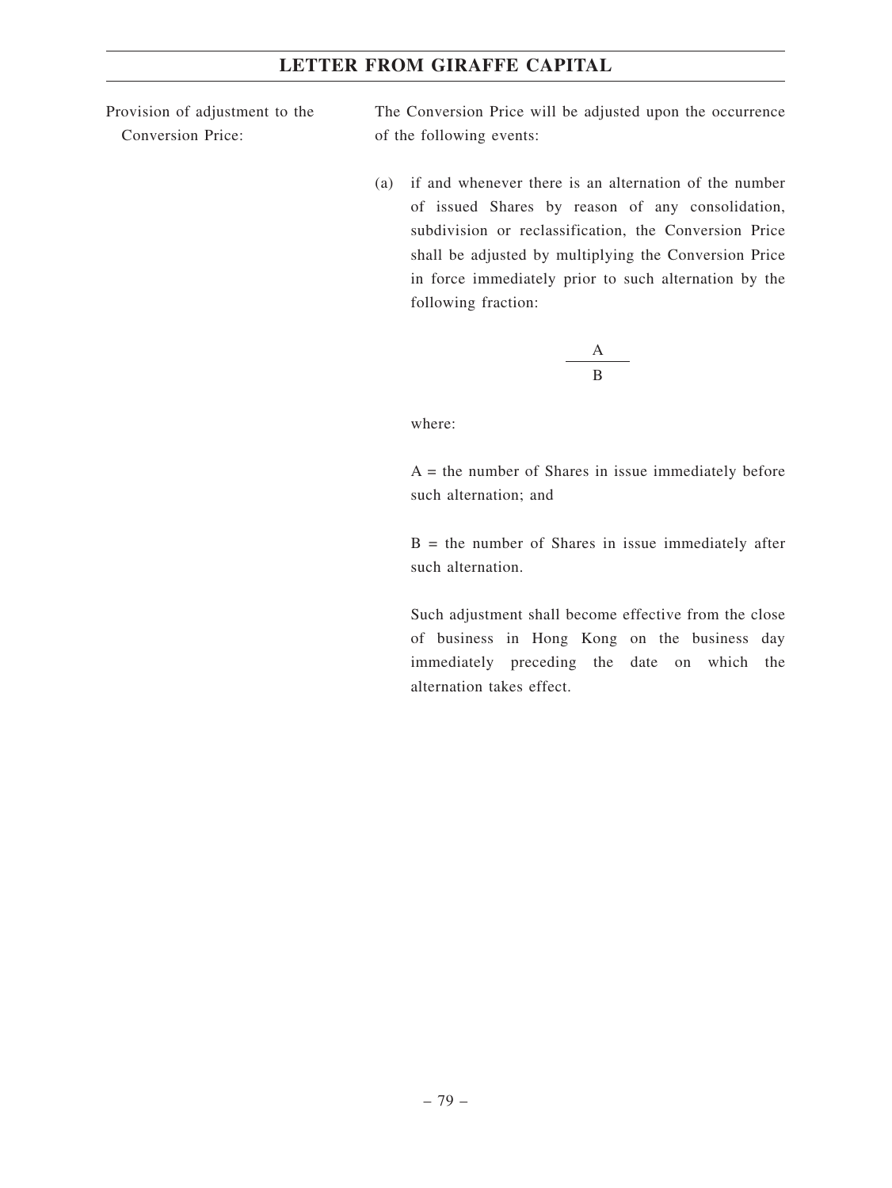Provision of adjustment to the Conversion Price:

The Conversion Price will be adjusted upon the occurrence of the following events:

(a) if and whenever there is an alternation of the number of issued Shares by reason of any consolidation, subdivision or reclassification, the Conversion Price shall be adjusted by multiplying the Conversion Price in force immediately prior to such alternation by the following fraction:

$$
\frac{A}{B}
$$

where:

 $A =$  the number of Shares in issue immediately before such alternation; and

 $B =$  the number of Shares in issue immediately after such alternation.

Such adjustment shall become effective from the close of business in Hong Kong on the business day immediately preceding the date on which the alternation takes effect.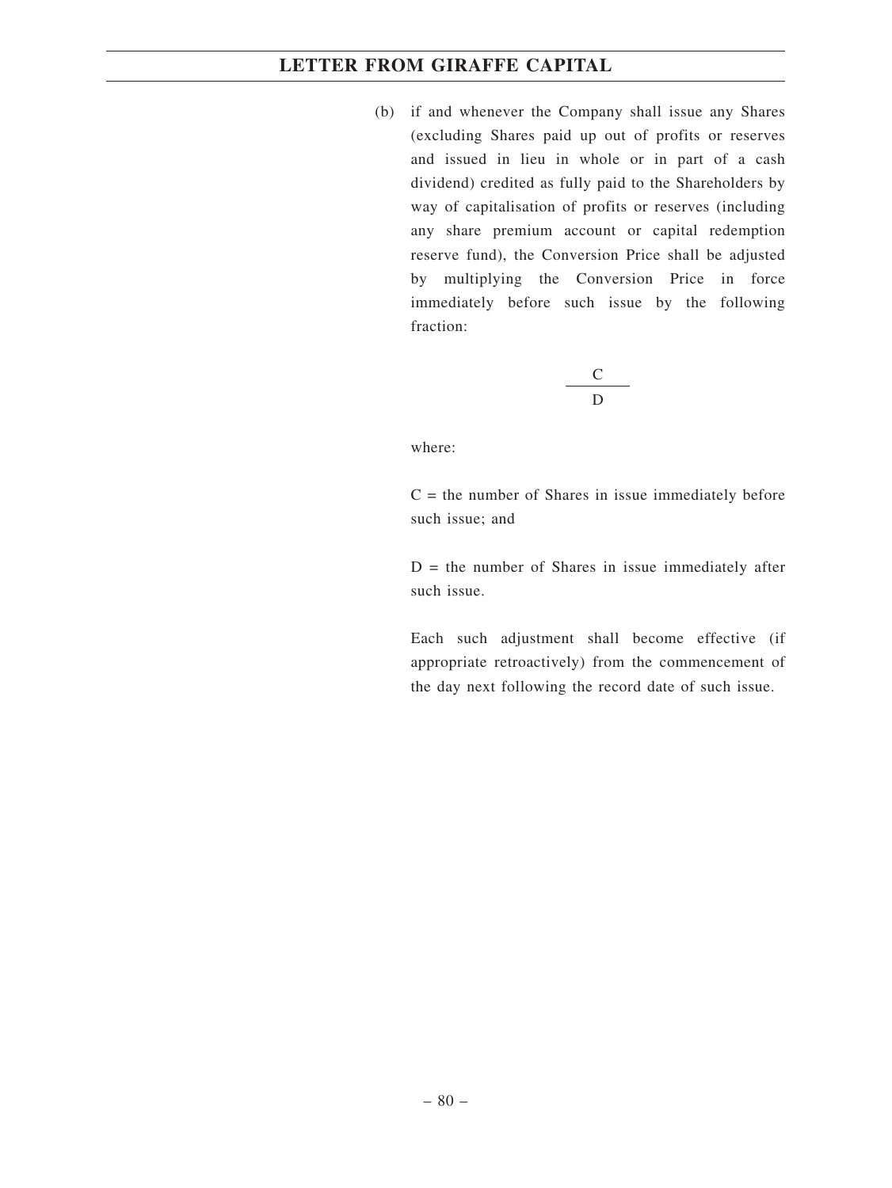(b) if and whenever the Company shall issue any Shares (excluding Shares paid up out of profits or reserves and issued in lieu in whole or in part of a cash dividend) credited as fully paid to the Shareholders by way of capitalisation of profits or reserves (including any share premium account or capital redemption reserve fund), the Conversion Price shall be adjusted by multiplying the Conversion Price in force immediately before such issue by the following fraction:

$$
\frac{\mathbf{C}}{\mathbf{D}}
$$

where:

 $C =$  the number of Shares in issue immediately before such issue; and

 $D =$  the number of Shares in issue immediately after such issue.

Each such adjustment shall become effective (if appropriate retroactively) from the commencement of the day next following the record date of such issue.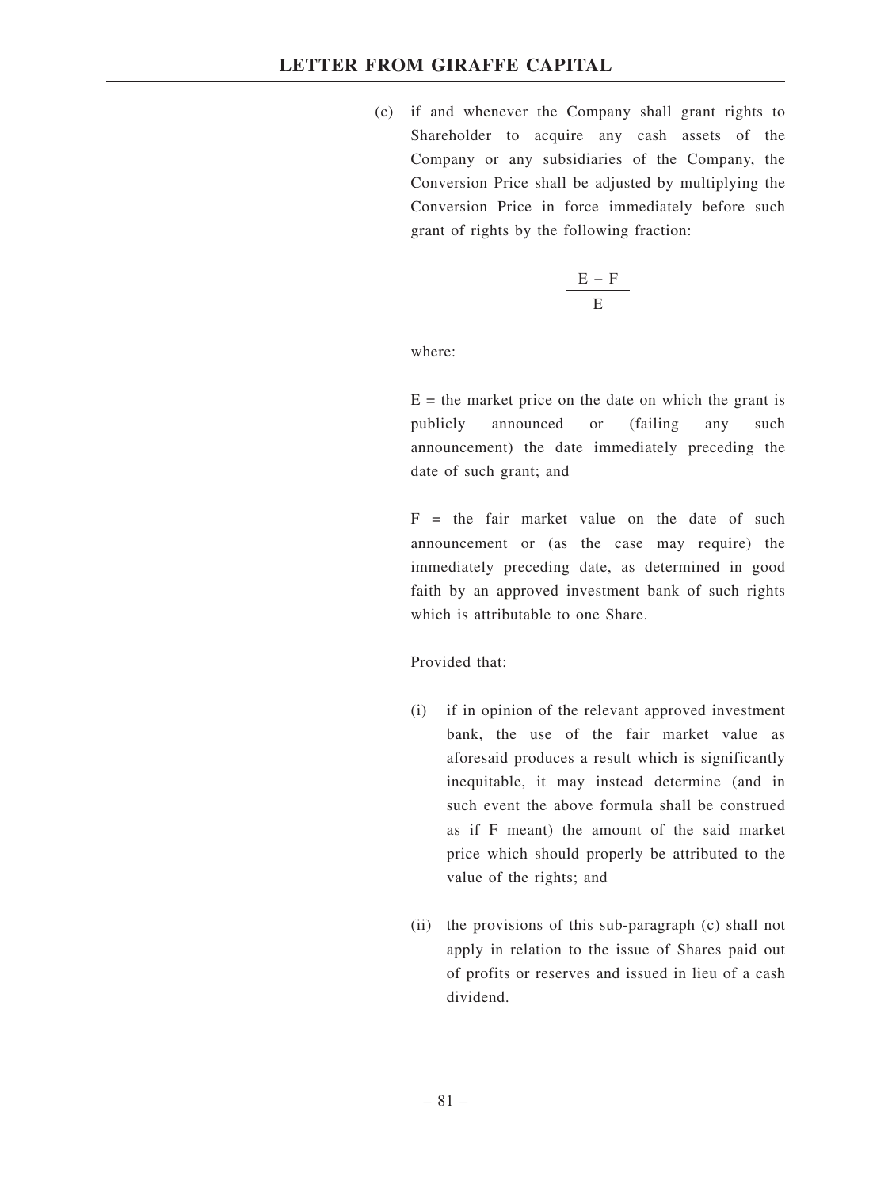(c) if and whenever the Company shall grant rights to Shareholder to acquire any cash assets of the Company or any subsidiaries of the Company, the Conversion Price shall be adjusted by multiplying the Conversion Price in force immediately before such grant of rights by the following fraction:

$$
\frac{E-F}{E}
$$

where:

 $E =$  the market price on the date on which the grant is publicly announced or (failing any such announcement) the date immediately preceding the date of such grant; and

 $F =$  the fair market value on the date of such announcement or (as the case may require) the immediately preceding date, as determined in good faith by an approved investment bank of such rights which is attributable to one Share.

Provided that:

- (i) if in opinion of the relevant approved investment bank, the use of the fair market value as aforesaid produces a result which is significantly inequitable, it may instead determine (and in such event the above formula shall be construed as if F meant) the amount of the said market price which should properly be attributed to the value of the rights; and
- (ii) the provisions of this sub-paragraph (c) shall not apply in relation to the issue of Shares paid out of profits or reserves and issued in lieu of a cash dividend.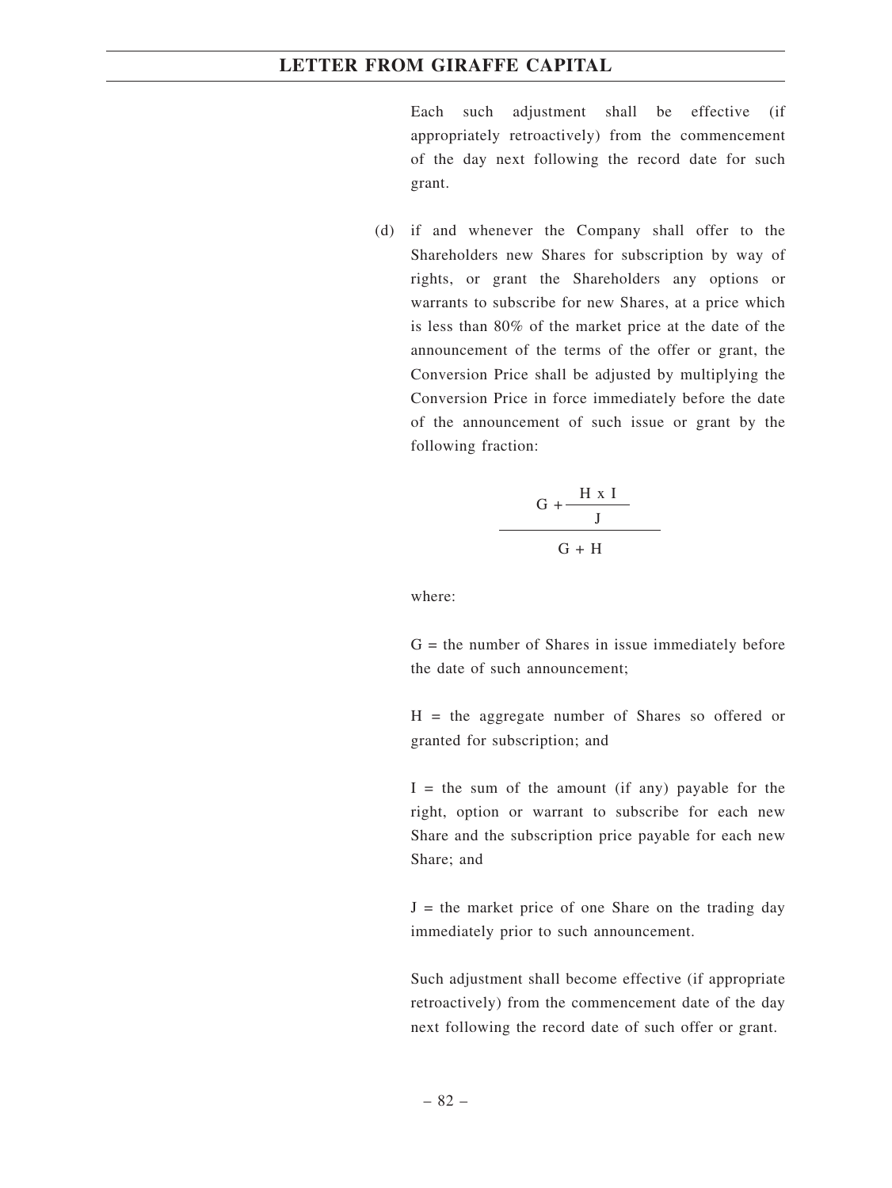Each such adjustment shall be effective (if appropriately retroactively) from the commencement of the day next following the record date for such grant.

(d) if and whenever the Company shall offer to the Shareholders new Shares for subscription by way of rights, or grant the Shareholders any options or warrants to subscribe for new Shares, at a price which is less than 80% of the market price at the date of the announcement of the terms of the offer or grant, the Conversion Price shall be adjusted by multiplying the Conversion Price in force immediately before the date of the announcement of such issue or grant by the following fraction:

$$
\frac{G + \frac{H \times I}{J}}{G + H}
$$

where:

 $G =$  the number of Shares in issue immediately before the date of such announcement;

H = the aggregate number of Shares so offered or granted for subscription; and

 $I =$  the sum of the amount (if any) payable for the right, option or warrant to subscribe for each new Share and the subscription price payable for each new Share; and

 $J =$  the market price of one Share on the trading day immediately prior to such announcement.

Such adjustment shall become effective (if appropriate retroactively) from the commencement date of the day next following the record date of such offer or grant.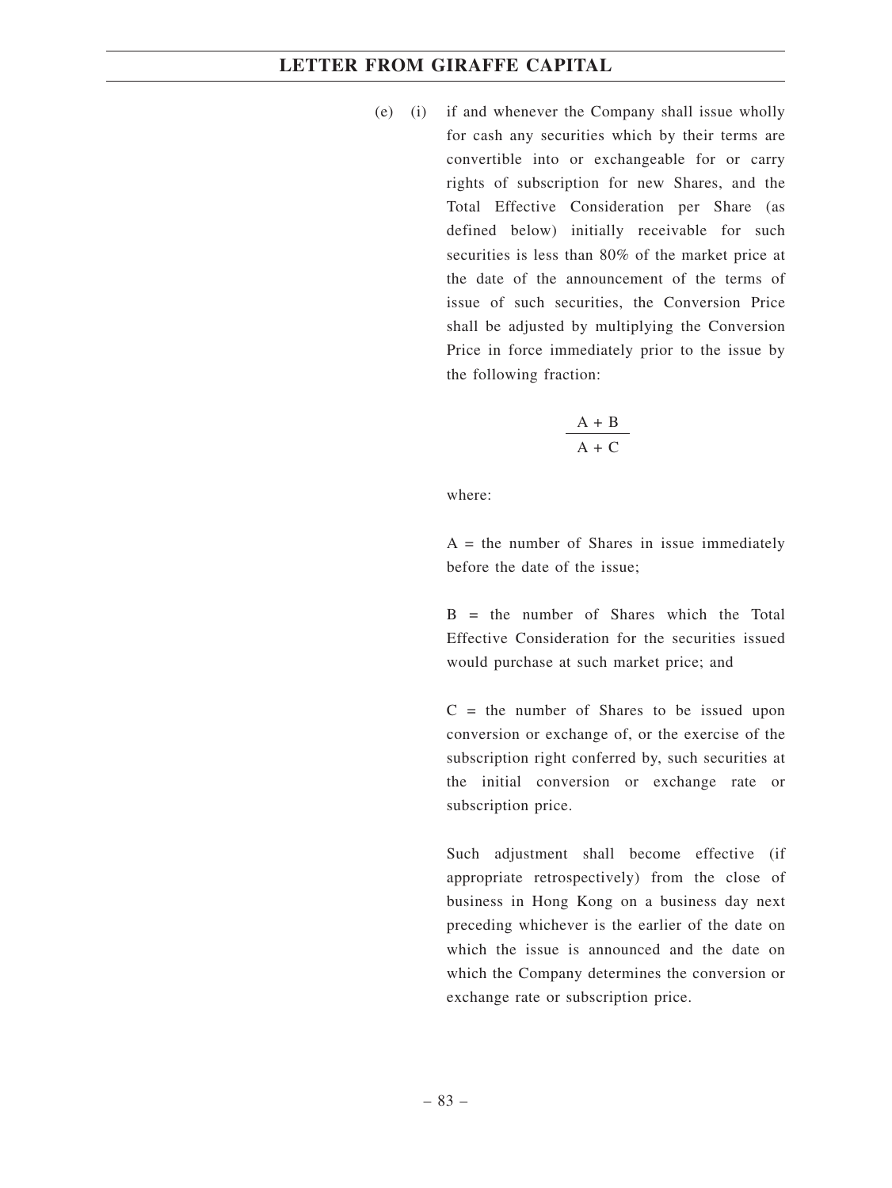(e) (i) if and whenever the Company shall issue wholly for cash any securities which by their terms are convertible into or exchangeable for or carry rights of subscription for new Shares, and the Total Effective Consideration per Share (as defined below) initially receivable for such securities is less than 80% of the market price at the date of the announcement of the terms of issue of such securities, the Conversion Price shall be adjusted by multiplying the Conversion Price in force immediately prior to the issue by the following fraction:

$$
\frac{A + B}{A + C}
$$

where:

 $A =$  the number of Shares in issue immediately before the date of the issue;

 $B =$  the number of Shares which the Total Effective Consideration for the securities issued would purchase at such market price; and

 $C =$  the number of Shares to be issued upon conversion or exchange of, or the exercise of the subscription right conferred by, such securities at the initial conversion or exchange rate or subscription price.

Such adjustment shall become effective (if appropriate retrospectively) from the close of business in Hong Kong on a business day next preceding whichever is the earlier of the date on which the issue is announced and the date on which the Company determines the conversion or exchange rate or subscription price.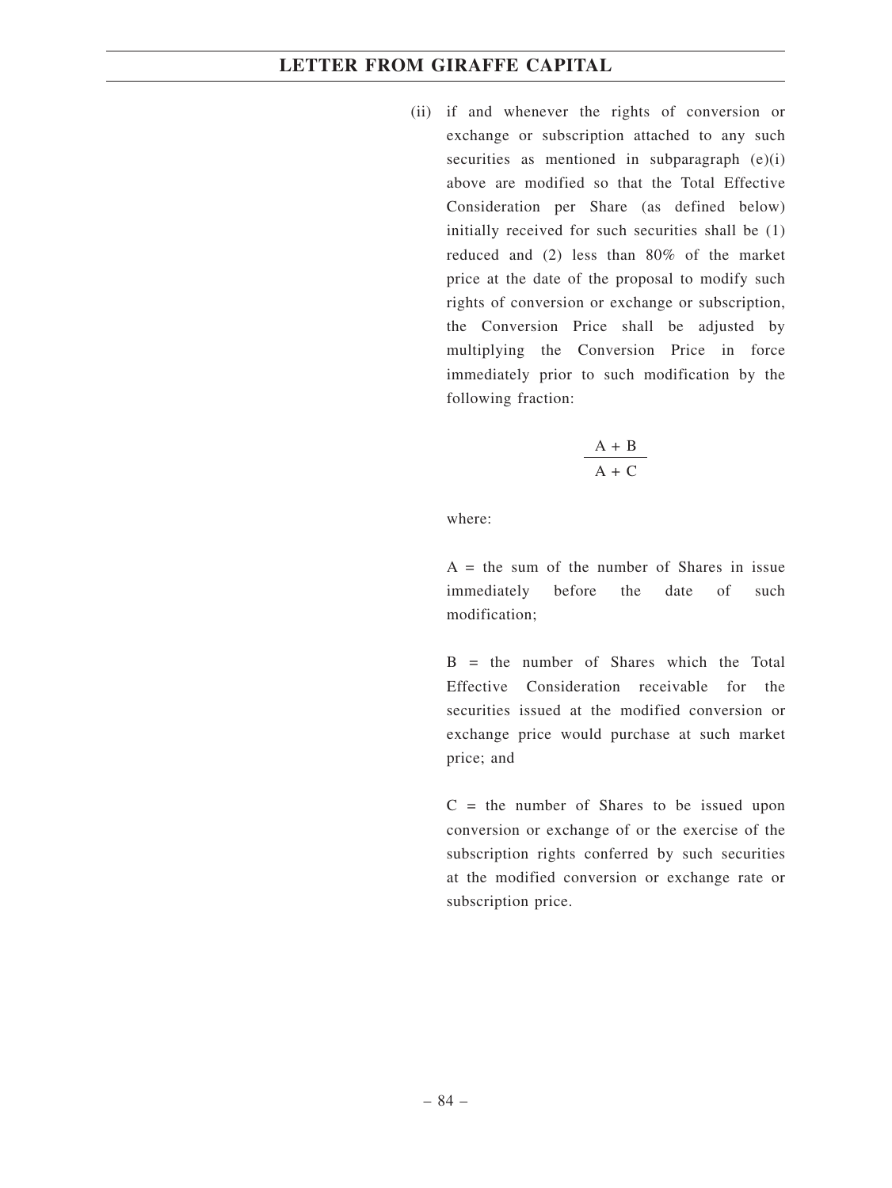(ii) if and whenever the rights of conversion or exchange or subscription attached to any such securities as mentioned in subparagraph  $(e)(i)$ above are modified so that the Total Effective Consideration per Share (as defined below) initially received for such securities shall be (1) reduced and (2) less than 80% of the market price at the date of the proposal to modify such rights of conversion or exchange or subscription, the Conversion Price shall be adjusted by multiplying the Conversion Price in force immediately prior to such modification by the following fraction:

$$
\frac{A + B}{A + C}
$$

where:

 $A =$  the sum of the number of Shares in issue immediately before the date of such modification;

 $B =$  the number of Shares which the Total Effective Consideration receivable for the securities issued at the modified conversion or exchange price would purchase at such market price; and

 $C =$  the number of Shares to be issued upon conversion or exchange of or the exercise of the subscription rights conferred by such securities at the modified conversion or exchange rate or subscription price.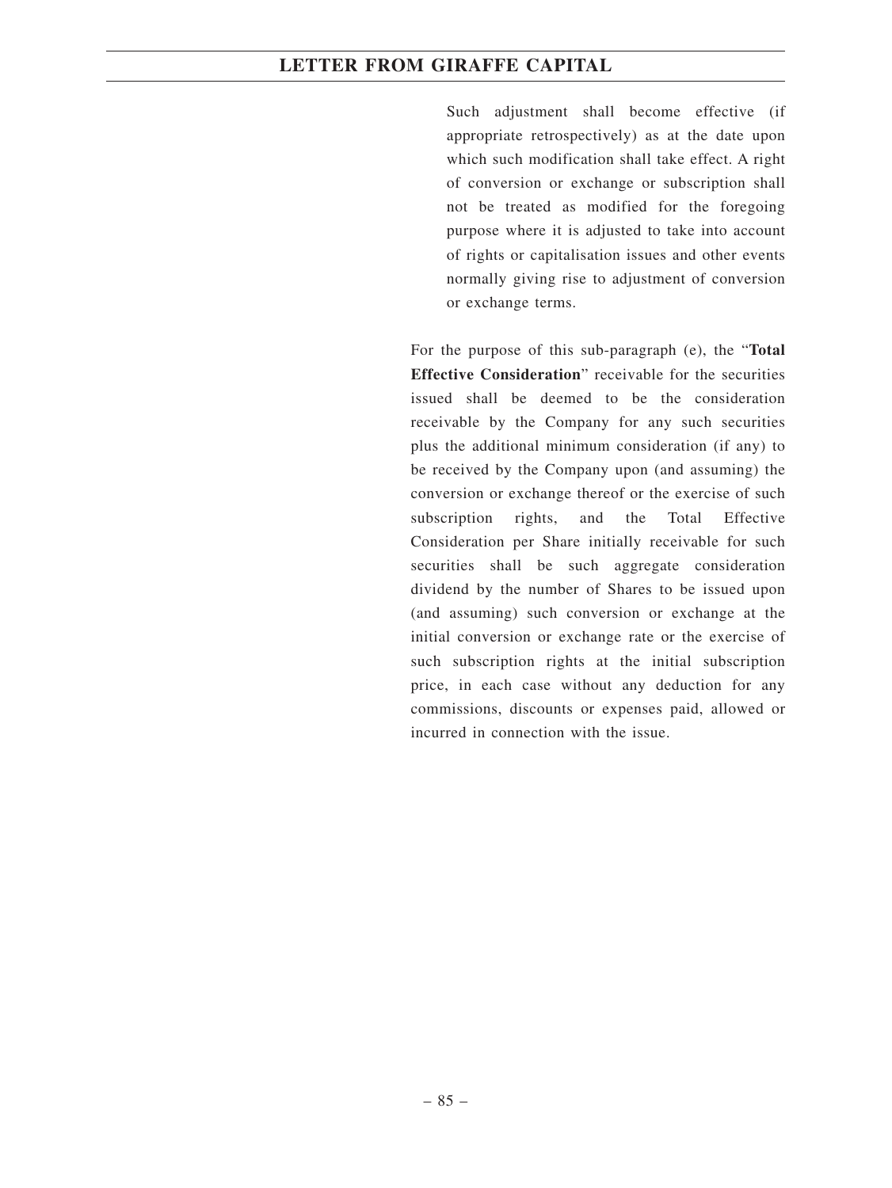Such adjustment shall become effective (if appropriate retrospectively) as at the date upon which such modification shall take effect. A right of conversion or exchange or subscription shall not be treated as modified for the foregoing purpose where it is adjusted to take into account of rights or capitalisation issues and other events normally giving rise to adjustment of conversion or exchange terms.

For the purpose of this sub-paragraph (e), the "**Total Effective Consideration**" receivable for the securities issued shall be deemed to be the consideration receivable by the Company for any such securities plus the additional minimum consideration (if any) to be received by the Company upon (and assuming) the conversion or exchange thereof or the exercise of such subscription rights, and the Total Effective Consideration per Share initially receivable for such securities shall be such aggregate consideration dividend by the number of Shares to be issued upon (and assuming) such conversion or exchange at the initial conversion or exchange rate or the exercise of such subscription rights at the initial subscription price, in each case without any deduction for any commissions, discounts or expenses paid, allowed or incurred in connection with the issue.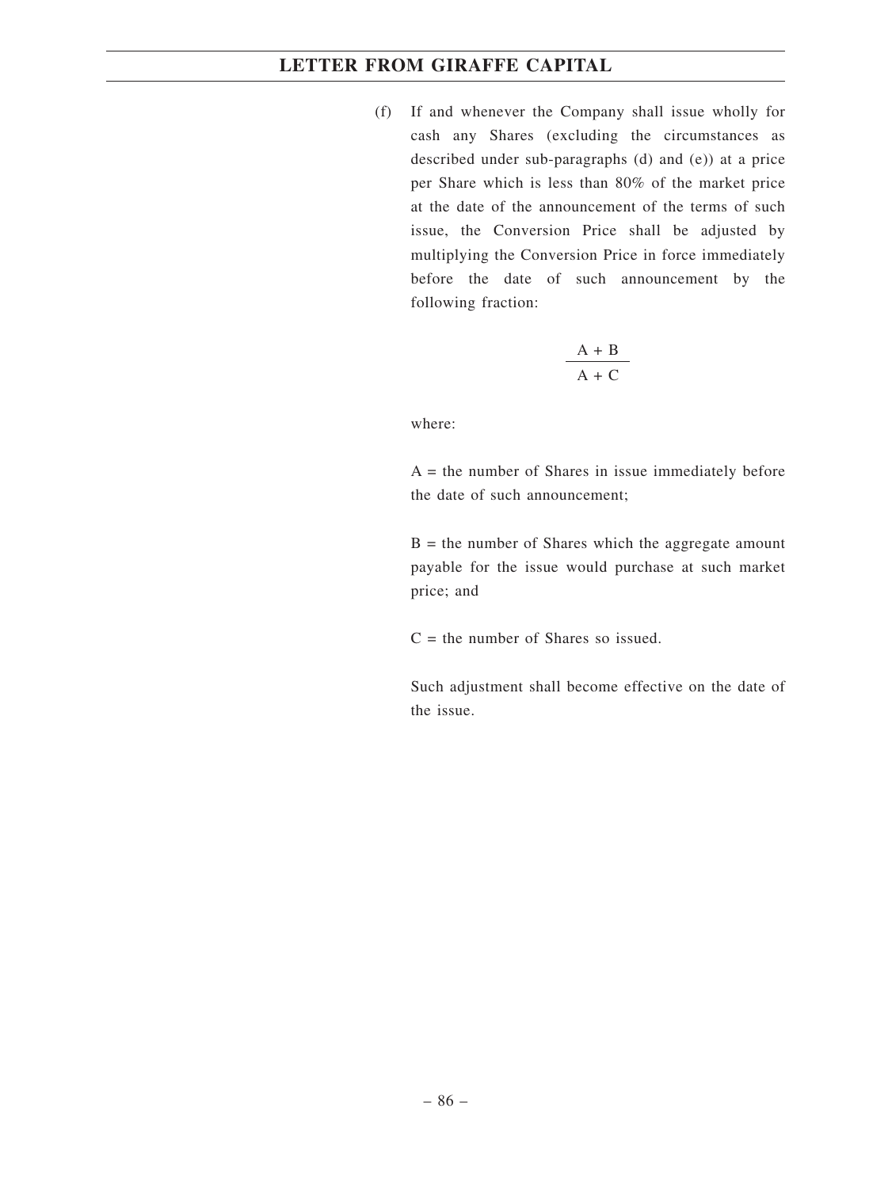(f) If and whenever the Company shall issue wholly for cash any Shares (excluding the circumstances as described under sub-paragraphs (d) and (e)) at a price per Share which is less than 80% of the market price at the date of the announcement of the terms of such issue, the Conversion Price shall be adjusted by multiplying the Conversion Price in force immediately before the date of such announcement by the following fraction:

$$
\frac{A + B}{A + C}
$$

where:

 $A =$  the number of Shares in issue immediately before the date of such announcement;

 $B =$  the number of Shares which the aggregate amount payable for the issue would purchase at such market price; and

 $C =$  the number of Shares so issued.

Such adjustment shall become effective on the date of the issue.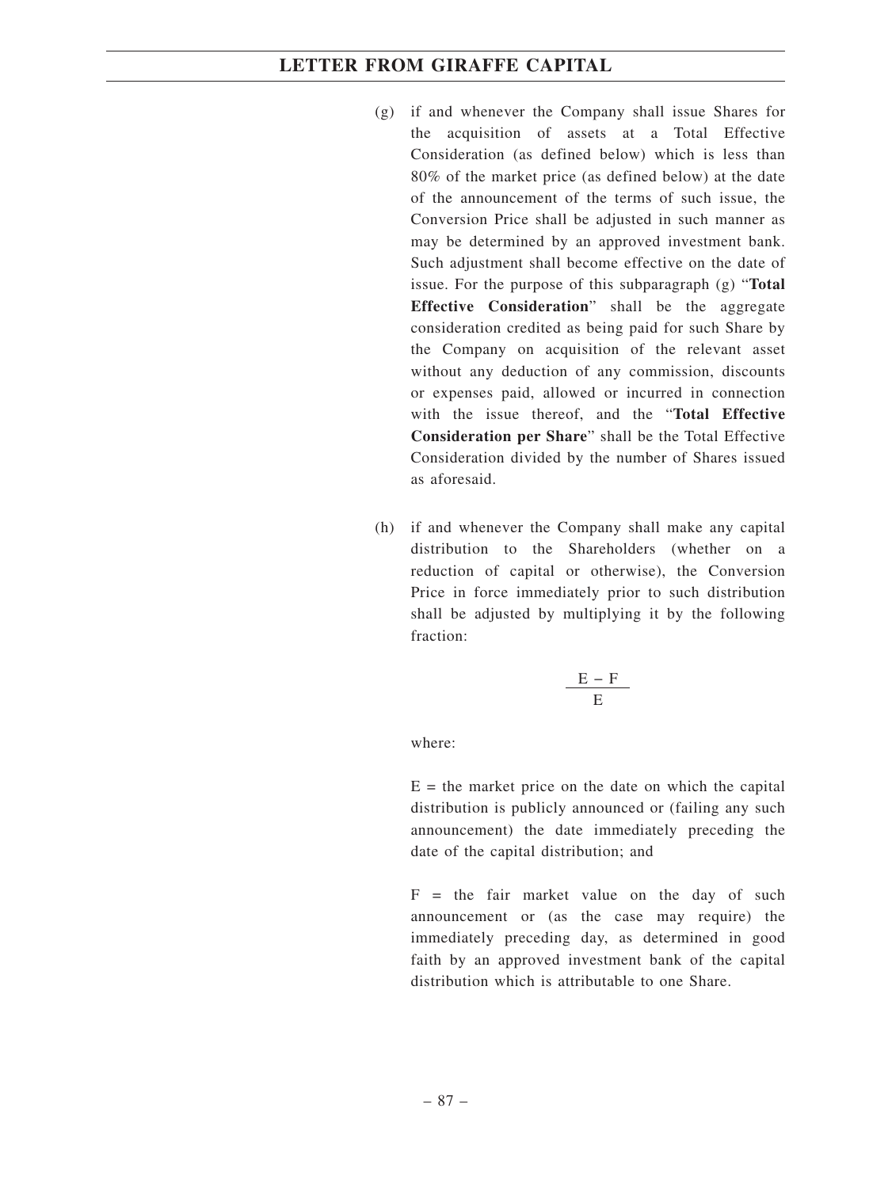- (g) if and whenever the Company shall issue Shares for the acquisition of assets at a Total Effective Consideration (as defined below) which is less than 80% of the market price (as defined below) at the date of the announcement of the terms of such issue, the Conversion Price shall be adjusted in such manner as may be determined by an approved investment bank. Such adjustment shall become effective on the date of issue. For the purpose of this subparagraph (g) "**Total Effective Consideration**" shall be the aggregate consideration credited as being paid for such Share by the Company on acquisition of the relevant asset without any deduction of any commission, discounts or expenses paid, allowed or incurred in connection with the issue thereof, and the "**Total Effective Consideration per Share**" shall be the Total Effective Consideration divided by the number of Shares issued as aforesaid.
- (h) if and whenever the Company shall make any capital distribution to the Shareholders (whether on a reduction of capital or otherwise), the Conversion Price in force immediately prior to such distribution shall be adjusted by multiplying it by the following fraction:

$$
\frac{E-F}{E}
$$

where:

 $E =$  the market price on the date on which the capital distribution is publicly announced or (failing any such announcement) the date immediately preceding the date of the capital distribution; and

 $F =$  the fair market value on the day of such announcement or (as the case may require) the immediately preceding day, as determined in good faith by an approved investment bank of the capital distribution which is attributable to one Share.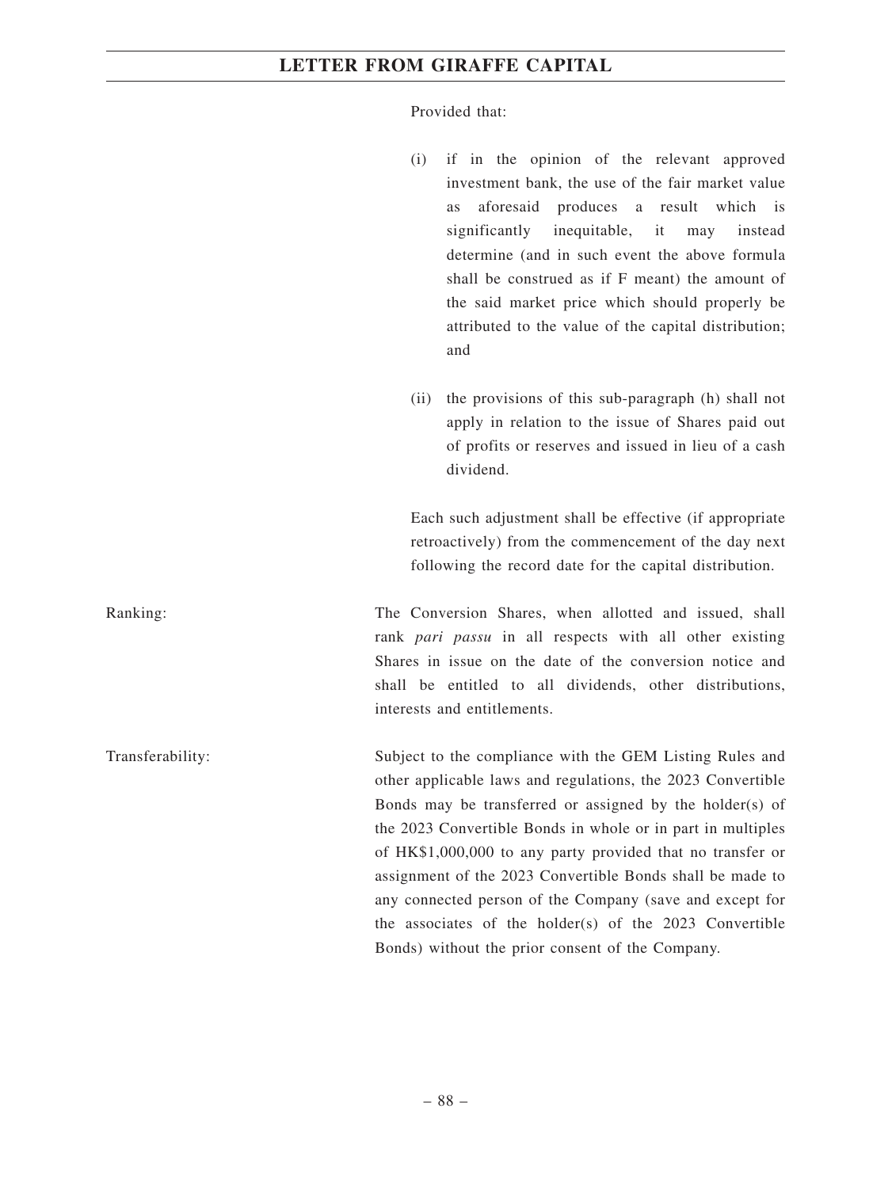Provided that:

- (i) if in the opinion of the relevant approved investment bank, the use of the fair market value as aforesaid produces a result which is significantly inequitable, it may instead determine (and in such event the above formula shall be construed as if F meant) the amount of the said market price which should properly be attributed to the value of the capital distribution; and
- (ii) the provisions of this sub-paragraph (h) shall not apply in relation to the issue of Shares paid out of profits or reserves and issued in lieu of a cash dividend.

Each such adjustment shall be effective (if appropriate retroactively) from the commencement of the day next following the record date for the capital distribution.

Ranking: The Conversion Shares, when allotted and issued, shall rank *pari passu* in all respects with all other existing Shares in issue on the date of the conversion notice and shall be entitled to all dividends, other distributions, interests and entitlements.

Transferability: Subject to the compliance with the GEM Listing Rules and other applicable laws and regulations, the 2023 Convertible Bonds may be transferred or assigned by the holder(s) of the 2023 Convertible Bonds in whole or in part in multiples of HK\$1,000,000 to any party provided that no transfer or assignment of the 2023 Convertible Bonds shall be made to any connected person of the Company (save and except for the associates of the holder(s) of the 2023 Convertible Bonds) without the prior consent of the Company.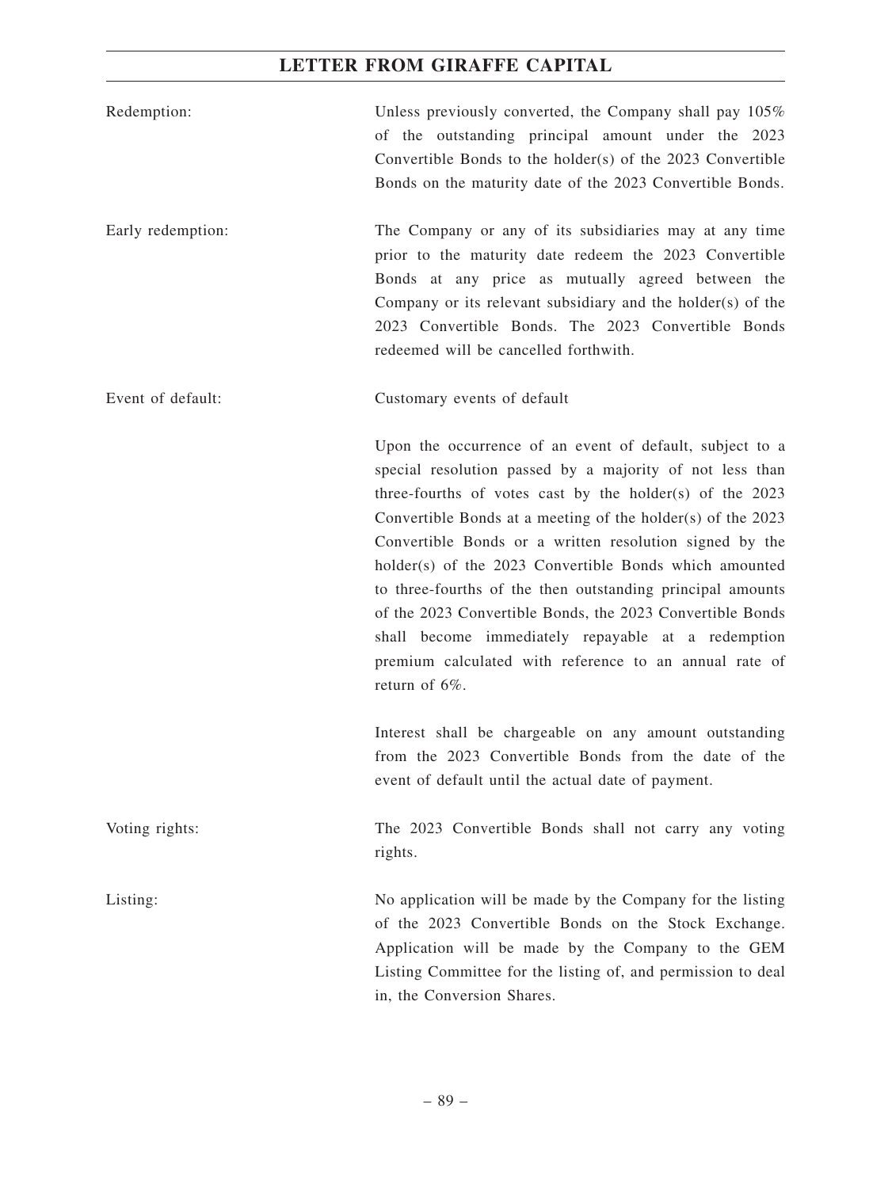| Redemption:       | Unless previously converted, the Company shall pay 105%<br>of the outstanding principal amount under the 2023<br>Convertible Bonds to the holder(s) of the 2023 Convertible<br>Bonds on the maturity date of the 2023 Convertible Bonds.                                                                                                                                                                                                                                                                                                                                                                                               |
|-------------------|----------------------------------------------------------------------------------------------------------------------------------------------------------------------------------------------------------------------------------------------------------------------------------------------------------------------------------------------------------------------------------------------------------------------------------------------------------------------------------------------------------------------------------------------------------------------------------------------------------------------------------------|
| Early redemption: | The Company or any of its subsidiaries may at any time<br>prior to the maturity date redeem the 2023 Convertible<br>Bonds at any price as mutually agreed between the<br>Company or its relevant subsidiary and the holder(s) of the<br>2023 Convertible Bonds. The 2023 Convertible Bonds<br>redeemed will be cancelled forthwith.                                                                                                                                                                                                                                                                                                    |
| Event of default: | Customary events of default                                                                                                                                                                                                                                                                                                                                                                                                                                                                                                                                                                                                            |
|                   | Upon the occurrence of an event of default, subject to a<br>special resolution passed by a majority of not less than<br>three-fourths of votes cast by the holder(s) of the $2023$<br>Convertible Bonds at a meeting of the holder(s) of the 2023<br>Convertible Bonds or a written resolution signed by the<br>holder(s) of the 2023 Convertible Bonds which amounted<br>to three-fourths of the then outstanding principal amounts<br>of the 2023 Convertible Bonds, the 2023 Convertible Bonds<br>shall become immediately repayable at a redemption<br>premium calculated with reference to an annual rate of<br>return of $6\%$ . |
|                   | Interest shall be chargeable on any amount outstanding<br>from the 2023 Convertible Bonds from the date of the<br>event of default until the actual date of payment.                                                                                                                                                                                                                                                                                                                                                                                                                                                                   |
| Voting rights:    | The 2023 Convertible Bonds shall not carry any voting<br>rights.                                                                                                                                                                                                                                                                                                                                                                                                                                                                                                                                                                       |
| Listing:          | No application will be made by the Company for the listing<br>of the 2023 Convertible Bonds on the Stock Exchange.<br>Application will be made by the Company to the GEM<br>Listing Committee for the listing of, and permission to deal<br>in, the Conversion Shares.                                                                                                                                                                                                                                                                                                                                                                 |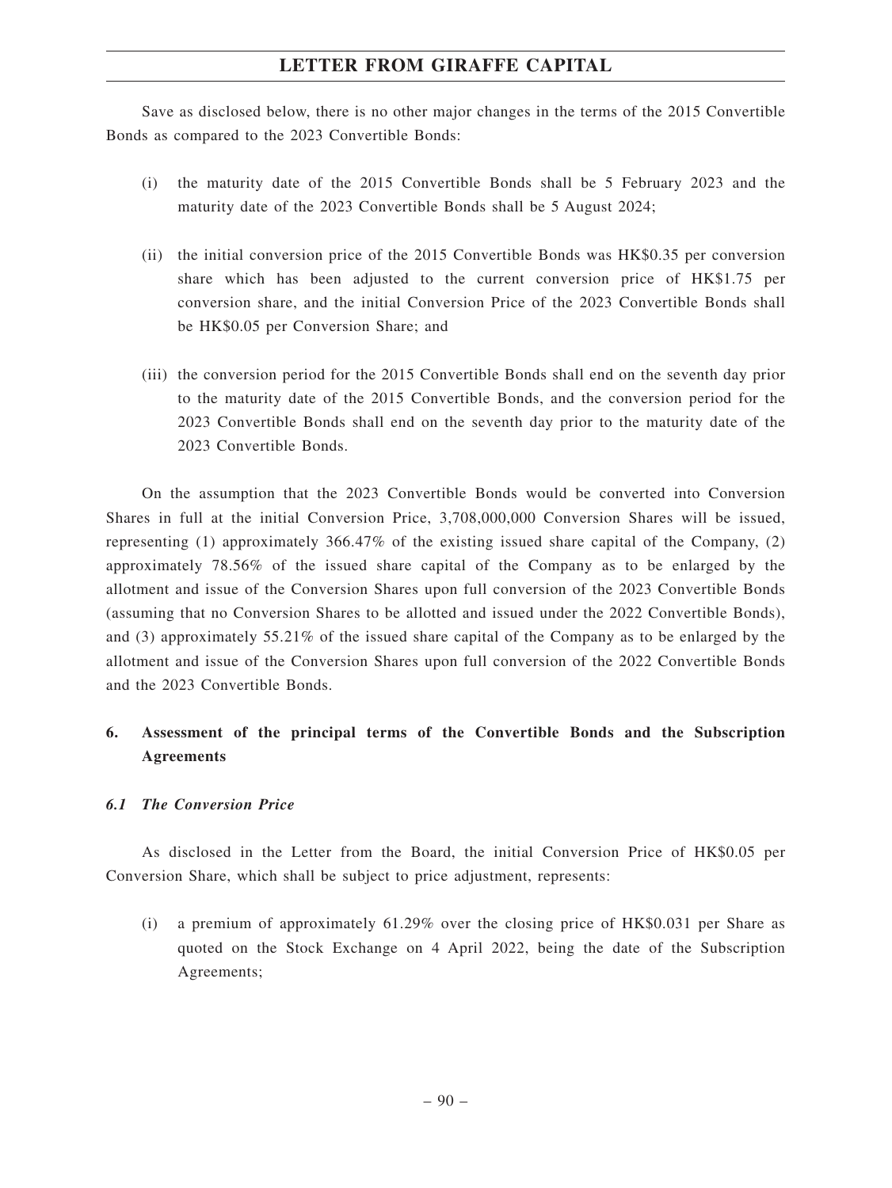Save as disclosed below, there is no other major changes in the terms of the 2015 Convertible Bonds as compared to the 2023 Convertible Bonds:

- (i) the maturity date of the 2015 Convertible Bonds shall be 5 February 2023 and the maturity date of the 2023 Convertible Bonds shall be 5 August 2024;
- (ii) the initial conversion price of the 2015 Convertible Bonds was HK\$0.35 per conversion share which has been adjusted to the current conversion price of HK\$1.75 per conversion share, and the initial Conversion Price of the 2023 Convertible Bonds shall be HK\$0.05 per Conversion Share; and
- (iii) the conversion period for the 2015 Convertible Bonds shall end on the seventh day prior to the maturity date of the 2015 Convertible Bonds, and the conversion period for the 2023 Convertible Bonds shall end on the seventh day prior to the maturity date of the 2023 Convertible Bonds.

On the assumption that the 2023 Convertible Bonds would be converted into Conversion Shares in full at the initial Conversion Price, 3,708,000,000 Conversion Shares will be issued, representing (1) approximately 366.47% of the existing issued share capital of the Company, (2) approximately 78.56% of the issued share capital of the Company as to be enlarged by the allotment and issue of the Conversion Shares upon full conversion of the 2023 Convertible Bonds (assuming that no Conversion Shares to be allotted and issued under the 2022 Convertible Bonds), and (3) approximately 55.21% of the issued share capital of the Company as to be enlarged by the allotment and issue of the Conversion Shares upon full conversion of the 2022 Convertible Bonds and the 2023 Convertible Bonds.

# **6. Assessment of the principal terms of the Convertible Bonds and the Subscription Agreements**

#### *6.1 The Conversion Price*

As disclosed in the Letter from the Board, the initial Conversion Price of HK\$0.05 per Conversion Share, which shall be subject to price adjustment, represents:

(i) a premium of approximately 61.29% over the closing price of HK\$0.031 per Share as quoted on the Stock Exchange on 4 April 2022, being the date of the Subscription Agreements;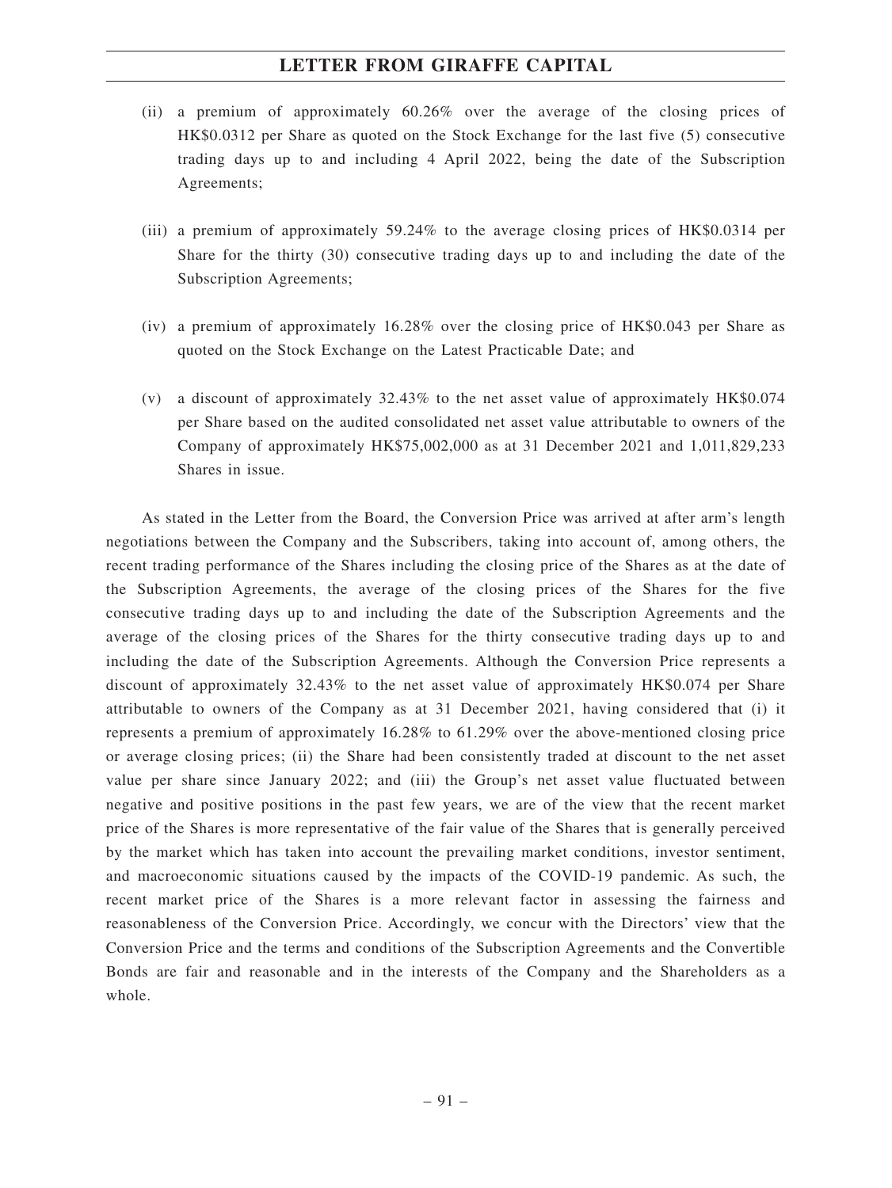- (ii) a premium of approximately 60.26% over the average of the closing prices of HK\$0.0312 per Share as quoted on the Stock Exchange for the last five (5) consecutive trading days up to and including 4 April 2022, being the date of the Subscription Agreements;
- (iii) a premium of approximately 59.24% to the average closing prices of HK\$0.0314 per Share for the thirty (30) consecutive trading days up to and including the date of the Subscription Agreements;
- (iv) a premium of approximately 16.28% over the closing price of HK\$0.043 per Share as quoted on the Stock Exchange on the Latest Practicable Date; and
- (v) a discount of approximately 32.43% to the net asset value of approximately HK\$0.074 per Share based on the audited consolidated net asset value attributable to owners of the Company of approximately HK\$75,002,000 as at 31 December 2021 and 1,011,829,233 Shares in issue.

As stated in the Letter from the Board, the Conversion Price was arrived at after arm's length negotiations between the Company and the Subscribers, taking into account of, among others, the recent trading performance of the Shares including the closing price of the Shares as at the date of the Subscription Agreements, the average of the closing prices of the Shares for the five consecutive trading days up to and including the date of the Subscription Agreements and the average of the closing prices of the Shares for the thirty consecutive trading days up to and including the date of the Subscription Agreements. Although the Conversion Price represents a discount of approximately 32.43% to the net asset value of approximately HK\$0.074 per Share attributable to owners of the Company as at 31 December 2021, having considered that (i) it represents a premium of approximately 16.28% to 61.29% over the above-mentioned closing price or average closing prices; (ii) the Share had been consistently traded at discount to the net asset value per share since January 2022; and (iii) the Group's net asset value fluctuated between negative and positive positions in the past few years, we are of the view that the recent market price of the Shares is more representative of the fair value of the Shares that is generally perceived by the market which has taken into account the prevailing market conditions, investor sentiment, and macroeconomic situations caused by the impacts of the COVID-19 pandemic. As such, the recent market price of the Shares is a more relevant factor in assessing the fairness and reasonableness of the Conversion Price. Accordingly, we concur with the Directors' view that the Conversion Price and the terms and conditions of the Subscription Agreements and the Convertible Bonds are fair and reasonable and in the interests of the Company and the Shareholders as a whole.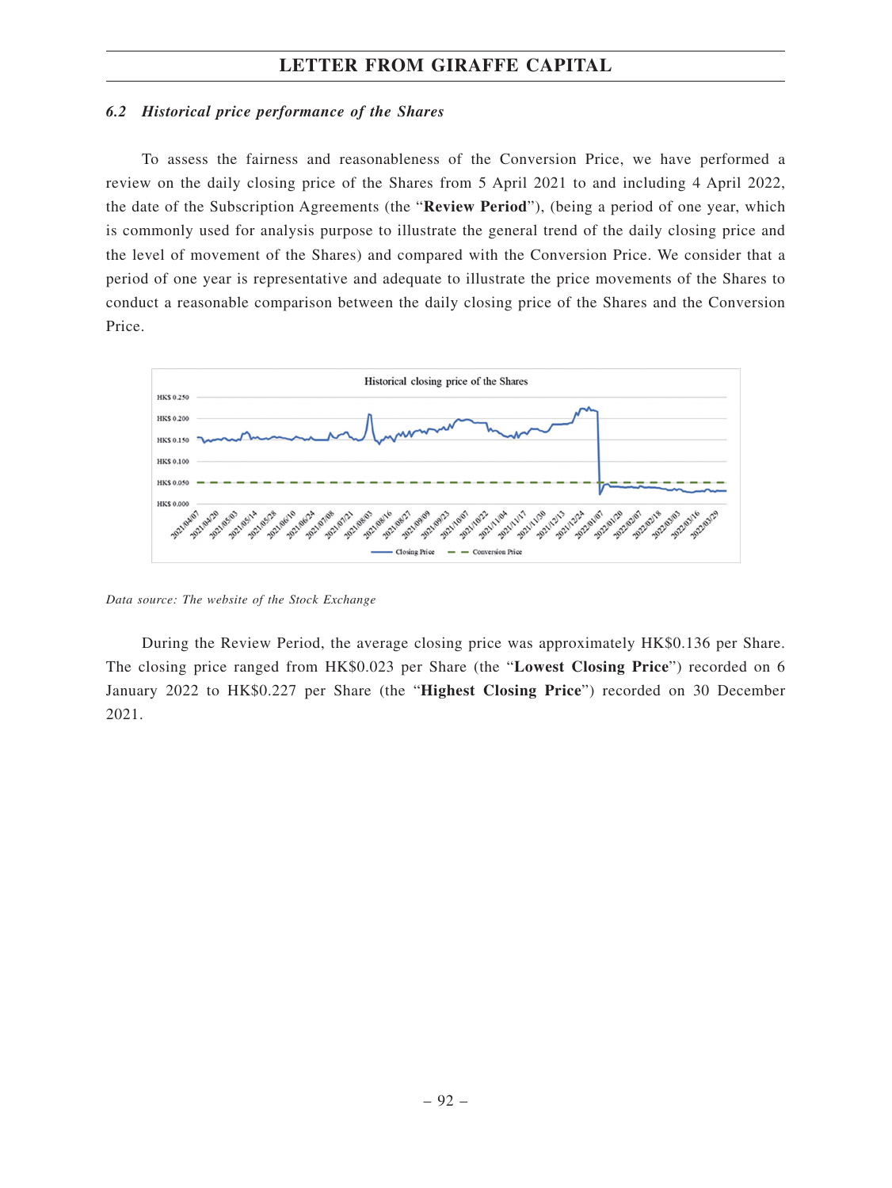#### *6.2 Historical price performance of the Shares*

To assess the fairness and reasonableness of the Conversion Price, we have performed a review on the daily closing price of the Shares from 5 April 2021 to and including 4 April 2022, the date of the Subscription Agreements (the "**Review Period**"), (being a period of one year, which is commonly used for analysis purpose to illustrate the general trend of the daily closing price and the level of movement of the Shares) and compared with the Conversion Price. We consider that a period of one year is representative and adequate to illustrate the price movements of the Shares to conduct a reasonable comparison between the daily closing price of the Shares and the Conversion Price.



*Data source: The website of the Stock Exchange*

During the Review Period, the average closing price was approximately HK\$0.136 per Share. The closing price ranged from HK\$0.023 per Share (the "**Lowest Closing Price**") recorded on 6 January 2022 to HK\$0.227 per Share (the "**Highest Closing Price**") recorded on 30 December 2021.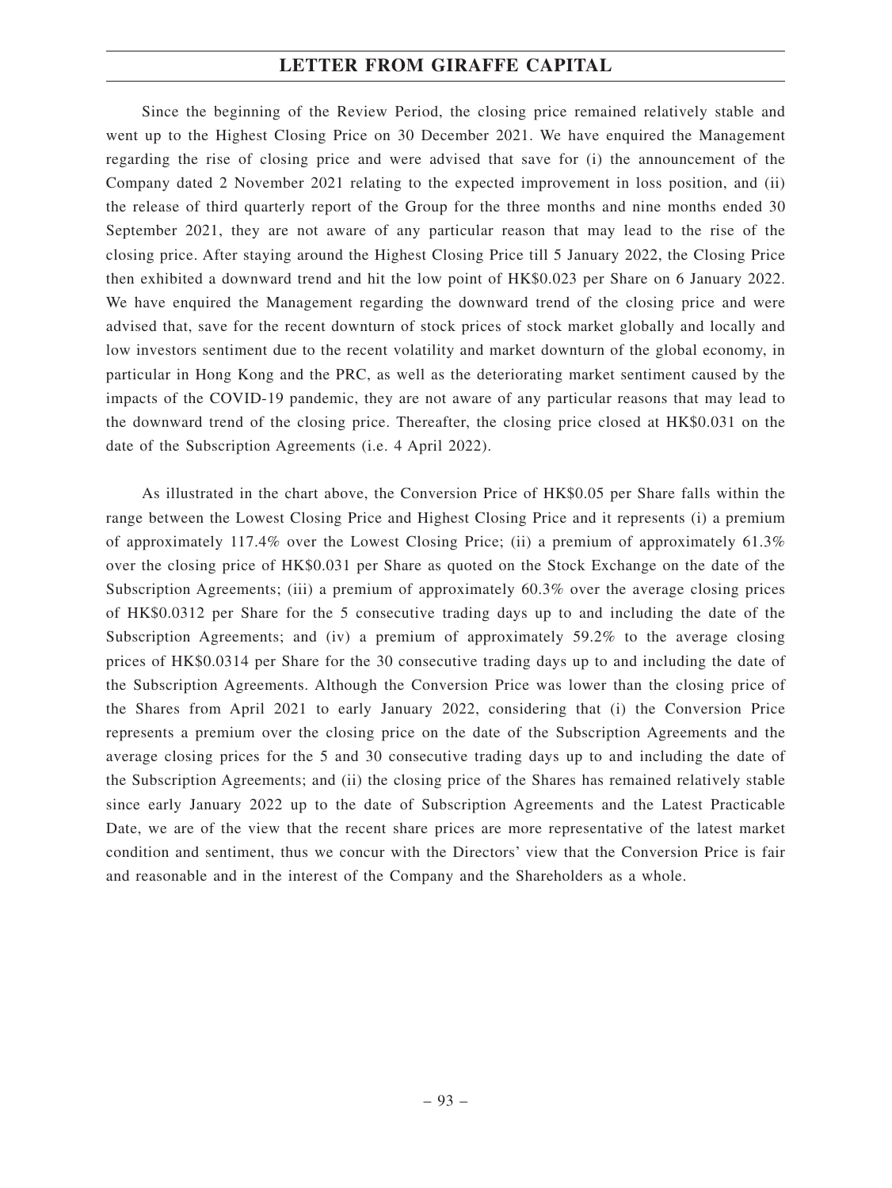Since the beginning of the Review Period, the closing price remained relatively stable and went up to the Highest Closing Price on 30 December 2021. We have enquired the Management regarding the rise of closing price and were advised that save for (i) the announcement of the Company dated 2 November 2021 relating to the expected improvement in loss position, and (ii) the release of third quarterly report of the Group for the three months and nine months ended 30 September 2021, they are not aware of any particular reason that may lead to the rise of the closing price. After staying around the Highest Closing Price till 5 January 2022, the Closing Price then exhibited a downward trend and hit the low point of HK\$0.023 per Share on 6 January 2022. We have enquired the Management regarding the downward trend of the closing price and were advised that, save for the recent downturn of stock prices of stock market globally and locally and low investors sentiment due to the recent volatility and market downturn of the global economy, in particular in Hong Kong and the PRC, as well as the deteriorating market sentiment caused by the impacts of the COVID-19 pandemic, they are not aware of any particular reasons that may lead to the downward trend of the closing price. Thereafter, the closing price closed at HK\$0.031 on the date of the Subscription Agreements (i.e. 4 April 2022).

As illustrated in the chart above, the Conversion Price of HK\$0.05 per Share falls within the range between the Lowest Closing Price and Highest Closing Price and it represents (i) a premium of approximately 117.4% over the Lowest Closing Price; (ii) a premium of approximately 61.3% over the closing price of HK\$0.031 per Share as quoted on the Stock Exchange on the date of the Subscription Agreements; (iii) a premium of approximately 60.3% over the average closing prices of HK\$0.0312 per Share for the 5 consecutive trading days up to and including the date of the Subscription Agreements; and (iv) a premium of approximately 59.2% to the average closing prices of HK\$0.0314 per Share for the 30 consecutive trading days up to and including the date of the Subscription Agreements. Although the Conversion Price was lower than the closing price of the Shares from April 2021 to early January 2022, considering that (i) the Conversion Price represents a premium over the closing price on the date of the Subscription Agreements and the average closing prices for the 5 and 30 consecutive trading days up to and including the date of the Subscription Agreements; and (ii) the closing price of the Shares has remained relatively stable since early January 2022 up to the date of Subscription Agreements and the Latest Practicable Date, we are of the view that the recent share prices are more representative of the latest market condition and sentiment, thus we concur with the Directors' view that the Conversion Price is fair and reasonable and in the interest of the Company and the Shareholders as a whole.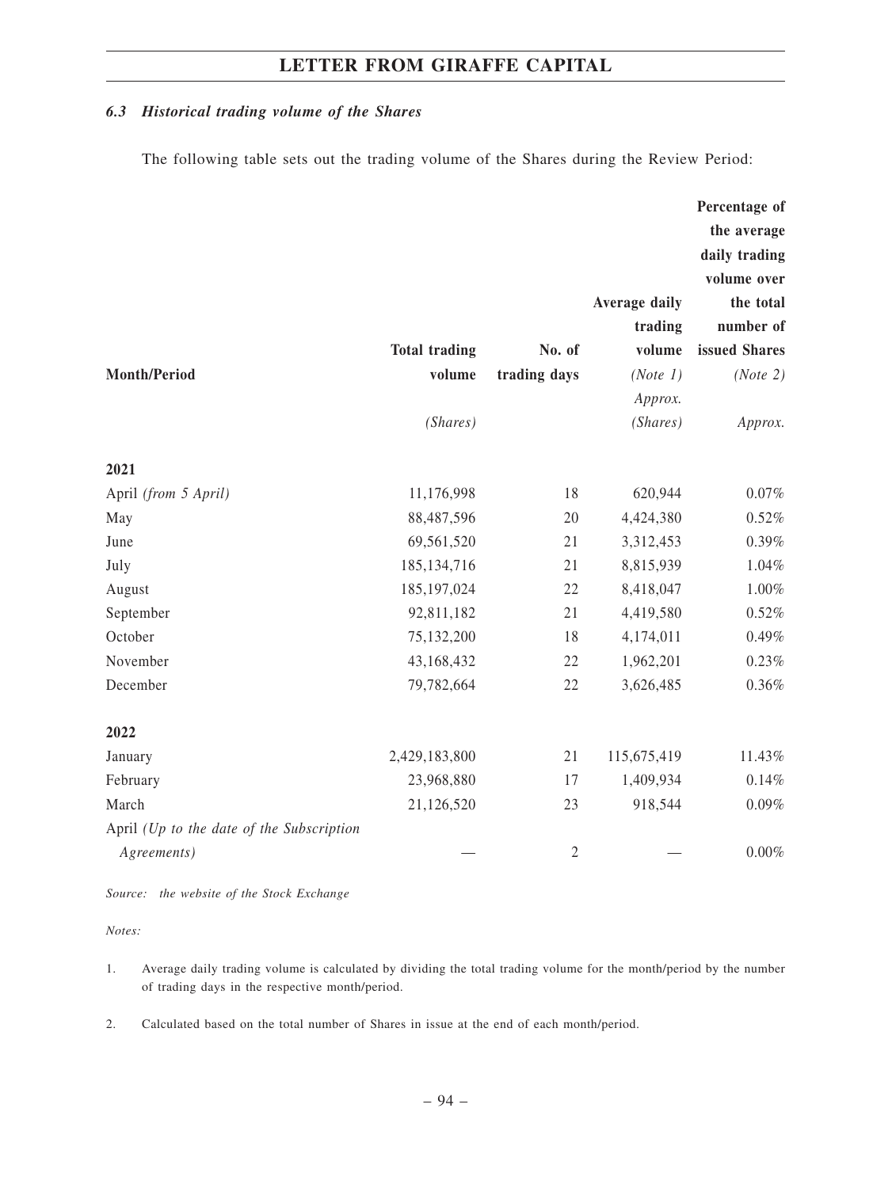#### *6.3 Historical trading volume of the Shares*

The following table sets out the trading volume of the Shares during the Review Period:

|                                           |                      |              |               | Percentage of |
|-------------------------------------------|----------------------|--------------|---------------|---------------|
|                                           |                      |              |               | the average   |
|                                           |                      |              |               | daily trading |
|                                           |                      |              |               | volume over   |
|                                           |                      |              | Average daily | the total     |
|                                           |                      |              | trading       | number of     |
|                                           | <b>Total trading</b> | No. of       | volume        | issued Shares |
| <b>Month/Period</b>                       | volume               | trading days | (Note 1)      | (Note 2)      |
|                                           |                      |              | Approx.       |               |
|                                           | (Shares)             |              | (Shares)      | Approx.       |
| 2021                                      |                      |              |               |               |
| April (from 5 April)                      | 11,176,998           | 18           | 620,944       | $0.07\%$      |
| May                                       | 88,487,596           | 20           | 4,424,380     | 0.52%         |
| June                                      | 69,561,520           | 21           | 3,312,453     | 0.39%         |
| July                                      | 185, 134, 716        | 21           | 8,815,939     | 1.04%         |
| August                                    | 185, 197, 024        | 22           | 8,418,047     | $1.00\%$      |
| September                                 | 92,811,182           | 21           | 4,419,580     | 0.52%         |
| October                                   | 75,132,200           | 18           | 4,174,011     | $0.49\%$      |
| November                                  | 43,168,432           | 22           | 1,962,201     | 0.23%         |
| December                                  | 79,782,664           | 22           | 3,626,485     | 0.36%         |
| 2022                                      |                      |              |               |               |
| January                                   | 2,429,183,800        | 21           | 115,675,419   | 11.43%        |
| February                                  | 23,968,880           | 17           | 1,409,934     | 0.14%         |
| March                                     | 21,126,520           | 23           | 918,544       | 0.09%         |
| April (Up to the date of the Subscription |                      |              |               |               |
| Agreements)                               |                      | $\sqrt{2}$   |               | $0.00\%$      |

*Source: the website of the Stock Exchange*

*Notes:*

- 1. Average daily trading volume is calculated by dividing the total trading volume for the month/period by the number of trading days in the respective month/period.
- 2. Calculated based on the total number of Shares in issue at the end of each month/period.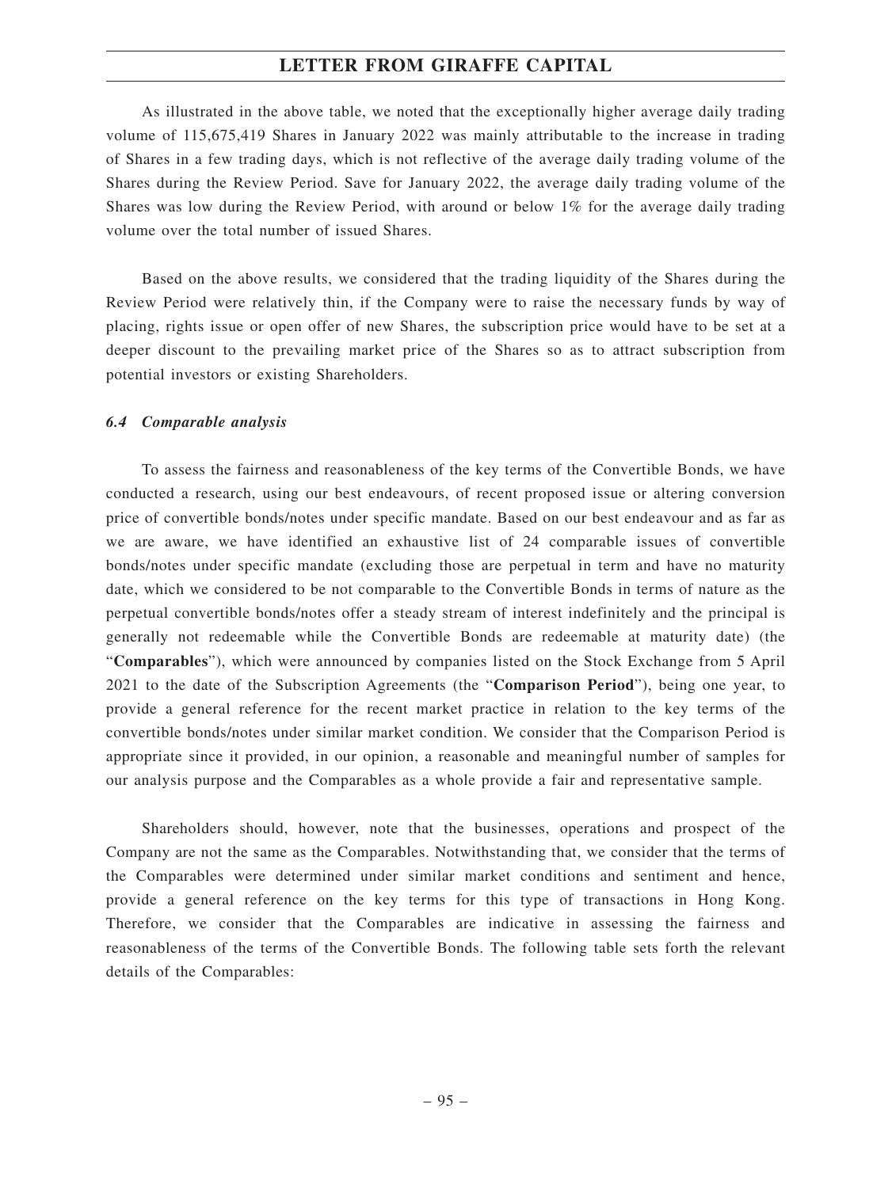As illustrated in the above table, we noted that the exceptionally higher average daily trading volume of 115,675,419 Shares in January 2022 was mainly attributable to the increase in trading of Shares in a few trading days, which is not reflective of the average daily trading volume of the Shares during the Review Period. Save for January 2022, the average daily trading volume of the Shares was low during the Review Period, with around or below 1% for the average daily trading volume over the total number of issued Shares.

Based on the above results, we considered that the trading liquidity of the Shares during the Review Period were relatively thin, if the Company were to raise the necessary funds by way of placing, rights issue or open offer of new Shares, the subscription price would have to be set at a deeper discount to the prevailing market price of the Shares so as to attract subscription from potential investors or existing Shareholders.

#### *6.4 Comparable analysis*

To assess the fairness and reasonableness of the key terms of the Convertible Bonds, we have conducted a research, using our best endeavours, of recent proposed issue or altering conversion price of convertible bonds/notes under specific mandate. Based on our best endeavour and as far as we are aware, we have identified an exhaustive list of 24 comparable issues of convertible bonds/notes under specific mandate (excluding those are perpetual in term and have no maturity date, which we considered to be not comparable to the Convertible Bonds in terms of nature as the perpetual convertible bonds/notes offer a steady stream of interest indefinitely and the principal is generally not redeemable while the Convertible Bonds are redeemable at maturity date) (the "**Comparables**"), which were announced by companies listed on the Stock Exchange from 5 April 2021 to the date of the Subscription Agreements (the "**Comparison Period**"), being one year, to provide a general reference for the recent market practice in relation to the key terms of the convertible bonds/notes under similar market condition. We consider that the Comparison Period is appropriate since it provided, in our opinion, a reasonable and meaningful number of samples for our analysis purpose and the Comparables as a whole provide a fair and representative sample.

Shareholders should, however, note that the businesses, operations and prospect of the Company are not the same as the Comparables. Notwithstanding that, we consider that the terms of the Comparables were determined under similar market conditions and sentiment and hence, provide a general reference on the key terms for this type of transactions in Hong Kong. Therefore, we consider that the Comparables are indicative in assessing the fairness and reasonableness of the terms of the Convertible Bonds. The following table sets forth the relevant details of the Comparables: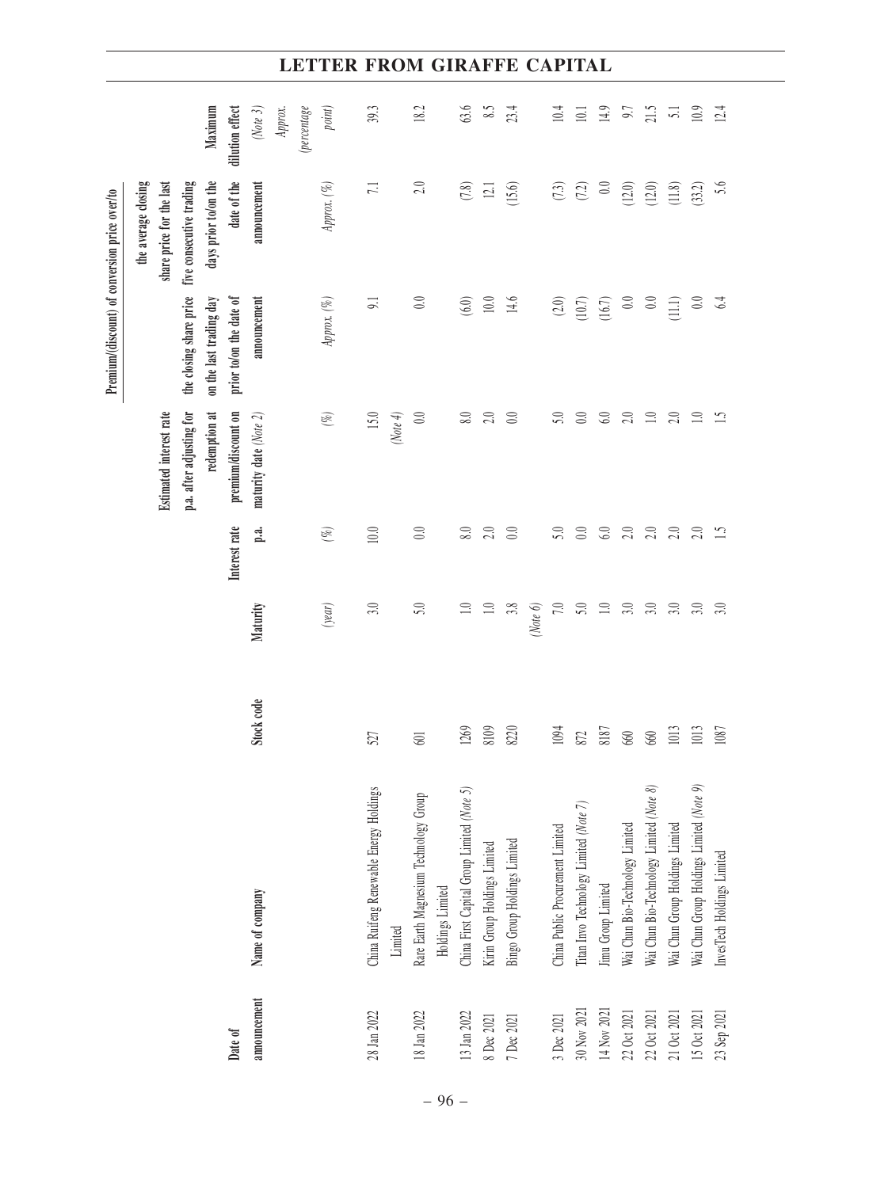|                                                | Maximum<br>(Note $3$ )<br>dilution effect                                                                                          | <i>(percentage</i><br>Approx. | point)      | 39.3                                               | 18.2                                                      | 63.6                                       | 8.5                          | 23.4                         | 10.4                             | 10.1                                   | 14.9               | 0.7                             | 21.5                                     | 51                              | 10.9                                     | 12.4                       |
|------------------------------------------------|------------------------------------------------------------------------------------------------------------------------------------|-------------------------------|-------------|----------------------------------------------------|-----------------------------------------------------------|--------------------------------------------|------------------------------|------------------------------|----------------------------------|----------------------------------------|--------------------|---------------------------------|------------------------------------------|---------------------------------|------------------------------------------|----------------------------|
|                                                | date of the<br>the average closing<br>share price for the last<br>five consecutive trading<br>days prior to/on the<br>announcement |                               | Approx. (%) | $\overline{L}$                                     | $2.0\,$                                                   | (7.8)                                      | $\Xi$                        | (15.6)                       | (7.3)                            | (7.2)                                  | 0.0                | (12.0)                          | (12.0)                                   | (11.8)                          | (33.2)                                   | 5.6                        |
| Premium/(discount) of conversion price over/to | the closing share price<br>on the last trading day<br>prior to/on the date of<br>announcement                                      |                               | Approx. (%) | $\overline{5}$                                     | $0.0\,$                                                   | (6.0)                                      | $10.0\,$                     | 14.6                         | $(2.0)$                          | (10.7)                                 | (16.7)             | 0.0                             | $\odot$                                  | $\overline{\Xi}$                | $0.0\,$                                  | 64                         |
|                                                | redemption at<br>Estimated interest rate<br>p.a. after adjusting for<br>premium/discount on<br>maturity date (Note 2)              |                               | (%)         | 15.0<br>(Note 4)                                   | $0.0\,$                                                   | 8.0                                        | 2.0                          | 0.0                          | 5.0                              | 0.0                                    | 6.0                | 2.0                             | $\Box$                                   | 2.0                             | $\Xi$                                    | 51                         |
|                                                | Interest rate<br>p.a.                                                                                                              |                               | $(\%)$      | $10.0$                                             | $0.0\,$                                                   | 8.0                                        | 2.0                          | $0.0\,$                      | 5.0                              | $0.0\,$                                | 6.0                | $2.0\,$                         | 2.0                                      | 2.0                             | 2.0                                      | $\ddot{1}$                 |
|                                                | Maturity                                                                                                                           |                               | (year)      | 3.0                                                | 5.0                                                       | $\supseteq$                                | $\Box$                       | 3.8<br>(Note $6$ )           | 7.0                              | 5.0                                    | $\Box$             | 3.0                             | 3.0                                      | 3.0                             | 3.0                                      | 3.0                        |
|                                                | Stock code                                                                                                                         |                               |             | 527                                                | 601                                                       | 1269                                       | 8109                         | 8220                         | 1094                             | $872\,$                                | 8187               | 660                             | 660                                      | 1013                            | 1013                                     | 1087                       |
|                                                | Name of company                                                                                                                    |                               |             | China Ruifeng Renewable Energy Holdings<br>Limited | Rare Earth Magnesium Technology Group<br>Holdings Limited | China First Capital Group Limited (Note 5) | Kirin Group Holdings Limited | Bingo Group Holdings Limited | China Public Procurement Limited | Titan Invo Technology Limited (Note 7) | Jimu Group Limited | Wai Chun Bio-Technology Limited | Wai Chun Bio-Technology Limited (Note 8) | Wai Chun Group Holdings Limited | Wai Chun Group Holdings Limited (Note 9) | InvesTech Holdings Limited |
|                                                | announcement<br>Date of                                                                                                            |                               |             | 28 Jan 2022                                        | 18 Jan 2022                                               | $13$ Jan $2022\,$                          | 8 Dec 2021                   | 7 Dec 2021                   | 3 Dec 2021                       | 30 Nov 2021                            | 14 Nov 2021        | 22 Oct 2021                     | 22 Oct 2021                              | 21 Oct 2021                     | 15 Oct 2021                              | 23 Sep 2021                |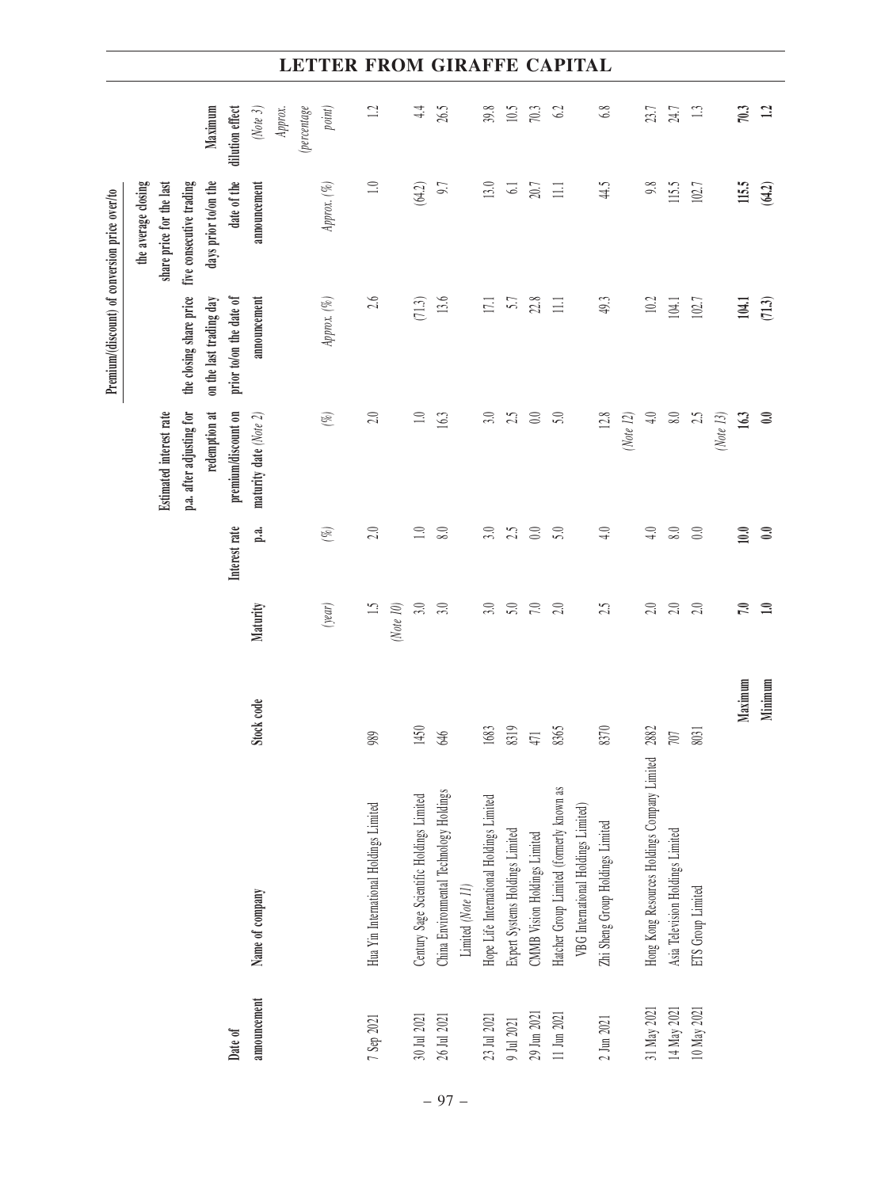|                                                | dilution effect<br>Maximum<br>(Note $3$ )                                                                                          | <i>(percentage</i><br>point)<br>Approx. | $\Box$                                 | $\frac{4}{4}$                            | 26.5                                                         | 39.8                                     | 10.5                            | 70.3                         | 6.2                                                                             | 6.8                              |           | 23.7                                         | 24.7                             | $\Box$            |              | 70.3    | $\mathbf{r}_3$ |
|------------------------------------------------|------------------------------------------------------------------------------------------------------------------------------------|-----------------------------------------|----------------------------------------|------------------------------------------|--------------------------------------------------------------|------------------------------------------|---------------------------------|------------------------------|---------------------------------------------------------------------------------|----------------------------------|-----------|----------------------------------------------|----------------------------------|-------------------|--------------|---------|----------------|
|                                                | the average closing<br>date of the<br>five consecutive trading<br>days prior to/on the<br>share price for the last<br>announcement | Approx. $(\%)$                          | $\Box$                                 | (64.2)                                   | 9.7                                                          | $13.0\,$                                 | $\sqrt{6}$                      | 20.7                         | $\Xi$                                                                           | 44.5                             |           | 9.8                                          | 115.5                            | 102.7             |              | 115,5   | (64.2)         |
| Premium/(discount) of conversion price over/to | the closing share price<br>prior to/on the date of<br>on the last trading day<br>announcement                                      | Approx. $(\%)$                          | 2.6                                    | (71.3)                                   | 13.6                                                         | 17.1                                     | 5.7                             | $22.8\,$                     | $\equiv$                                                                        | 49.3                             |           | 10.2                                         | 104.1                            | 102.7             |              | 104.1   | (71.3)         |
|                                                | p.a. after adjusting for<br>redemption at<br>premium/discount on<br>Estimated interest rate<br>maturity date (Note 2)              | $(\%)$                                  | 2.0                                    | $\Box$                                   | 163                                                          | 3.0                                      | 25                              | 0.0                          | 5.0                                                                             | 12.8                             | (Note 12) | $\frac{1}{4}$                                | $\, 8.0 \,$                      | 2.5               | (Note $13$ ) | 163     | $\mathbf{0.0}$ |
|                                                | Interest rate<br>p.a.                                                                                                              | $(\%)$                                  | 2.0                                    | $\overline{1.0}$                         | 8.0                                                          | 3.0                                      | 2.5                             | 0.0                          | 5.0                                                                             | 4.0                              |           | $\ddot{=}$                                   | 8.0                              | 0.0               |              | 10.0    | 0.0            |
|                                                | Maturity                                                                                                                           | (year)                                  | $\ddot{1.5}$                           | (Note 10)<br>3.0                         | 3.0                                                          | 3.0                                      | $5.0\,$                         | 7.0                          | 2.0                                                                             | 2.5                              |           | $2.0\,$                                      | 2.0                              | 2.0               |              | 7.0     | 1.0            |
|                                                | Stock code                                                                                                                         |                                         | 989                                    | 1450                                     | 646                                                          | 1683                                     | 8319                            | 471                          | 8365                                                                            | 8370                             |           | 2882                                         | $707$                            | 8031              |              | Maximum | Minimum        |
|                                                | Name of company                                                                                                                    |                                         | Hua Yin International Holdings Limited | Century Sage Scientific Holdings Limited | China Environmental Technology Holdings<br>Limited (Note 11) | Hope Life International Holdings Limited | Expert Systems Holdings Limited | CMMB Vision Holdings Limited | Hatcher Group Limited (formerly known as<br>VBG International Holdings Limited) | Zhi Sheng Group Holdings Limited |           | Hong Kong Resources Holdings Company Limited | Asia Television Holdings Limited | ETS Group Limited |              |         |                |
|                                                | announcement<br>Date of                                                                                                            |                                         | 7 Sep 2021                             | $30$ Jul $2021\,$                        | 26 Jul 2021                                                  | $23\,$ Jul $2021\,$                      | $9$ Jul $2021\,$                | $29\,$ Jun $2021\,$          | $11$ Jun $2021\,$                                                               | $2$ Jun $2021\,$                 |           | 31 May 2021                                  | 14 May 2021                      | 10 May 2021       |              |         |                |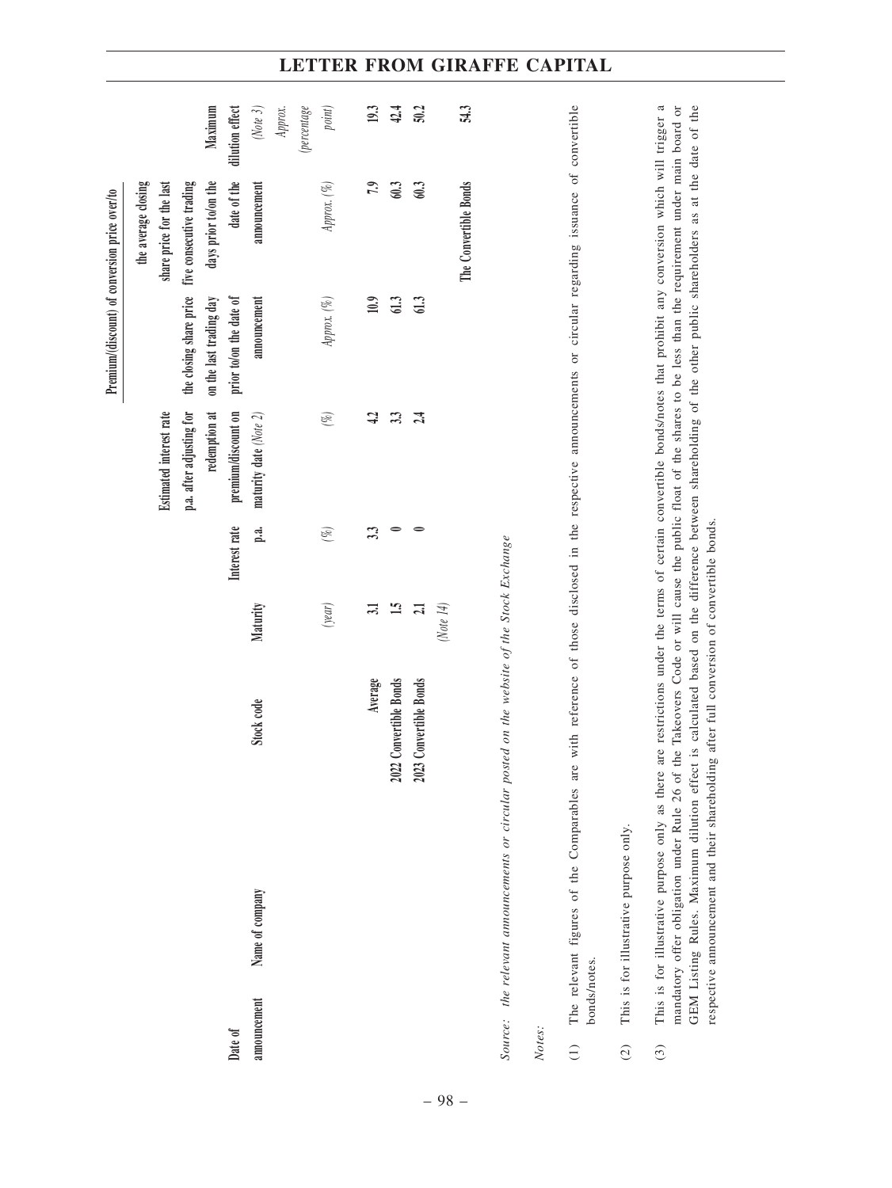|                              |              |                                                                                                                                                                                                                                                                                                                                                                                                                                                                                                                                                                                                       |                        |              |               |                          |                         | Premium/(discount) of conversion price over/to                                                                  |                 |
|------------------------------|--------------|-------------------------------------------------------------------------------------------------------------------------------------------------------------------------------------------------------------------------------------------------------------------------------------------------------------------------------------------------------------------------------------------------------------------------------------------------------------------------------------------------------------------------------------------------------------------------------------------------------|------------------------|--------------|---------------|--------------------------|-------------------------|-----------------------------------------------------------------------------------------------------------------|-----------------|
|                              |              |                                                                                                                                                                                                                                                                                                                                                                                                                                                                                                                                                                                                       |                        |              |               |                          |                         | the average closing                                                                                             |                 |
|                              |              |                                                                                                                                                                                                                                                                                                                                                                                                                                                                                                                                                                                                       |                        |              |               | Estimated interest rate  |                         | share price for the last                                                                                        |                 |
|                              |              |                                                                                                                                                                                                                                                                                                                                                                                                                                                                                                                                                                                                       |                        |              |               | p.a. after adjusting for | the closing share price | five consecutive trading                                                                                        |                 |
|                              |              |                                                                                                                                                                                                                                                                                                                                                                                                                                                                                                                                                                                                       |                        |              |               | redemption at            | on the last trading day | days prior to/on the                                                                                            | Maximum         |
| Date of                      |              |                                                                                                                                                                                                                                                                                                                                                                                                                                                                                                                                                                                                       |                        |              | Interest rate | premium/discount on      | prior to/on the date of | date of the                                                                                                     | dilution effect |
|                              | announcement | Name of company                                                                                                                                                                                                                                                                                                                                                                                                                                                                                                                                                                                       | Stock code             | Maturity     | p.a.          | maturity date (Note 2)   | announcement            | announcement                                                                                                    | $(Mote 3)$      |
|                              |              |                                                                                                                                                                                                                                                                                                                                                                                                                                                                                                                                                                                                       |                        |              |               |                          |                         |                                                                                                                 | Approx.         |
|                              |              |                                                                                                                                                                                                                                                                                                                                                                                                                                                                                                                                                                                                       |                        |              |               |                          |                         |                                                                                                                 | (percentage     |
|                              |              |                                                                                                                                                                                                                                                                                                                                                                                                                                                                                                                                                                                                       |                        | (year)       | $(\%)$        | $(\%)$                   | Approx. (%)             | Approx. (%)                                                                                                     | point)          |
|                              |              |                                                                                                                                                                                                                                                                                                                                                                                                                                                                                                                                                                                                       | Average                | 31           | 33            | $\ddot{ }$               | 10.9                    | 7,9                                                                                                             | 19.3            |
|                              |              |                                                                                                                                                                                                                                                                                                                                                                                                                                                                                                                                                                                                       | 2022 Convertible Bonds | $\mathbf{L}$ |               | 33                       | 61.3                    | 603                                                                                                             | 42.4            |
|                              |              | 2023                                                                                                                                                                                                                                                                                                                                                                                                                                                                                                                                                                                                  | Convertible Bonds      | 21           |               | 24                       | 613                     | 603                                                                                                             | 50.2            |
|                              |              |                                                                                                                                                                                                                                                                                                                                                                                                                                                                                                                                                                                                       |                        | (Note $14$ ) |               |                          |                         |                                                                                                                 |                 |
|                              |              |                                                                                                                                                                                                                                                                                                                                                                                                                                                                                                                                                                                                       |                        |              |               |                          |                         | The Convertible Bonds                                                                                           | 54.3            |
|                              |              | Source: the relevant announcements or circular posted on the website of the Stock Exchange                                                                                                                                                                                                                                                                                                                                                                                                                                                                                                            |                        |              |               |                          |                         |                                                                                                                 |                 |
| Notes:                       |              |                                                                                                                                                                                                                                                                                                                                                                                                                                                                                                                                                                                                       |                        |              |               |                          |                         |                                                                                                                 |                 |
| $\widehat{\cup}$             | bonds/notes. | The relevant figures of the Comparables are                                                                                                                                                                                                                                                                                                                                                                                                                                                                                                                                                           |                        |              |               |                          |                         | with reference of those disclosed in the respective announcements or circular regarding issuance of convertible |                 |
| $\widehat{c}$                |              | This is for illustrative purpose only.                                                                                                                                                                                                                                                                                                                                                                                                                                                                                                                                                                |                        |              |               |                          |                         |                                                                                                                 |                 |
| $\left( \frac{3}{2} \right)$ |              | This is for illustrative purpose only as there are restrictions under the terms of certain convertible bonds/notes that prohibit any conversion which will trigger a<br>mandatory offer obligation under Rule 26 of the Takeovers Code or will cause the public float of the shares to be less than the requirement under main board or<br>GEM Listing Rules. Maximum dilution effect is calculated based on the difference between shareholding of the other public shareholders as at the date of the<br>respective announcement and their shareholding after full conversion of convertible bonds. |                        |              |               |                          |                         |                                                                                                                 |                 |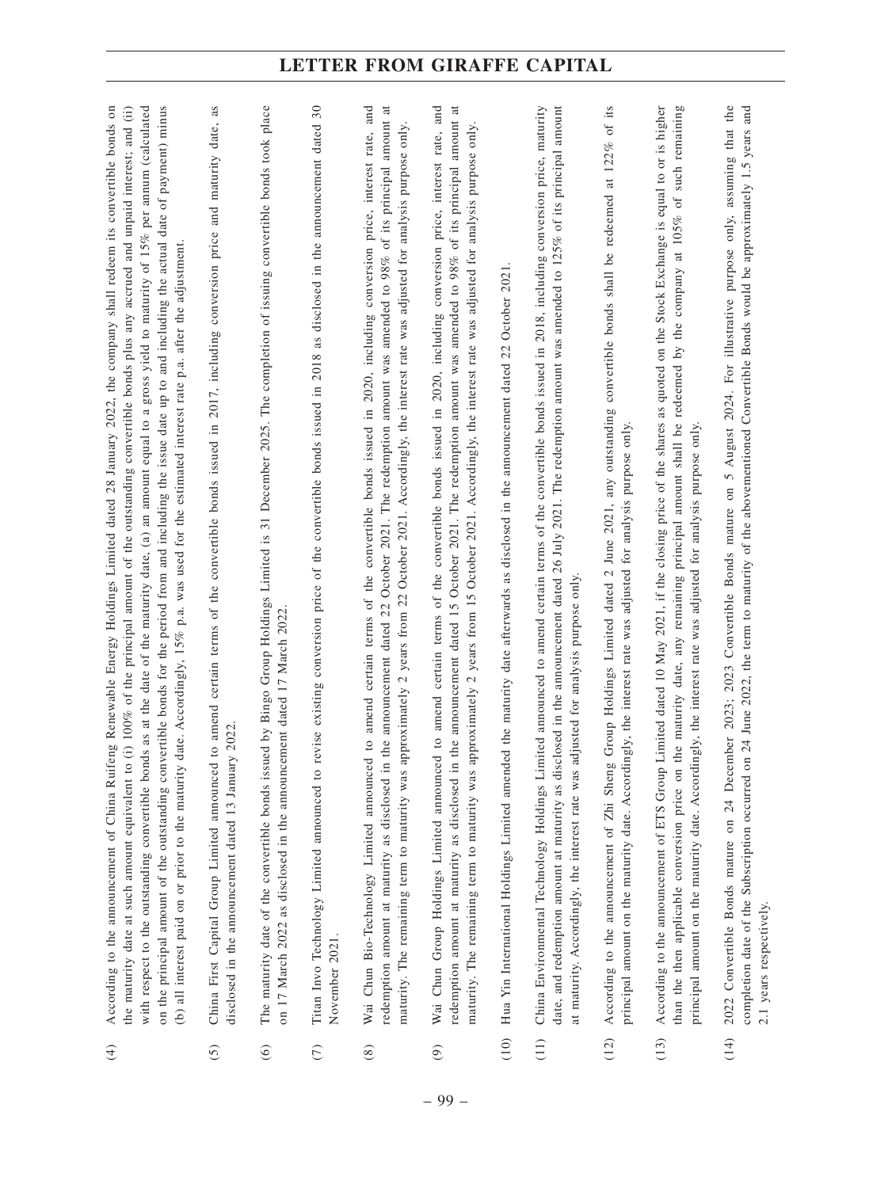| $\bigoplus$   | an amount equal to a gross yield to maturity of 15% per annum (calculated<br>on the principal amount of the outstanding convertible bonds for the period from and including the issue date up to and including the actual date of payment) minus<br>According to the announcement of China Ruifeng Renewable Energy Holdings Limited dated 28 January 2022, the company shall redeem its convertible bonds on<br>(i) 100% of the principal amount of the outstanding convertible bonds plus any accrued and unpaid interest; and (ii)<br>date. Accordingly, 15% p.a. was used for the estimated interest rate p.a. after the adjustment.<br>$\binom{a}{b}$<br>with respect to the outstanding convertible bonds as at the date of the maturity date,<br>the maturity date at such amount equivalent to<br>(b) all interest paid on or prior to the maturity |
|---------------|-------------------------------------------------------------------------------------------------------------------------------------------------------------------------------------------------------------------------------------------------------------------------------------------------------------------------------------------------------------------------------------------------------------------------------------------------------------------------------------------------------------------------------------------------------------------------------------------------------------------------------------------------------------------------------------------------------------------------------------------------------------------------------------------------------------------------------------------------------------|
| $\widehat{c}$ | as<br>certain terms of the convertible bonds issued in 2017, including conversion price and maturity date,<br>to amend<br>ry 2022.<br>China First Capital Group Limited announced<br>disclosed in the announcement dated 13 Januar                                                                                                                                                                                                                                                                                                                                                                                                                                                                                                                                                                                                                          |
| $\odot$       | The maturity date of the convertible bonds issued by Bingo Group Holdings Limited is 31 December 2025. The completion of issuing convertible bonds took place<br>on 17 March 2022 as disclosed in the announcement dated 17 March 2022                                                                                                                                                                                                                                                                                                                                                                                                                                                                                                                                                                                                                      |
| $\widehat{C}$ | revise existing conversion price of the convertible bonds issued in 2018 as disclosed in the announcement dated 30<br>Titan Invo Technology Limited announced to<br>November 2021.                                                                                                                                                                                                                                                                                                                                                                                                                                                                                                                                                                                                                                                                          |
| $\circledast$ | $\vec{a}$<br>and<br>amount<br>only.<br>of the convertible bonds issued in 2020, including conversion price, interest rate,<br>years from 22 October 2021. Accordingly, the interest rate was adjusted for analysis purpose<br>of its principal<br>amount was amended to 98%<br>announcement dated 22 October 2021. The redemption<br>amend certain terms<br>$\overline{\mathcal{L}}$<br>maturity. The remaining term to maturity was approximately<br>Wai Chun Bio-Technology Limited announced to<br>the<br>redemption amount at maturity as disclosed in                                                                                                                                                                                                                                                                                                  |
| $\odot$       | $\overline{a}$<br>Wai Chun Group Holdings Limited announced to amend certain terms of the convertible bonds issued in 2020, including conversion price, interest rate, and<br>the announcement dated 15 October 2021. The redemption amount was amended to 98% of its principal amount<br>approximately 2 years from 15 October 2021. Accordingly, the interest rate was adjusted for analysis purpose only.<br>redemption amount at maturity as disclosed in<br>maturity. The remaining term to maturity was                                                                                                                                                                                                                                                                                                                                               |
| (10)          | October 2021<br>22<br>ed the maturity date afterwards as disclosed in the announcement dated<br>Hua Yin International Holdings Limited amend                                                                                                                                                                                                                                                                                                                                                                                                                                                                                                                                                                                                                                                                                                                |
| (11)          | 26 July 2021. The redemption amount was amended to $125%$ of its principal amount<br>China Environmental Technology Holdings Limited announced to amend certain terms of the convertible bonds issued in 2018, including conversion price, maturity<br>date, and redemption amount at maturity as disclosed in the announcement dated<br>adjusted for analysis purpose only<br>at maturity. Accordingly, the interest rate was                                                                                                                                                                                                                                                                                                                                                                                                                              |
| (12)          | of its<br>122%<br>$\ddot{a}$<br>shall be redeemed<br>convertible bonds<br>Group Holdings Limited dated 2 June 2021, any outstanding<br>only.<br>principal amount on the maturity date. Accordingly, the interest rate was adjusted for analysis purpose<br>According to the announcement of Zhi Sheng                                                                                                                                                                                                                                                                                                                                                                                                                                                                                                                                                       |
| (13)          | Limited dated 10 May 2021, if the closing price of the shares as quoted on the Stock Exchange is equal to or is higher<br>the maturity date, any remaining principal amount shall be redeemed by the company at 105% of such remaining<br>ngly, the interest rate was adjusted for analysis purpose only.<br>principal amount on the maturity date. Accordi<br>According to the announcement of ETS Group<br>than the then applicable conversion price on                                                                                                                                                                                                                                                                                                                                                                                                   |
| (14)          | 2022 Convertible Bonds mature on 24 December 2023; 2023 Convertible Bonds mature on 5 August 2024. For illustrative purpose only, assuming that the<br>completion date of the Subscription occurred on 24 June 2022, the term to maturity of the abovementioned Convertible Bonds would be approximately 1.5 years and<br>2.1 years respectively.                                                                                                                                                                                                                                                                                                                                                                                                                                                                                                           |

– 99 –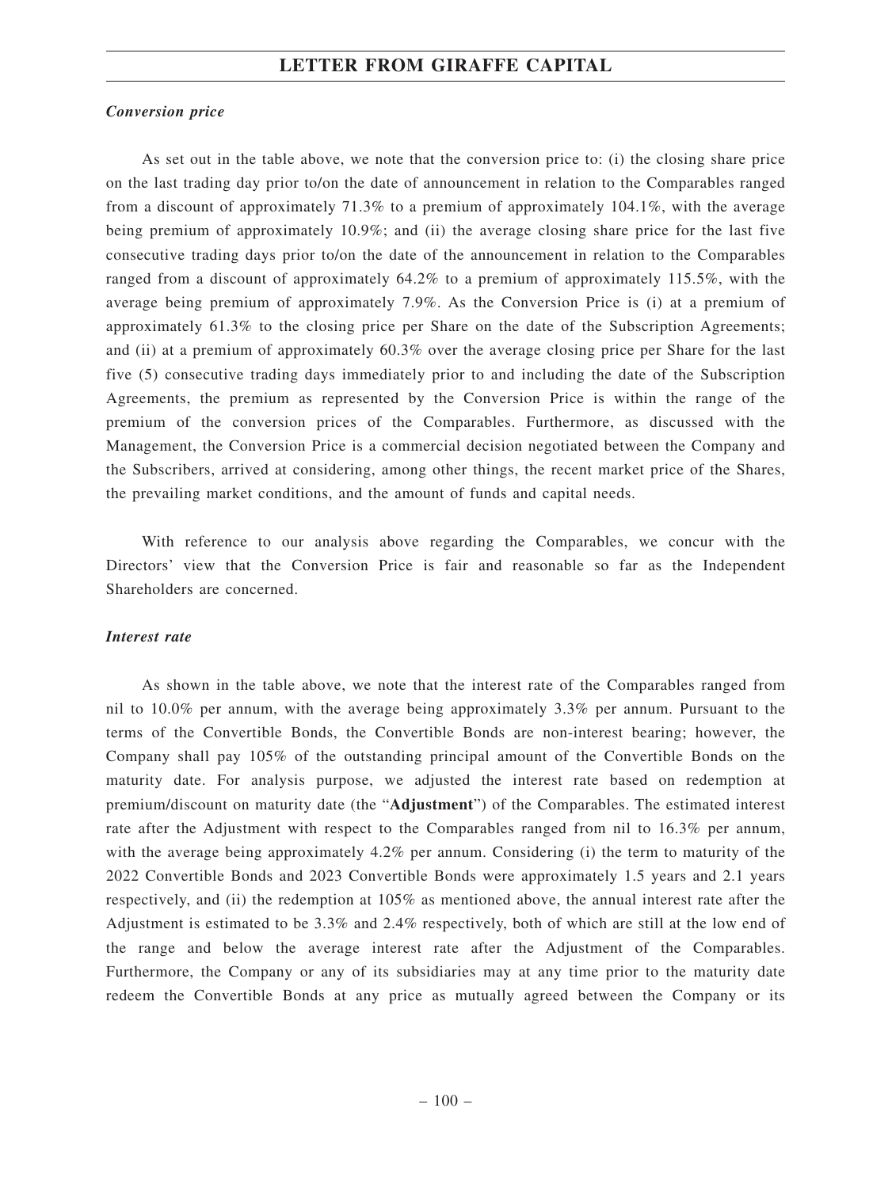#### *Conversion price*

As set out in the table above, we note that the conversion price to: (i) the closing share price on the last trading day prior to/on the date of announcement in relation to the Comparables ranged from a discount of approximately 71.3% to a premium of approximately 104.1%, with the average being premium of approximately 10.9%; and (ii) the average closing share price for the last five consecutive trading days prior to/on the date of the announcement in relation to the Comparables ranged from a discount of approximately 64.2% to a premium of approximately 115.5%, with the average being premium of approximately 7.9%. As the Conversion Price is (i) at a premium of approximately 61.3% to the closing price per Share on the date of the Subscription Agreements; and (ii) at a premium of approximately 60.3% over the average closing price per Share for the last five (5) consecutive trading days immediately prior to and including the date of the Subscription Agreements, the premium as represented by the Conversion Price is within the range of the premium of the conversion prices of the Comparables. Furthermore, as discussed with the Management, the Conversion Price is a commercial decision negotiated between the Company and the Subscribers, arrived at considering, among other things, the recent market price of the Shares, the prevailing market conditions, and the amount of funds and capital needs.

With reference to our analysis above regarding the Comparables, we concur with the Directors' view that the Conversion Price is fair and reasonable so far as the Independent Shareholders are concerned.

#### *Interest rate*

As shown in the table above, we note that the interest rate of the Comparables ranged from nil to 10.0% per annum, with the average being approximately 3.3% per annum. Pursuant to the terms of the Convertible Bonds, the Convertible Bonds are non-interest bearing; however, the Company shall pay 105% of the outstanding principal amount of the Convertible Bonds on the maturity date. For analysis purpose, we adjusted the interest rate based on redemption at premium/discount on maturity date (the "**Adjustment**") of the Comparables. The estimated interest rate after the Adjustment with respect to the Comparables ranged from nil to 16.3% per annum, with the average being approximately 4.2% per annum. Considering (i) the term to maturity of the 2022 Convertible Bonds and 2023 Convertible Bonds were approximately 1.5 years and 2.1 years respectively, and (ii) the redemption at 105% as mentioned above, the annual interest rate after the Adjustment is estimated to be 3.3% and 2.4% respectively, both of which are still at the low end of the range and below the average interest rate after the Adjustment of the Comparables. Furthermore, the Company or any of its subsidiaries may at any time prior to the maturity date redeem the Convertible Bonds at any price as mutually agreed between the Company or its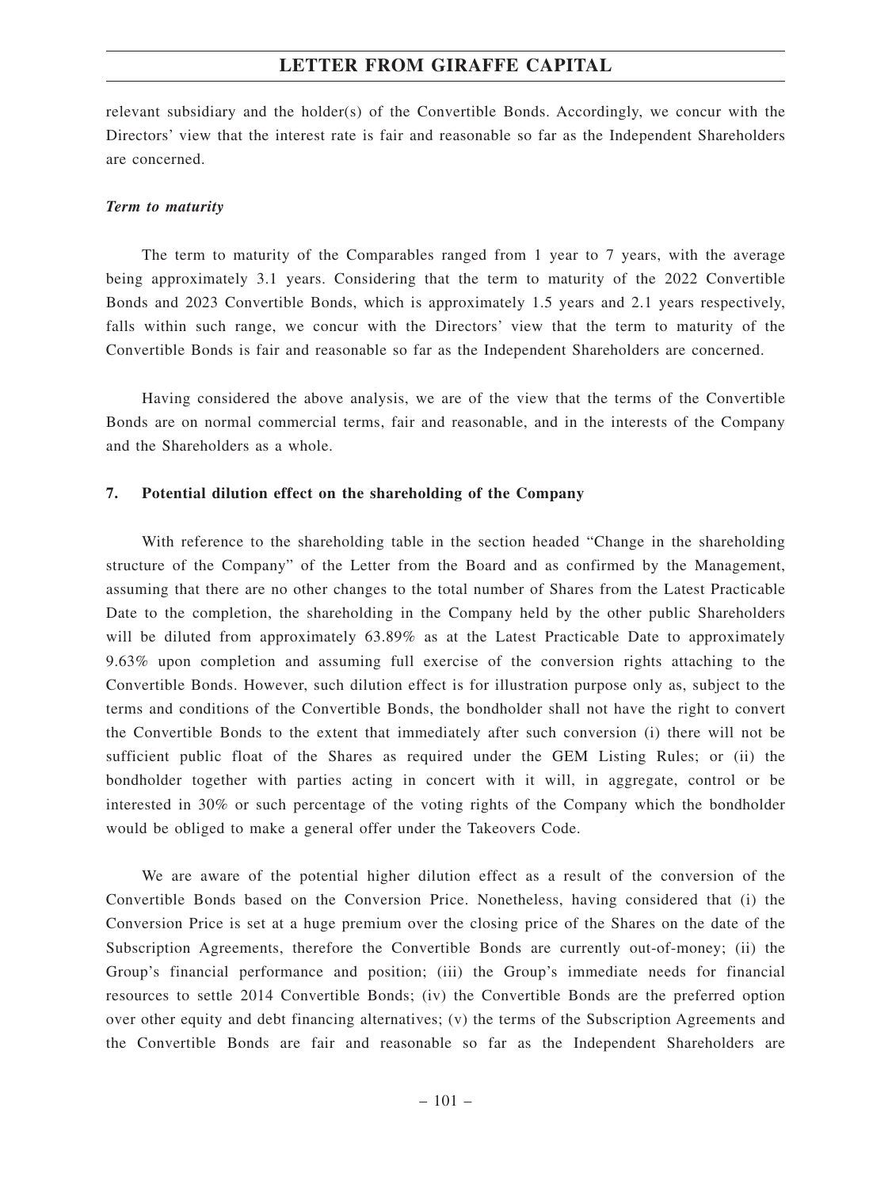relevant subsidiary and the holder(s) of the Convertible Bonds. Accordingly, we concur with the Directors' view that the interest rate is fair and reasonable so far as the Independent Shareholders are concerned.

#### *Term to maturity*

The term to maturity of the Comparables ranged from 1 year to 7 years, with the average being approximately 3.1 years. Considering that the term to maturity of the 2022 Convertible Bonds and 2023 Convertible Bonds, which is approximately 1.5 years and 2.1 years respectively, falls within such range, we concur with the Directors' view that the term to maturity of the Convertible Bonds is fair and reasonable so far as the Independent Shareholders are concerned.

Having considered the above analysis, we are of the view that the terms of the Convertible Bonds are on normal commercial terms, fair and reasonable, and in the interests of the Company and the Shareholders as a whole.

#### **7. Potential dilution effect on the shareholding of the Company**

With reference to the shareholding table in the section headed "Change in the shareholding structure of the Company" of the Letter from the Board and as confirmed by the Management, assuming that there are no other changes to the total number of Shares from the Latest Practicable Date to the completion, the shareholding in the Company held by the other public Shareholders will be diluted from approximately 63.89% as at the Latest Practicable Date to approximately 9.63% upon completion and assuming full exercise of the conversion rights attaching to the Convertible Bonds. However, such dilution effect is for illustration purpose only as, subject to the terms and conditions of the Convertible Bonds, the bondholder shall not have the right to convert the Convertible Bonds to the extent that immediately after such conversion (i) there will not be sufficient public float of the Shares as required under the GEM Listing Rules; or (ii) the bondholder together with parties acting in concert with it will, in aggregate, control or be interested in 30% or such percentage of the voting rights of the Company which the bondholder would be obliged to make a general offer under the Takeovers Code.

We are aware of the potential higher dilution effect as a result of the conversion of the Convertible Bonds based on the Conversion Price. Nonetheless, having considered that (i) the Conversion Price is set at a huge premium over the closing price of the Shares on the date of the Subscription Agreements, therefore the Convertible Bonds are currently out-of-money; (ii) the Group's financial performance and position; (iii) the Group's immediate needs for financial resources to settle 2014 Convertible Bonds; (iv) the Convertible Bonds are the preferred option over other equity and debt financing alternatives; (v) the terms of the Subscription Agreements and the Convertible Bonds are fair and reasonable so far as the Independent Shareholders are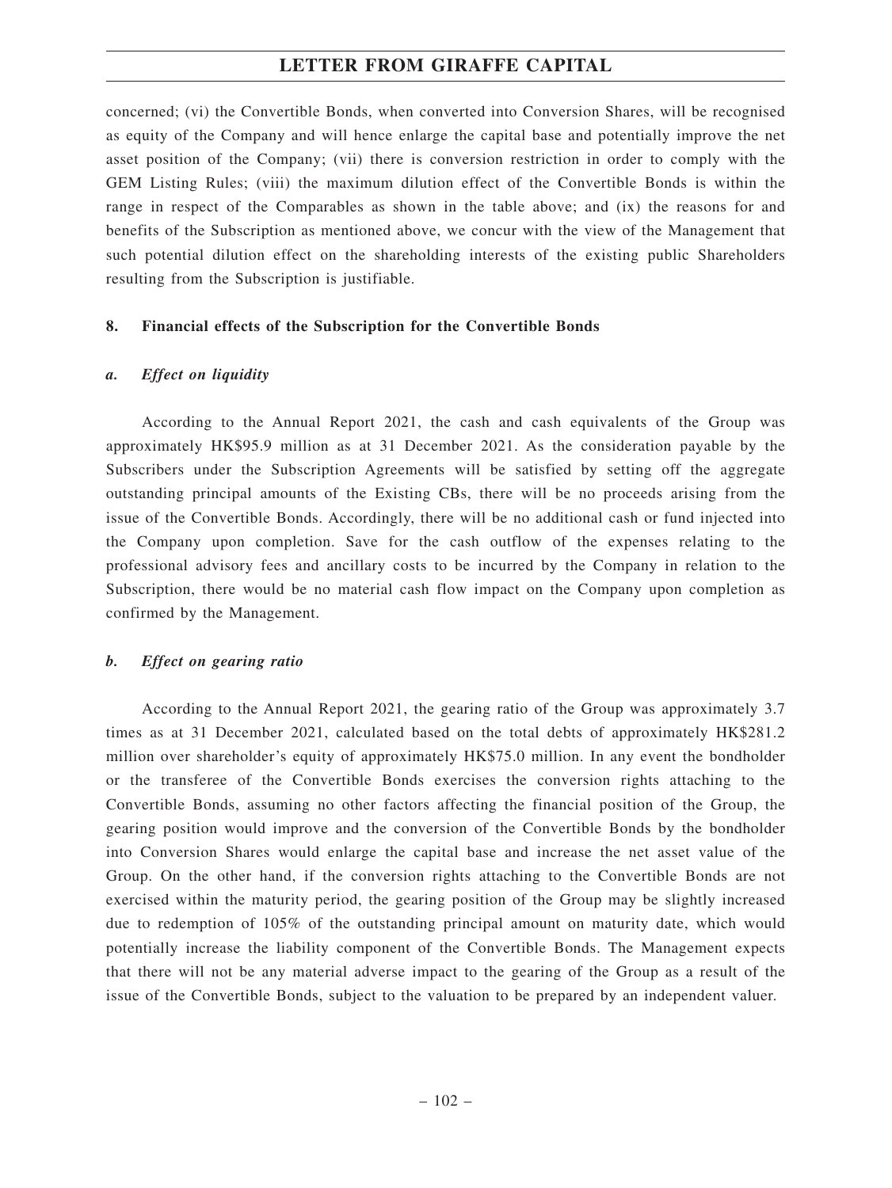concerned; (vi) the Convertible Bonds, when converted into Conversion Shares, will be recognised as equity of the Company and will hence enlarge the capital base and potentially improve the net asset position of the Company; (vii) there is conversion restriction in order to comply with the GEM Listing Rules; (viii) the maximum dilution effect of the Convertible Bonds is within the range in respect of the Comparables as shown in the table above; and (ix) the reasons for and benefits of the Subscription as mentioned above, we concur with the view of the Management that such potential dilution effect on the shareholding interests of the existing public Shareholders resulting from the Subscription is justifiable.

#### **8. Financial effects of the Subscription for the Convertible Bonds**

#### *a. Effect on liquidity*

According to the Annual Report 2021, the cash and cash equivalents of the Group was approximately HK\$95.9 million as at 31 December 2021. As the consideration payable by the Subscribers under the Subscription Agreements will be satisfied by setting off the aggregate outstanding principal amounts of the Existing CBs, there will be no proceeds arising from the issue of the Convertible Bonds. Accordingly, there will be no additional cash or fund injected into the Company upon completion. Save for the cash outflow of the expenses relating to the professional advisory fees and ancillary costs to be incurred by the Company in relation to the Subscription, there would be no material cash flow impact on the Company upon completion as confirmed by the Management.

#### *b. Effect on gearing ratio*

According to the Annual Report 2021, the gearing ratio of the Group was approximately 3.7 times as at 31 December 2021, calculated based on the total debts of approximately HK\$281.2 million over shareholder's equity of approximately HK\$75.0 million. In any event the bondholder or the transferee of the Convertible Bonds exercises the conversion rights attaching to the Convertible Bonds, assuming no other factors affecting the financial position of the Group, the gearing position would improve and the conversion of the Convertible Bonds by the bondholder into Conversion Shares would enlarge the capital base and increase the net asset value of the Group. On the other hand, if the conversion rights attaching to the Convertible Bonds are not exercised within the maturity period, the gearing position of the Group may be slightly increased due to redemption of 105% of the outstanding principal amount on maturity date, which would potentially increase the liability component of the Convertible Bonds. The Management expects that there will not be any material adverse impact to the gearing of the Group as a result of the issue of the Convertible Bonds, subject to the valuation to be prepared by an independent valuer.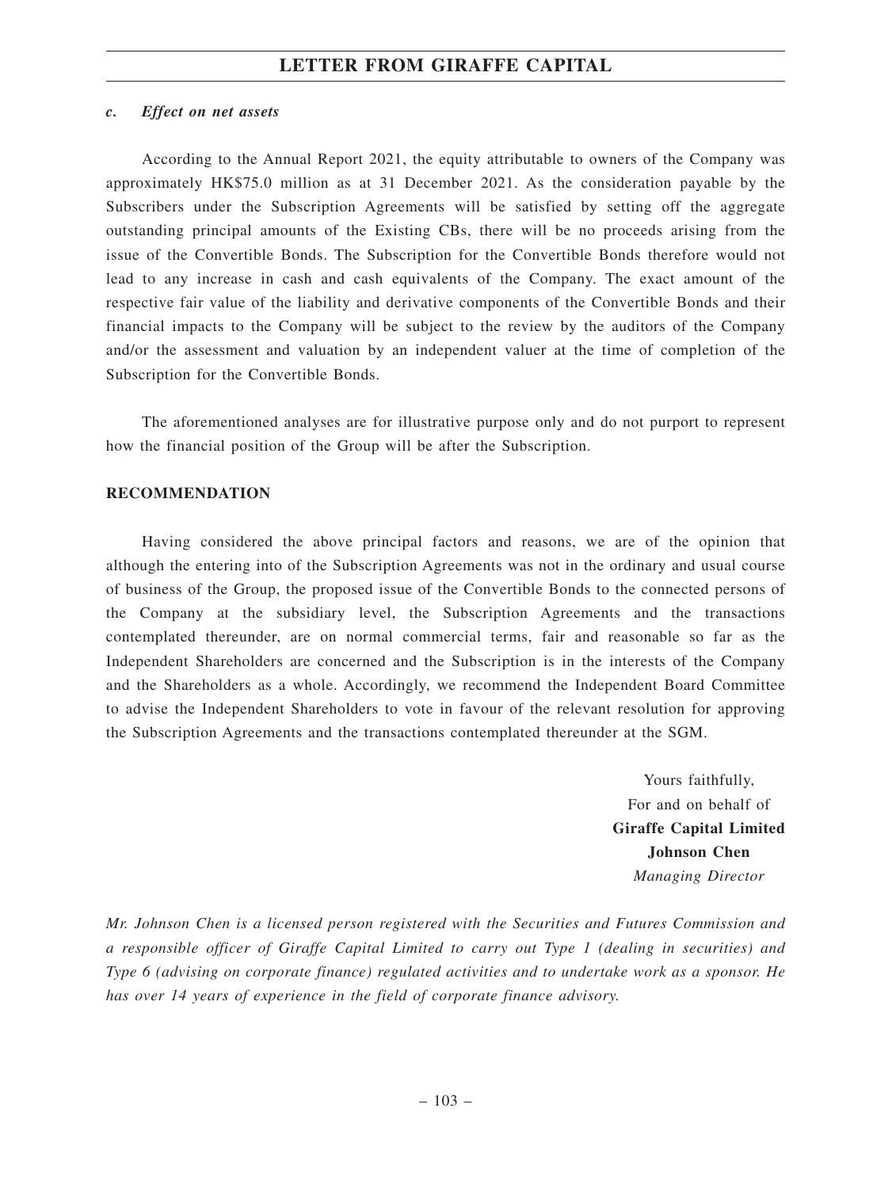#### *c. Effect on net assets*

According to the Annual Report 2021, the equity attributable to owners of the Company was approximately HK\$75.0 million as at 31 December 2021. As the consideration payable by the Subscribers under the Subscription Agreements will be satisfied by setting off the aggregate outstanding principal amounts of the Existing CBs, there will be no proceeds arising from the issue of the Convertible Bonds. The Subscription for the Convertible Bonds therefore would not lead to any increase in cash and cash equivalents of the Company. The exact amount of the respective fair value of the liability and derivative components of the Convertible Bonds and their financial impacts to the Company will be subject to the review by the auditors of the Company and/or the assessment and valuation by an independent valuer at the time of completion of the Subscription for the Convertible Bonds.

The aforementioned analyses are for illustrative purpose only and do not purport to represent how the financial position of the Group will be after the Subscription.

#### **RECOMMENDATION**

Having considered the above principal factors and reasons, we are of the opinion that although the entering into of the Subscription Agreements was not in the ordinary and usual course of business of the Group, the proposed issue of the Convertible Bonds to the connected persons of the Company at the subsidiary level, the Subscription Agreements and the transactions contemplated thereunder, are on normal commercial terms, fair and reasonable so far as the Independent Shareholders are concerned and the Subscription is in the interests of the Company and the Shareholders as a whole. Accordingly, we recommend the Independent Board Committee to advise the Independent Shareholders to vote in favour of the relevant resolution for approving the Subscription Agreements and the transactions contemplated thereunder at the SGM.

> Yours faithfully, For and on behalf of **Giraffe Capital Limited Johnson Chen** *Managing Director*

*Mr. Johnson Chen is a licensed person registered with the Securities and Futures Commission and a responsible officer of Giraffe Capital Limited to carry out Type 1 (dealing in securities) and Type 6 (advising on corporate finance) regulated activities and to undertake work as a sponsor. He has over 14 years of experience in the field of corporate finance advisory.*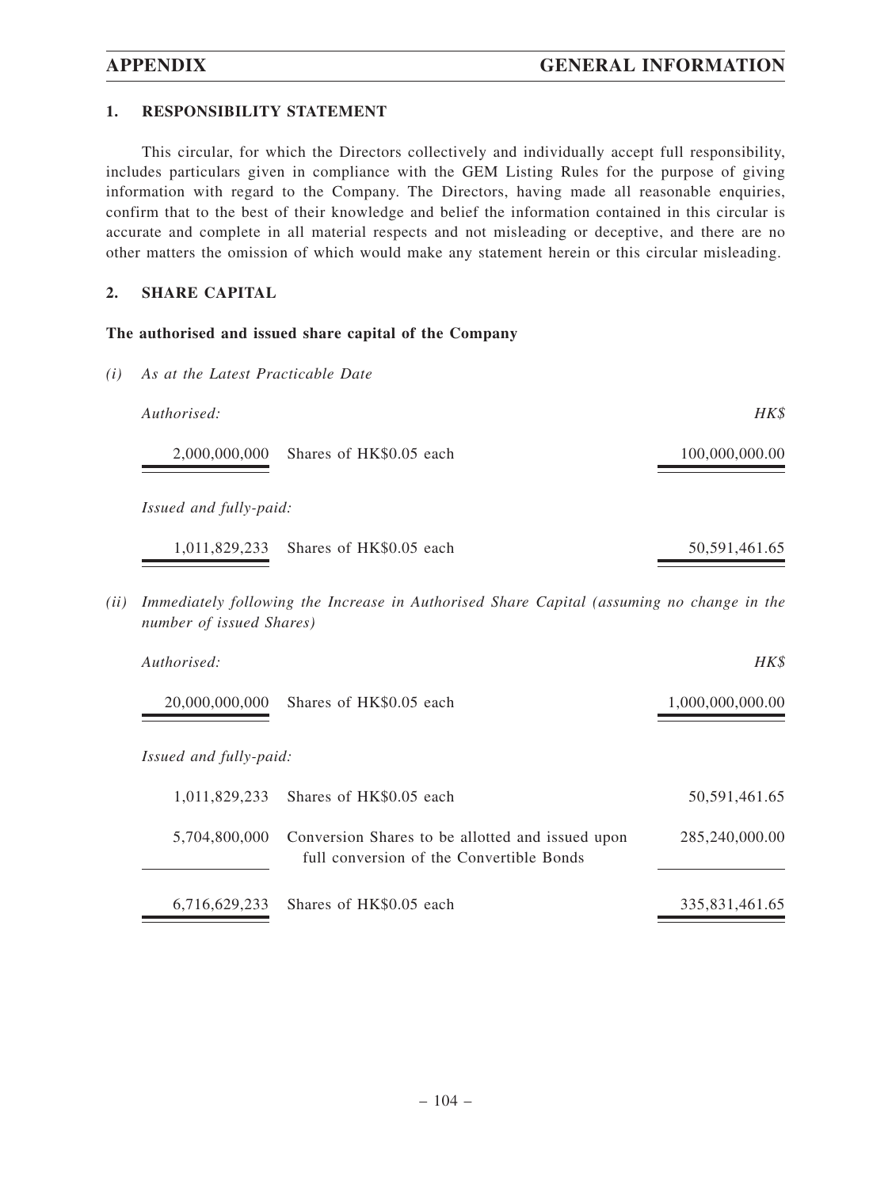### **1. RESPONSIBILITY STATEMENT**

*(i) As at the Latest Practicable Date*

This circular, for which the Directors collectively and individually accept full responsibility, includes particulars given in compliance with the GEM Listing Rules for the purpose of giving information with regard to the Company. The Directors, having made all reasonable enquiries, confirm that to the best of their knowledge and belief the information contained in this circular is accurate and complete in all material respects and not misleading or deceptive, and there are no other matters the omission of which would make any statement herein or this circular misleading.

#### **2. SHARE CAPITAL**

#### **The authorised and issued share capital of the Company**

| Authorised:                              | HK\$             |
|------------------------------------------|------------------|
| Shares of HK\$0.05 each<br>2,000,000,000 | 100,000,000.00   |
| <i>Issued and fully-paid:</i>            |                  |
| Shares of HK\$0.05 each<br>1,011,829,233 | 50, 591, 461. 65 |

*(ii) Immediately following the Increase in Authorised Share Capital (assuming no change in the number of issued Shares)*

| Authorised:                   |                                                                                                            | HK\$             |
|-------------------------------|------------------------------------------------------------------------------------------------------------|------------------|
| 20,000,000,000                | Shares of HK\$0.05 each                                                                                    | 1,000,000,000.00 |
| <i>Issued and fully-paid:</i> |                                                                                                            |                  |
| 1.011.829.233                 | Shares of HK\$0.05 each                                                                                    | 50,591,461.65    |
|                               | 5,704,800,000 Conversion Shares to be allotted and issued upon<br>full conversion of the Convertible Bonds | 285,240,000.00   |
|                               | 6.716.629.233 Shares of HK\$0.05 each                                                                      | 335.831.461.65   |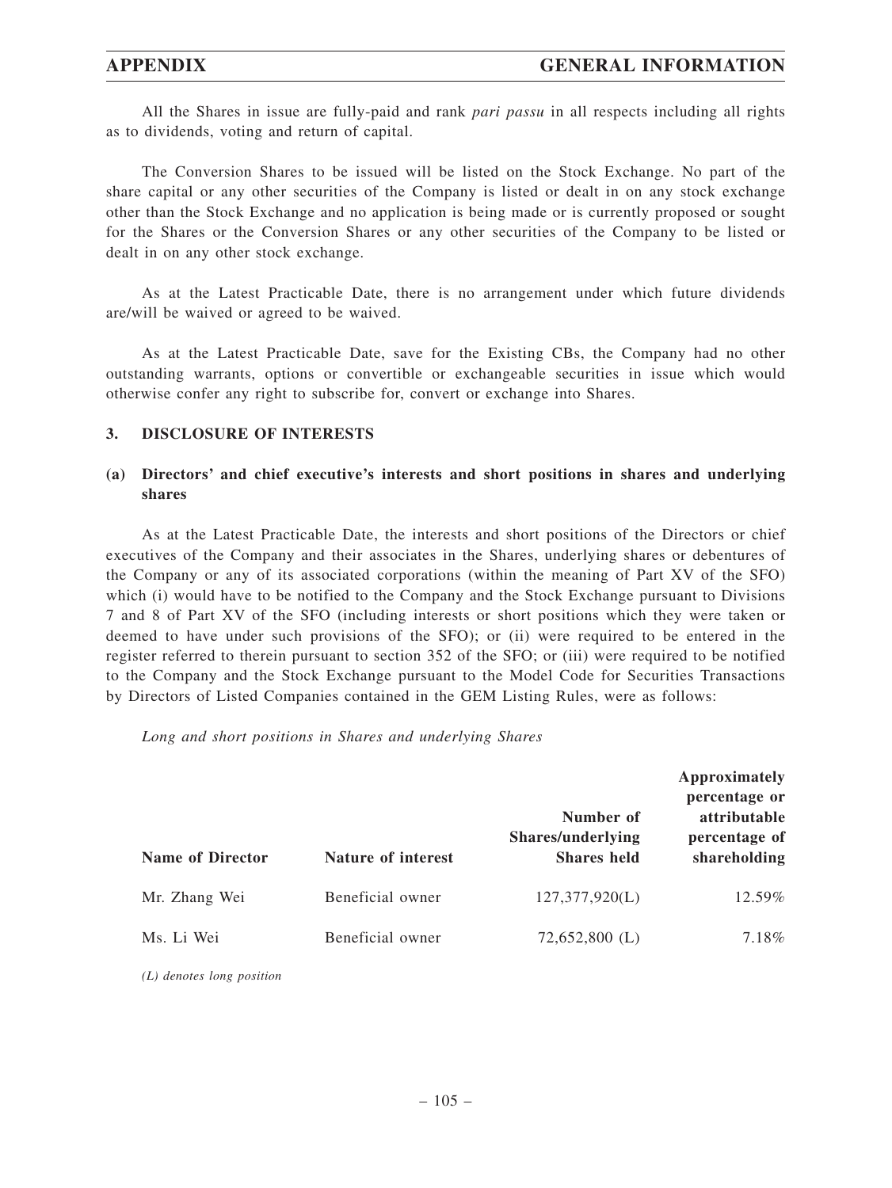All the Shares in issue are fully-paid and rank *pari passu* in all respects including all rights as to dividends, voting and return of capital.

The Conversion Shares to be issued will be listed on the Stock Exchange. No part of the share capital or any other securities of the Company is listed or dealt in on any stock exchange other than the Stock Exchange and no application is being made or is currently proposed or sought for the Shares or the Conversion Shares or any other securities of the Company to be listed or dealt in on any other stock exchange.

As at the Latest Practicable Date, there is no arrangement under which future dividends are/will be waived or agreed to be waived.

As at the Latest Practicable Date, save for the Existing CBs, the Company had no other outstanding warrants, options or convertible or exchangeable securities in issue which would otherwise confer any right to subscribe for, convert or exchange into Shares.

#### **3. DISCLOSURE OF INTERESTS**

### **(a) Directors' and chief executive's interests and short positions in shares and underlying shares**

As at the Latest Practicable Date, the interests and short positions of the Directors or chief executives of the Company and their associates in the Shares, underlying shares or debentures of the Company or any of its associated corporations (within the meaning of Part XV of the SFO) which (i) would have to be notified to the Company and the Stock Exchange pursuant to Divisions 7 and 8 of Part XV of the SFO (including interests or short positions which they were taken or deemed to have under such provisions of the SFO); or (ii) were required to be entered in the register referred to therein pursuant to section 352 of the SFO; or (iii) were required to be notified to the Company and the Stock Exchange pursuant to the Model Code for Securities Transactions by Directors of Listed Companies contained in the GEM Listing Rules, were as follows:

*Long and short positions in Shares and underlying Shares*

| <b>Name of Director</b> | Nature of interest | Number of<br>Shares/underlying<br><b>Shares</b> held | Approximately<br>percentage or<br>attributable<br>percentage of<br>shareholding |
|-------------------------|--------------------|------------------------------------------------------|---------------------------------------------------------------------------------|
| Mr. Zhang Wei           | Beneficial owner   | 127,377,920(L)                                       | $12.59\%$                                                                       |
| Ms. Li Wei              | Beneficial owner   | $72,652,800$ (L)                                     | 7.18%                                                                           |

*(L) denotes long position*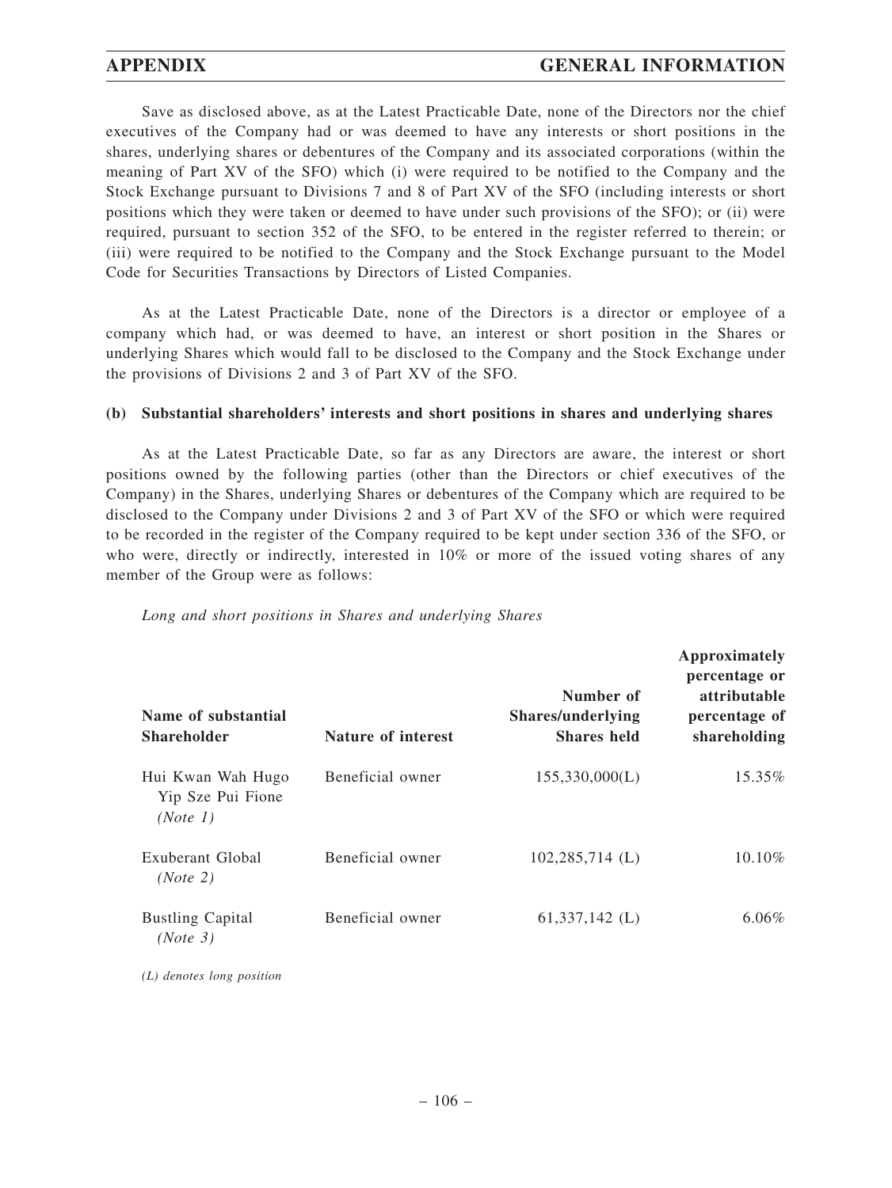Save as disclosed above, as at the Latest Practicable Date, none of the Directors nor the chief executives of the Company had or was deemed to have any interests or short positions in the shares, underlying shares or debentures of the Company and its associated corporations (within the meaning of Part XV of the SFO) which (i) were required to be notified to the Company and the Stock Exchange pursuant to Divisions 7 and 8 of Part XV of the SFO (including interests or short positions which they were taken or deemed to have under such provisions of the SFO); or (ii) were required, pursuant to section 352 of the SFO, to be entered in the register referred to therein; or (iii) were required to be notified to the Company and the Stock Exchange pursuant to the Model Code for Securities Transactions by Directors of Listed Companies.

As at the Latest Practicable Date, none of the Directors is a director or employee of a company which had, or was deemed to have, an interest or short position in the Shares or underlying Shares which would fall to be disclosed to the Company and the Stock Exchange under the provisions of Divisions 2 and 3 of Part XV of the SFO.

#### **(b) Substantial shareholders' interests and short positions in shares and underlying shares**

As at the Latest Practicable Date, so far as any Directors are aware, the interest or short positions owned by the following parties (other than the Directors or chief executives of the Company) in the Shares, underlying Shares or debentures of the Company which are required to be disclosed to the Company under Divisions 2 and 3 of Part XV of the SFO or which were required to be recorded in the register of the Company required to be kept under section 336 of the SFO, or who were, directly or indirectly, interested in 10% or more of the issued voting shares of any member of the Group were as follows:

|  |  |  | Long and short positions in Shares and underlying Shares |  |
|--|--|--|----------------------------------------------------------|--|
|  |  |  |                                                          |  |

| Name of substantial<br><b>Shareholder</b>          | Nature of interest | Number of<br><b>Shares/underlying</b><br><b>Shares</b> held | Approximately<br>percentage or<br>attributable<br>percentage of<br>shareholding |
|----------------------------------------------------|--------------------|-------------------------------------------------------------|---------------------------------------------------------------------------------|
| Hui Kwan Wah Hugo<br>Yip Sze Pui Fione<br>(Note 1) | Beneficial owner   | 155,330,000(L)                                              | 15.35%                                                                          |
| Exuberant Global<br>(Note 2)                       | Beneficial owner   | $102,285,714$ (L)                                           | 10.10%                                                                          |
| <b>Bustling Capital</b><br>(Note 3)                | Beneficial owner   | $61,337,142$ (L)                                            | $6.06\%$                                                                        |

*(L) denotes long position*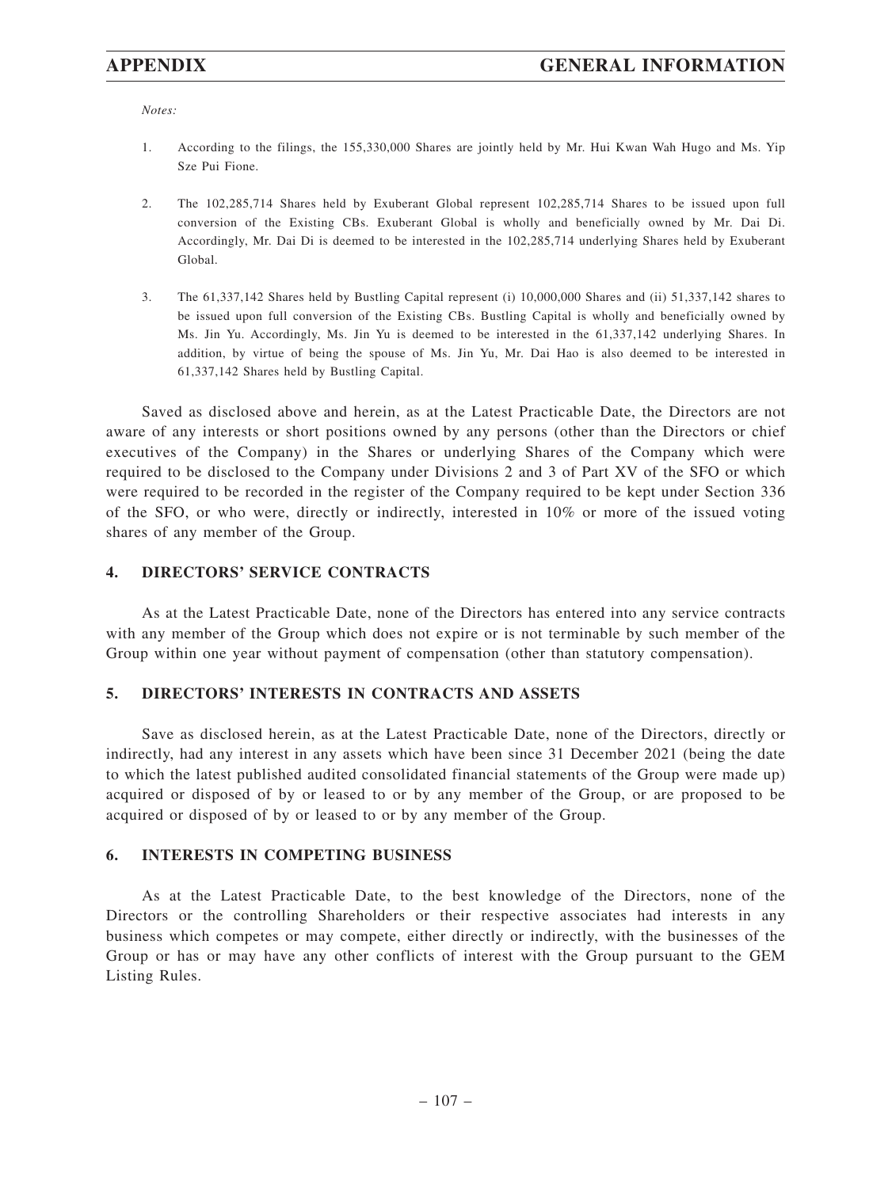*Notes:*

- 1. According to the filings, the 155,330,000 Shares are jointly held by Mr. Hui Kwan Wah Hugo and Ms. Yip Sze Pui Fione.
- 2. The 102,285,714 Shares held by Exuberant Global represent 102,285,714 Shares to be issued upon full conversion of the Existing CBs. Exuberant Global is wholly and beneficially owned by Mr. Dai Di. Accordingly, Mr. Dai Di is deemed to be interested in the 102,285,714 underlying Shares held by Exuberant Global.
- 3. The 61,337,142 Shares held by Bustling Capital represent (i) 10,000,000 Shares and (ii) 51,337,142 shares to be issued upon full conversion of the Existing CBs. Bustling Capital is wholly and beneficially owned by Ms. Jin Yu. Accordingly, Ms. Jin Yu is deemed to be interested in the 61,337,142 underlying Shares. In addition, by virtue of being the spouse of Ms. Jin Yu, Mr. Dai Hao is also deemed to be interested in 61,337,142 Shares held by Bustling Capital.

Saved as disclosed above and herein, as at the Latest Practicable Date, the Directors are not aware of any interests or short positions owned by any persons (other than the Directors or chief executives of the Company) in the Shares or underlying Shares of the Company which were required to be disclosed to the Company under Divisions 2 and 3 of Part XV of the SFO or which were required to be recorded in the register of the Company required to be kept under Section 336 of the SFO, or who were, directly or indirectly, interested in 10% or more of the issued voting shares of any member of the Group.

#### **4. DIRECTORS' SERVICE CONTRACTS**

As at the Latest Practicable Date, none of the Directors has entered into any service contracts with any member of the Group which does not expire or is not terminable by such member of the Group within one year without payment of compensation (other than statutory compensation).

#### **5. DIRECTORS' INTERESTS IN CONTRACTS AND ASSETS**

Save as disclosed herein, as at the Latest Practicable Date, none of the Directors, directly or indirectly, had any interest in any assets which have been since 31 December 2021 (being the date to which the latest published audited consolidated financial statements of the Group were made up) acquired or disposed of by or leased to or by any member of the Group, or are proposed to be acquired or disposed of by or leased to or by any member of the Group.

#### **6. INTERESTS IN COMPETING BUSINESS**

As at the Latest Practicable Date, to the best knowledge of the Directors, none of the Directors or the controlling Shareholders or their respective associates had interests in any business which competes or may compete, either directly or indirectly, with the businesses of the Group or has or may have any other conflicts of interest with the Group pursuant to the GEM Listing Rules.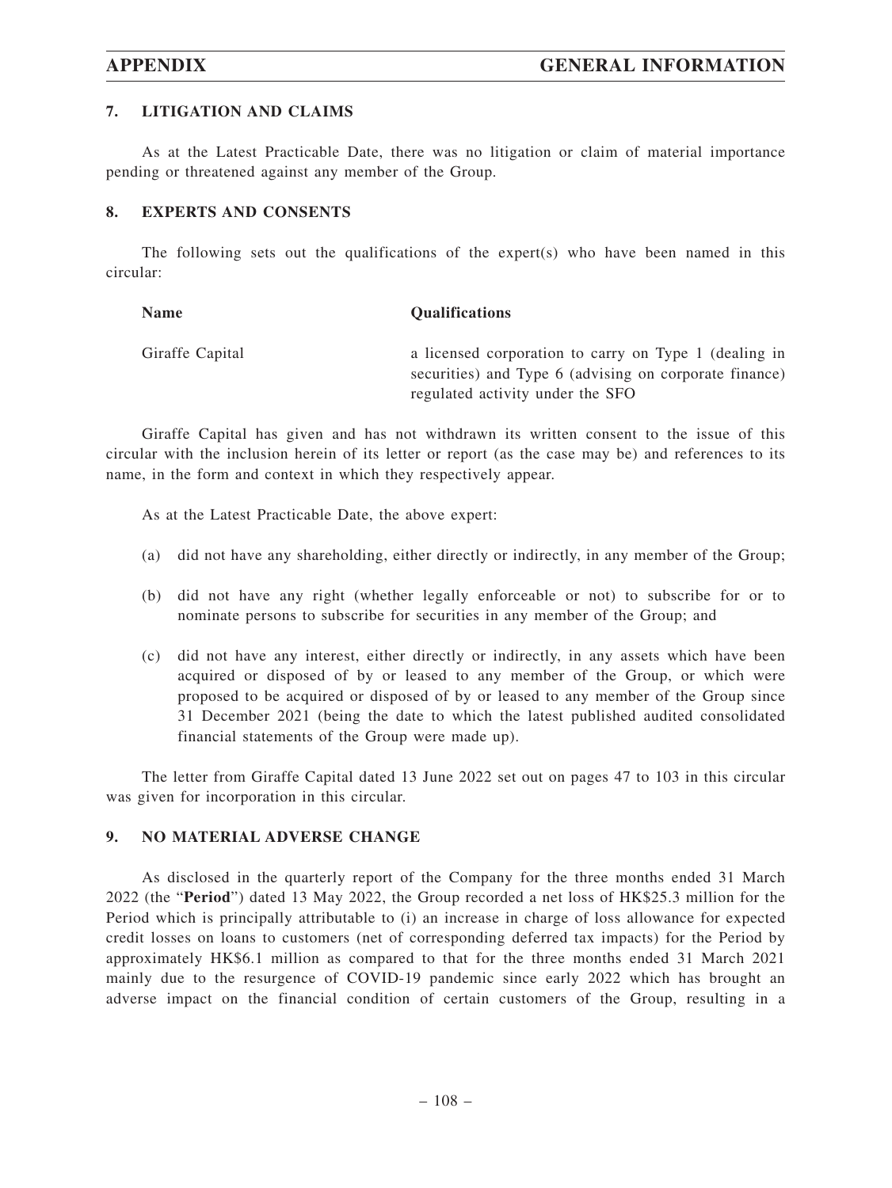## **7. LITIGATION AND CLAIMS**

As at the Latest Practicable Date, there was no litigation or claim of material importance pending or threatened against any member of the Group.

## **8. EXPERTS AND CONSENTS**

The following sets out the qualifications of the expert $(s)$  who have been named in this circular:

| Name            | <b>Qualifications</b>                                                                                           |
|-----------------|-----------------------------------------------------------------------------------------------------------------|
| Giraffe Capital | a licensed corporation to carry on Type 1 (dealing in<br>securities) and Type 6 (advising on corporate finance) |
|                 | regulated activity under the SFO                                                                                |

Giraffe Capital has given and has not withdrawn its written consent to the issue of this circular with the inclusion herein of its letter or report (as the case may be) and references to its name, in the form and context in which they respectively appear.

As at the Latest Practicable Date, the above expert:

- (a) did not have any shareholding, either directly or indirectly, in any member of the Group;
- (b) did not have any right (whether legally enforceable or not) to subscribe for or to nominate persons to subscribe for securities in any member of the Group; and
- (c) did not have any interest, either directly or indirectly, in any assets which have been acquired or disposed of by or leased to any member of the Group, or which were proposed to be acquired or disposed of by or leased to any member of the Group since 31 December 2021 (being the date to which the latest published audited consolidated financial statements of the Group were made up).

The letter from Giraffe Capital dated 13 June 2022 set out on pages 47 to 103 in this circular was given for incorporation in this circular.

# **9. NO MATERIAL ADVERSE CHANGE**

As disclosed in the quarterly report of the Company for the three months ended 31 March 2022 (the "**Period**") dated 13 May 2022, the Group recorded a net loss of HK\$25.3 million for the Period which is principally attributable to (i) an increase in charge of loss allowance for expected credit losses on loans to customers (net of corresponding deferred tax impacts) for the Period by approximately HK\$6.1 million as compared to that for the three months ended 31 March 2021 mainly due to the resurgence of COVID-19 pandemic since early 2022 which has brought an adverse impact on the financial condition of certain customers of the Group, resulting in a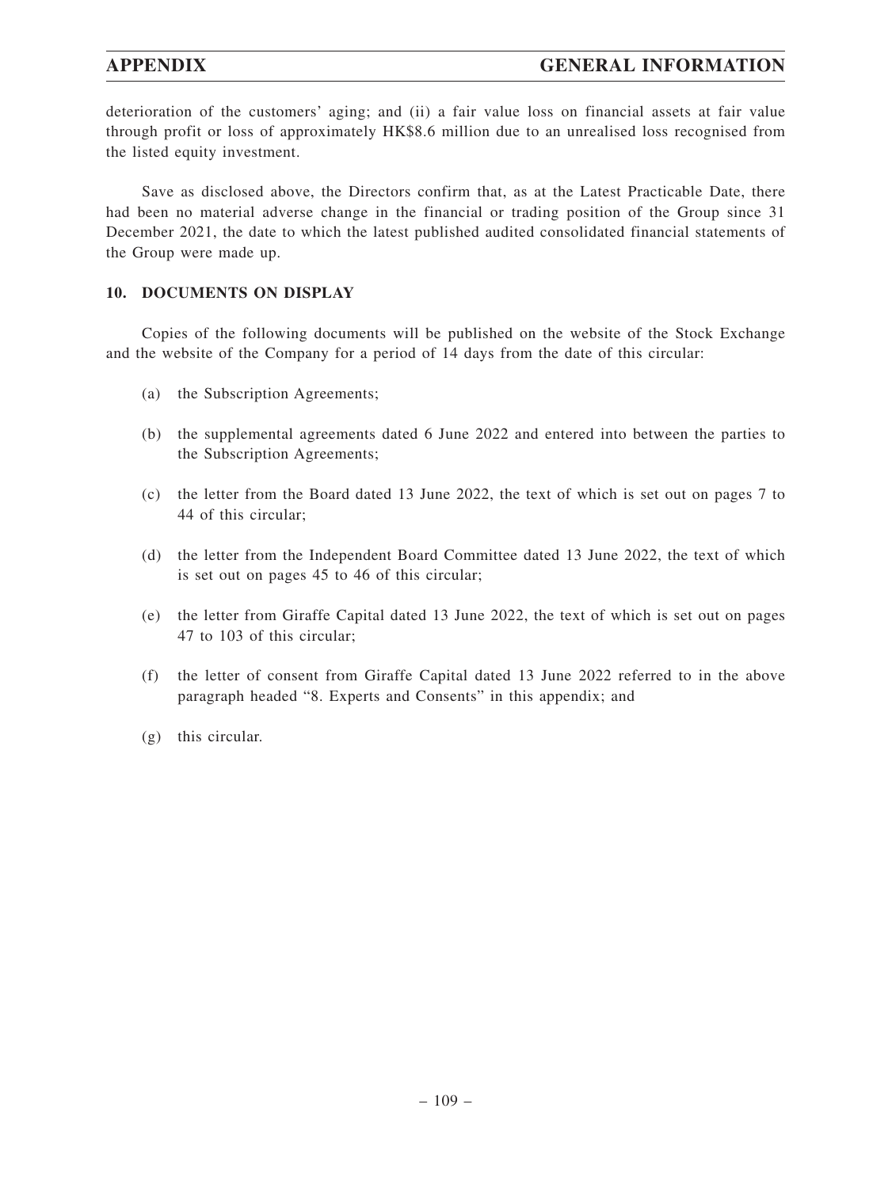deterioration of the customers' aging; and (ii) a fair value loss on financial assets at fair value through profit or loss of approximately HK\$8.6 million due to an unrealised loss recognised from the listed equity investment.

Save as disclosed above, the Directors confirm that, as at the Latest Practicable Date, there had been no material adverse change in the financial or trading position of the Group since 31 December 2021, the date to which the latest published audited consolidated financial statements of the Group were made up.

### **10. DOCUMENTS ON DISPLAY**

Copies of the following documents will be published on the website of the Stock Exchange and the website of the Company for a period of 14 days from the date of this circular:

- (a) the Subscription Agreements;
- (b) the supplemental agreements dated 6 June 2022 and entered into between the parties to the Subscription Agreements;
- (c) the letter from the Board dated 13 June 2022, the text of which is set out on pages 7 to 44 of this circular;
- (d) the letter from the Independent Board Committee dated 13 June 2022, the text of which is set out on pages 45 to 46 of this circular;
- (e) the letter from Giraffe Capital dated 13 June 2022, the text of which is set out on pages 47 to 103 of this circular;
- (f) the letter of consent from Giraffe Capital dated 13 June 2022 referred to in the above paragraph headed "8. Experts and Consents" in this appendix; and
- (g) this circular.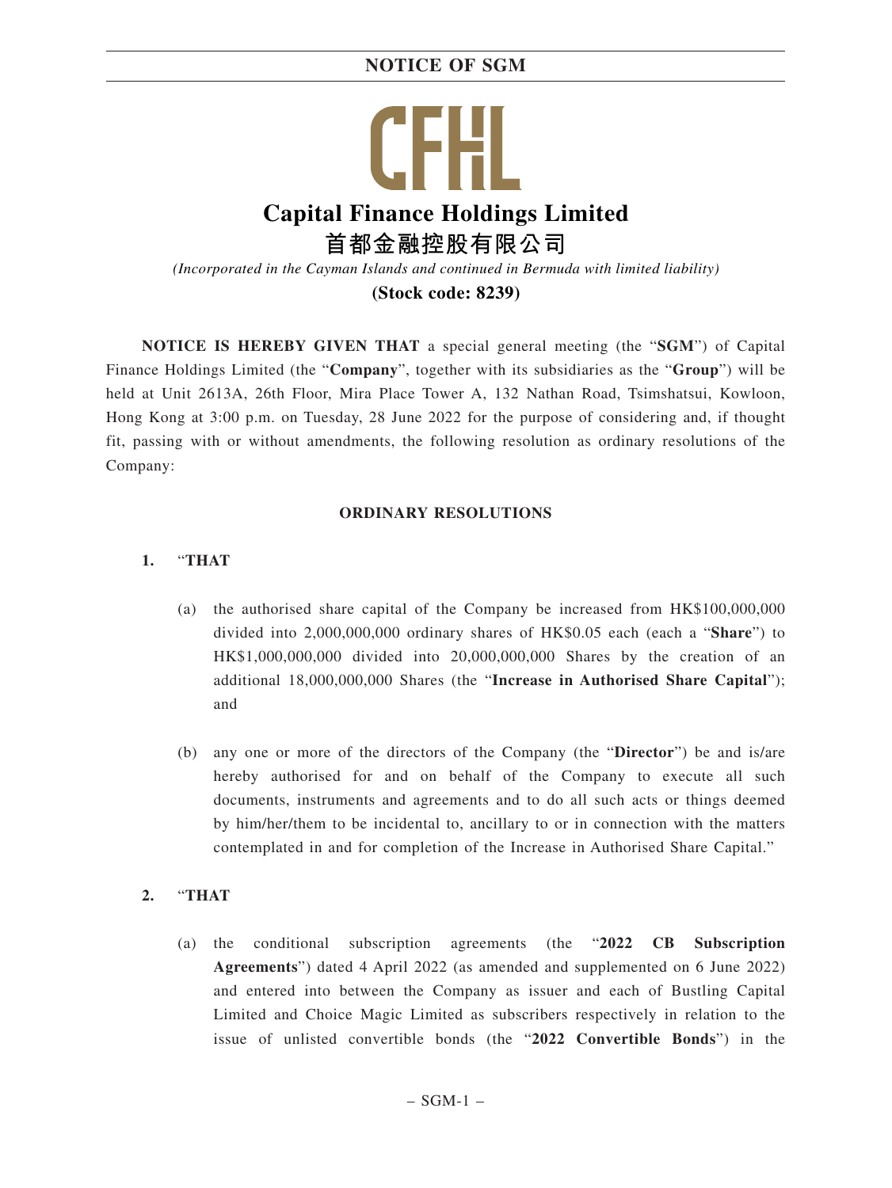# Ħ **Capital Finance Holdings Limited 首都金融控股有限公司**

*(Incorporated in the Cayman Islands and continued in Bermuda with limited liability)*

**(Stock code: 8239)**

**NOTICE IS HEREBY GIVEN THAT** a special general meeting (the "**SGM**") of Capital Finance Holdings Limited (the "**Company**", together with its subsidiaries as the "**Group**") will be held at Unit 2613A, 26th Floor, Mira Place Tower A, 132 Nathan Road, Tsimshatsui, Kowloon, Hong Kong at 3:00 p.m. on Tuesday, 28 June 2022 for the purpose of considering and, if thought fit, passing with or without amendments, the following resolution as ordinary resolutions of the Company:

# **ORDINARY RESOLUTIONS**

# **1.** "**THAT**

- (a) the authorised share capital of the Company be increased from HK\$100,000,000 divided into 2,000,000,000 ordinary shares of HK\$0.05 each (each a "**Share**") to HK\$1,000,000,000 divided into 20,000,000,000 Shares by the creation of an additional 18,000,000,000 Shares (the "**Increase in Authorised Share Capital**"); and
- (b) any one or more of the directors of the Company (the "**Director**") be and is/are hereby authorised for and on behalf of the Company to execute all such documents, instruments and agreements and to do all such acts or things deemed by him/her/them to be incidental to, ancillary to or in connection with the matters contemplated in and for completion of the Increase in Authorised Share Capital."

# **2.** "**THAT**

(a) the conditional subscription agreements (the "**2022 CB Subscription Agreements**") dated 4 April 2022 (as amended and supplemented on 6 June 2022) and entered into between the Company as issuer and each of Bustling Capital Limited and Choice Magic Limited as subscribers respectively in relation to the issue of unlisted convertible bonds (the "**2022 Convertible Bonds**") in the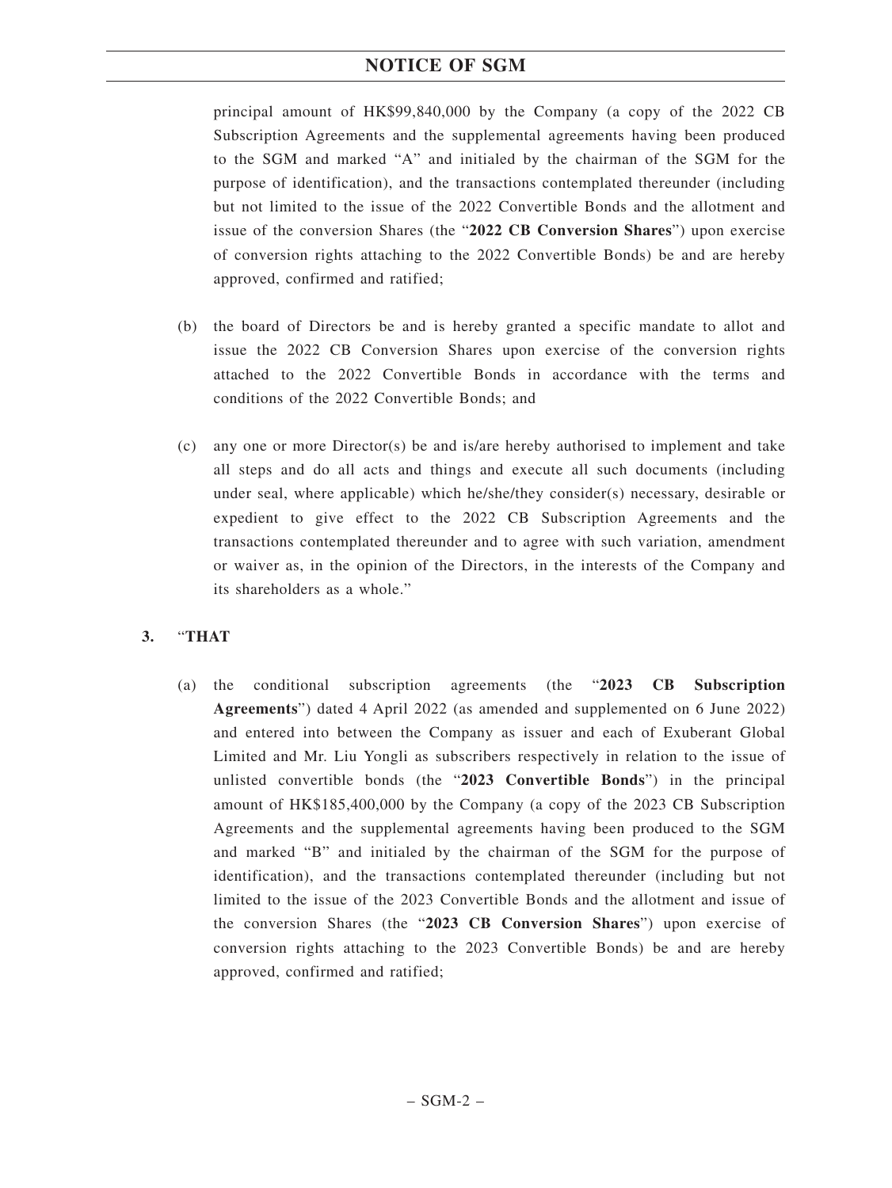principal amount of HK\$99,840,000 by the Company (a copy of the 2022 CB Subscription Agreements and the supplemental agreements having been produced to the SGM and marked "A" and initialed by the chairman of the SGM for the purpose of identification), and the transactions contemplated thereunder (including but not limited to the issue of the 2022 Convertible Bonds and the allotment and issue of the conversion Shares (the "**2022 CB Conversion Shares**") upon exercise of conversion rights attaching to the 2022 Convertible Bonds) be and are hereby approved, confirmed and ratified;

- (b) the board of Directors be and is hereby granted a specific mandate to allot and issue the 2022 CB Conversion Shares upon exercise of the conversion rights attached to the 2022 Convertible Bonds in accordance with the terms and conditions of the 2022 Convertible Bonds; and
- (c) any one or more Director(s) be and is/are hereby authorised to implement and take all steps and do all acts and things and execute all such documents (including under seal, where applicable) which he/she/they consider(s) necessary, desirable or expedient to give effect to the 2022 CB Subscription Agreements and the transactions contemplated thereunder and to agree with such variation, amendment or waiver as, in the opinion of the Directors, in the interests of the Company and its shareholders as a whole."

# **3.** "**THAT**

(a) the conditional subscription agreements (the "**2023 CB Subscription Agreements**") dated 4 April 2022 (as amended and supplemented on 6 June 2022) and entered into between the Company as issuer and each of Exuberant Global Limited and Mr. Liu Yongli as subscribers respectively in relation to the issue of unlisted convertible bonds (the "**2023 Convertible Bonds**") in the principal amount of HK\$185,400,000 by the Company (a copy of the 2023 CB Subscription Agreements and the supplemental agreements having been produced to the SGM and marked "B" and initialed by the chairman of the SGM for the purpose of identification), and the transactions contemplated thereunder (including but not limited to the issue of the 2023 Convertible Bonds and the allotment and issue of the conversion Shares (the "**2023 CB Conversion Shares**") upon exercise of conversion rights attaching to the 2023 Convertible Bonds) be and are hereby approved, confirmed and ratified;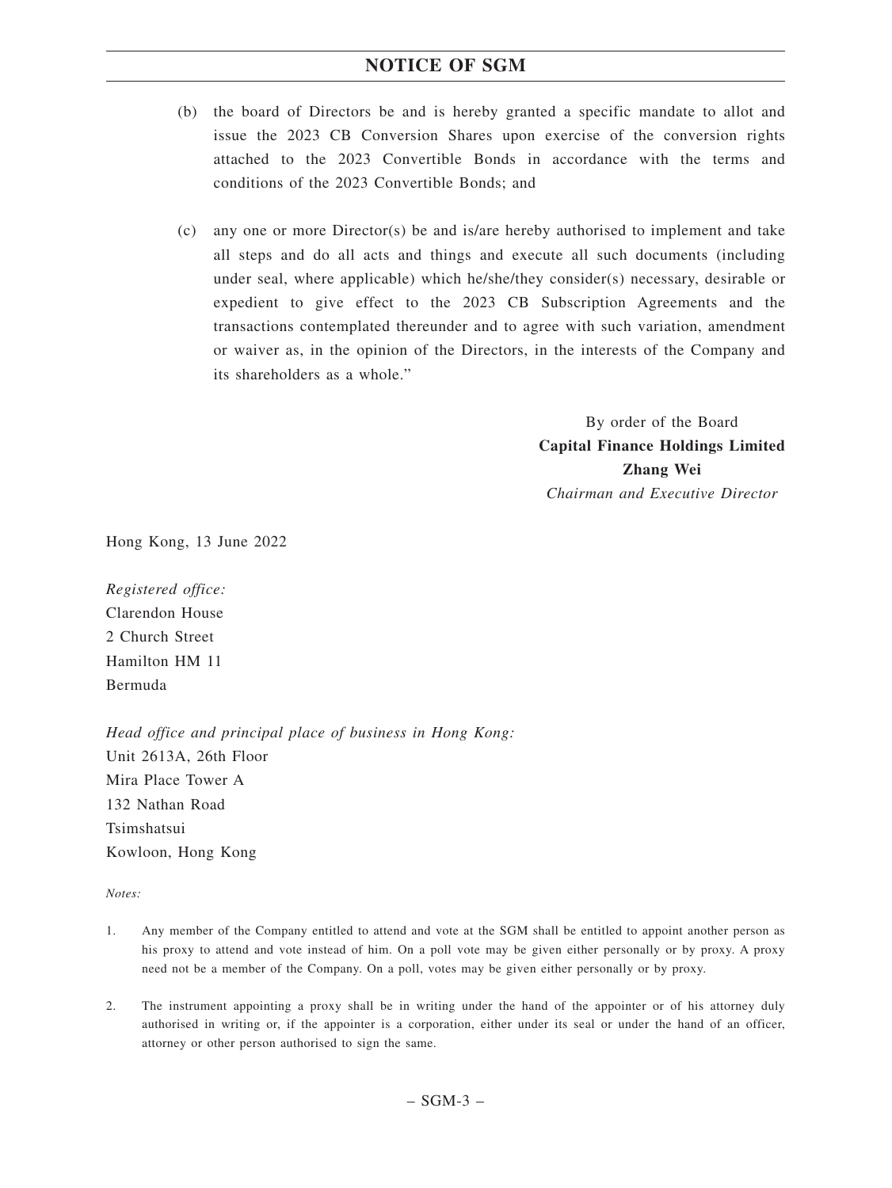- (b) the board of Directors be and is hereby granted a specific mandate to allot and issue the 2023 CB Conversion Shares upon exercise of the conversion rights attached to the 2023 Convertible Bonds in accordance with the terms and conditions of the 2023 Convertible Bonds; and
- (c) any one or more Director(s) be and is/are hereby authorised to implement and take all steps and do all acts and things and execute all such documents (including under seal, where applicable) which he/she/they consider(s) necessary, desirable or expedient to give effect to the 2023 CB Subscription Agreements and the transactions contemplated thereunder and to agree with such variation, amendment or waiver as, in the opinion of the Directors, in the interests of the Company and its shareholders as a whole."

By order of the Board **Capital Finance Holdings Limited Zhang Wei** *Chairman and Executive Director*

Hong Kong, 13 June 2022

*Registered office:* Clarendon House 2 Church Street Hamilton HM 11 Bermuda

*Head office and principal place of business in Hong Kong:* Unit 2613A, 26th Floor Mira Place Tower A 132 Nathan Road Tsimshatsui Kowloon, Hong Kong

*Notes:*

- 1. Any member of the Company entitled to attend and vote at the SGM shall be entitled to appoint another person as his proxy to attend and vote instead of him. On a poll vote may be given either personally or by proxy. A proxy need not be a member of the Company. On a poll, votes may be given either personally or by proxy.
- 2. The instrument appointing a proxy shall be in writing under the hand of the appointer or of his attorney duly authorised in writing or, if the appointer is a corporation, either under its seal or under the hand of an officer, attorney or other person authorised to sign the same.